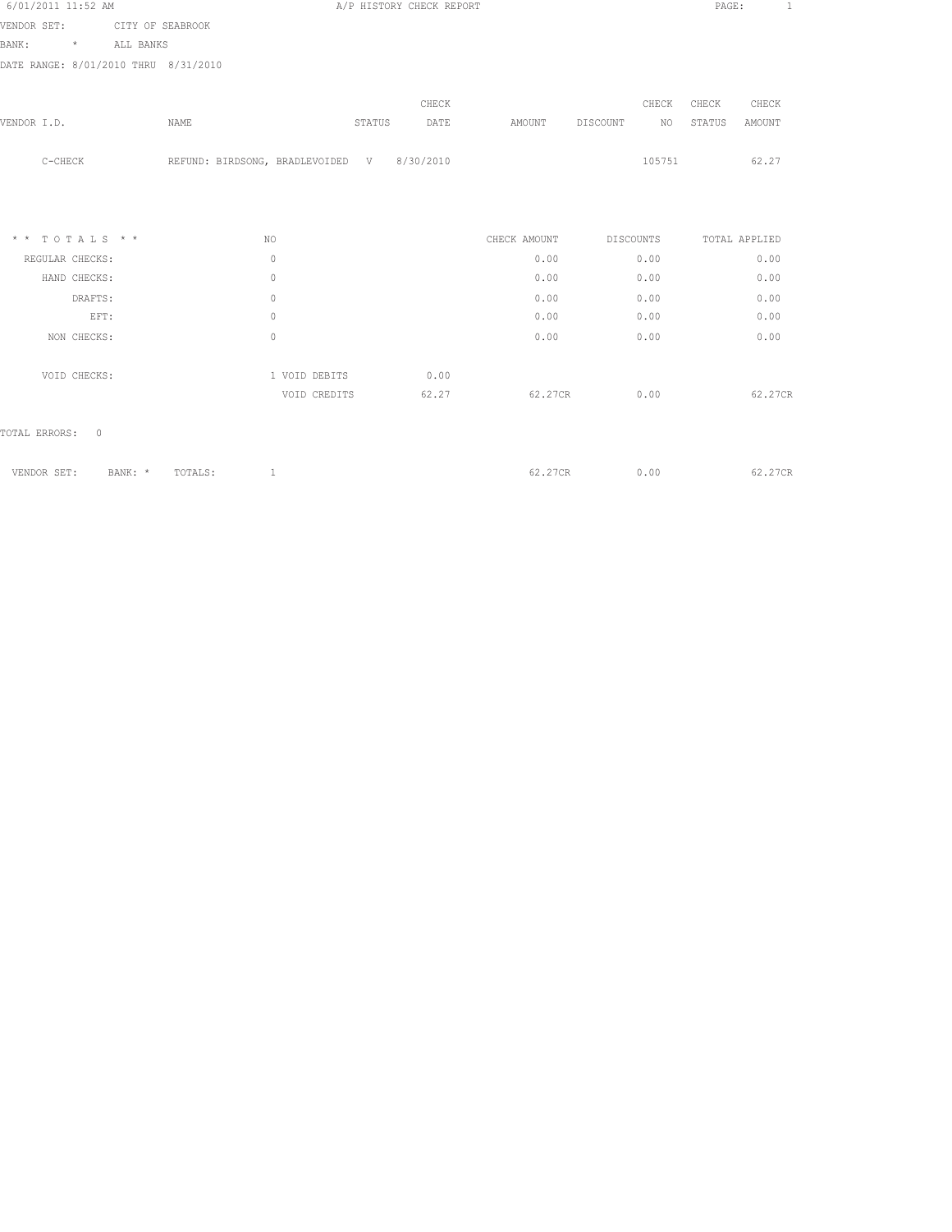| 6/01/2011 11:52 AM                   |                                            | A/P HISTORY CHECK REPORT |              |                | PAGE:<br>$\mathbf{1}$ |
|--------------------------------------|--------------------------------------------|--------------------------|--------------|----------------|-----------------------|
| VENDOR SET: CITY OF SEABROOK         |                                            |                          |              |                |                       |
| BANK:<br>* ALL BANKS                 |                                            |                          |              |                |                       |
| DATE RANGE: 8/01/2010 THRU 8/31/2010 |                                            |                          |              |                |                       |
|                                      |                                            |                          |              |                |                       |
|                                      |                                            | CHECK                    |              | CHECK          | CHECK<br>CHECK        |
| VENDOR I.D.                          | NAME                                       | STATUS<br>DATE           | AMOUNT       | DISCOUNT<br>NO | STATUS<br>AMOUNT      |
|                                      |                                            |                          |              |                |                       |
| $C-CHECK$                            | REFUND: BIRDSONG, BRADLEVOIDED V 8/30/2010 |                          |              | 105751         | 62.27                 |
|                                      |                                            |                          |              |                |                       |
|                                      |                                            |                          |              |                |                       |
| $* * TOTALS **$                      | NO.                                        |                          | CHECK AMOUNT | DISCOUNTS      | TOTAL APPLIED         |
| REGULAR CHECKS:                      | $\bigcirc$                                 |                          | 0.00         | 0.00           | 0.00                  |
| HAND CHECKS:                         | $\circ$                                    |                          | 0.00         | 0.00           | 0.00                  |
| DRAFTS:                              | $\circ$                                    |                          | 0.00         | 0.00           | 0.00                  |
| EFT:                                 | $\circ$                                    |                          | 0.00         | 0.00           | 0.00                  |
| NON CHECKS:                          | $\circ$                                    |                          | 0.00         | 0.00           | 0.00                  |
| VOID CHECKS:                         | 1 VOID DEBITS                              | 0.00                     |              |                |                       |

|  | VENDOR SET: BANK: * TOTALS: 1 |  | 62.27CR 0.00 | 62.27CR |
|--|-------------------------------|--|--------------|---------|
|  |                               |  |              |         |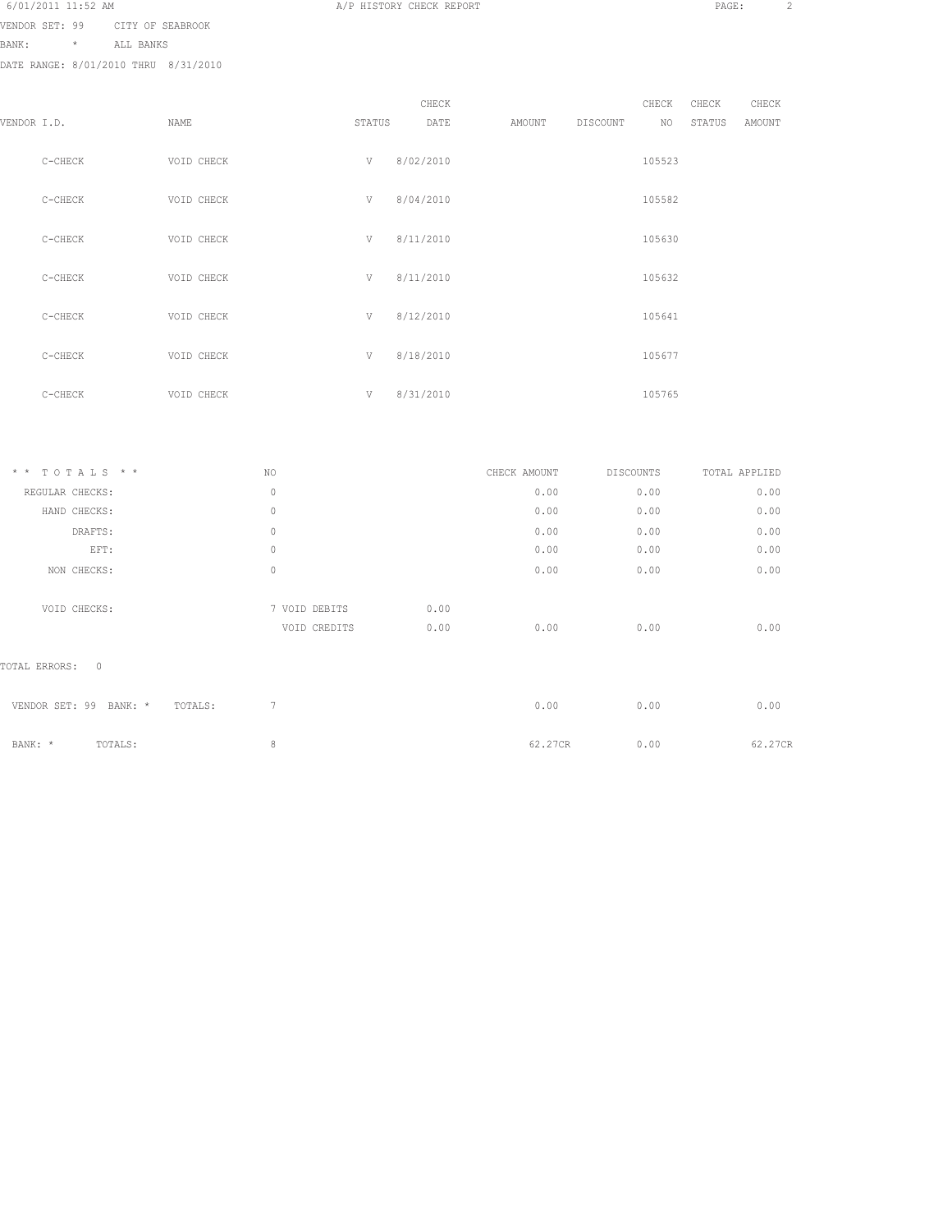|--|

VENDOR SET: 99 CITY OF SEABROOK

BANK: \* ALL BANKS

DATE RANGE: 8/01/2010 THRU 8/31/2010

|             |           |            |        | CHECK     |        |          | CHECK  | CHECK  | CHECK  |
|-------------|-----------|------------|--------|-----------|--------|----------|--------|--------|--------|
| VENDOR I.D. |           | NAME       | STATUS | DATE      | AMOUNT | DISCOUNT | NO     | STATUS | AMOUNT |
|             | C-CHECK   | VOID CHECK | V      | 8/02/2010 |        |          | 105523 |        |        |
|             | $C-CHECK$ | VOID CHECK | V      | 8/04/2010 |        |          | 105582 |        |        |
|             | $C-CHECK$ | VOID CHECK | V      | 8/11/2010 |        |          | 105630 |        |        |
|             | C-CHECK   | VOID CHECK | V      | 8/11/2010 |        |          | 105632 |        |        |
|             | C-CHECK   | VOID CHECK | V      | 8/12/2010 |        |          | 105641 |        |        |
|             | C-CHECK   | VOID CHECK | V      | 8/18/2010 |        |          | 105677 |        |        |
|             | C-CHECK   | VOID CHECK | V      | 8/31/2010 |        |          | 105765 |        |        |

A/P HISTORY CHECK REPORT PAGE: 2

| $* * TOTALS **$                      | NO            |      | CHECK AMOUNT | <b>DISCOUNTS</b> | TOTAL APPLIED |
|--------------------------------------|---------------|------|--------------|------------------|---------------|
| REGULAR CHECKS:                      | $\circ$       |      | 0.00         | 0.00             | 0.00          |
| HAND CHECKS:                         | $\circ$       |      | 0.00         | 0.00             | 0.00          |
| DRAFTS:                              | $\circ$       |      | 0.00         | 0.00             | 0.00          |
| EFT:                                 | $\mathbf{0}$  |      | 0.00         | 0.00             | 0.00          |
| NON CHECKS:                          | $\circ$       |      | 0.00         | 0.00             | 0.00          |
|                                      |               |      |              |                  |               |
| VOID CHECKS:                         | 7 VOID DEBITS | 0.00 |              |                  |               |
|                                      | VOID CREDITS  | 0.00 | 0.00         | 0.00             | 0.00          |
|                                      |               |      |              |                  |               |
| $\mathbf{0}$<br>TOTAL ERRORS:        |               |      |              |                  |               |
|                                      |               |      |              |                  |               |
| VENDOR SET: 99<br>BANK: *<br>TOTALS: | 7             |      | 0.00         | 0.00             | 0.00          |
|                                      |               |      |              |                  |               |
| TOTALS:<br>BANK: *                   | 8             |      | 62.27CR      | 0.00             | 62.27CR       |
|                                      |               |      |              |                  |               |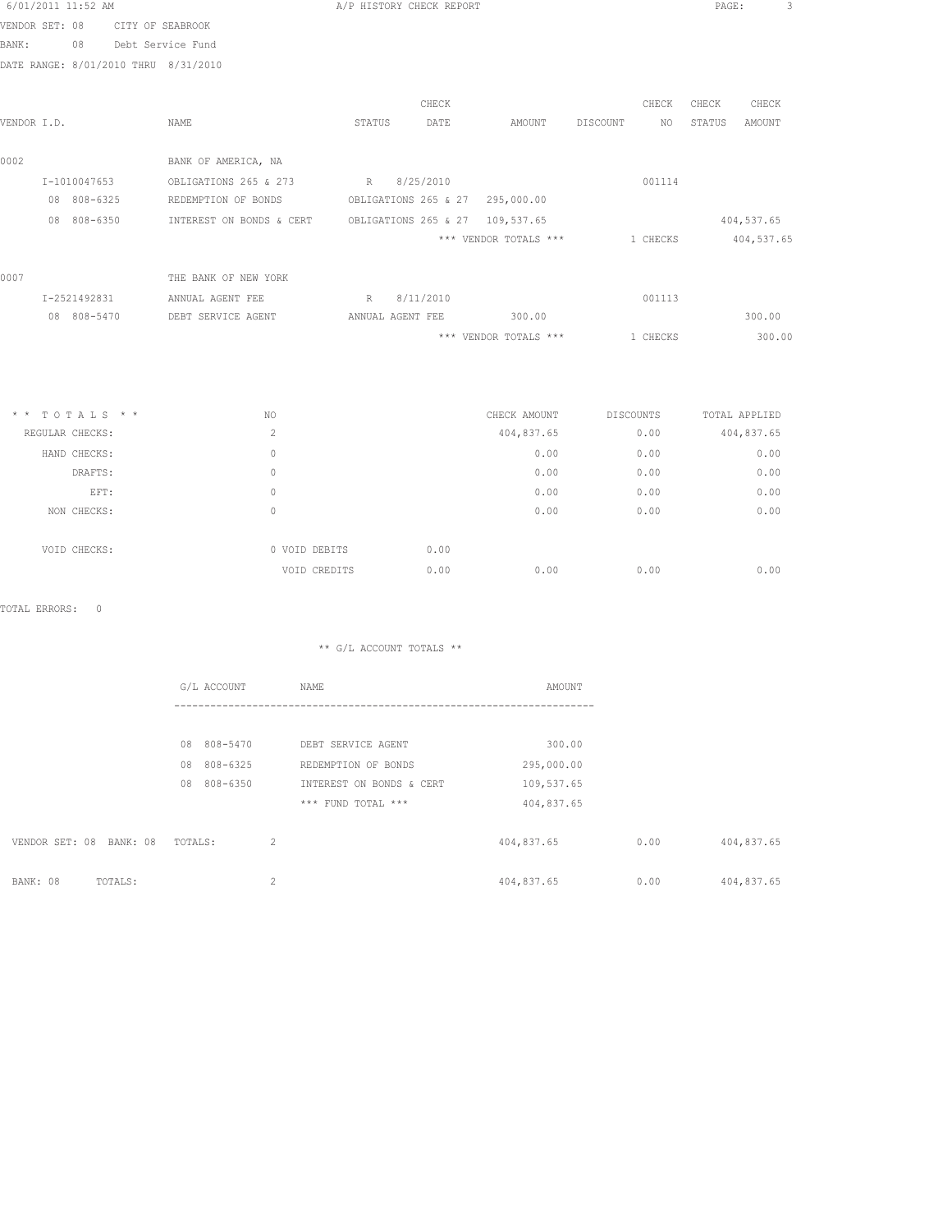| 6/01/2011 11:52 AM |              |                                      |                          | A/P HISTORY CHECK REPORT        |       |                       |          |                     | PAGE:  |            | 3 |
|--------------------|--------------|--------------------------------------|--------------------------|---------------------------------|-------|-----------------------|----------|---------------------|--------|------------|---|
| VENDOR SET: 08     |              | CITY OF SEABROOK                     |                          |                                 |       |                       |          |                     |        |            |   |
| BANK:              | 08           | Debt Service Fund                    |                          |                                 |       |                       |          |                     |        |            |   |
|                    |              | DATE RANGE: 8/01/2010 THRU 8/31/2010 |                          |                                 |       |                       |          |                     |        |            |   |
|                    |              |                                      |                          |                                 | CHECK |                       |          | CHECK               | CHECK  | CHECK      |   |
| VENDOR I.D.        |              |                                      | NAME                     | STATUS                          | DATE  | AMOUNT                | DISCOUNT | NO.                 | STATUS | AMOUNT     |   |
| 0002               |              |                                      | BANK OF AMERICA, NA      |                                 |       |                       |          |                     |        |            |   |
|                    | I-1010047653 |                                      | OBLIGATIONS 265 & 273    | R 8/25/2010                     |       |                       |          | 001114              |        |            |   |
|                    | 08 808-6325  |                                      | REDEMPTION OF BONDS      | OBLIGATIONS 265 & 27 295,000.00 |       |                       |          |                     |        |            |   |
|                    | 08 808-6350  |                                      | INTEREST ON BONDS & CERT | OBLIGATIONS 265 & 27 109,537.65 |       |                       |          |                     |        | 404,537.65 |   |
|                    |              |                                      |                          |                                 |       | *** VENDOR TOTALS *** |          | 1 CHECKS 404,537.65 |        |            |   |
| 0007               |              |                                      | THE BANK OF NEW YORK     |                                 |       |                       |          |                     |        |            |   |
|                    | I-2521492831 |                                      | ANNUAL AGENT FEE         | R 8/11/2010                     |       |                       |          | 001113              |        |            |   |
|                    | 08 808-5470  |                                      | DEBT SERVICE AGENT       | ANNUAL AGENT FEE                |       | 300.00                |          |                     |        | 300.00     |   |
|                    |              |                                      |                          |                                 |       | *** VENDOR TOTALS *** |          | 1 CHECKS            |        | 300.00     |   |
|                    |              |                                      |                          |                                 |       |                       |          |                     |        |            |   |
|                    |              |                                      |                          |                                 |       |                       |          |                     |        |            |   |

| $*$ * TOTALS * * | NO.            |               | CHECK AMOUNT |            | DISCOUNTS | TOTAL APPLIED |
|------------------|----------------|---------------|--------------|------------|-----------|---------------|
| REGULAR CHECKS:  | $\overline{c}$ |               |              | 404,837.65 | 0.00      | 404,837.65    |
| HAND CHECKS:     | 0              |               |              | 0.00       | 0.00      | 0.00          |
| DRAFTS:          | 0              |               |              | 0.00       | 0.00      | 0.00          |
| EFT:             | 0              |               |              | 0.00       | 0.00      | 0.00          |
| NON CHECKS:      | $\Omega$       |               |              | 0.00       | 0.00      | 0.00          |
|                  |                |               |              |            |           |               |
| VOID CHECKS:     |                | 0 VOID DEBITS | 0.00         |            |           |               |
|                  |                | VOID CREDITS  | 0.00         | 0.00       | 0.00      | 0.00          |

TOTAL ERRORS: 0

|                |          |         | G/L ACCOUNT |                | NAME                     | AMOUNT     |      |            |
|----------------|----------|---------|-------------|----------------|--------------------------|------------|------|------------|
|                |          |         |             |                |                          |            |      |            |
|                |          | 08      | 808-5470    |                | DEBT SERVICE AGENT       | 300.00     |      |            |
|                |          | 08      | 808-6325    |                | REDEMPTION OF BONDS      | 295,000.00 |      |            |
|                |          | 08      | 808-6350    |                | INTEREST ON BONDS & CERT | 109,537.65 |      |            |
|                |          |         |             |                | *** FUND TOTAL ***       | 404,837.65 |      |            |
| VENDOR SET: 08 | BANK: 08 | TOTALS: |             | $\overline{2}$ |                          | 404,837.65 | 0.00 | 404,837.65 |
| BANK: 08       | TOTALS:  |         |             | 2              |                          | 404,837.65 | 0.00 | 404,837.65 |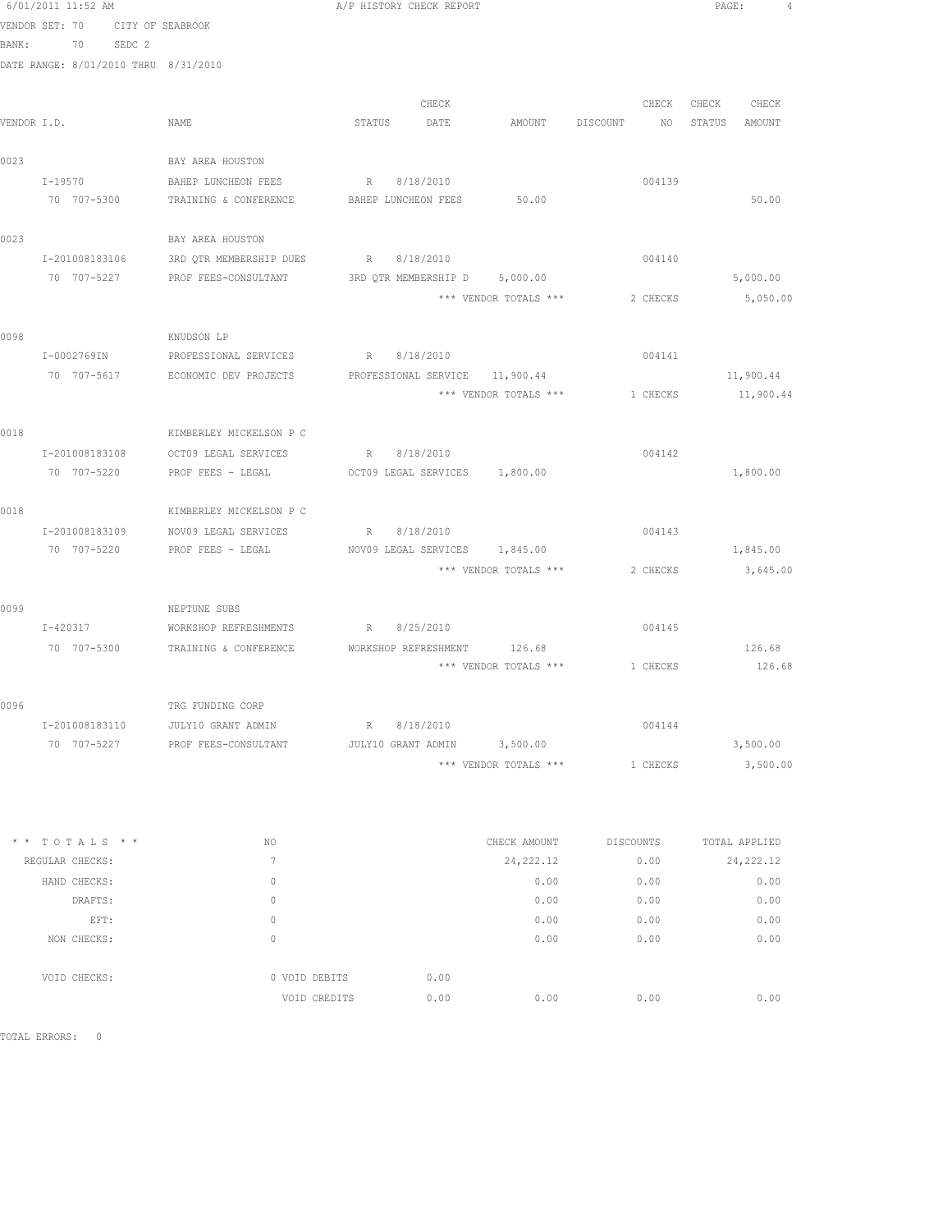|      | 6/01/2011 11:52 AM                   |                                                               | A/P HISTORY CHECK REPORT       |                                |                                  |          | PAGE:             |           | 4 |
|------|--------------------------------------|---------------------------------------------------------------|--------------------------------|--------------------------------|----------------------------------|----------|-------------------|-----------|---|
|      | VENDOR SET: 70<br>CITY OF SEABROOK   |                                                               |                                |                                |                                  |          |                   |           |   |
|      | BANK: 70 SEDC 2                      |                                                               |                                |                                |                                  |          |                   |           |   |
|      | DATE RANGE: 8/01/2010 THRU 8/31/2010 |                                                               |                                |                                |                                  |          |                   |           |   |
|      |                                      |                                                               |                                |                                |                                  |          |                   |           |   |
|      |                                      |                                                               | CHECK                          |                                |                                  |          | CHECK CHECK CHECK |           |   |
|      | VENDOR I.D.                          | NAME                                                          | STATUS DATE                    |                                | AMOUNT DISCOUNT NO STATUS AMOUNT |          |                   |           |   |
| 0023 |                                      | BAY AREA HOUSTON                                              |                                |                                |                                  |          |                   |           |   |
|      | $I - 19570$                          | BAHEP LUNCHEON FEES                                           | R 8/18/2010                    |                                |                                  | 004139   |                   |           |   |
|      |                                      | 70 707-5300 TRAINING & CONFERENCE BAHEP LUNCHEON FEES 50.00   |                                |                                |                                  |          |                   | 50.00     |   |
| 0023 |                                      | BAY AREA HOUSTON                                              |                                |                                |                                  |          |                   |           |   |
|      | I-201008183106                       | 3RD QTR MEMBERSHIP DUES                                       | R 8/18/2010                    |                                |                                  | 004140   |                   |           |   |
|      | 70 707-5227                          | PROF FEES-CONSULTANT                                          | 3RD QTR MEMBERSHIP D 5,000.00  |                                |                                  |          |                   | 5,000.00  |   |
|      |                                      |                                                               |                                | *** VENDOR TOTALS *** 2 CHECKS |                                  |          |                   | 5,050.00  |   |
| 0098 |                                      | KNUDSON LP                                                    |                                |                                |                                  |          |                   |           |   |
|      | I-0002769IN                          | PROFESSIONAL SERVICES                                         | R 8/18/2010                    |                                |                                  | 004141   |                   |           |   |
|      |                                      | 70 707-5617 ECONOMIC DEV PROJECTS                             | PROFESSIONAL SERVICE 11,900.44 |                                |                                  |          |                   | 11,900.44 |   |
|      |                                      |                                                               |                                | *** VENDOR TOTALS ***          | 1 CHECKS                         |          |                   | 11,900.44 |   |
|      |                                      |                                                               |                                |                                |                                  |          |                   |           |   |
| 0018 |                                      | KIMBERLEY MICKELSON P C                                       |                                |                                |                                  |          |                   |           |   |
|      |                                      | I-201008183108 OCT09 LEGAL SERVICES                           | R 8/18/2010                    |                                |                                  | 004142   |                   |           |   |
|      | 70 707-5220                          | PROF FEES - LEGAL                                             | OCT09 LEGAL SERVICES 1,800.00  |                                |                                  |          |                   | 1,800.00  |   |
| 0018 |                                      | KIMBERLEY MICKELSON P C                                       |                                |                                |                                  |          |                   |           |   |
|      | I-201008183109                       | NOV09 LEGAL SERVICES                                          | R 8/18/2010                    |                                |                                  | 004143   |                   |           |   |
|      | 70 707-5220                          | PROF FEES - LEGAL                                             | NOV09 LEGAL SERVICES 1,845.00  |                                |                                  |          |                   | 1,845.00  |   |
|      |                                      |                                                               |                                | *** VENDOR TOTALS ***          |                                  | 2 CHECKS |                   | 3,645.00  |   |
| 0099 |                                      | NEPTUNE SUBS                                                  |                                |                                |                                  |          |                   |           |   |
|      | I-420317                             | WORKSHOP REFRESHMENTS                                         | R 8/25/2010                    |                                |                                  | 004145   |                   |           |   |
|      |                                      | 70 707-5300 TRAINING & CONFERENCE WORKSHOP REFRESHMENT 126.68 |                                |                                |                                  |          |                   | 126.68    |   |
|      |                                      |                                                               |                                | *** VENDOR TOTALS ***          |                                  | 1 CHECKS |                   | 126.68    |   |
| 0096 |                                      | TRG FUNDING CORP                                              |                                |                                |                                  |          |                   |           |   |
|      | I-201008183110                       | JULY10 GRANT ADMIN                                            | R 8/18/2010                    |                                |                                  | 004144   |                   |           |   |
|      |                                      | 70 707-5227 PROF FEES-CONSULTANT JULY10 GRANT ADMIN 3,500.00  |                                |                                |                                  |          |                   | 3,500.00  |   |
|      |                                      |                                                               |                                | *** VENDOR TOTALS *** 1 CHECKS |                                  |          | 3,500.00          |           |   |
|      |                                      |                                                               |                                |                                |                                  |          |                   |           |   |

| $*$ * TOTALS * * | NO.                      |               | CHECK AMOUNT |            | <b>DISCOUNTS</b> | TOTAL APPLIED |
|------------------|--------------------------|---------------|--------------|------------|------------------|---------------|
| REGULAR CHECKS:  | $\overline{\phantom{a}}$ |               |              | 24, 222.12 | 0.00             | 24, 222.12    |
| HAND CHECKS:     | 0                        |               |              | 0.00       | 0.00             | 0.00          |
| DRAFTS:          | 0                        |               |              | 0.00       | 0.00             | 0.00          |
| EFT:             | 0                        |               |              | 0.00       | 0.00             | 0.00          |
| NON CHECKS:      | 0                        |               |              | 0.00       | 0.00             | 0.00          |
|                  |                          |               |              |            |                  |               |
| VOID CHECKS:     |                          | 0 VOID DEBITS | 0.00         |            |                  |               |
|                  |                          | VOID CREDITS  | 0.00         | 0.00       | 0.00             | 0.00          |

TOTAL ERRORS: 0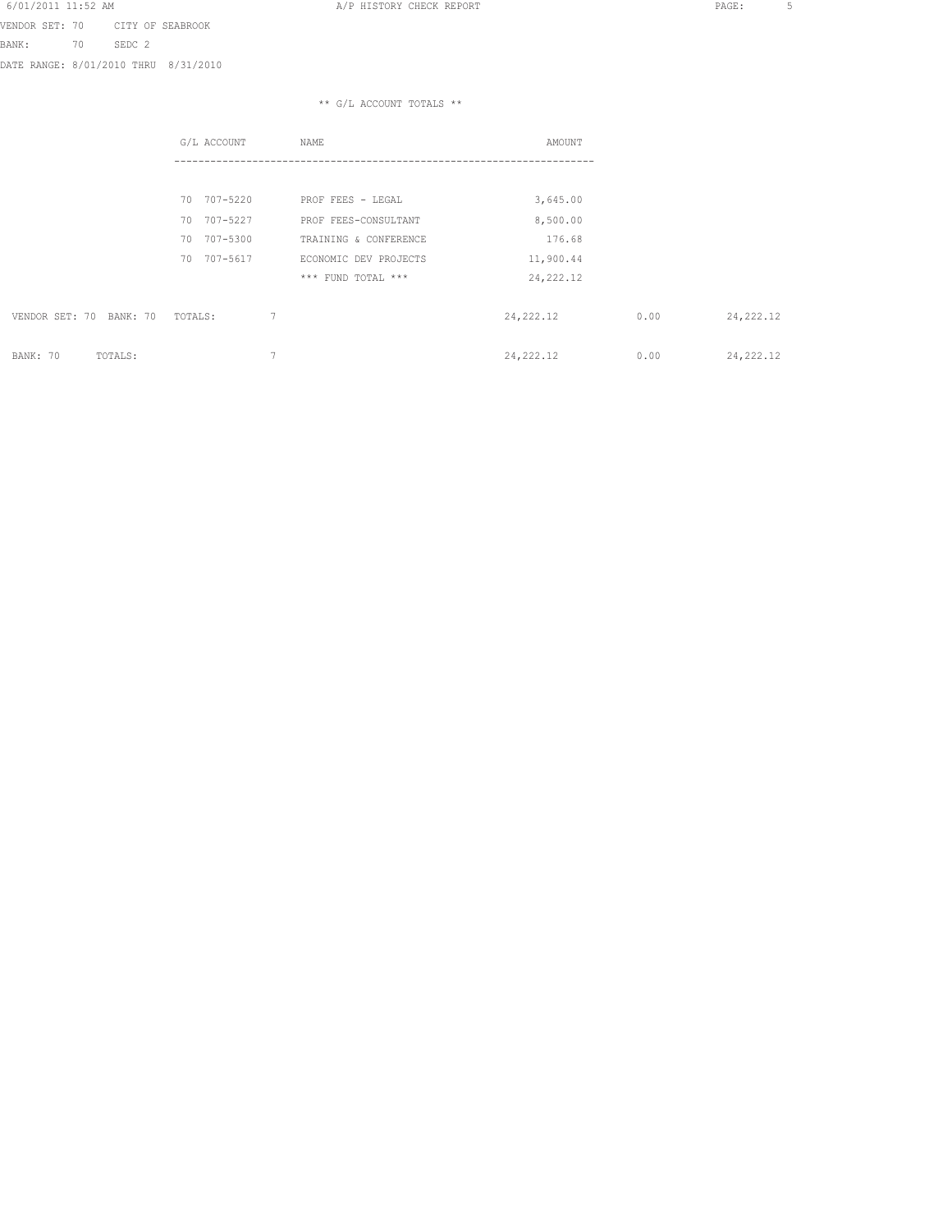VENDOR SET: 70 CITY OF SEABROOK BANK: 70 SEDC 2 DATE RANGE: 8/01/2010 THRU 8/31/2010

|                         | G/L ACCOUNT              | NAME                  | AMOUNT     |      |            |
|-------------------------|--------------------------|-----------------------|------------|------|------------|
|                         |                          |                       |            |      |            |
|                         | 707-5220<br>70           | PROF FEES - LEGAL     | 3,645.00   |      |            |
|                         | 707-5227<br>70           | PROF FEES-CONSULTANT  | 8,500.00   |      |            |
|                         | 707-5300<br>70           | TRAINING & CONFERENCE | 176.68     |      |            |
|                         | 707-5617<br>70           | ECONOMIC DEV PROJECTS | 11,900.44  |      |            |
|                         |                          | *** FUND TOTAL ***    | 24, 222.12 |      |            |
| VENDOR SET: 70 BANK: 70 | 7<br>TOTALS:             |                       | 24, 222.12 | 0.00 | 24, 222.12 |
| BANK: 70<br>TOTALS:     | $\overline{\phantom{a}}$ |                       | 24, 222.12 | 0.00 | 24, 222.12 |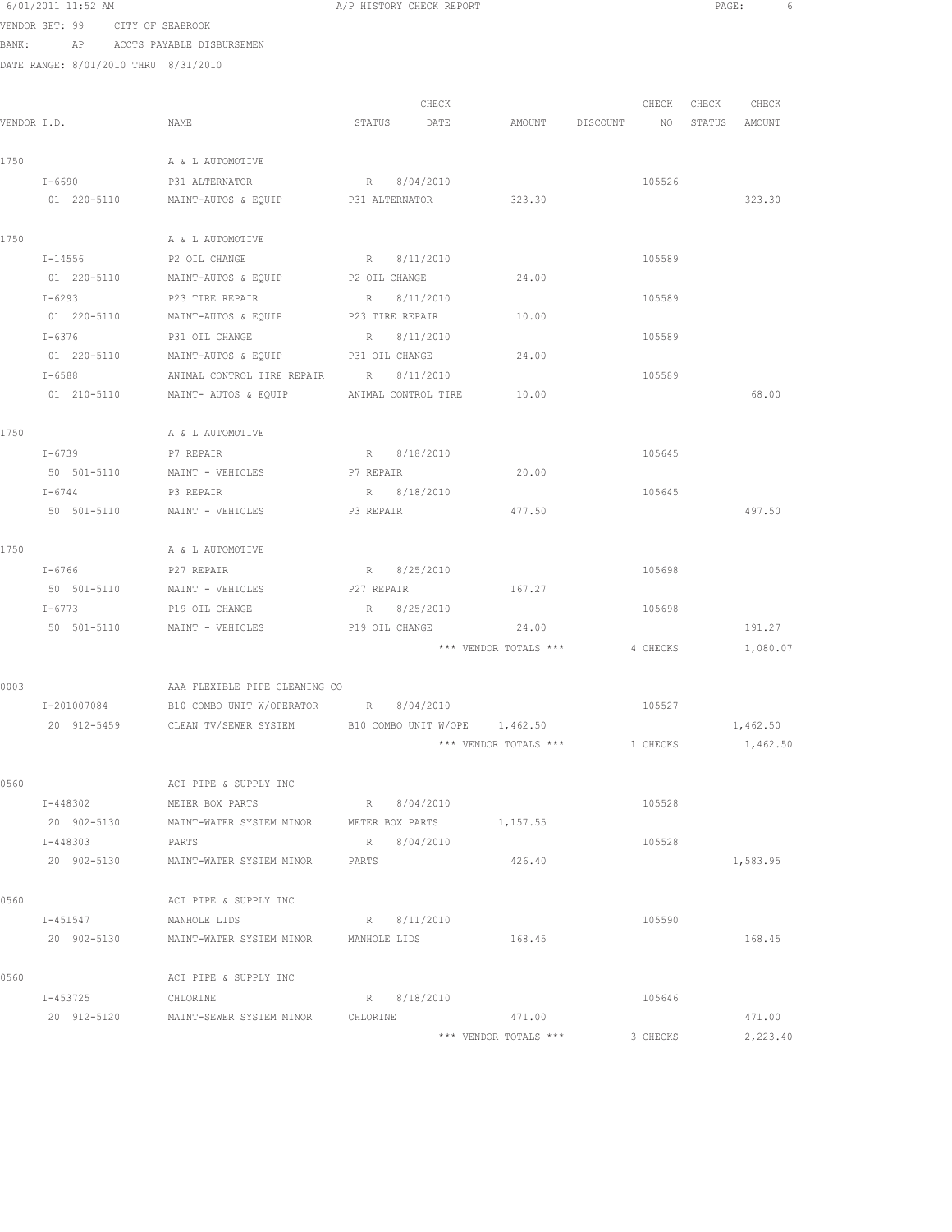|      | 6/01/2011 11:52 AM                   |                                                                  | A/P HISTORY CHECK REPORT                     |                       |                                | $\texttt{PAGE}$ : | 6 |
|------|--------------------------------------|------------------------------------------------------------------|----------------------------------------------|-----------------------|--------------------------------|-------------------|---|
|      | VENDOR SET: 99 CITY OF SEABROOK      |                                                                  |                                              |                       |                                |                   |   |
|      |                                      | BANK: AP ACCTS PAYABLE DISBURSEMEN                               |                                              |                       |                                |                   |   |
|      | DATE RANGE: 8/01/2010 THRU 8/31/2010 |                                                                  |                                              |                       |                                |                   |   |
|      |                                      |                                                                  |                                              |                       |                                |                   |   |
|      |                                      |                                                                  | CHECK                                        |                       |                                | CHECK CHECK CHECK |   |
|      | VENDOR I.D.                          | <b>NAME</b>                                                      | STATUS DATE AMOUNT DISCOUNT NO STATUS AMOUNT |                       |                                |                   |   |
|      |                                      |                                                                  |                                              |                       |                                |                   |   |
| 1750 |                                      | A & L AUTOMOTIVE                                                 |                                              |                       |                                |                   |   |
|      |                                      | I-6690 P31 ALTERNATOR                                            | R 8/04/2010                                  |                       | 105526                         |                   |   |
|      |                                      | 01 220-5110 MAINT-AUTOS & EQUIP P31 ALTERNATOR 323.30            |                                              |                       |                                | 323.30            |   |
| 1750 |                                      | A & L AUTOMOTIVE                                                 |                                              |                       |                                |                   |   |
|      | $I - 14556$                          | P2 OIL CHANGE                                                    | R 8/11/2010                                  |                       | 105589                         |                   |   |
|      | 01 220-5110                          | MAINT-AUTOS & EQUIP                                              | P2 OIL CHANGE                                | 24.00                 |                                |                   |   |
|      | $I - 6293$                           | P23 TIRE REPAIR                                                  | R 8/11/2010                                  |                       | 105589                         |                   |   |
|      | 01 220-5110                          | MAINT-AUTOS & EQUIP                                              | P23 TIRE REPAIR                              | 10.00                 |                                |                   |   |
|      | $I - 6376$                           | P31 OIL CHANGE                                                   | R 8/11/2010                                  |                       | 105589                         |                   |   |
|      | 01 220-5110                          | MAINT-AUTOS & EQUIP P31 OIL CHANGE                               |                                              | 24.00                 |                                |                   |   |
|      | $I - 6588$                           | ANIMAL CONTROL TIRE REPAIR R 8/11/2010                           |                                              |                       | 105589                         |                   |   |
|      |                                      | 01  210-5110   MAINT- AUTOS & EQUIP   MIMAL CONTROL TIRE   10.00 |                                              |                       |                                | 68.00             |   |
|      |                                      |                                                                  |                                              |                       |                                |                   |   |
| 1750 |                                      | A & L AUTOMOTIVE                                                 |                                              |                       |                                |                   |   |
|      |                                      | I-6739 P7 REPAIR                                                 | R 8/18/2010                                  |                       | 105645                         |                   |   |
|      |                                      | 50 501-5110 MAINT - VEHICLES P7 REPAIR                           |                                              | 20.00                 |                                |                   |   |
|      | $I - 6744$                           | P3 REPAIR                                                        | R 8/18/2010                                  |                       | 105645                         |                   |   |
|      | 50 501-5110                          | MAINT - VEHICLES                                                 | P3 REPAIR                                    | 477.50                |                                | 497.50            |   |
|      |                                      |                                                                  |                                              |                       |                                |                   |   |
| 1750 |                                      | A & L AUTOMOTIVE                                                 |                                              |                       |                                |                   |   |
|      | I-6766                               | P27 REPAIR                                                       | R 8/25/2010                                  |                       | 105698                         |                   |   |
|      | 50 501-5110                          | MAINT - VEHICLES                                                 | P27 REPAIR                                   | 167.27                |                                |                   |   |
|      | $I - 6773$                           | P19 OIL CHANGE                                                   | R 8/25/2010                                  |                       | 105698                         |                   |   |
|      |                                      | 50 501-5110 MAINT - VEHICLES P19 OIL CHANGE 24.00                |                                              |                       |                                | 191.27            |   |
|      |                                      |                                                                  |                                              |                       | *** VENDOR TOTALS *** 4 CHECKS | 1,080.07          |   |
| 0003 |                                      | AAA FLEXIBLE PIPE CLEANING CO                                    |                                              |                       |                                |                   |   |
|      | I-201007084                          | B10 COMBO UNIT W/OPERATOR                                        | R 8/04/2010                                  |                       | 105527                         |                   |   |
|      | 20 912-5459                          | CLEAN TV/SEWER SYSTEM B10 COMBO UNIT W/OPE 1,462.50              |                                              |                       |                                | 1,462.50          |   |
|      |                                      |                                                                  |                                              | *** VENDOR TOTALS *** | 1 CHECKS                       | 1,462.50          |   |
|      |                                      |                                                                  |                                              |                       |                                |                   |   |
| 0560 |                                      | ACT PIPE & SUPPLY INC                                            |                                              |                       |                                |                   |   |
|      | $I - 448302$                         | METER BOX PARTS                                                  | R 8/04/2010                                  |                       | 105528                         |                   |   |
|      | 20 902-5130                          | MAINT-WATER SYSTEM MINOR METER BOX PARTS                         |                                              | 1,157.55              |                                |                   |   |
|      | $I - 448303$                         | PARTS                                                            | R 8/04/2010                                  |                       | 105528                         |                   |   |
|      |                                      | 20 902-5130 MAINT-WATER SYSTEM MINOR                             | PARTS                                        | 426.40                |                                | 1,583.95          |   |
|      |                                      |                                                                  |                                              |                       |                                |                   |   |
| 0560 |                                      | ACT PIPE & SUPPLY INC                                            |                                              |                       |                                |                   |   |
|      | I-451547                             | MANHOLE LIDS                                                     | R 8/11/2010                                  |                       | 105590                         |                   |   |
|      |                                      | 20 902-5130 MAINT-WATER SYSTEM MINOR MANHOLE LIDS                |                                              | 168.45                |                                | 168.45            |   |
| 0560 |                                      | ACT PIPE & SUPPLY INC                                            |                                              |                       |                                |                   |   |
|      | I-453725                             | CHLORINE                                                         | R 8/18/2010                                  |                       | 105646                         |                   |   |
|      | 20 912-5120                          | MAINT-SEWER SYSTEM MINOR CHLORINE                                |                                              | 471.00                |                                | 471.00            |   |

\*\*\* VENDOR TOTALS \*\*\* 3 CHECKS 2.223.40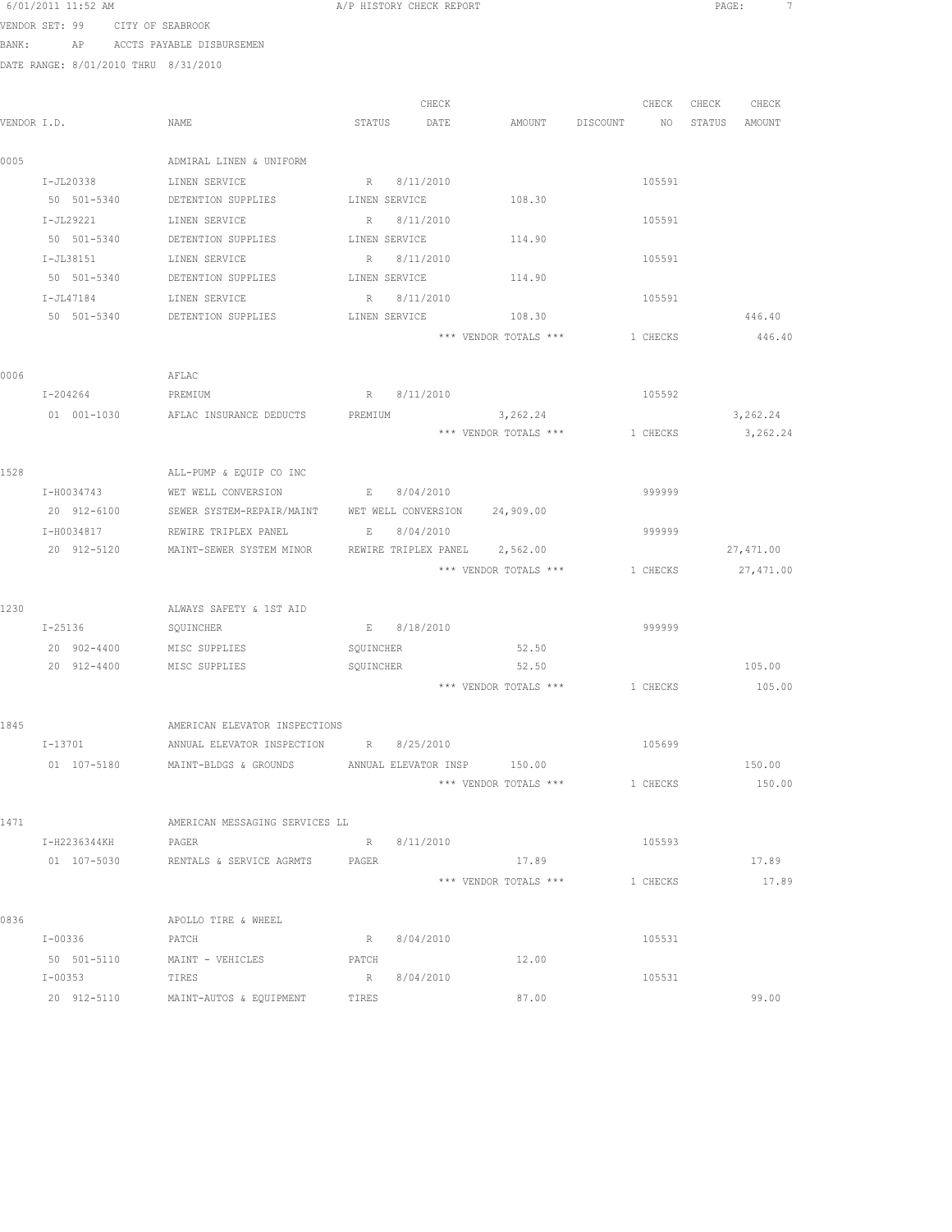| 6/01/2011 11:52 AM |  |                  |  |
|--------------------|--|------------------|--|
| VENDOR SET: 99     |  | CITY OF SEABROOK |  |

A/P HISTORY CHECK REPORT **EXAMPLE 2012 A/P** PAGE: 7

BANK: AP ACCTS PAYABLE DISBURSEMEN

|             |              |                                            |               |               |                               |             |                 | CHECK     |
|-------------|--------------|--------------------------------------------|---------------|---------------|-------------------------------|-------------|-----------------|-----------|
| VENDOR I.D. |              | NAME                                       | STATUS        | CHECK<br>DATE | AMOUNT DISCOUNT               | CHECK<br>NO | CHECK<br>STATUS | AMOUNT    |
|             |              |                                            |               |               |                               |             |                 |           |
| 0005        |              | ADMIRAL LINEN & UNIFORM                    |               |               |                               |             |                 |           |
|             | $I-JL20338$  | LINEN SERVICE                              |               | R 8/11/2010   |                               | 105591      |                 |           |
|             | 50 501-5340  | DETENTION SUPPLIES                         |               | LINEN SERVICE | 108.30                        |             |                 |           |
|             | I-JL29221    | LINEN SERVICE                              | R             | 8/11/2010     |                               | 105591      |                 |           |
|             | 50 501-5340  | DETENTION SUPPLIES                         |               | LINEN SERVICE | 114.90                        |             |                 |           |
|             | I-JL38151    | LINEN SERVICE                              | R             | 8/11/2010     |                               | 105591      |                 |           |
|             | 50 501-5340  | DETENTION SUPPLIES                         |               | LINEN SERVICE | 114.90                        |             |                 |           |
|             | I-JL47184    | LINEN SERVICE                              | R             | 8/11/2010     |                               | 105591      |                 |           |
|             | 50 501-5340  | DETENTION SUPPLIES                         |               | LINEN SERVICE | 108.30                        |             |                 | 446.40    |
|             |              |                                            |               |               | *** VENDOR TOTALS ***         | 1 CHECKS    |                 | 446.40    |
| 0006        |              | AFLAC                                      |               |               |                               |             |                 |           |
|             | I-204264     | PREMIUM                                    |               | R 8/11/2010   |                               | 105592      |                 |           |
|             | 01 001-1030  | AFLAC INSURANCE DEDUCTS                    | PREMIUM       |               | 3,262.24                      |             |                 | 3,262.24  |
|             |              |                                            |               |               | *** VENDOR TOTALS ***         | 1 CHECKS    |                 | 3,262.24  |
|             |              |                                            |               |               |                               |             |                 |           |
| 1528        |              | ALL-PUMP & EQUIP CO INC                    |               |               |                               |             |                 |           |
|             | I-H0034743   | WET WELL CONVERSION                        | $\mathbb E$ . | 8/04/2010     |                               | 999999      |                 |           |
|             | 20 912-6100  | SEWER SYSTEM-REPAIR/MAINT                  |               |               | WET WELL CONVERSION 24,909.00 |             |                 |           |
|             | I-H0034817   | REWIRE TRIPLEX PANEL                       | $\,$ E        | 8/04/2010     |                               | 999999      |                 |           |
|             | 20 912-5120  | MAINT-SEWER SYSTEM MINOR                   |               |               | REWIRE TRIPLEX PANEL 2,562.00 |             |                 | 27,471.00 |
|             |              |                                            |               |               | *** VENDOR TOTALS ***         | 1 CHECKS    |                 | 27,471.00 |
|             |              |                                            |               |               |                               |             |                 |           |
| 1230        |              | ALWAYS SAFETY & 1ST AID                    |               |               |                               |             |                 |           |
|             | I-25136      | SQUINCHER                                  |               | E 8/18/2010   |                               | 999999      |                 |           |
|             | 20 902-4400  | MISC SUPPLIES                              | SQUINCHER     |               | 52.50                         |             |                 |           |
|             | 20 912-4400  | MISC SUPPLIES                              | SQUINCHER     |               | 52.50                         |             |                 | 105.00    |
|             |              |                                            |               |               | *** VENDOR TOTALS ***         | 1 CHECKS    |                 | 105.00    |
| 1845        |              | AMERICAN ELEVATOR INSPECTIONS              |               |               |                               |             |                 |           |
|             | $I - 13701$  | ANNUAL ELEVATOR INSPECTION                 |               | R 8/25/2010   |                               | 105699      |                 |           |
|             | 01 107-5180  | MAINT-BLDGS & GROUNDS                      |               |               | ANNUAL ELEVATOR INSP 150.00   |             |                 | 150.00    |
|             |              |                                            |               |               | *** VENDOR TOTALS ***         | 1 CHECKS    |                 | 150.00    |
|             |              |                                            |               |               |                               |             |                 |           |
| 1471        |              | AMERICAN MESSAGING SERVICES LL             |               |               |                               |             |                 |           |
|             | I-H2236344KH | PAGER                                      |               | R 8/11/2010   |                               | 105593      |                 |           |
|             |              | 01 107-5030 RENTALS & SERVICE AGRMTS PAGER |               |               | 17.89                         |             |                 | 17.89     |
|             |              |                                            |               |               | *** VENDOR TOTALS ***         | 1 CHECKS    |                 | 17.89     |
|             |              |                                            |               |               |                               |             |                 |           |
| 0836        | I-00336      | APOLLO TIRE & WHEEL                        | R             |               |                               | 105531      |                 |           |
|             | 50 501-5110  | PATCH<br>MAINT - VEHICLES                  | PATCH         | 8/04/2010     | 12.00                         |             |                 |           |
|             | I-00353      | TIRES                                      | R             | 8/04/2010     |                               | 105531      |                 |           |
|             | 20 912-5110  | MAINT-AUTOS & EQUIPMENT                    | TIRES         |               | 87.00                         |             |                 | 99.00     |
|             |              |                                            |               |               |                               |             |                 |           |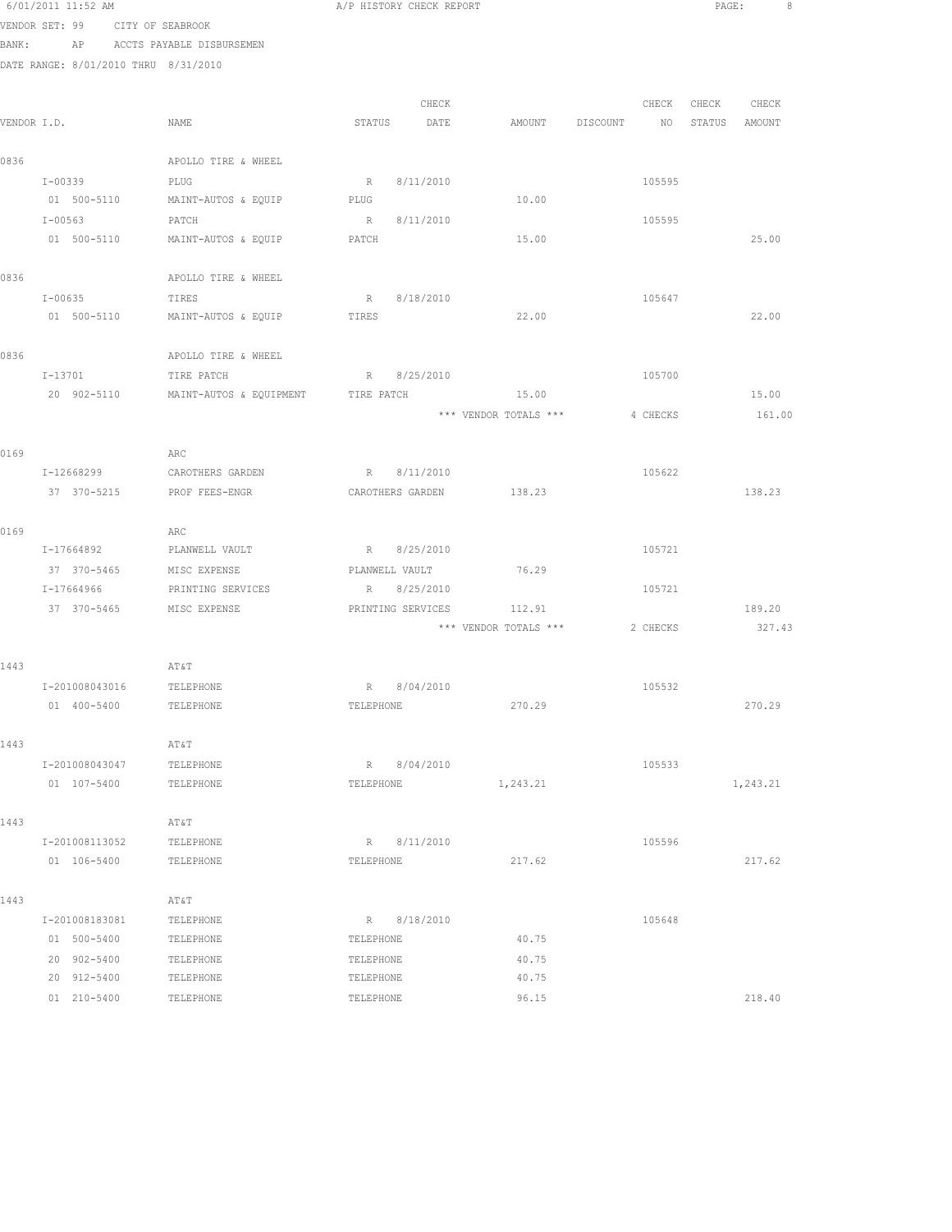|      | 6/01/2011 11:52 AM                   |                                                      | A/P HISTORY CHECK REPORT |                   |                       |          | PAGE:         | 8        |
|------|--------------------------------------|------------------------------------------------------|--------------------------|-------------------|-----------------------|----------|---------------|----------|
|      | VENDOR SET: 99 CITY OF SEABROOK      |                                                      |                          |                   |                       |          |               |          |
|      | BANK: AP ACCTS PAYABLE DISBURSEMEN   |                                                      |                          |                   |                       |          |               |          |
|      | DATE RANGE: 8/01/2010 THRU 8/31/2010 |                                                      |                          |                   |                       |          |               |          |
|      |                                      |                                                      |                          |                   |                       |          |               |          |
|      |                                      |                                                      |                          | CHECK             |                       | CHECK    | CHECK         | CHECK    |
|      | VENDOR I.D.                          | NAME                                                 | STATUS                   | DATE              | AMOUNT DISCOUNT       | NO       | STATUS AMOUNT |          |
|      |                                      |                                                      |                          |                   |                       |          |               |          |
| 0836 |                                      | APOLLO TIRE & WHEEL                                  |                          |                   |                       |          |               |          |
|      | $I - 00339$                          | PLUG                                                 |                          | R 8/11/2010       |                       | 105595   |               |          |
|      | 01 500-5110                          | MAINT-AUTOS & EQUIP                                  | PLUG                     |                   | 10.00                 |          |               |          |
|      | I-00563<br>01 500-5110               | PATCH                                                | PATCH                    | R 8/11/2010       | 15.00                 | 105595   |               | 25.00    |
|      |                                      | MAINT-AUTOS & EQUIP                                  |                          |                   |                       |          |               |          |
| 0836 |                                      | APOLLO TIRE & WHEEL                                  |                          |                   |                       |          |               |          |
|      | $I - 00635$                          | TIRES                                                |                          | R 8/18/2010       |                       | 105647   |               |          |
|      | 01 500-5110                          | MAINT-AUTOS & EQUIP                                  | TIRES                    |                   | 22.00                 |          |               | 22.00    |
|      |                                      |                                                      |                          |                   |                       |          |               |          |
| 0836 |                                      | APOLLO TIRE & WHEEL                                  |                          |                   |                       |          |               |          |
|      | I-13701                              | TIRE PATCH                                           |                          | R 8/25/2010       |                       | 105700   |               |          |
|      |                                      | 20 902-5110 MAINT-AUTOS & EQUIPMENT TIRE PATCH 15.00 |                          |                   |                       |          |               | 15.00    |
|      |                                      |                                                      |                          |                   | *** VENDOR TOTALS *** | 4 CHECKS |               | 161.00   |
|      |                                      |                                                      |                          |                   |                       |          |               |          |
| 0169 |                                      | ARC                                                  |                          |                   |                       |          |               |          |
|      | I-12668299                           | CAROTHERS GARDEN                                     |                          | R 8/11/2010       |                       | 105622   |               |          |
|      | 37 370-5215                          | PROF FEES-ENGR                                       |                          | CAROTHERS GARDEN  | 138.23                |          |               | 138.23   |
|      |                                      |                                                      |                          |                   |                       |          |               |          |
| 0169 |                                      | ARC                                                  |                          |                   |                       |          |               |          |
|      | I-17664892                           | PLANWELL VAULT                                       |                          | R 8/25/2010       |                       | 105721   |               |          |
|      | 37 370-5465                          | MISC EXPENSE                                         | PLANWELL VAULT           |                   | 76.29                 |          |               |          |
|      | I-17664966                           | PRINTING SERVICES                                    |                          | R 8/25/2010       |                       | 105721   |               |          |
|      | 37 370-5465 MISC EXPENSE             |                                                      |                          | PRINTING SERVICES | 112.91                |          |               | 189.20   |
|      |                                      |                                                      |                          |                   | *** VENDOR TOTALS *** | 2 CHECKS |               | 327.43   |
|      |                                      |                                                      |                          |                   |                       |          |               |          |
| 1443 |                                      | AT&T                                                 |                          |                   |                       |          |               |          |
|      | I-201008043016 TELEPHONE             |                                                      |                          | R 8/04/2010       |                       | 105532   |               |          |
|      | 01 400-5400                          | TELEPHONE                                            | TELEPHONE                |                   | 270.29                |          |               | 270.29   |
|      |                                      |                                                      |                          |                   |                       |          |               |          |
| 1443 |                                      | AT&T                                                 |                          |                   |                       |          |               |          |
|      | I-201008043047<br>01 107-5400        | TELEPHONE<br>TELEPHONE                               | TELEPHONE                | R 8/04/2010       | 1,243.21              | 105533   |               | 1,243.21 |
|      |                                      |                                                      |                          |                   |                       |          |               |          |
| 1443 |                                      | AT&T                                                 |                          |                   |                       |          |               |          |
|      | I-201008113052                       | TELEPHONE                                            |                          | R 8/11/2010       |                       | 105596   |               |          |
|      | 01 106-5400                          | TELEPHONE                                            | TELEPHONE                |                   | 217.62                |          |               | 217.62   |
|      |                                      |                                                      |                          |                   |                       |          |               |          |
| 1443 |                                      | AT&T                                                 |                          |                   |                       |          |               |          |
|      | I-201008183081                       | TELEPHONE                                            |                          | R 8/18/2010       |                       | 105648   |               |          |
|      | 01 500-5400                          | TELEPHONE                                            | TELEPHONE                |                   | 40.75                 |          |               |          |
|      | 20 902-5400                          | TELEPHONE                                            | TELEPHONE                |                   | 40.75                 |          |               |          |
|      | 20 912-5400                          | TELEPHONE                                            | TELEPHONE                |                   | 40.75                 |          |               |          |
|      | 01 210-5400                          | TELEPHONE                                            | TELEPHONE                |                   | 96.15                 |          |               | 218.40   |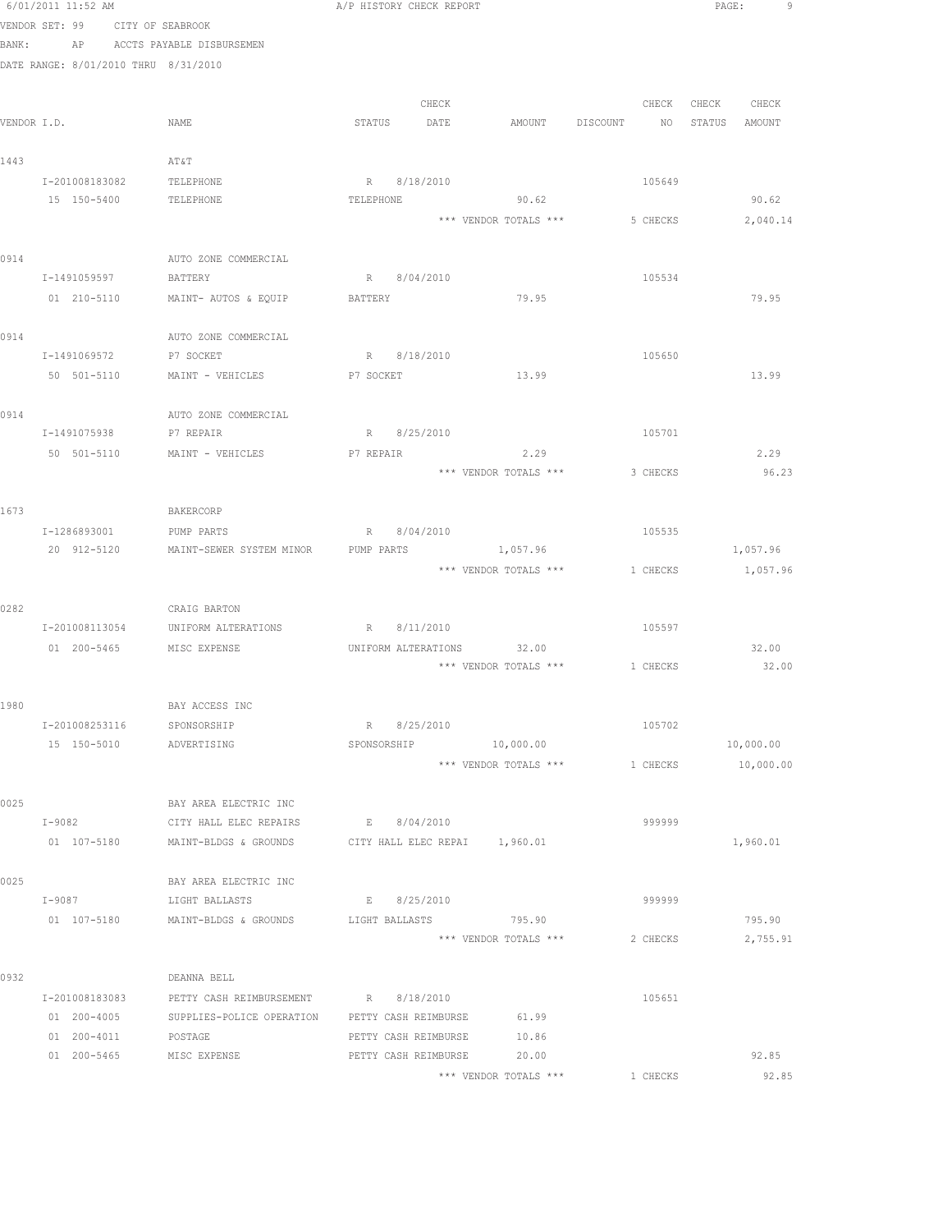|      | 6/01/2011 11:52 AM                   |                                    | A/P HISTORY CHECK REPORT                                    | PAGE:<br>9                          |
|------|--------------------------------------|------------------------------------|-------------------------------------------------------------|-------------------------------------|
|      | VENDOR SET: 99                       | CITY OF SEABROOK                   |                                                             |                                     |
|      | BANK:                                | AP ACCTS PAYABLE DISBURSEMEN       |                                                             |                                     |
|      | DATE RANGE: 8/01/2010 THRU 8/31/2010 |                                    |                                                             |                                     |
|      |                                      |                                    |                                                             |                                     |
|      |                                      |                                    | CHECK                                                       | CHECK<br>CHECK<br>CHECK             |
|      | VENDOR I.D.                          | NAME                               | STATUS<br>DATE<br>AMOUNT DISCOUNT                           | NO <sub>1</sub><br>STATUS<br>AMOUNT |
|      |                                      |                                    |                                                             |                                     |
| 1443 | I-201008183082                       | AT&T<br>TELEPHONE                  | R 8/18/2010<br>105649                                       |                                     |
|      | 15 150-5400                          | TELEPHONE                          | TELEPHONE<br>90.62                                          | 90.62                               |
|      |                                      |                                    | *** VENDOR TOTALS ***<br>5 CHECKS                           | 2,040.14                            |
|      |                                      |                                    |                                                             |                                     |
| 0914 |                                      | AUTO ZONE COMMERCIAL               |                                                             |                                     |
|      | I-1491059597                         | BATTERY                            | R 8/04/2010                                                 | 105534                              |
|      | 01 210-5110                          | MAINT- AUTOS & EQUIP               | 79.95<br><b>BATTERY</b>                                     | 79.95                               |
|      |                                      |                                    |                                                             |                                     |
| 0914 |                                      | AUTO ZONE COMMERCIAL               |                                                             |                                     |
|      | I-1491069572                         | P7 SOCKET                          | R 8/18/2010                                                 | 105650                              |
|      | 50 501-5110                          | MAINT - VEHICLES                   | 13.99<br>P7 SOCKET                                          | 13.99                               |
|      |                                      | AUTO ZONE COMMERCIAL               |                                                             |                                     |
| 0914 | I-1491075938 P7 REPAIR               |                                    | 105701<br>R 8/25/2010                                       |                                     |
|      | 50 501-5110                          | MAINT - VEHICLES                   | 2.29<br>P7 REPAIR                                           | 2.29                                |
|      |                                      |                                    | *** VENDOR TOTALS ***<br>3 CHECKS                           | 96.23                               |
|      |                                      |                                    |                                                             |                                     |
| 1673 |                                      | BAKERCORP                          |                                                             |                                     |
|      | I-1286893001                         | PUMP PARTS                         | R 8/04/2010                                                 | 105535                              |
|      | 20 912-5120                          | MAINT-SEWER SYSTEM MINOR           | PUMP PARTS<br>1,057.96                                      | 1,057.96                            |
|      |                                      |                                    | *** VENDOR TOTALS *** 1 CHECKS                              | 1,057.96                            |
|      |                                      |                                    |                                                             |                                     |
| 0282 |                                      | CRAIG BARTON                       |                                                             |                                     |
|      |                                      | I-201008113054 UNIFORM ALTERATIONS | R 8/11/2010<br>105597                                       |                                     |
|      |                                      | 01 200-5465 MISC EXPENSE           | UNIFORM ALTERATIONS 32.00<br>*** VENDOR TOTALS *** 1 CHECKS | 32.00<br>32.00                      |
|      |                                      |                                    |                                                             |                                     |
| 1980 |                                      | BAY ACCESS INC                     |                                                             |                                     |
|      | I-201008253116                       | SPONSORSHIP                        | 8/25/2010<br>R                                              | 105702                              |
|      | 15 150-5010                          | ADVERTISING                        | 10,000.00<br>SPONSORSHIP                                    | 10,000.00                           |
|      |                                      |                                    | *** VENDOR TOTALS ***<br>1 CHECKS                           | 10,000.00                           |
|      |                                      |                                    |                                                             |                                     |
| 0025 |                                      | BAY AREA ELECTRIC INC              |                                                             |                                     |
|      | $I-9082$                             | CITY HALL ELEC REPAIRS             | E 8/04/2010                                                 | 999999                              |
|      | 01 107-5180                          | MAINT-BLDGS & GROUNDS              | CITY HALL ELEC REPAI 1,960.01                               | 1,960.01                            |
| 0025 |                                      | BAY AREA ELECTRIC INC              |                                                             |                                     |
|      | $I-9087$                             | LIGHT BALLASTS                     | E 8/25/2010                                                 | 999999                              |
|      | 01 107-5180                          | MAINT-BLDGS & GROUNDS              | 795.90<br>LIGHT BALLASTS                                    | 795.90                              |
|      |                                      |                                    | *** VENDOR TOTALS ***<br>2 CHECKS                           | 2,755.91                            |
|      |                                      |                                    |                                                             |                                     |
| 0932 |                                      | DEANNA BELL                        |                                                             |                                     |
|      | I-201008183083                       | PETTY CASH REIMBURSEMENT           | R 8/18/2010                                                 | 105651                              |
|      | 01 200-4005                          | SUPPLIES-POLICE OPERATION          | PETTY CASH REIMBURSE<br>61.99                               |                                     |
|      | 01 200-4011                          | POSTAGE                            | PETTY CASH REIMBURSE<br>10.86                               |                                     |
|      | 01 200-5465                          | MISC EXPENSE                       | PETTY CASH REIMBURSE<br>20.00                               | 92.85                               |
|      |                                      |                                    | *** VENDOR TOTALS ***<br>1 CHECKS                           | 92.85                               |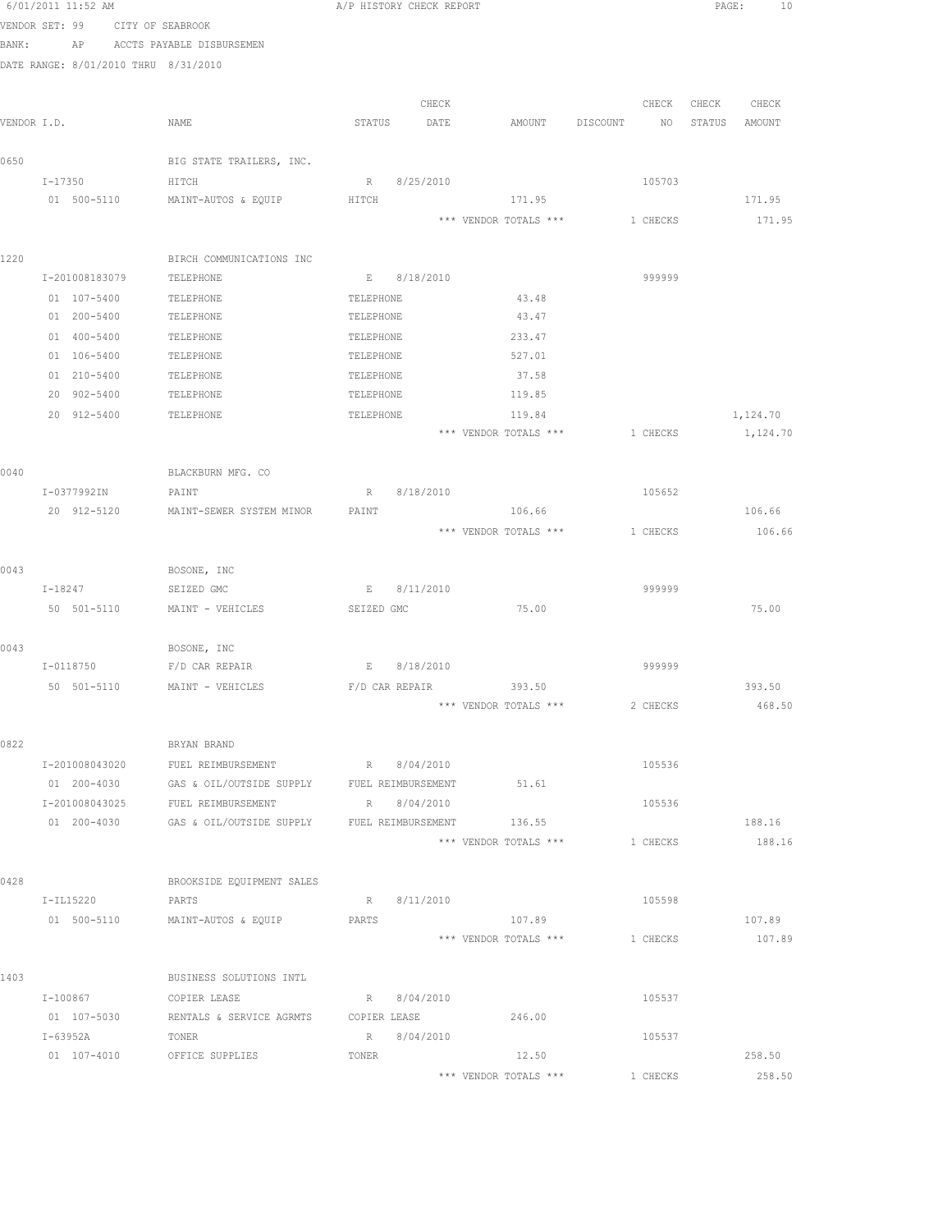|             | 6/01/2011 11:52 AM |                                       | A/P HISTORY CHECK REPORT                           |                       |                                | PAGE:<br>10      |
|-------------|--------------------|---------------------------------------|----------------------------------------------------|-----------------------|--------------------------------|------------------|
|             | VENDOR SET: 99     | CITY OF SEABROOK                      |                                                    |                       |                                |                  |
| BANK:       | AP                 | ACCTS PAYABLE DISBURSEMEN             |                                                    |                       |                                |                  |
|             |                    | DATE RANGE: 8/01/2010 THRU 8/31/2010  |                                                    |                       |                                |                  |
|             |                    |                                       |                                                    |                       |                                |                  |
|             |                    |                                       | CHECK                                              |                       | CHECK                          | CHECK<br>CHECK   |
| VENDOR I.D. |                    | NAME                                  | STATUS<br>DATE                                     | AMOUNT                | DISCOUNT<br>NO                 | STATUS<br>AMOUNT |
|             |                    |                                       |                                                    |                       |                                |                  |
| 0650        | I-17350            | BIG STATE TRAILERS, INC.<br>HITCH     | R 8/25/2010                                        |                       | 105703                         |                  |
|             | 01 500-5110        | MAINT-AUTOS & EQUIP                   | HITCH                                              | 171.95                |                                | 171.95           |
|             |                    |                                       |                                                    | *** VENDOR TOTALS *** | 1 CHECKS                       | 171.95           |
| 1220        |                    |                                       |                                                    |                       |                                |                  |
|             | I-201008183079     | BIRCH COMMUNICATIONS INC<br>TELEPHONE | E 8/18/2010                                        |                       | 999999                         |                  |
|             | 01 107-5400        | TELEPHONE                             | TELEPHONE                                          | 43.48                 |                                |                  |
|             | 01 200-5400        | TELEPHONE                             | TELEPHONE                                          | 43.47                 |                                |                  |
|             | 01 400-5400        | TELEPHONE                             | TELEPHONE                                          | 233.47                |                                |                  |
|             | 01 106-5400        | TELEPHONE                             | TELEPHONE                                          | 527.01                |                                |                  |
|             | 01 210-5400        | TELEPHONE                             | TELEPHONE                                          | 37.58                 |                                |                  |
|             | 20 902-5400        | TELEPHONE                             | TELEPHONE                                          | 119.85                |                                |                  |
|             | 20 912-5400        | TELEPHONE                             | TELEPHONE                                          | 119.84                |                                | 1,124.70         |
|             |                    |                                       |                                                    |                       | *** VENDOR TOTALS *** 1 CHECKS | 1,124.70         |
|             |                    |                                       |                                                    |                       |                                |                  |
| 0040        |                    | BLACKBURN MFG. CO                     |                                                    |                       |                                |                  |
|             | I-0377992IN        | PAINT                                 | 8/18/2010<br>R                                     |                       | 105652                         |                  |
|             | 20 912-5120        | MAINT-SEWER SYSTEM MINOR              | PAINT                                              | 106.66                |                                | 106.66           |
|             |                    |                                       |                                                    | *** VENDOR TOTALS *** | 1 CHECKS                       | 106.66           |
| 0043        |                    | BOSONE, INC                           |                                                    |                       |                                |                  |
|             | I-18247            | SEIZED GMC                            | 8/11/2010<br>E                                     |                       | 999999                         |                  |
|             | 50 501-5110        | MAINT - VEHICLES                      | SEIZED GMC                                         | 75.00                 |                                | 75.00            |
|             |                    |                                       |                                                    |                       |                                |                  |
| 0043        |                    | BOSONE, INC                           |                                                    |                       |                                |                  |
|             | I-0118750          | F/D CAR REPAIR                        | E 8/18/2010                                        |                       | 999999                         |                  |
|             | 50 501-5110        | MAINT - VEHICLES                      | F/D CAR REPAIR                                     | 393.50                |                                | 393.50           |
|             |                    |                                       |                                                    | *** VENDOR TOTALS *** | 2 CHECKS                       | 468.50           |
| 0822        |                    | BRYAN BRAND                           |                                                    |                       |                                |                  |
|             | I-201008043020     | FUEL REIMBURSEMENT                    | R 8/04/2010                                        |                       | 105536                         |                  |
|             | 01 200-4030        |                                       | GAS & OIL/OUTSIDE SUPPLY FUEL REIMBURSEMENT        | 51.61                 |                                |                  |
|             | I-201008043025     | FUEL REIMBURSEMENT                    | R 8/04/2010                                        |                       | 105536                         |                  |
|             | 01 200-4030        |                                       | GAS & OIL/OUTSIDE SUPPLY FUEL REIMBURSEMENT 136.55 |                       |                                | 188.16           |
|             |                    |                                       |                                                    | *** VENDOR TOTALS *** | 1 CHECKS                       | 188.16           |
| 0428        |                    | BROOKSIDE EQUIPMENT SALES             |                                                    |                       |                                |                  |
|             | I-IL15220          | PARTS                                 | R 8/11/2010                                        |                       | 105598                         |                  |
|             | 01 500-5110        | MAINT-AUTOS & EQUIP                   | PARTS                                              | 107.89                |                                | 107.89           |
|             |                    |                                       |                                                    | *** VENDOR TOTALS *** | 1 CHECKS                       | 107.89           |
| 1403        |                    | BUSINESS SOLUTIONS INTL               |                                                    |                       |                                |                  |
|             | I-100867           | COPIER LEASE                          | R 8/04/2010                                        |                       | 105537                         |                  |
|             | 01 107-5030        | RENTALS & SERVICE AGRMTS              | COPIER LEASE                                       | 246.00                |                                |                  |
|             | I-63952A           | TONER                                 | R 8/04/2010                                        |                       | 105537                         |                  |
|             |                    | 01 107-4010 OFFICE SUPPLIES           | TONER                                              | 12.50                 |                                | 258.50           |
|             |                    |                                       |                                                    | *** VENDOR TOTALS *** | 1 CHECKS                       | 258.50           |
|             |                    |                                       |                                                    |                       |                                |                  |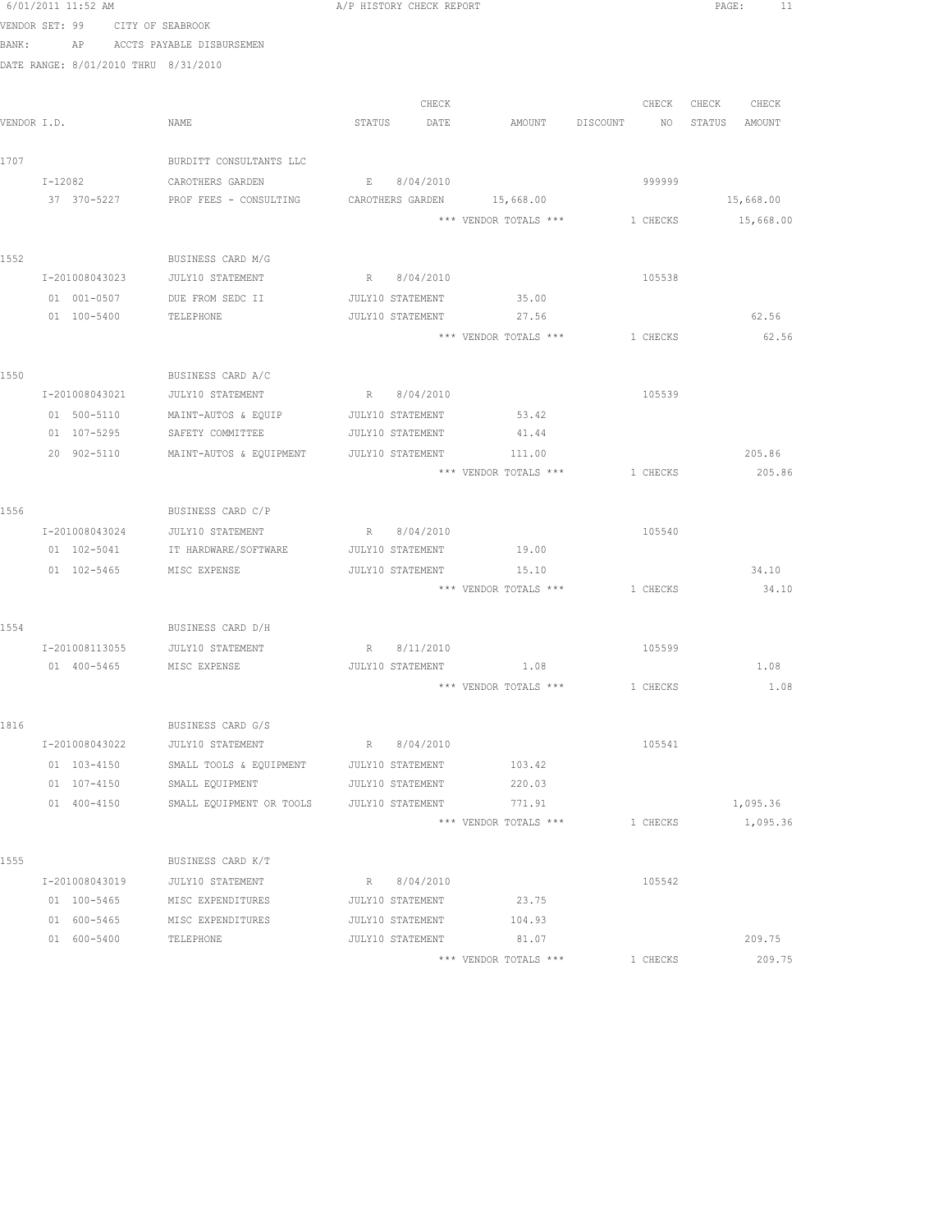|       | 6/01/2011 11:52 AM                   |                                                   |        | A/P HISTORY CHECK REPORT |                                 |          |                          | PAGE: | 11                           |
|-------|--------------------------------------|---------------------------------------------------|--------|--------------------------|---------------------------------|----------|--------------------------|-------|------------------------------|
|       | VENDOR SET: 99                       | CITY OF SEABROOK                                  |        |                          |                                 |          |                          |       |                              |
| BANK: | AP                                   | ACCTS PAYABLE DISBURSEMEN                         |        |                          |                                 |          |                          |       |                              |
|       | DATE RANGE: 8/01/2010 THRU 8/31/2010 |                                                   |        |                          |                                 |          |                          |       |                              |
|       |                                      |                                                   |        |                          |                                 |          |                          |       |                              |
|       | VENDOR I.D.                          | NAME                                              | STATUS | CHECK                    | AMOUNT                          |          | CHECK<br>NO <sub>1</sub> |       | CHECK CHECK<br>STATUS AMOUNT |
|       |                                      |                                                   |        | DATE                     |                                 | DISCOUNT |                          |       |                              |
| 1707  |                                      | BURDITT CONSULTANTS LLC                           |        |                          |                                 |          |                          |       |                              |
|       | I-12082                              | CAROTHERS GARDEN                                  | E      | 8/04/2010                |                                 |          | 999999                   |       |                              |
|       | 37 370-5227                          | PROF FEES - CONSULTING CAROTHERS GARDEN 15,668.00 |        |                          |                                 |          |                          |       | 15,668.00                    |
|       |                                      |                                                   |        |                          | *** VENDOR TOTALS ***           |          | 1 CHECKS                 |       | 15,668.00                    |
|       |                                      |                                                   |        |                          |                                 |          |                          |       |                              |
| 1552  |                                      | BUSINESS CARD M/G                                 |        |                          |                                 |          |                          |       |                              |
|       | I-201008043023                       | JULY10 STATEMENT                                  |        | R 8/04/2010              |                                 |          | 105538                   |       |                              |
|       | 01 001-0507                          | DUE FROM SEDC II                                  |        | JULY10 STATEMENT         | 35.00                           |          |                          |       |                              |
|       | 01 100-5400                          | TELEPHONE                                         |        | JULY10 STATEMENT         | 27.56                           |          |                          |       | 62.56                        |
|       |                                      |                                                   |        |                          | *** VENDOR TOTALS *** 1 CHECKS  |          |                          |       | 62.56                        |
|       |                                      |                                                   |        |                          |                                 |          |                          |       |                              |
| 1550  |                                      | BUSINESS CARD A/C                                 |        |                          |                                 |          |                          |       |                              |
|       | I-201008043021                       | JULY10 STATEMENT                                  |        | R 8/04/2010              |                                 |          | 105539                   |       |                              |
|       | 01 500-5110                          | MAINT-AUTOS & EQUIP                               |        | JULY10 STATEMENT         | 53.42                           |          |                          |       |                              |
|       | 01 107-5295                          | SAFETY COMMITTEE                                  |        | JULY10 STATEMENT         | 41.44                           |          |                          |       |                              |
|       | 20 902-5110                          | MAINT-AUTOS & EQUIPMENT                           |        | JULY10 STATEMENT         | 111.00                          |          |                          |       | 205.86                       |
|       |                                      |                                                   |        |                          | *** VENDOR TOTALS ***           |          | 1 CHECKS                 |       | 205.86                       |
| 1556  |                                      | BUSINESS CARD C/P                                 |        |                          |                                 |          |                          |       |                              |
|       | I-201008043024                       | JULY10 STATEMENT                                  |        | R 8/04/2010              |                                 |          | 105540                   |       |                              |
|       | 01 102-5041                          | IT HARDWARE/SOFTWARE                              |        | JULY10 STATEMENT         | 19.00                           |          |                          |       |                              |
|       | $01 102 - 5465$                      | MISC EXPENSE                                      |        | JULY10 STATEMENT         | 15.10                           |          |                          |       | 34.10                        |
|       |                                      |                                                   |        |                          | *** VENDOR TOTALS ***           |          | 1 CHECKS                 |       | 34.10                        |
|       |                                      |                                                   |        |                          |                                 |          |                          |       |                              |
| 1554  |                                      | BUSINESS CARD D/H                                 |        |                          |                                 |          |                          |       |                              |
|       |                                      | I-201008113055 JULY10 STATEMENT                   |        | R 8/11/2010              |                                 |          | 105599                   |       |                              |
|       | 01  400-5465  MISC EXPENSE           |                                                   |        |                          | JULY10 STATEMENT 1.08           |          |                          |       | 1.08                         |
|       |                                      |                                                   |        |                          | *** VENDOR TOTALS *** 1 CHECKS  |          |                          |       | 1.08                         |
|       |                                      |                                                   |        |                          |                                 |          |                          |       |                              |
| 1816  |                                      | BUSINESS CARD G/S                                 |        |                          |                                 |          |                          |       |                              |
|       | I-201008043022                       | JULY10 STATEMENT                                  |        | R 8/04/2010              |                                 |          | 105541                   |       |                              |
|       | 01 103-4150                          | SMALL TOOLS & EQUIPMENT                           |        | JULY10 STATEMENT         | 103.42                          |          |                          |       |                              |
|       | 01 107-4150                          | SMALL EQUIPMENT                                   |        | JULY10 STATEMENT         | 220.03                          |          |                          |       |                              |
|       | 01 400-4150                          | SMALL EQUIPMENT OR TOOLS JULY10 STATEMENT         |        |                          | 771.91<br>*** VENDOR TOTALS *** |          | 1 CHECKS                 |       | 1,095.36                     |
|       |                                      |                                                   |        |                          |                                 |          |                          |       | 1,095.36                     |
| 1555  |                                      | BUSINESS CARD K/T                                 |        |                          |                                 |          |                          |       |                              |
|       | I-201008043019                       | JULY10 STATEMENT                                  |        | R 8/04/2010              |                                 |          | 105542                   |       |                              |
|       | 01 100-5465                          | MISC EXPENDITURES                                 |        | JULY10 STATEMENT         | 23.75                           |          |                          |       |                              |
|       | 01 600-5465                          | MISC EXPENDITURES                                 |        | JULY10 STATEMENT         | 104.93                          |          |                          |       |                              |
|       | 01 600-5400                          | TELEPHONE                                         |        | JULY10 STATEMENT         | 81.07                           |          |                          |       | 209.75                       |
|       |                                      |                                                   |        |                          | *** VENDOR TOTALS ***           |          | 1 CHECKS                 |       | 209.75                       |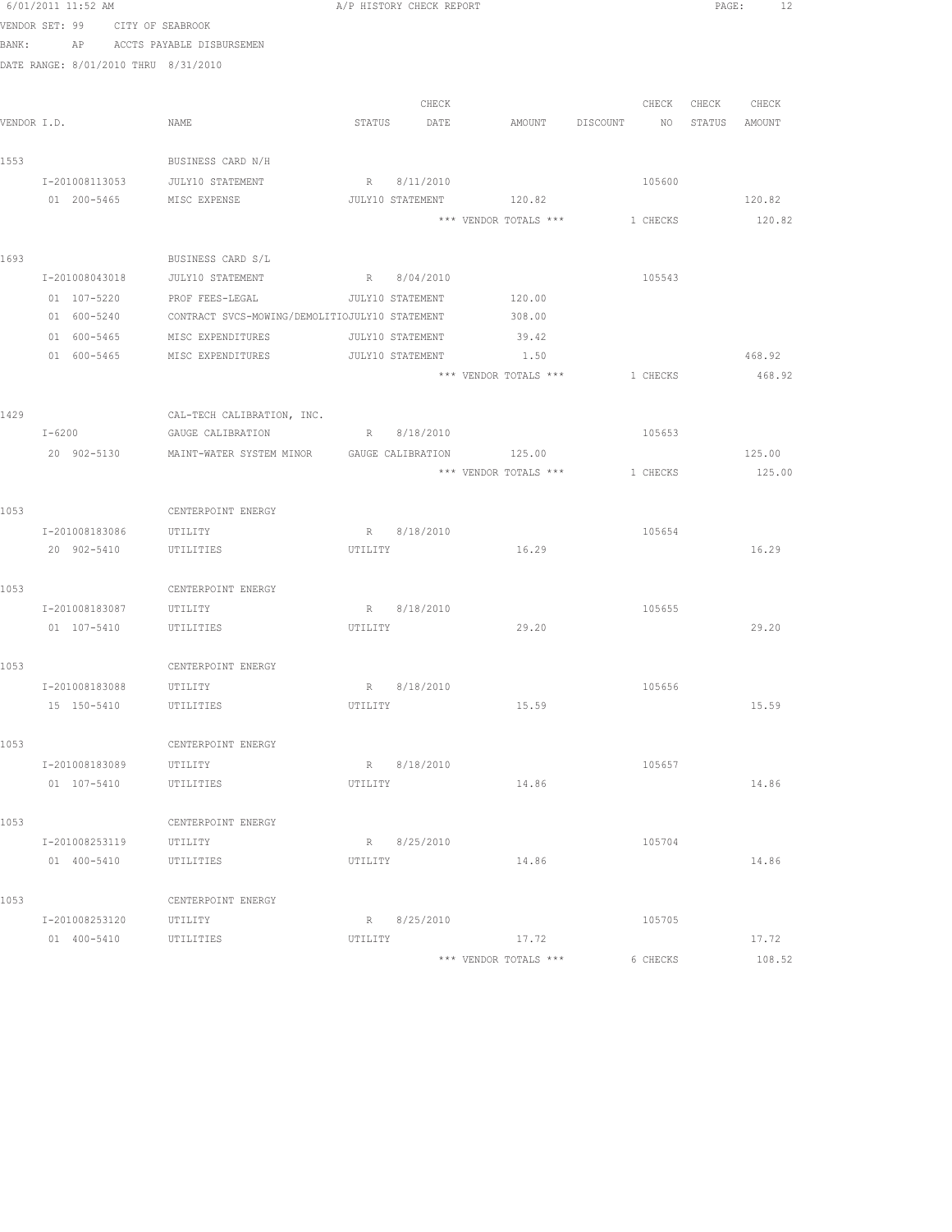|             | 6/01/2011 11:52 AM            |  |                                                               |         | A/P HISTORY CHECK REPORT |                                       |          |                   | PAGE: 12 |  |
|-------------|-------------------------------|--|---------------------------------------------------------------|---------|--------------------------|---------------------------------------|----------|-------------------|----------|--|
|             |                               |  | VENDOR SET: 99 CITY OF SEABROOK                               |         |                          |                                       |          |                   |          |  |
| BANK:       |                               |  | AP ACCTS PAYABLE DISBURSEMEN                                  |         |                          |                                       |          |                   |          |  |
|             |                               |  | DATE RANGE: 8/01/2010 THRU 8/31/2010                          |         |                          |                                       |          |                   |          |  |
|             |                               |  |                                                               |         |                          |                                       |          |                   |          |  |
|             |                               |  |                                                               |         | CHECK                    |                                       |          | CHECK CHECK CHECK |          |  |
| VENDOR I.D. |                               |  | NAME                                                          |         | STATUS DATE              | AMOUNT DISCOUNT NO STATUS AMOUNT      |          |                   |          |  |
| 1553        |                               |  | BUSINESS CARD N/H                                             |         |                          |                                       |          |                   |          |  |
|             |                               |  | I-201008113053 JULY10 STATEMENT                               |         | R 8/11/2010              |                                       | 105600   |                   |          |  |
|             |                               |  | 01  200-5465    MISC EXPENSE                                  |         |                          | JULY10 STATEMENT 120.82               |          |                   | 120.82   |  |
|             |                               |  |                                                               |         |                          | *** VENDOR TOTALS *** 1 CHECKS 120.82 |          |                   |          |  |
| 1693        |                               |  | BUSINESS CARD S/L                                             |         |                          |                                       |          |                   |          |  |
|             |                               |  | I-201008043018 JULY10 STATEMENT R 8/04/2010                   |         |                          |                                       | 105543   |                   |          |  |
|             |                               |  | 01  107-5220  PROF FEES-LEGAL   JULY10 STATEMENT   120.00     |         |                          |                                       |          |                   |          |  |
|             |                               |  | 01 600-5240 CONTRACT SVCS-MOWING/DEMOLITIOJULY10 STATEMENT    |         |                          | 308.00                                |          |                   |          |  |
|             | 01 600-5465                   |  | MISC EXPENDITURES                                             |         | JULY10 STATEMENT         | 39.42                                 |          |                   |          |  |
|             | 01 600-5465                   |  | MISC EXPENDITURES                                             |         | JULY10 STATEMENT         | 1.50                                  |          |                   | 468.92   |  |
|             |                               |  |                                                               |         |                          | *** VENDOR TOTALS ***                 | 1 CHECKS |                   | 468.92   |  |
|             |                               |  |                                                               |         |                          |                                       |          |                   |          |  |
| 1429        |                               |  | CAL-TECH CALIBRATION, INC.                                    |         |                          |                                       |          |                   |          |  |
|             | $I - 6200$                    |  | GAUGE CALIBRATION                                             |         | R 8/18/2010              |                                       | 105653   |                   |          |  |
|             |                               |  | 20 902-5130 MAINT-WATER SYSTEM MINOR GAUGE CALIBRATION 125.00 |         |                          |                                       |          |                   | 125.00   |  |
|             |                               |  |                                                               |         |                          | *** VENDOR TOTALS *** 1 CHECKS        |          |                   | 125.00   |  |
| 1053        |                               |  | CENTERPOINT ENERGY                                            |         |                          |                                       |          |                   |          |  |
|             |                               |  | I-201008183086 UTILITY                                        |         | R 8/18/2010              |                                       | 105654   |                   |          |  |
|             |                               |  | 20 902-5410 UTILITIES                                         | UTILITY |                          | 16.29                                 |          |                   | 16.29    |  |
|             |                               |  |                                                               |         |                          |                                       |          |                   |          |  |
| 1053        |                               |  | CENTERPOINT ENERGY                                            |         | R 8/18/2010              |                                       | 105655   |                   |          |  |
|             | I-201008183087<br>01 107-5410 |  | UTILITY<br>UTILITIES                                          | UTILITY |                          | 29.20                                 |          |                   | 29.20    |  |
|             |                               |  |                                                               |         |                          |                                       |          |                   |          |  |
| 1053        |                               |  | CENTERPOINT ENERGY                                            |         |                          |                                       |          |                   |          |  |
|             | I-201008183088                |  | UTILITY                                                       |         | R 8/18/2010              |                                       | 105656   |                   |          |  |
|             | 15 150-5410                   |  | UTILITIES                                                     | UTILITY |                          | 15.59                                 |          |                   | 15.59    |  |
| 1053        |                               |  | CENTERPOINT ENERGY                                            |         |                          |                                       |          |                   |          |  |
|             | I-201008183089                |  | UTILITY                                                       |         | R 8/18/2010              |                                       | 105657   |                   |          |  |
|             | 01 107-5410                   |  | UTILITIES                                                     | UTILITY |                          | 14.86                                 |          |                   | 14.86    |  |
|             |                               |  |                                                               |         |                          |                                       |          |                   |          |  |
| 1053        |                               |  | CENTERPOINT ENERGY                                            |         |                          |                                       |          |                   |          |  |
|             | I-201008253119                |  | UTILITY                                                       |         | R 8/25/2010              |                                       | 105704   |                   |          |  |
|             | 01 400-5410                   |  | UTILITIES                                                     | UTILITY |                          | 14.86                                 |          |                   | 14.86    |  |
| 1053        |                               |  | CENTERPOINT ENERGY                                            |         |                          |                                       |          |                   |          |  |
|             | I-201008253120                |  | UTILITY                                                       |         | R 8/25/2010              |                                       | 105705   |                   |          |  |
|             | 01 400-5410                   |  | UTILITIES                                                     | UTILITY |                          | 17.72                                 |          |                   | 17.72    |  |
|             |                               |  |                                                               |         |                          | *** VENDOR TOTALS ***                 | 6 CHECKS |                   | 108.52   |  |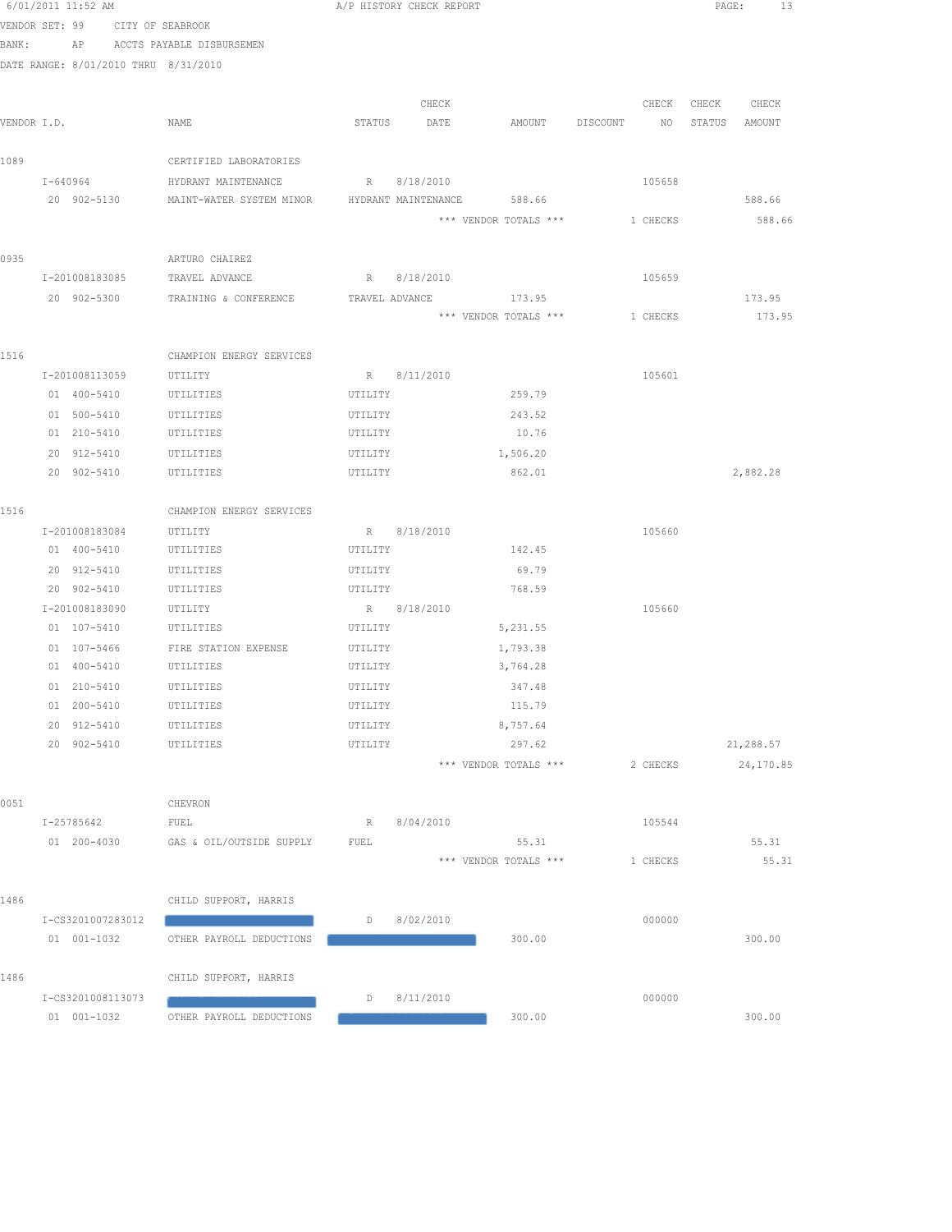|      | 6/01/2011 11:52 AM                   |                                                                 | A/P HISTORY CHECK REPORT |                       |          | PAGE:<br>13      |
|------|--------------------------------------|-----------------------------------------------------------------|--------------------------|-----------------------|----------|------------------|
|      | VENDOR SET: 99                       | CITY OF SEABROOK                                                |                          |                       |          |                  |
|      | BANK:                                | AP ACCTS PAYABLE DISBURSEMEN                                    |                          |                       |          |                  |
|      | DATE RANGE: 8/01/2010 THRU 8/31/2010 |                                                                 |                          |                       |          |                  |
|      |                                      |                                                                 |                          |                       |          |                  |
|      |                                      |                                                                 | CHECK                    |                       | CHECK    | CHECK<br>CHECK   |
|      | VENDOR I.D.                          | NAME                                                            | STATUS<br>DATE           | AMOUNT                | DISCOUNT | NO STATUS AMOUNT |
|      |                                      |                                                                 |                          |                       |          |                  |
| 1089 |                                      | CERTIFIED LABORATORIES                                          |                          |                       |          |                  |
|      | I-640964                             | HYDRANT MAINTENANCE                                             | R 8/18/2010              |                       | 105658   |                  |
|      |                                      | 20 902-5130 MAINT-WATER SYSTEM MINOR HYDRANT MAINTENANCE 588.66 |                          |                       |          | 588.66           |
|      |                                      |                                                                 |                          | *** VENDOR TOTALS *** | 1 CHECKS | 588.66           |
|      |                                      |                                                                 |                          |                       |          |                  |
| 0935 | I-201008183085                       | ARTURO CHAIREZ<br>TRAVEL ADVANCE                                | R 8/18/2010              |                       | 105659   |                  |
|      | 20 902-5300                          | TRAINING & CONFERENCE                                           | TRAVEL ADVANCE           | 173.95                |          | 173.95           |
|      |                                      |                                                                 |                          | *** VENDOR TOTALS *** | 1 CHECKS | 173.95           |
|      |                                      |                                                                 |                          |                       |          |                  |
| 1516 |                                      | CHAMPION ENERGY SERVICES                                        |                          |                       |          |                  |
|      | I-201008113059                       | UTILITY                                                         | R 8/11/2010              |                       | 105601   |                  |
|      | 01 400-5410                          | UTILITIES                                                       | UTILITY                  | 259.79                |          |                  |
|      | 01 500-5410                          | UTILITIES                                                       | UTILITY                  | 243.52                |          |                  |
|      | 01 210-5410                          | UTILITIES                                                       | UTILITY                  | 10.76                 |          |                  |
|      | 20 912-5410                          | UTILITIES                                                       | UTILITY                  | 1,506.20              |          |                  |
|      | 20 902-5410                          | UTILITIES                                                       | UTILITY                  | 862.01                |          | 2,882.28         |
|      |                                      |                                                                 |                          |                       |          |                  |
| 1516 |                                      | CHAMPION ENERGY SERVICES                                        |                          |                       |          |                  |
|      | I-201008183084                       | UTILITY                                                         | R 8/18/2010              |                       | 105660   |                  |
|      | 01 400-5410                          | UTILITIES                                                       | UTILITY                  | 142.45                |          |                  |
|      | 20 912-5410                          | UTILITIES                                                       | UTILITY                  | 69.79                 |          |                  |
|      | 20 902-5410                          | UTILITIES                                                       | UTILITY                  | 768.59                |          |                  |
|      | I-201008183090                       | UTILITY                                                         | R 8/18/2010              |                       | 105660   |                  |
|      | 01 107-5410                          | UTILITIES                                                       | UTILITY                  | 5,231.55              |          |                  |
|      | 01 107-5466                          | FIRE STATION EXPENSE                                            | UTILITY                  | 1,793.38              |          |                  |
|      | 01  400-5410   UTILITIES             | UTILITIES                                                       | UTILITY                  | 3,764.28<br>347.48    |          |                  |
|      | 01 210-5410<br>01 200-5410           | UTILITIES                                                       | UTILITY<br>UTILITY       | 115.79                |          |                  |
|      | 20 912-5410                          | UTILITIES                                                       | UTILITY                  | 8,757.64              |          |                  |
|      | 20 902-5410                          | UTILITIES                                                       | UTILITY                  | 297.62                |          | 21,288.57        |
|      |                                      |                                                                 |                          | *** VENDOR TOTALS *** | 2 CHECKS | 24,170.85        |
|      |                                      |                                                                 |                          |                       |          |                  |
| 0051 |                                      | CHEVRON                                                         |                          |                       |          |                  |
|      | I-25785642                           | FUEL                                                            | 8/04/2010<br>R           |                       | 105544   |                  |
|      | 01 200-4030                          | GAS & OIL/OUTSIDE SUPPLY                                        | FUEL                     | 55.31                 |          | 55.31            |
|      |                                      |                                                                 |                          | *** VENDOR TOTALS *** | 1 CHECKS | 55.31            |
|      |                                      |                                                                 |                          |                       |          |                  |
| 1486 |                                      | CHILD SUPPORT, HARRIS                                           |                          |                       |          |                  |
|      | I-CS3201007283012                    |                                                                 | 8/02/2010<br>D           |                       | 000000   |                  |
|      | $01 001 - 1032$                      | OTHER PAYROLL DEDUCTIONS                                        |                          | 300.00                |          | 300.00           |
|      |                                      |                                                                 |                          |                       |          |                  |
| 1486 |                                      | CHILD SUPPORT, HARRIS                                           |                          |                       |          |                  |
|      | I-CS3201008113073<br>$01001 - 1032$  | OTHER PAYROLL DEDUCTIONS                                        | 8/11/2010<br>D           | 300.00                | 000000   | 300.00           |
|      |                                      |                                                                 |                          |                       |          |                  |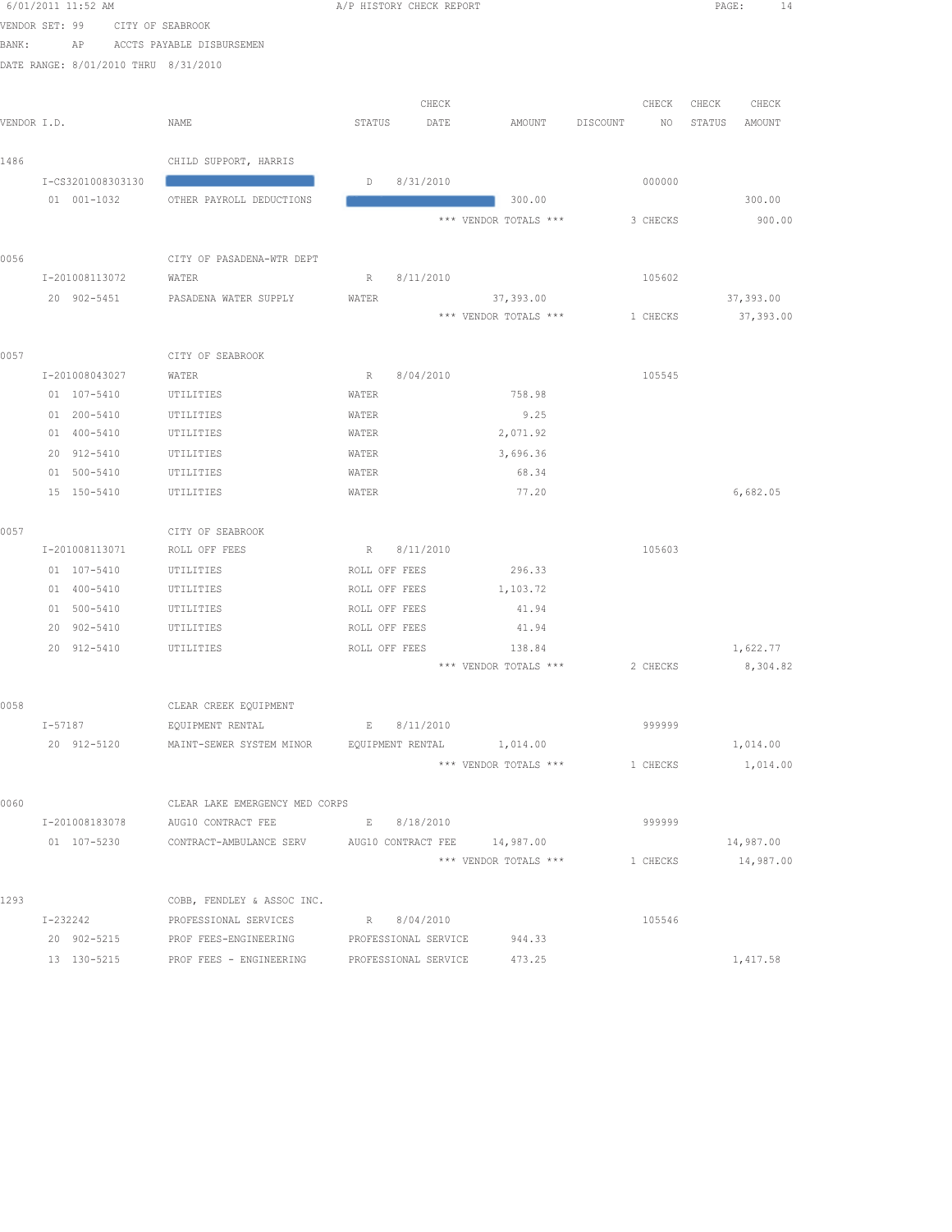|             | 6/01/2011 11:52 AM                   |                                                      | A/P HISTORY CHECK REPORT            |                                 |                | PAGE:<br>14      |
|-------------|--------------------------------------|------------------------------------------------------|-------------------------------------|---------------------------------|----------------|------------------|
|             | VENDOR SET: 99                       | CITY OF SEABROOK                                     |                                     |                                 |                |                  |
| BANK:       | AP                                   | ACCTS PAYABLE DISBURSEMEN                            |                                     |                                 |                |                  |
|             | DATE RANGE: 8/01/2010 THRU 8/31/2010 |                                                      |                                     |                                 |                |                  |
|             |                                      |                                                      |                                     |                                 |                |                  |
|             |                                      |                                                      | CHECK                               |                                 | CHECK          | CHECK<br>CHECK   |
| VENDOR I.D. |                                      | NAME                                                 | STATUS<br>DATE                      | AMOUNT                          | DISCOUNT<br>NO | STATUS<br>AMOUNT |
|             |                                      |                                                      |                                     |                                 |                |                  |
| 1486        |                                      | CHILD SUPPORT, HARRIS                                |                                     |                                 |                |                  |
|             | I-CS3201008303130                    |                                                      | 8/31/2010<br>D                      |                                 | 000000         |                  |
|             | 01 001-1032                          | OTHER PAYROLL DEDUCTIONS                             |                                     | 300.00                          |                | 300.00           |
|             |                                      |                                                      |                                     | *** VENDOR TOTALS ***           | 3 CHECKS       | 900.00           |
| 0056        |                                      | CITY OF PASADENA-WTR DEPT                            |                                     |                                 |                |                  |
|             | I-201008113072                       | WATER                                                | R<br>8/11/2010                      |                                 | 105602         |                  |
|             | 20 902-5451                          | PASADENA WATER SUPPLY                                | WATER                               | 37,393.00                       |                | 37,393.00        |
|             |                                      |                                                      |                                     | *** VENDOR TOTALS ***           | 1 CHECKS       | 37,393.00        |
|             |                                      |                                                      |                                     |                                 |                |                  |
| 0057        |                                      | CITY OF SEABROOK                                     |                                     |                                 |                |                  |
|             | I-201008043027                       | WATER                                                | 8/04/2010<br>R                      |                                 | 105545         |                  |
|             | 01 107-5410                          | UTILITIES                                            | WATER                               | 758.98                          |                |                  |
|             | 01 200-5410                          | UTILITIES                                            | WATER                               | 9.25                            |                |                  |
|             | 01 400-5410                          | UTILITIES                                            | WATER                               | 2,071.92                        |                |                  |
|             | 20 912-5410                          | UTILITIES                                            | WATER                               | 3,696.36                        |                |                  |
|             | 01 500-5410                          | UTILITIES                                            | WATER                               | 68.34                           |                |                  |
|             | 15 150-5410                          | UTILITIES                                            | WATER                               | 77.20                           |                | 6,682.05         |
|             |                                      |                                                      |                                     |                                 |                |                  |
| 0057        |                                      | CITY OF SEABROOK                                     |                                     |                                 |                |                  |
|             | I-201008113071                       | ROLL OFF FEES                                        | R<br>8/11/2010                      |                                 | 105603         |                  |
|             | 01 107-5410                          | UTILITIES                                            | ROLL OFF FEES                       | 296.33                          |                |                  |
|             | 01 400-5410                          | UTILITIES                                            | ROLL OFF FEES                       | 1,103.72                        |                |                  |
|             | 01 500-5410                          | UTILITIES<br>UTILITIES                               | ROLL OFF FEES                       | 41.94                           |                |                  |
|             | 20 902-5410                          |                                                      | ROLL OFF FEES                       | 41.94                           |                |                  |
|             | 20 912-5410                          | UTILITIES                                            | ROLL OFF FEES                       | 138.84<br>*** VENDOR TOTALS *** | 2 CHECKS       | 1,622.77         |
|             |                                      |                                                      |                                     |                                 |                | 8,304.82         |
| 0058        |                                      | CLEAR CREEK EQUIPMENT                                |                                     |                                 |                |                  |
|             | I-57187                              | EQUIPMENT RENTAL                                     | 8/11/2010<br>$E = 1$                |                                 | 999999         |                  |
|             | 20 912-5120                          | MAINT-SEWER SYSTEM MINOR                             | EQUIPMENT RENTAL 1,014.00           |                                 |                | 1,014.00         |
|             |                                      |                                                      |                                     | *** VENDOR TOTALS ***           | 1 CHECKS       | 1,014.00         |
|             |                                      |                                                      |                                     |                                 |                |                  |
| 0060        |                                      | CLEAR LAKE EMERGENCY MED CORPS                       |                                     |                                 |                |                  |
|             | I-201008183078                       | AUG10 CONTRACT FEE                                   | E 8/18/2010                         |                                 | 999999         |                  |
|             | 01 107-5230                          | CONTRACT-AMBULANCE SERV AUG10 CONTRACT FEE 14,987.00 |                                     |                                 |                | 14,987.00        |
|             |                                      |                                                      |                                     | *** VENDOR TOTALS ***           | 1 CHECKS       | 14,987.00        |
|             |                                      |                                                      |                                     |                                 |                |                  |
| 1293        |                                      | COBB, FENDLEY & ASSOC INC.                           |                                     |                                 |                |                  |
|             | I-232242<br>20 902-5215              | PROFESSIONAL SERVICES<br>PROF FEES-ENGINEERING       | R 8/04/2010<br>PROFESSIONAL SERVICE | 944.33                          | 105546         |                  |
|             | 13 130-5215                          | PROF FEES - ENGINEERING                              | PROFESSIONAL SERVICE                | 473.25                          |                | 1,417.58         |
|             |                                      |                                                      |                                     |                                 |                |                  |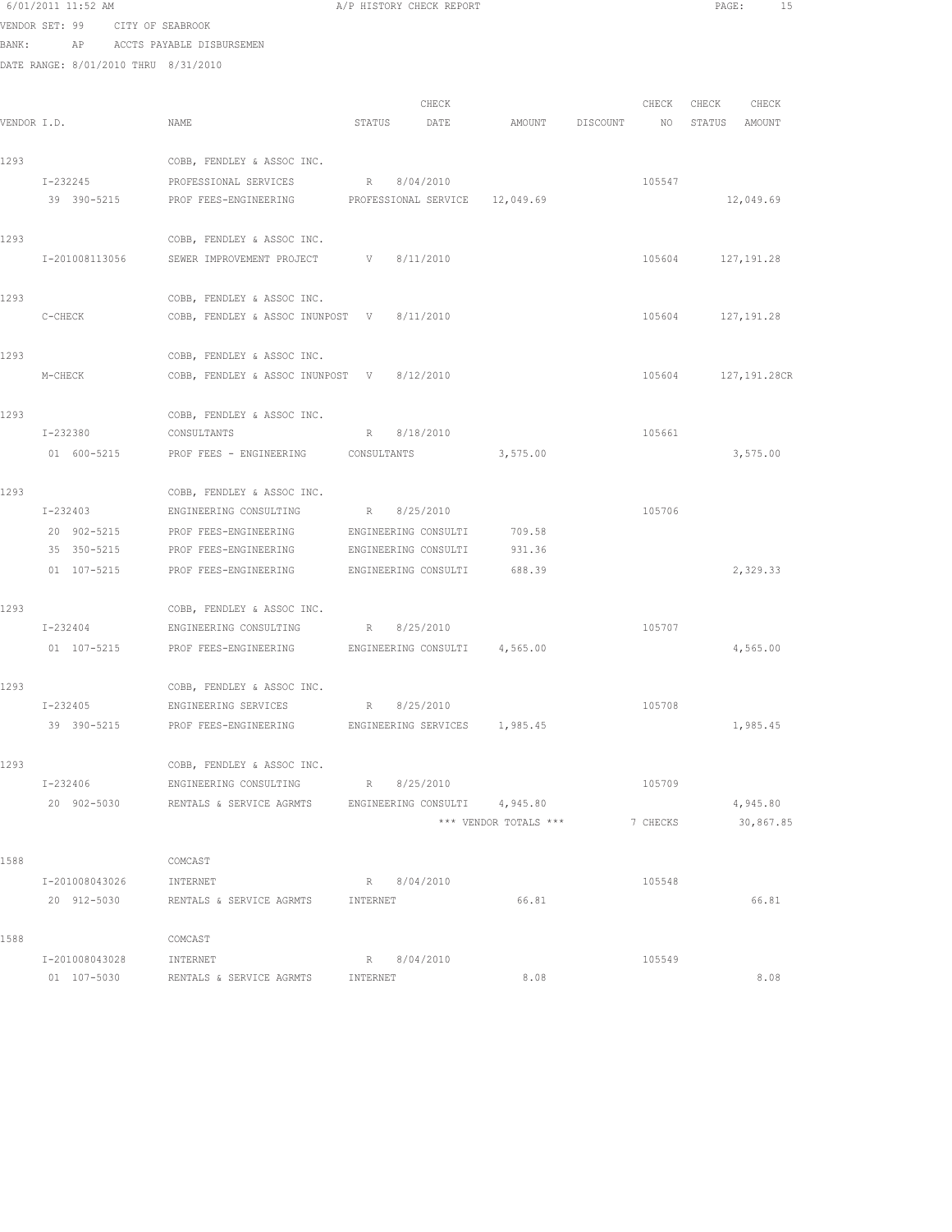|      | 6/01/2011 11:52 AM                   |                                                                                           | A/P HISTORY CHECK REPORT               |                       |          |             | 15<br>PAGE:       |
|------|--------------------------------------|-------------------------------------------------------------------------------------------|----------------------------------------|-----------------------|----------|-------------|-------------------|
|      | VENDOR SET: 99 CITY OF SEABROOK      |                                                                                           |                                        |                       |          |             |                   |
|      |                                      | BANK: AP ACCTS PAYABLE DISBURSEMEN                                                        |                                        |                       |          |             |                   |
|      | DATE RANGE: 8/01/2010 THRU 8/31/2010 |                                                                                           |                                        |                       |          |             |                   |
|      |                                      |                                                                                           |                                        |                       |          |             |                   |
|      |                                      |                                                                                           | CHECK                                  |                       |          | CHECK CHECK | CHECK             |
|      | VENDOR I.D.                          | NAME                                                                                      | STATUS<br>DATE                         | AMOUNT DISCOUNT       |          | NO          | STATUS AMOUNT     |
|      |                                      |                                                                                           |                                        |                       |          |             |                   |
| 1293 |                                      | COBB, FENDLEY & ASSOC INC.                                                                |                                        |                       |          |             |                   |
|      | $I - 232245$                         | PROFESSIONAL SERVICES<br>39 390-5215 PROF FEES-ENGINEERING PROFESSIONAL SERVICE 12,049.69 | R 8/04/2010                            |                       | 105547   |             | 12,049.69         |
|      |                                      |                                                                                           |                                        |                       |          |             |                   |
| 1293 |                                      | COBB, FENDLEY & ASSOC INC.                                                                |                                        |                       |          |             |                   |
|      | I-201008113056                       | SEWER IMPROVEMENT PROJECT V 8/11/2010                                                     |                                        |                       |          |             | 105604 127,191.28 |
|      |                                      |                                                                                           |                                        |                       |          |             |                   |
| 1293 |                                      | COBB, FENDLEY & ASSOC INC.                                                                |                                        |                       |          |             |                   |
|      | C-CHECK                              | COBB, FENDLEY & ASSOC INUNPOST V 8/11/2010                                                |                                        |                       |          |             | 105604 127,191.28 |
|      |                                      |                                                                                           |                                        |                       |          |             |                   |
| 1293 |                                      | COBB, FENDLEY & ASSOC INC.                                                                |                                        |                       |          |             |                   |
|      | M-CHECK                              | COBB, FENDLEY & ASSOC INUNPOST V 8/12/2010                                                |                                        |                       |          | 105604      | 127,191.28CR      |
|      |                                      |                                                                                           |                                        |                       |          |             |                   |
| 1293 | I-232380                             | COBB, FENDLEY & ASSOC INC.                                                                | R 8/18/2010                            |                       |          | 105661      |                   |
|      |                                      | CONSULTANTS                                                                               |                                        |                       |          |             |                   |
|      | 01 600-5215                          | PROF FEES - ENGINEERING CONSULTANTS                                                       |                                        | 3,575.00              |          |             | 3,575.00          |
| 1293 |                                      | COBB, FENDLEY & ASSOC INC.                                                                |                                        |                       |          |             |                   |
|      | I-232403                             | ENGINEERING CONSULTING                                                                    | R 8/25/2010                            |                       |          | 105706      |                   |
|      | 20 902-5215                          | PROF FEES-ENGINEERING                                                                     | ENGINEERING CONSULTI                   | 709.58                |          |             |                   |
|      | 35 350-5215                          | PROF FEES-ENGINEERING                                                                     | ENGINEERING CONSULTI                   | 931.36                |          |             |                   |
|      | 01 107-5215                          | PROF FEES-ENGINEERING ENGINEERING CONSULTI 688.39                                         |                                        |                       |          |             | 2,329.33          |
|      |                                      |                                                                                           |                                        |                       |          |             |                   |
| 1293 |                                      | COBB, FENDLEY & ASSOC INC.                                                                |                                        |                       |          |             |                   |
|      | $I - 232404$                         | ENGINEERING CONSULTING R 8/25/2010                                                        |                                        |                       | 105707   |             |                   |
|      |                                      | 01 107-5215 PROF FEES-ENGINEERING ENGINEERING CONSULTI 4,565.00                           |                                        |                       |          |             | 4,565.00          |
|      |                                      |                                                                                           |                                        |                       |          |             |                   |
| 1293 | $I - 232405$                         | COBB, FENDLEY & ASSOC INC.                                                                |                                        |                       |          | 105708      |                   |
|      | 39 390-5215                          | ENGINEERING SERVICES<br>PROF FEES-ENGINEERING                                             | 8/25/2010<br>R<br>ENGINEERING SERVICES | 1,985.45              |          |             | 1,985.45          |
|      |                                      |                                                                                           |                                        |                       |          |             |                   |
| 1293 |                                      | COBB, FENDLEY & ASSOC INC.                                                                |                                        |                       |          |             |                   |
|      | I-232406                             | ENGINEERING CONSULTING                                                                    | R 8/25/2010                            |                       |          | 105709      |                   |
|      | 20 902-5030                          | RENTALS & SERVICE AGRMTS                                                                  | ENGINEERING CONSULTI                   | 4,945.80              |          |             | 4,945.80          |
|      |                                      |                                                                                           |                                        | *** VENDOR TOTALS *** | 7 CHECKS |             | 30,867.85         |
|      |                                      |                                                                                           |                                        |                       |          |             |                   |
| 1588 |                                      | COMCAST                                                                                   |                                        |                       |          |             |                   |
|      | I-201008043026                       | INTERNET                                                                                  | R 8/04/2010                            |                       |          | 105548      |                   |
|      | 20 912-5030                          | RENTALS & SERVICE AGRMTS                                                                  | INTERNET                               | 66.81                 |          |             | 66.81             |
|      |                                      |                                                                                           |                                        |                       |          |             |                   |
| 1588 | I-201008043028                       | COMCAST<br>INTERNET                                                                       | R 8/04/2010                            |                       |          | 105549      |                   |
|      | 01 107-5030                          | RENTALS & SERVICE AGRMTS                                                                  | INTERNET                               | 8.08                  |          |             | 8.08              |
|      |                                      |                                                                                           |                                        |                       |          |             |                   |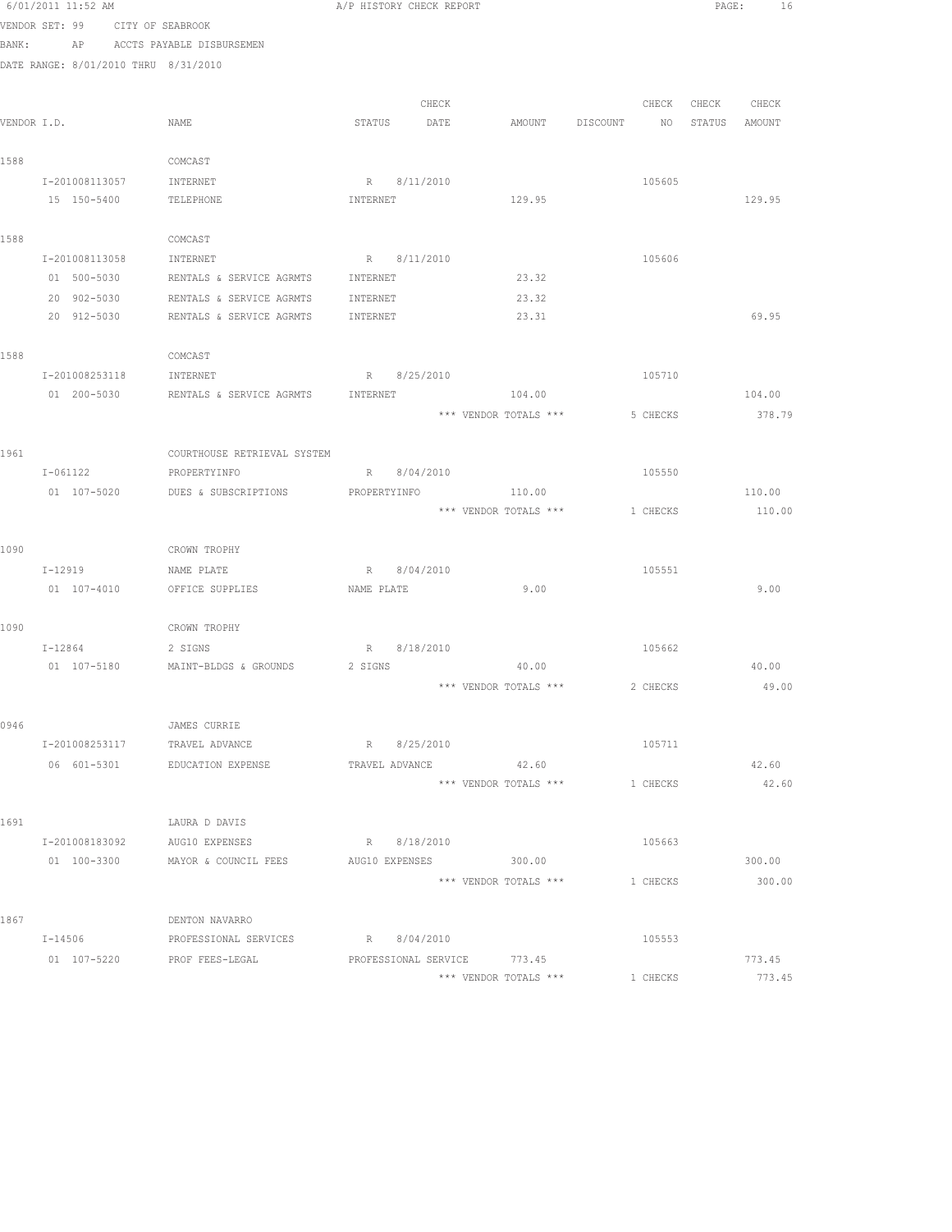|             | 6/01/2011 11:52 AM                   |                                              | A/P HISTORY CHECK REPORT    |             |       |                                  |          | PAGE:             | 16     |
|-------------|--------------------------------------|----------------------------------------------|-----------------------------|-------------|-------|----------------------------------|----------|-------------------|--------|
|             | VENDOR SET: 99                       | CITY OF SEABROOK                             |                             |             |       |                                  |          |                   |        |
| BANK:       |                                      | AP ACCTS PAYABLE DISBURSEMEN                 |                             |             |       |                                  |          |                   |        |
|             | DATE RANGE: 8/01/2010 THRU 8/31/2010 |                                              |                             |             |       |                                  |          |                   |        |
|             |                                      |                                              |                             |             |       |                                  |          |                   |        |
|             |                                      |                                              |                             |             | CHECK |                                  |          | CHECK CHECK CHECK |        |
| VENDOR I.D. |                                      | NAME                                         |                             | STATUS DATE |       | AMOUNT DISCOUNT NO STATUS AMOUNT |          |                   |        |
| 1588        |                                      | COMCAST                                      |                             |             |       |                                  |          |                   |        |
|             | I-201008113057                       | INTERNET                                     |                             | R 8/11/2010 |       |                                  | 105605   |                   |        |
|             | 15 150-5400                          | TELEPHONE                                    | INTERNET                    |             |       | 129.95                           |          |                   | 129.95 |
|             |                                      |                                              |                             |             |       |                                  |          |                   |        |
| 1588        |                                      | COMCAST                                      |                             |             |       |                                  |          |                   |        |
|             | I-201008113058                       | INTERNET                                     |                             | R 8/11/2010 |       |                                  | 105606   |                   |        |
|             | 01 500-5030                          | RENTALS & SERVICE AGRMTS INTERNET            |                             |             |       | 23.32                            |          |                   |        |
|             | 20 902-5030                          | RENTALS & SERVICE AGRMTS                     | INTERNET                    |             |       | 23.32                            |          |                   |        |
|             | 20 912-5030                          | RENTALS & SERVICE AGRMTS                     | INTERNET                    |             |       | 23.31                            |          |                   | 69.95  |
|             |                                      |                                              |                             |             |       |                                  |          |                   |        |
| 1588        | I-201008253118                       | COMCAST                                      |                             |             |       |                                  |          |                   |        |
|             | 01 200-5030                          | INTERNET<br>RENTALS & SERVICE AGRMTS         | INTERNET                    | R 8/25/2010 |       | 104.00                           | 105710   |                   | 104.00 |
|             |                                      |                                              |                             |             |       | *** VENDOR TOTALS ***            | 5 CHECKS |                   | 378.79 |
|             |                                      |                                              |                             |             |       |                                  |          |                   |        |
| 1961        |                                      | COURTHOUSE RETRIEVAL SYSTEM                  |                             |             |       |                                  |          |                   |        |
|             | $I - 061122$                         | PROPERTYINFO                                 |                             | R 8/04/2010 |       |                                  | 105550   |                   |        |
|             |                                      | 01 107-5020 DUES & SUBSCRIPTIONS             | PROPERTYINFO                |             |       | 110.00                           |          |                   | 110.00 |
|             |                                      |                                              |                             |             |       | *** VENDOR TOTALS ***            | 1 CHECKS |                   | 110.00 |
|             |                                      |                                              |                             |             |       |                                  |          |                   |        |
| 1090        |                                      | CROWN TROPHY                                 |                             |             |       |                                  |          |                   |        |
|             | I-12919                              | NAME PLATE                                   |                             | R 8/04/2010 |       |                                  | 105551   |                   |        |
|             | 01 107-4010                          | OFFICE SUPPLIES                              | NAME PLATE                  |             |       | 9.00                             |          |                   | 9.00   |
|             |                                      |                                              |                             |             |       |                                  |          |                   |        |
| 1090        | $I - 12864$                          | CROWN TROPHY                                 |                             | R 8/18/2010 |       |                                  | 105662   |                   |        |
|             |                                      | 2 SIGNS<br>01 107-5180 MAINT-BLDGS & GROUNDS | 2 SIGNS                     |             |       | 40.00                            |          |                   | 40.00  |
|             |                                      |                                              |                             |             |       | *** VENDOR TOTALS ***            | 2 CHECKS |                   | 49.00  |
|             |                                      |                                              |                             |             |       |                                  |          |                   |        |
| 0946        |                                      | JAMES CURRIE                                 |                             |             |       |                                  |          |                   |        |
|             |                                      | I-201008253117 TRAVEL ADVANCE                |                             | R 8/25/2010 |       |                                  | 105711   |                   |        |
|             |                                      | 06 601-5301 EDUCATION EXPENSE                |                             |             |       | TRAVEL ADVANCE 42.60             |          |                   | 42.60  |
|             |                                      |                                              |                             |             |       | *** VENDOR TOTALS ***            | 1 CHECKS |                   | 42.60  |
|             |                                      |                                              |                             |             |       |                                  |          |                   |        |
| 1691        |                                      | LAURA D DAVIS                                |                             |             |       |                                  |          |                   |        |
|             | I-201008183092                       | AUG10 EXPENSES                               |                             | R 8/18/2010 |       |                                  | 105663   |                   |        |
|             | 01 100-3300                          | MAYOR & COUNCIL FEES                         | AUG10 EXPENSES              |             |       | 300.00                           |          |                   | 300.00 |
|             |                                      |                                              |                             |             |       | *** VENDOR TOTALS ***            | 1 CHECKS |                   | 300.00 |
| 1867        |                                      | DENTON NAVARRO                               |                             |             |       |                                  |          |                   |        |
|             | $I - 14506$                          | PROFESSIONAL SERVICES R 8/04/2010            |                             |             |       |                                  | 105553   |                   |        |
|             |                                      | 01 107-5220 PROF FEES-LEGAL                  | PROFESSIONAL SERVICE 773.45 |             |       |                                  |          |                   | 773.45 |
|             |                                      |                                              |                             |             |       | *** VENDOR TOTALS ***            | 1 CHECKS |                   | 773.45 |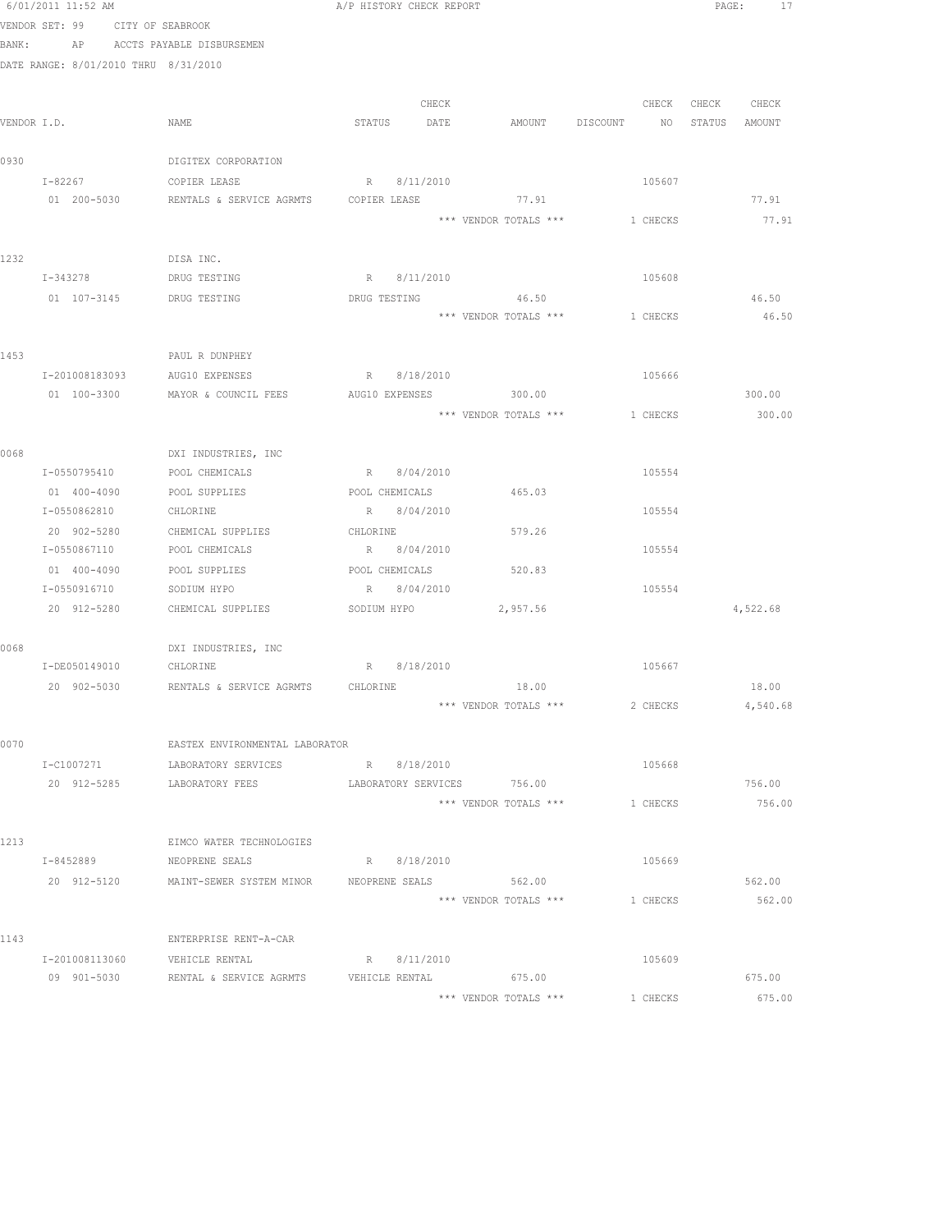|      | 6/01/2011 11:52 AM                   |                                | A/P HISTORY CHECK REPORT                                   |          | PAGE:             | 17 |
|------|--------------------------------------|--------------------------------|------------------------------------------------------------|----------|-------------------|----|
|      | VENDOR SET: 99 CITY OF SEABROOK      |                                |                                                            |          |                   |    |
|      | BANK: AP ACCTS PAYABLE DISBURSEMEN   |                                |                                                            |          |                   |    |
|      | DATE RANGE: 8/01/2010 THRU 8/31/2010 |                                |                                                            |          |                   |    |
|      |                                      |                                |                                                            |          |                   |    |
|      |                                      |                                | CHECK                                                      |          | CHECK CHECK CHECK |    |
|      | VENDOR I.D.                          | NAME                           | STATUS DATE<br>AMOUNT DISCOUNT                             |          | NO STATUS AMOUNT  |    |
|      |                                      |                                |                                                            |          |                   |    |
| 0930 |                                      | DIGITEX CORPORATION            |                                                            |          |                   |    |
|      | I-82267 COPIER LEASE                 |                                | R 8/11/2010                                                | 105607   |                   |    |
|      |                                      |                                | 01 200-5030 RENTALS & SERVICE AGRMTS COPIER LEASE 77.91    |          | 77.91             |    |
|      |                                      |                                | *** VENDOR TOTALS ***                                      | 1 CHECKS | 77.91             |    |
|      |                                      |                                |                                                            |          |                   |    |
| 1232 |                                      | DISA INC.                      |                                                            |          |                   |    |
|      | I-343278                             | DRUG TESTING                   | R 8/11/2010                                                | 105608   |                   |    |
|      | 01  107-3145   DRUG TESTING          |                                | DRUG TESTING<br>46.50                                      |          | 46.50             |    |
|      |                                      |                                | *** VENDOR TOTALS *** 1 CHECKS                             |          | 46.50             |    |
|      |                                      |                                |                                                            |          |                   |    |
| 1453 |                                      | PAUL R DUNPHEY                 |                                                            |          |                   |    |
|      | I-201008183093 AUG10 EXPENSES        |                                | R 8/18/2010                                                | 105666   |                   |    |
|      |                                      |                                | 01 100-3300 MAYOR & COUNCIL FEES AUG10 EXPENSES 300.00     |          | 300.00            |    |
|      |                                      |                                | *** VENDOR TOTALS ***                                      | 1 CHECKS | 300.00            |    |
|      |                                      |                                |                                                            |          |                   |    |
| 0068 |                                      | DXI INDUSTRIES, INC            | R 8/04/2010                                                |          |                   |    |
|      | I-0550795410                         | POOL CHEMICALS                 |                                                            | 105554   |                   |    |
|      | 01 400-4090<br>I-0550862810          | POOL SUPPLIES<br>CHLORINE      | POOL CHEMICALS<br>465.03<br>R 8/04/2010                    | 105554   |                   |    |
|      |                                      |                                |                                                            |          |                   |    |
|      | 20 902-5280                          | CHEMICAL SUPPLIES              | 579.26<br>CHLORINE<br>R 8/04/2010                          | 105554   |                   |    |
|      | I-0550867110                         | POOL CHEMICALS                 |                                                            |          |                   |    |
|      | 01 400-4090<br>I-0550916710          | POOL SUPPLIES<br>SODIUM HYPO   | POOL CHEMICALS<br>520.83<br>R 8/04/2010                    | 105554   |                   |    |
|      | 20 912-5280                          |                                | CHEMICAL SUPPLIES SODIUM HYPO 2,957.56                     |          | 4,522.68          |    |
|      |                                      |                                |                                                            |          |                   |    |
| 0068 |                                      | DXI INDUSTRIES, INC            |                                                            |          |                   |    |
|      | I-DE050149010 CHLORINE               |                                | R 8/18/2010                                                | 105667   |                   |    |
|      |                                      |                                | 20 902-5030 RENTALS & SERVICE AGRMTS CHLORINE 18.00        |          | 18.00             |    |
|      |                                      |                                | *** VENDOR TOTALS ***                                      | 2 CHECKS | 4,540.68          |    |
|      |                                      |                                |                                                            |          |                   |    |
| 0070 |                                      | EASTEX ENVIRONMENTAL LABORATOR |                                                            |          |                   |    |
|      | I-C1007271                           | LABORATORY SERVICES            | R 8/18/2010                                                | 105668   |                   |    |
|      | 20 912-5285                          | LABORATORY FEES                | LABORATORY SERVICES 756.00                                 |          | 756.00            |    |
|      |                                      |                                | *** VENDOR TOTALS ***                                      | 1 CHECKS | 756.00            |    |
|      |                                      |                                |                                                            |          |                   |    |
| 1213 |                                      | EIMCO WATER TECHNOLOGIES       |                                                            |          |                   |    |
|      | I-8452889                            | NEOPRENE SEALS                 | R 8/18/2010                                                | 105669   |                   |    |
|      |                                      |                                | 20 912-5120 MAINT-SEWER SYSTEM MINOR NEOPRENE SEALS 562.00 |          | 562.00            |    |
|      |                                      |                                | *** VENDOR TOTALS ***                                      | 1 CHECKS | 562.00            |    |
|      |                                      |                                |                                                            |          |                   |    |
| 1143 |                                      | ENTERPRISE RENT-A-CAR          |                                                            |          |                   |    |
|      | I-201008113060                       | VEHICLE RENTAL                 | R 8/11/2010                                                | 105609   |                   |    |
|      | 09 901-5030                          | RENTAL & SERVICE AGRMTS        | VEHICLE RENTAL<br>675.00                                   |          | 675.00            |    |
|      |                                      |                                | *** VENDOR TOTALS ***                                      | 1 CHECKS | 675.00            |    |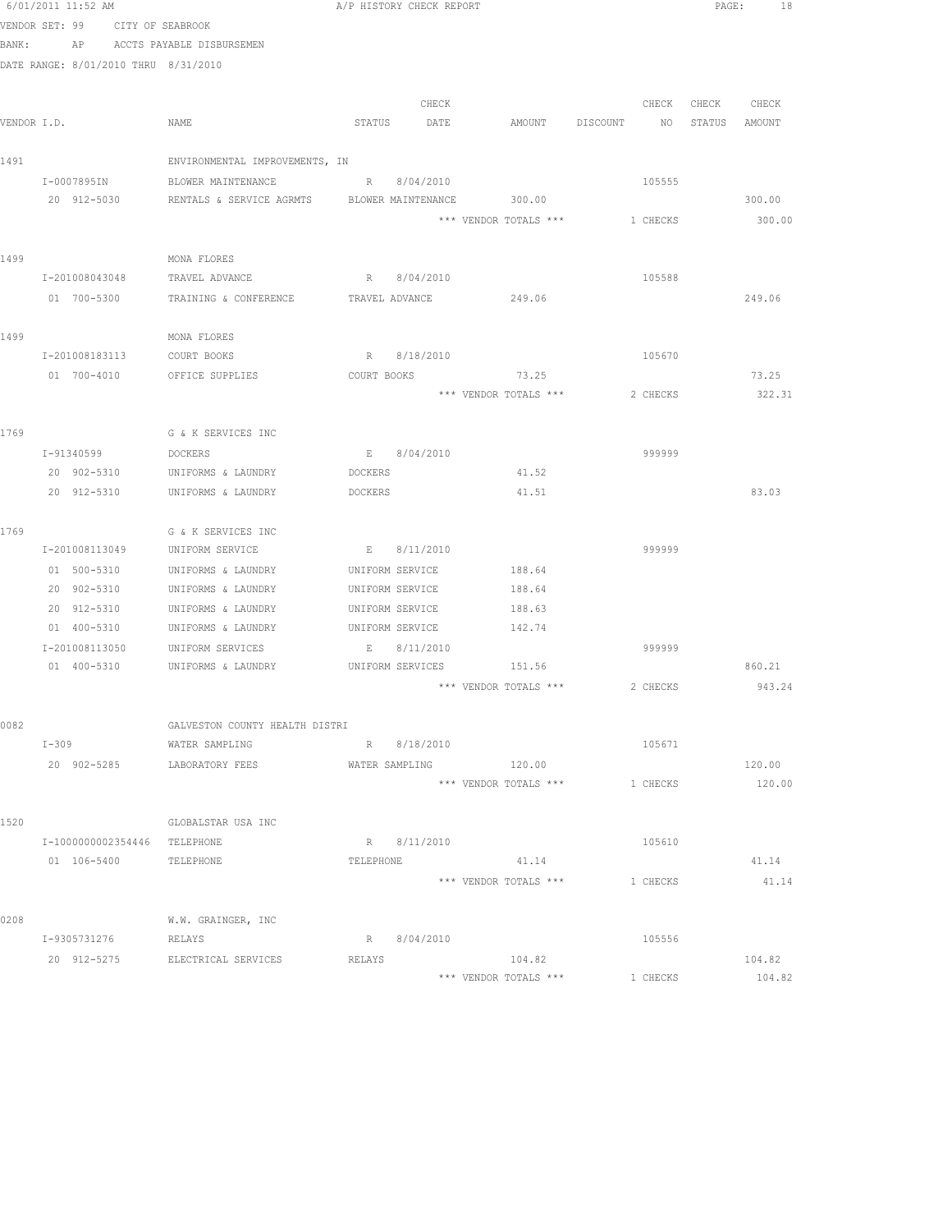|      | 6/01/2011 11:52 AM                   |                                                  | A/P HISTORY CHECK REPORT |               |                                 |                          | PAGE:<br>18      |
|------|--------------------------------------|--------------------------------------------------|--------------------------|---------------|---------------------------------|--------------------------|------------------|
|      | VENDOR SET: 99 CITY OF SEABROOK      |                                                  |                          |               |                                 |                          |                  |
|      | BANK: AP ACCTS PAYABLE DISBURSEMEN   |                                                  |                          |               |                                 |                          |                  |
|      | DATE RANGE: 8/01/2010 THRU 8/31/2010 |                                                  |                          |               |                                 |                          |                  |
|      |                                      |                                                  |                          |               |                                 |                          | CHECK CHECK      |
|      | VENDOR I.D.                          | NAME                                             | STATUS                   | CHECK<br>DATE | AMOUNT DISCOUNT                 | CHECK<br>NO <sub>1</sub> | STATUS AMOUNT    |
|      |                                      |                                                  |                          |               |                                 |                          |                  |
| 1491 |                                      | ENVIRONMENTAL IMPROVEMENTS, IN                   |                          |               |                                 |                          |                  |
|      | I-0007895IN                          | BLOWER MAINTENANCE                               | R 8/04/2010              |               |                                 | 105555                   |                  |
|      | 20 912-5030                          | RENTALS & SERVICE AGRMTS BLOWER MAINTENANCE      |                          |               | 300.00                          |                          | 300.00           |
|      |                                      |                                                  |                          |               | *** VENDOR TOTALS ***           | 1 CHECKS                 | 300.00           |
|      |                                      |                                                  |                          |               |                                 |                          |                  |
| 1499 |                                      | MONA FLORES                                      |                          |               |                                 |                          |                  |
|      | I-201008043048                       | TRAVEL ADVANCE                                   |                          | R 8/04/2010   |                                 | 105588                   |                  |
|      | 01 700-5300                          | TRAINING & CONFERENCE TRAVEL ADVANCE 249.06      |                          |               |                                 |                          | 249.06           |
| 1499 |                                      | MONA FLORES                                      |                          |               |                                 |                          |                  |
|      | I-201008183113                       | COURT BOOKS                                      |                          | R 8/18/2010   |                                 | 105670                   |                  |
|      | 01 700-4010                          | OFFICE SUPPLIES                                  |                          |               | COURT BOOKS 73.25               |                          | 73.25            |
|      |                                      |                                                  |                          |               | *** VENDOR TOTALS ***           | 2 CHECKS                 | 322.31           |
|      |                                      |                                                  |                          |               |                                 |                          |                  |
| 1769 |                                      | G & K SERVICES INC                               |                          |               |                                 |                          |                  |
|      | I-91340599                           | DOCKERS                                          |                          | E 8/04/2010   |                                 | 999999                   |                  |
|      | 20 902-5310                          | UNIFORMS & LAUNDRY                               | DOCKERS                  |               | 41.52                           |                          |                  |
|      | 20 912-5310                          | UNIFORMS & LAUNDRY                               | DOCKERS                  |               | 41.51                           |                          | 83.03            |
| 1769 |                                      | G & K SERVICES INC                               |                          |               |                                 |                          |                  |
|      | I-201008113049                       | UNIFORM SERVICE                                  |                          | E 8/11/2010   |                                 | 999999                   |                  |
|      | 01 500-5310                          | UNIFORMS & LAUNDRY                               | UNIFORM SERVICE          |               | 188.64                          |                          |                  |
|      | 20 902-5310                          | UNIFORMS & LAUNDRY                               | UNIFORM SERVICE          |               | 188.64                          |                          |                  |
|      | 20 912-5310                          | UNIFORMS & LAUNDRY                               | UNIFORM SERVICE          |               | 188.63                          |                          |                  |
|      | 01 400-5310                          | UNIFORMS & LAUNDRY                               | UNIFORM SERVICE          |               | 142.74                          |                          |                  |
|      | I-201008113050                       | UNIFORM SERVICES                                 |                          | E 8/11/2010   |                                 | 999999                   |                  |
|      | 01 400-5310                          | UNIFORMS & LAUNDRY                               | UNIFORM SERVICES         |               | 151.56                          |                          | 860.21           |
|      |                                      |                                                  |                          |               | *** VENDOR TOTALS ***           | 2 CHECKS                 | 943.24           |
|      |                                      |                                                  |                          |               |                                 |                          |                  |
| 0082 | $I-309$                              | GALVESTON COUNTY HEALTH DISTRI<br>WATER SAMPLING |                          | R 8/18/2010   |                                 | 105671                   |                  |
|      |                                      | 20 902-5285 LABORATORY FEES                      |                          |               | WATER SAMPLING 120.00           |                          | 120.00           |
|      |                                      |                                                  |                          |               | *** VENDOR TOTALS ***           | 1 CHECKS                 | 120.00           |
|      |                                      |                                                  |                          |               |                                 |                          |                  |
| 1520 |                                      | GLOBALSTAR USA INC                               |                          |               |                                 |                          |                  |
|      | I-1000000002354446 TELEPHONE         |                                                  |                          | R 8/11/2010   |                                 | 105610                   |                  |
|      | 01  106-5400  TELEPHONE              |                                                  | TELEPHONE                |               | 41.14                           |                          | 41.14            |
|      |                                      |                                                  |                          |               | *** VENDOR TOTALS ***           | 1 CHECKS                 | 41.14            |
|      |                                      |                                                  |                          |               |                                 |                          |                  |
| 0208 |                                      | W.W. GRAINGER, INC                               |                          |               |                                 |                          |                  |
|      | I-9305731276                         | RELAYS                                           |                          | R 8/04/2010   |                                 | 105556                   |                  |
|      |                                      | 20 912-5275 ELECTRICAL SERVICES                  | RELAYS                   |               | 104.82<br>*** VENDOR TOTALS *** | 1 CHECKS                 | 104.82<br>104.82 |
|      |                                      |                                                  |                          |               |                                 |                          |                  |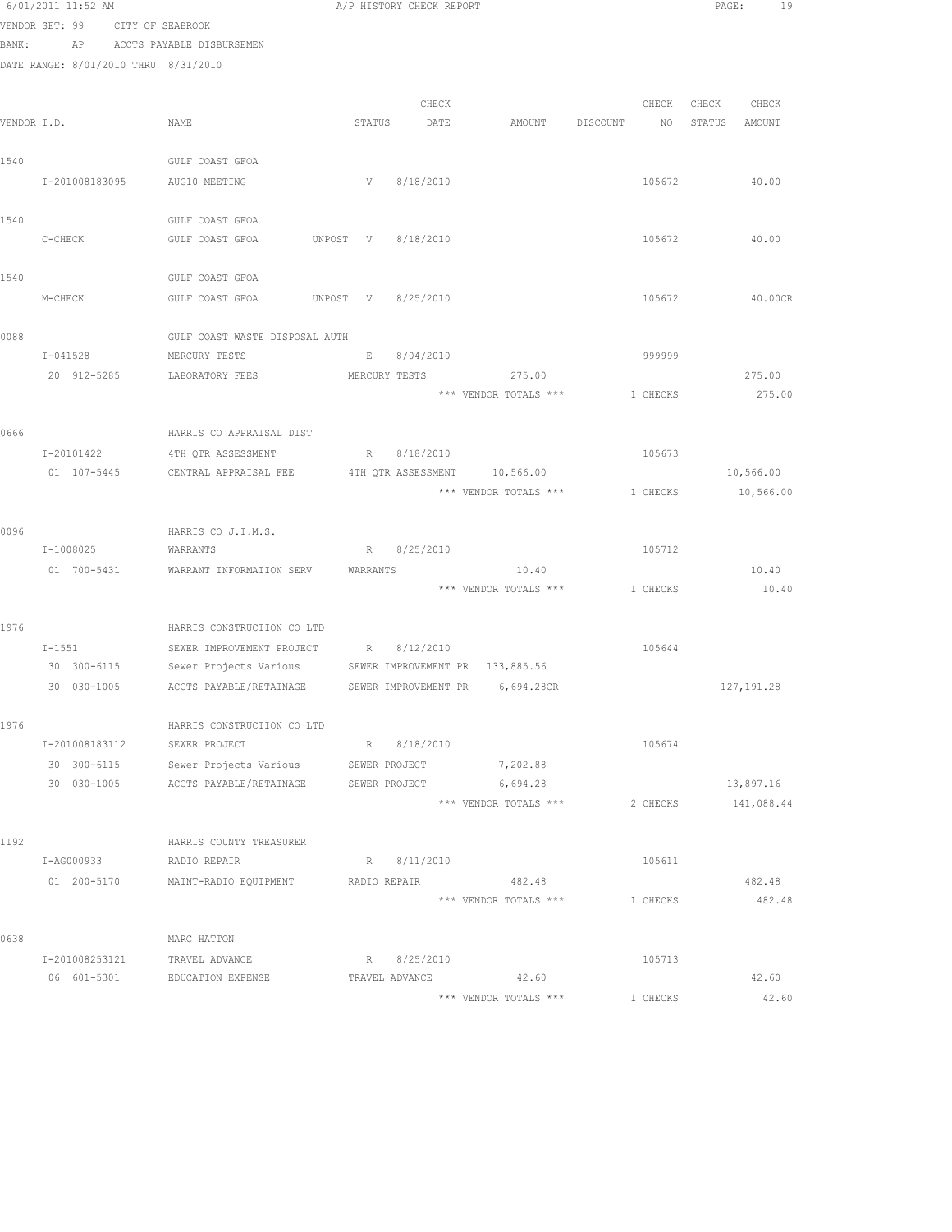|       | 6/01/2011 11:52 AM                   |                                                                    |          | A/P HISTORY CHECK REPORT       |                                |          |          | PAGE:  | 19          |
|-------|--------------------------------------|--------------------------------------------------------------------|----------|--------------------------------|--------------------------------|----------|----------|--------|-------------|
|       | VENDOR SET: 99<br>CITY OF SEABROOK   |                                                                    |          |                                |                                |          |          |        |             |
| BANK: |                                      | AP ACCTS PAYABLE DISBURSEMEN                                       |          |                                |                                |          |          |        |             |
|       | DATE RANGE: 8/01/2010 THRU 8/31/2010 |                                                                    |          |                                |                                |          |          |        |             |
|       |                                      |                                                                    |          |                                |                                |          |          |        |             |
|       |                                      |                                                                    |          | CHECK                          |                                |          | CHECK    | CHECK  | CHECK       |
|       | VENDOR I.D.                          | NAME                                                               | STATUS   | DATE                           | AMOUNT                         | DISCOUNT | NO       | STATUS | AMOUNT      |
|       |                                      |                                                                    |          |                                |                                |          |          |        |             |
| 1540  |                                      | GULF COAST GFOA                                                    |          |                                |                                |          |          |        |             |
|       | I-201008183095                       | AUG10 MEETING                                                      |          | V 8/18/2010                    |                                |          | 105672   |        | 40.00       |
|       |                                      |                                                                    |          |                                |                                |          |          |        |             |
| 1540  |                                      | GULF COAST GFOA                                                    |          |                                |                                |          |          |        |             |
|       | C-CHECK                              | GULF COAST GFOA                                                    | UNPOST V | 8/18/2010                      |                                |          | 105672   |        | 40.00       |
|       |                                      |                                                                    |          |                                |                                |          |          |        |             |
| 1540  |                                      | GULF COAST GFOA                                                    |          |                                |                                |          |          |        |             |
|       | M-CHECK                              | GULF COAST GFOA UNPOST V 8/25/2010                                 |          |                                |                                |          | 105672   |        | 40.00CR     |
| 0088  |                                      | GULF COAST WASTE DISPOSAL AUTH                                     |          |                                |                                |          |          |        |             |
|       | $I - 041528$                         | MERCURY TESTS                                                      |          | 8/04/2010<br>E                 |                                |          | 999999   |        |             |
|       | 20 912-5285                          | LABORATORY FEES                                                    |          |                                | MERCURY TESTS 275.00           |          |          |        | 275.00      |
|       |                                      |                                                                    |          |                                | *** VENDOR TOTALS ***          |          | 1 CHECKS |        | 275.00      |
|       |                                      |                                                                    |          |                                |                                |          |          |        |             |
| 0666  |                                      | HARRIS CO APPRAISAL DIST                                           |          |                                |                                |          |          |        |             |
|       | I-20101422                           | 4TH QTR ASSESSMENT                                                 | R        | 8/18/2010                      |                                |          | 105673   |        |             |
|       | 01 107-5445                          | CENTRAL APPRAISAL FEE                                              |          | 4TH QTR ASSESSMENT             | 10,566.00                      |          |          |        | 10,566.00   |
|       |                                      |                                                                    |          |                                | *** VENDOR TOTALS ***          |          | 1 CHECKS |        | 10,566.00   |
|       |                                      |                                                                    |          |                                |                                |          |          |        |             |
| 0096  |                                      | HARRIS CO J.I.M.S.                                                 |          |                                |                                |          |          |        |             |
|       | I-1008025                            | WARRANTS                                                           |          | R 8/25/2010                    |                                |          | 105712   |        |             |
|       | 01 700-5431                          | WARRANT INFORMATION SERV                                           | WARRANTS |                                | 10.40                          |          |          |        | 10.40       |
|       |                                      |                                                                    |          |                                | *** VENDOR TOTALS *** 1 CHECKS |          |          |        | 10.40       |
|       |                                      |                                                                    |          |                                |                                |          |          |        |             |
| 1976  |                                      | HARRIS CONSTRUCTION CO LTD                                         |          |                                |                                |          |          |        |             |
|       | $I-1551$                             | SEWER IMPROVEMENT PROJECT                                          |          | R 8/12/2010                    |                                |          | 105644   |        |             |
|       |                                      | 30 300-6115 Sewer Projects Various SEWER IMPROVEMENT PR 133,885.56 |          |                                |                                |          |          |        |             |
|       | 30 030-1005                          | ACCTS PAYABLE/RETAINAGE SEWER IMPROVEMENT PR 6,694.28CR            |          |                                |                                |          |          |        | 127, 191.28 |
|       |                                      |                                                                    |          |                                |                                |          |          |        |             |
| 1976  | I-201008183112                       | HARRIS CONSTRUCTION CO LTD                                         |          |                                |                                |          |          |        |             |
|       | 30 300-6115                          | SEWER PROJECT                                                      |          | R 8/18/2010                    |                                |          | 105674   |        |             |
|       | 30 030-1005                          | Sewer Projects Various<br>ACCTS PAYABLE/RETAINAGE                  |          | SEWER PROJECT<br>SEWER PROJECT | 7,202.88<br>6,694.28           |          |          |        | 13,897.16   |
|       |                                      |                                                                    |          |                                | *** VENDOR TOTALS ***          |          | 2 CHECKS |        | 141,088.44  |
|       |                                      |                                                                    |          |                                |                                |          |          |        |             |
| 1192  |                                      | HARRIS COUNTY TREASURER                                            |          |                                |                                |          |          |        |             |
|       | I-AG000933                           | RADIO REPAIR                                                       |          | R 8/11/2010                    |                                |          | 105611   |        |             |
|       |                                      | 01 200-5170 MAINT-RADIO EQUIPMENT                                  |          | RADIO REPAIR                   | 482.48                         |          |          |        | 482.48      |
|       |                                      |                                                                    |          |                                | *** VENDOR TOTALS ***          |          | 1 CHECKS |        | 482.48      |
|       |                                      |                                                                    |          |                                |                                |          |          |        |             |
| 0638  |                                      | MARC HATTON                                                        |          |                                |                                |          |          |        |             |
|       | I-201008253121                       | TRAVEL ADVANCE                                                     |          | R 8/25/2010                    |                                |          | 105713   |        |             |
|       | 06 601-5301                          | EDUCATION EXPENSE                                                  |          | TRAVEL ADVANCE                 | 42.60                          |          |          |        | 42.60       |
|       |                                      |                                                                    |          |                                | *** VENDOR TOTALS ***          |          | 1 CHECKS |        | 42.60       |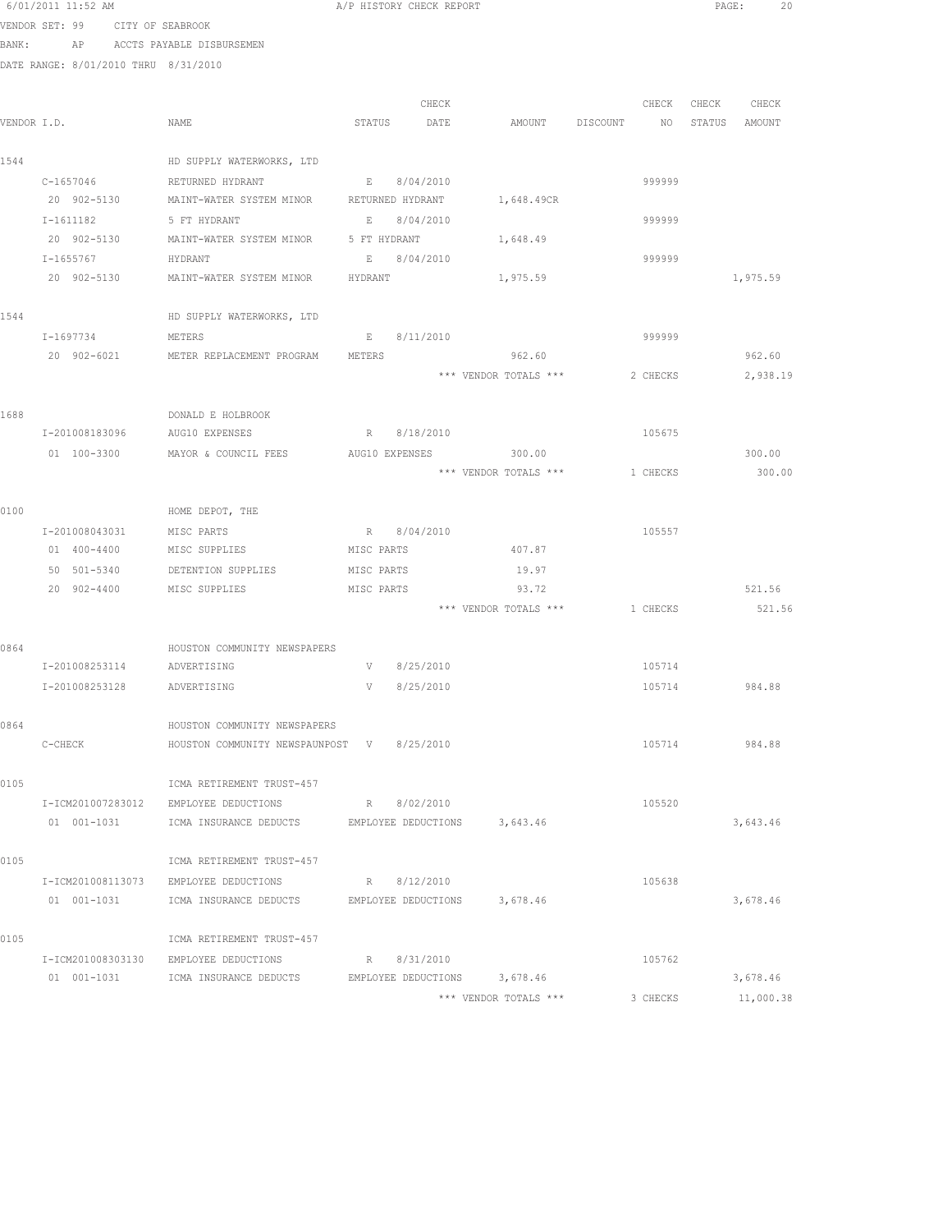|       | 6/01/2011 11:52 AM                   |                                                       |             | A/P HISTORY CHECK REPORT |                       |          | PAGE: | 20            |  |
|-------|--------------------------------------|-------------------------------------------------------|-------------|--------------------------|-----------------------|----------|-------|---------------|--|
|       | VENDOR SET: 99 CITY OF SEABROOK      |                                                       |             |                          |                       |          |       |               |  |
| BANK: |                                      | AP ACCTS PAYABLE DISBURSEMEN                          |             |                          |                       |          |       |               |  |
|       | DATE RANGE: 8/01/2010 THRU 8/31/2010 |                                                       |             |                          |                       |          |       |               |  |
|       |                                      |                                                       |             |                          |                       |          |       |               |  |
|       |                                      |                                                       |             | CHECK                    |                       | CHECK    | CHECK | CHECK         |  |
|       | VENDOR I.D.                          | NAME                                                  |             | STATUS DATE              | AMOUNT DISCOUNT       | NO.      |       | STATUS AMOUNT |  |
|       |                                      |                                                       |             |                          |                       |          |       |               |  |
| 1544  |                                      | HD SUPPLY WATERWORKS, LTD                             |             |                          |                       |          |       |               |  |
|       | $C - 1657046$                        | RETURNED HYDRANT                                      |             | E 8/04/2010              |                       | 999999   |       |               |  |
|       |                                      | 20 902-5130 MAINT-WATER SYSTEM MINOR RETURNED HYDRANT |             |                          | 1,648.49CR            |          |       |               |  |
|       | $I-1611182$                          | 5 FT HYDRANT                                          | $E = 1$     | 8/04/2010                |                       | 999999   |       |               |  |
|       | 20 902-5130                          | MAINT-WATER SYSTEM MINOR                              |             | 5 FT HYDRANT             | 1,648.49              |          |       |               |  |
|       | I-1655767                            | HYDRANT                                               |             | E 8/04/2010              |                       | 999999   |       |               |  |
|       | 20 902-5130                          | MAINT-WATER SYSTEM MINOR                              | HYDRANT     |                          | 1,975.59              |          |       | 1,975.59      |  |
| 1544  |                                      | HD SUPPLY WATERWORKS, LTD                             |             |                          |                       |          |       |               |  |
|       |                                      | <b>METERS</b>                                         |             |                          |                       |          |       |               |  |
|       | I-1697734                            | 20 902-6021 METER REPLACEMENT PROGRAM                 | E<br>METERS | 8/11/2010                | 962.60                | 999999   |       | 962.60        |  |
|       |                                      |                                                       |             |                          | *** VENDOR TOTALS *** | 2 CHECKS |       | 2,938.19      |  |
|       |                                      |                                                       |             |                          |                       |          |       |               |  |
| 1688  |                                      | DONALD E HOLBROOK                                     |             |                          |                       |          |       |               |  |
|       | I-201008183096 AUG10 EXPENSES        |                                                       |             | R 8/18/2010              |                       | 105675   |       |               |  |
|       | 01 100-3300                          | MAYOR & COUNCIL FEES                                  |             |                          | AUG10 EXPENSES 300.00 |          |       | 300.00        |  |
|       |                                      |                                                       |             |                          | *** VENDOR TOTALS *** | 1 CHECKS |       | 300.00        |  |
|       |                                      |                                                       |             |                          |                       |          |       |               |  |
| 0100  |                                      | HOME DEPOT, THE                                       |             |                          |                       |          |       |               |  |
|       | I-201008043031                       | MISC PARTS                                            |             | R 8/04/2010              |                       | 105557   |       |               |  |
|       | 01 400-4400                          | MISC SUPPLIES                                         | MISC PARTS  |                          | 407.87                |          |       |               |  |
|       | 50 501-5340                          | DETENTION SUPPLIES                                    | MISC PARTS  |                          | 19.97                 |          |       |               |  |
|       | 20 902-4400                          | MISC SUPPLIES                                         | MISC PARTS  |                          | 93.72                 |          |       | 521.56        |  |
|       |                                      |                                                       |             |                          | *** VENDOR TOTALS *** | 1 CHECKS |       | 521.56        |  |
|       |                                      |                                                       |             |                          |                       |          |       |               |  |
| 0864  |                                      | HOUSTON COMMUNITY NEWSPAPERS                          |             |                          |                       |          |       |               |  |
|       | I-201008253114 ADVERTISING           |                                                       |             | V 8/25/2010              |                       | 105714   |       |               |  |
|       | I-201008253128 ADVERTISING           |                                                       |             | V 8/25/2010              |                       | 105714   |       | 984.88        |  |
|       |                                      |                                                       |             |                          |                       |          |       |               |  |
| 0864  |                                      | HOUSTON COMMUNITY NEWSPAPERS                          |             |                          |                       |          |       |               |  |
|       | C-CHECK                              | HOUSTON COMMUNITY NEWSPAUNPOST V 8/25/2010            |             |                          |                       | 105714   |       | 984.88        |  |
|       |                                      |                                                       |             |                          |                       |          |       |               |  |
| 0105  |                                      | ICMA RETIREMENT TRUST-457                             |             |                          |                       |          |       |               |  |
|       | I-ICM201007283012                    | EMPLOYEE DEDUCTIONS                                   |             | R 8/02/2010              |                       | 105520   |       |               |  |
|       | 01 001-1031                          | ICMA INSURANCE DEDUCTS EMPLOYEE DEDUCTIONS            |             |                          | 3,643.46              |          |       | 3,643.46      |  |
|       |                                      |                                                       |             |                          |                       |          |       |               |  |
| 0105  |                                      | ICMA RETIREMENT TRUST-457                             |             |                          |                       |          |       |               |  |
|       |                                      | I-ICM201008113073 EMPLOYEE DEDUCTIONS                 |             | R 8/12/2010              |                       | 105638   |       |               |  |
|       | 01 001-1031                          | ICMA INSURANCE DEDUCTS EMPLOYEE DEDUCTIONS 3,678.46   |             |                          |                       |          |       | 3,678.46      |  |
|       |                                      |                                                       |             |                          |                       |          |       |               |  |
| 0105  |                                      | ICMA RETIREMENT TRUST-457                             |             |                          |                       |          |       |               |  |
|       |                                      | I-ICM201008303130 EMPLOYEE DEDUCTIONS                 |             | R 8/31/2010              |                       | 105762   |       |               |  |
|       |                                      | 01 001-1031 ICMA INSURANCE DEDUCTS                    |             | EMPLOYEE DEDUCTIONS      | 3,678.46              |          |       | 3,678.46      |  |
|       |                                      |                                                       |             |                          | *** VENDOR TOTALS *** | 3 CHECKS |       | 11,000.38     |  |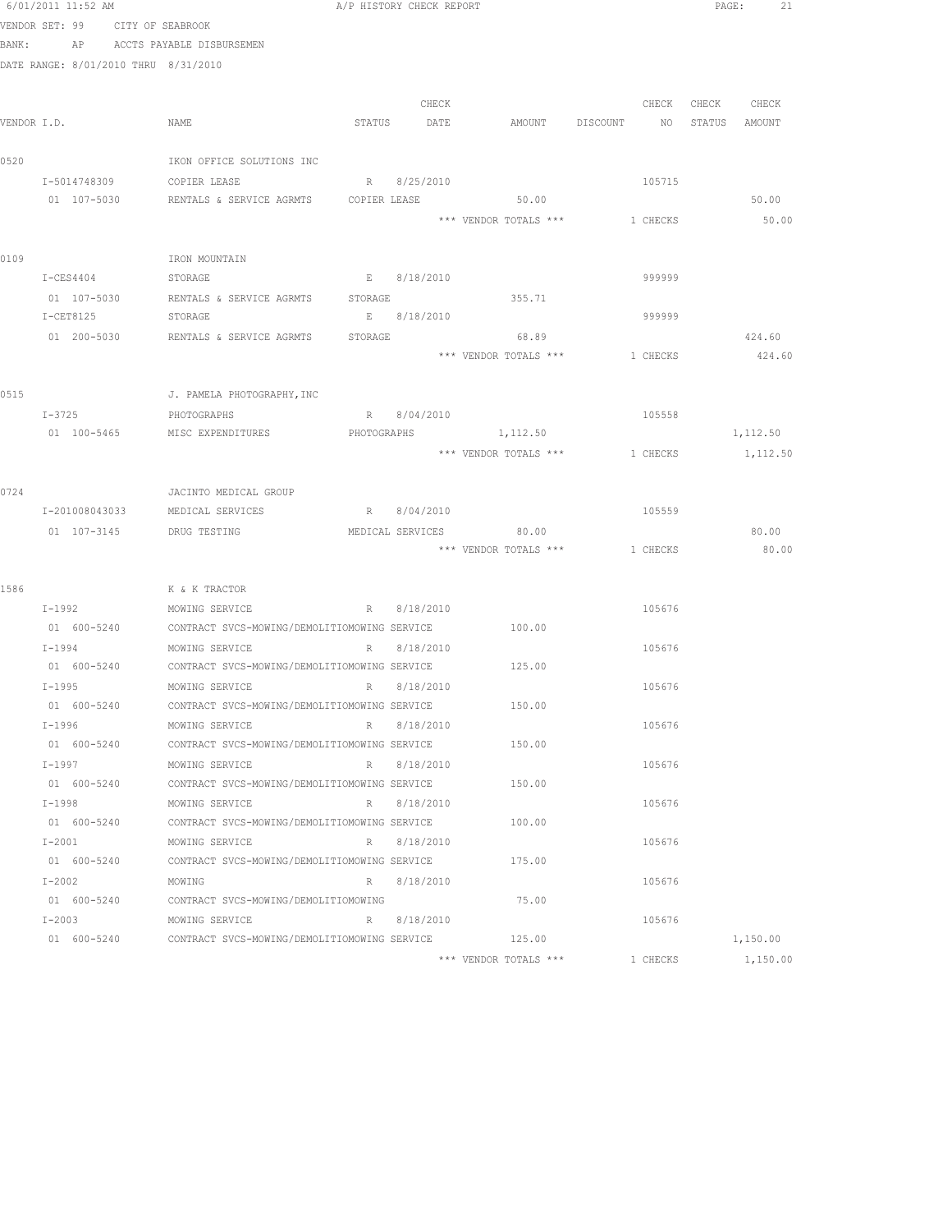|             | 6/01/2011 11:52 AM                   |                                              | A/P HISTORY CHECK REPORT |             |                        |                                  | PAGE:<br>21       |
|-------------|--------------------------------------|----------------------------------------------|--------------------------|-------------|------------------------|----------------------------------|-------------------|
|             | VENDOR SET: 99 CITY OF SEABROOK      |                                              |                          |             |                        |                                  |                   |
| BANK:       |                                      | AP ACCTS PAYABLE DISBURSEMEN                 |                          |             |                        |                                  |                   |
|             | DATE RANGE: 8/01/2010 THRU 8/31/2010 |                                              |                          |             |                        |                                  |                   |
|             |                                      |                                              |                          |             |                        |                                  |                   |
|             |                                      |                                              |                          | CHECK       |                        |                                  | CHECK CHECK CHECK |
| VENDOR I.D. |                                      | NAME                                         | STATUS DATE              |             |                        | AMOUNT DISCOUNT NO STATUS AMOUNT |                   |
|             |                                      |                                              |                          |             |                        |                                  |                   |
| 0520        |                                      | IKON OFFICE SOLUTIONS INC                    |                          |             |                        |                                  |                   |
|             | I-5014748309                         | COPIER LEASE                                 | R 8/25/2010              |             |                        | 105715                           |                   |
|             | 01 107-5030                          | RENTALS & SERVICE AGRMTS COPIER LEASE        |                          |             | 50.00                  |                                  | 50.00             |
|             |                                      |                                              |                          |             |                        | *** VENDOR TOTALS *** 1 CHECKS   | 50.00             |
|             |                                      |                                              |                          |             |                        |                                  |                   |
| 0109        |                                      | IRON MOUNTAIN                                |                          |             |                        |                                  |                   |
|             | $I-CES4404$                          | STORAGE                                      | E 8/18/2010              |             |                        | 999999                           |                   |
|             |                                      | 01 107-5030 RENTALS & SERVICE AGRMTS STORAGE |                          |             | 355.71                 |                                  |                   |
|             | I-CET8125                            | STORAGE                                      |                          | E 8/18/2010 |                        | 999999                           |                   |
|             |                                      | 01 200-5030 RENTALS & SERVICE AGRMTS         | STORAGE                  |             | 68.89                  |                                  | 424.60            |
|             |                                      |                                              |                          |             | *** VENDOR TOTALS ***  | 1 CHECKS                         | 424.60            |
| 0515        |                                      | J. PAMELA PHOTOGRAPHY, INC                   |                          |             |                        |                                  |                   |
|             | $I - 3725$                           | PHOTOGRAPHS                                  | R 8/04/2010              |             |                        | 105558                           |                   |
|             | 01 100-5465                          | MISC EXPENDITURES                            | PHOTOGRAPHS              |             | 1,112.50               |                                  | 1,112.50          |
|             |                                      |                                              |                          |             | *** VENDOR TOTALS ***  | 1 CHECKS                         |                   |
|             |                                      |                                              |                          |             |                        |                                  | 1,112.50          |
| 0724        |                                      | JACINTO MEDICAL GROUP                        |                          |             |                        |                                  |                   |
|             | I-201008043033                       | MEDICAL SERVICES                             | R 8/04/2010              |             |                        | 105559                           |                   |
|             | 01 107-3145                          | DRUG TESTING                                 |                          |             | MEDICAL SERVICES 80.00 |                                  | 80.00             |
|             |                                      |                                              |                          |             |                        | *** VENDOR TOTALS *** 1 CHECKS   | 80.00             |
|             |                                      |                                              |                          |             |                        |                                  |                   |
| 1586        |                                      | K & K TRACTOR                                |                          |             |                        |                                  |                   |
|             | I-1992 MOWING SERVICE                |                                              |                          | R 8/18/2010 |                        | 105676                           |                   |
|             |                                      |                                              |                          |             | 100.00                 |                                  |                   |
|             | $I - 1994$                           | MOWING SERVICE                               |                          | R 8/18/2010 |                        | 105676                           |                   |
|             | 01 600-5240                          | CONTRACT SVCS-MOWING/DEMOLITIOMOWING SERVICE |                          |             | 125.00                 |                                  |                   |
|             | $I-1995$                             | MOWING SERVICE                               | R 8/18/2010              |             |                        | 105676                           |                   |
|             | 01 600-5240                          | CONTRACT SVCS-MOWING/DEMOLITIOMOWING SERVICE |                          |             | 150.00                 |                                  |                   |
|             | I-1996                               | MOWING SERVICE                               | R 8/18/2010              |             |                        | 105676                           |                   |
|             | 01 600-5240                          | CONTRACT SVCS-MOWING/DEMOLITIOMOWING SERVICE |                          |             | 150.00                 |                                  |                   |
|             | I-1997                               | MOWING SERVICE                               |                          | R 8/18/2010 |                        | 105676                           |                   |
|             | 01 600-5240                          | CONTRACT SVCS-MOWING/DEMOLITIOMOWING SERVICE |                          |             | 150.00                 |                                  |                   |
|             | $I-1998$                             | MOWING SERVICE                               |                          | R 8/18/2010 |                        | 105676                           |                   |
|             |                                      |                                              |                          |             | 100.00                 |                                  |                   |
|             | $I-2001$                             | MOWING SERVICE                               |                          | R 8/18/2010 |                        | 105676                           |                   |
|             | 01 600-5240                          | CONTRACT SVCS-MOWING/DEMOLITIOMOWING SERVICE |                          |             | 175.00                 |                                  |                   |
|             | $I-2002$                             | MOWING                                       |                          | R 8/18/2010 |                        | 105676                           |                   |
|             | 01 600-5240                          | CONTRACT SVCS-MOWING/DEMOLITIOMOWING         |                          |             | 75.00                  |                                  |                   |
|             | $I-2003$                             | MOWING SERVICE                               |                          | R 8/18/2010 |                        | 105676                           |                   |
|             | 01 600-5240                          | CONTRACT SVCS-MOWING/DEMOLITIOMOWING SERVICE |                          |             | 125.00                 |                                  | 1,150.00          |
|             |                                      |                                              |                          |             | *** VENDOR TOTALS ***  | 1 CHECKS                         | 1,150.00          |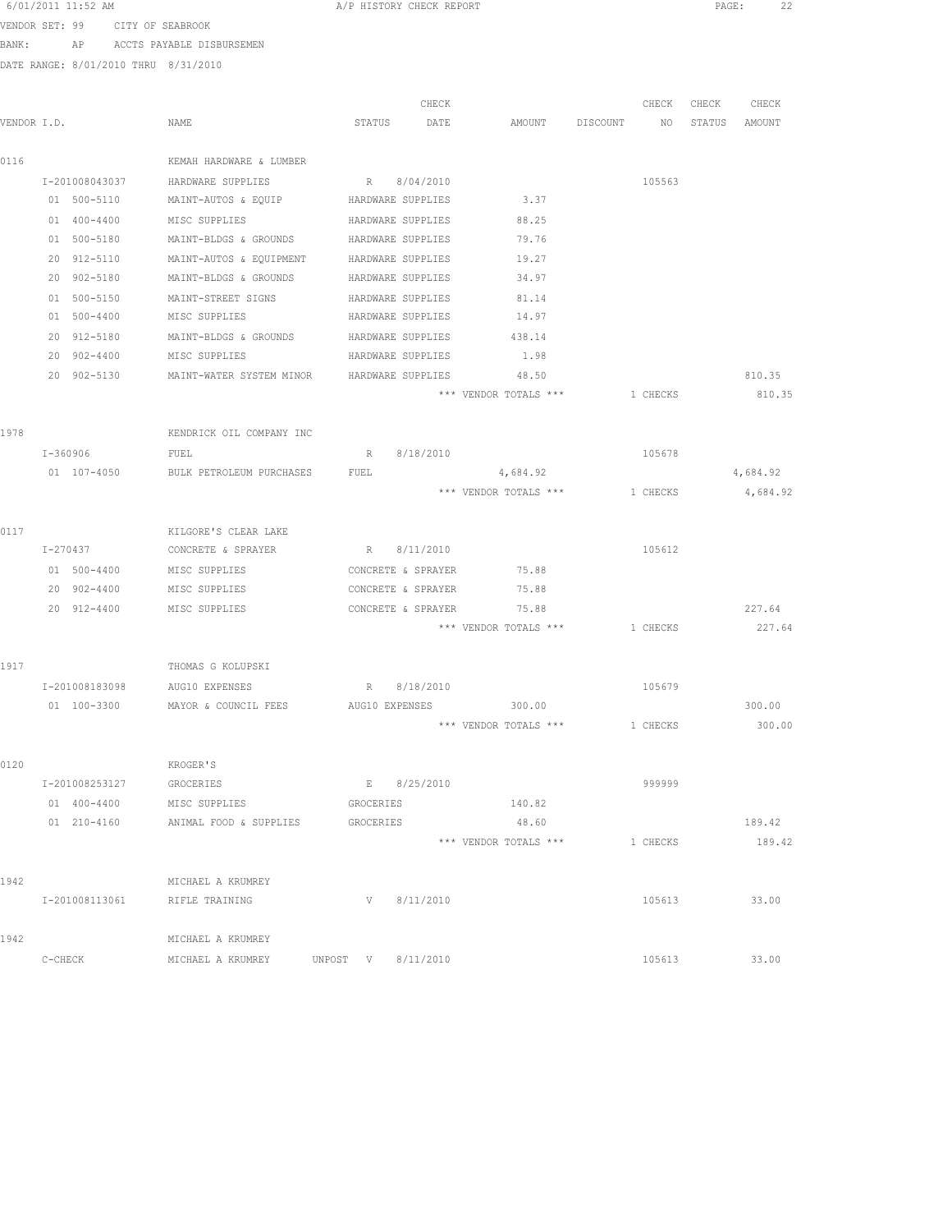|       |             | 6/01/2011 11:52 AM |                                            |                | A/P HISTORY CHECK REPORT |                                |          |                 |        | 22<br>PAGE: |
|-------|-------------|--------------------|--------------------------------------------|----------------|--------------------------|--------------------------------|----------|-----------------|--------|-------------|
|       |             |                    | VENDOR SET: 99 CITY OF SEABROOK            |                |                          |                                |          |                 |        |             |
| BANK: |             |                    | AP ACCTS PAYABLE DISBURSEMEN               |                |                          |                                |          |                 |        |             |
|       |             |                    | DATE RANGE: 8/01/2010 THRU 8/31/2010       |                |                          |                                |          |                 |        |             |
|       |             |                    |                                            |                |                          |                                |          |                 |        |             |
|       |             |                    |                                            |                | CHECK                    |                                |          | CHECK           | CHECK  | CHECK       |
|       | VENDOR I.D. |                    | NAME                                       | STATUS         | DATE                     | AMOUNT                         | DISCOUNT | NO <sub>N</sub> | STATUS | AMOUNT      |
| 0116  |             |                    | KEMAH HARDWARE & LUMBER                    |                |                          |                                |          |                 |        |             |
|       |             | I-201008043037     | HARDWARE SUPPLIES                          |                | R 8/04/2010              |                                |          | 105563          |        |             |
|       |             | 01 500-5110        | MAINT-AUTOS & EQUIP HARDWARE SUPPLIES      |                |                          | 3.37                           |          |                 |        |             |
|       |             | 01 400-4400        | MISC SUPPLIES                              |                | HARDWARE SUPPLIES        | 88.25                          |          |                 |        |             |
|       |             | 01 500-5180        | MAINT-BLDGS & GROUNDS                      |                | HARDWARE SUPPLIES        | 79.76                          |          |                 |        |             |
|       |             | 20 912-5110        | MAINT-AUTOS & EQUIPMENT                    |                | HARDWARE SUPPLIES        | 19.27                          |          |                 |        |             |
|       |             | 20 902-5180        | MAINT-BLDGS & GROUNDS                      |                | HARDWARE SUPPLIES        | 34.97                          |          |                 |        |             |
|       |             | 01 500-5150        | MAINT-STREET SIGNS                         |                | HARDWARE SUPPLIES        | 81.14                          |          |                 |        |             |
|       |             | 01 500-4400        | MISC SUPPLIES                              |                | HARDWARE SUPPLIES        | 14.97                          |          |                 |        |             |
|       |             | 20 912-5180        | MAINT-BLDGS & GROUNDS                      |                | HARDWARE SUPPLIES        | 438.14                         |          |                 |        |             |
|       |             | 20 902-4400        | MISC SUPPLIES                              |                | HARDWARE SUPPLIES        | 1.98                           |          |                 |        |             |
|       |             | 20 902-5130        | MAINT-WATER SYSTEM MINOR HARDWARE SUPPLIES |                |                          | 48.50                          |          |                 |        | 810.35      |
|       |             |                    |                                            |                |                          | *** VENDOR TOTALS *** 1 CHECKS |          |                 |        | 810.35      |
|       |             |                    |                                            |                |                          |                                |          |                 |        |             |
| 1978  |             |                    | KENDRICK OIL COMPANY INC                   |                |                          |                                |          |                 |        |             |
|       |             | I-360906           | FUEL                                       |                | R 8/18/2010              |                                |          | 105678          |        |             |
|       |             | 01 107-4050        | BULK PETROLEUM PURCHASES                   | FUEL           |                          | 4,684.92                       |          |                 |        | 4,684.92    |
|       |             |                    |                                            |                |                          | *** VENDOR TOTALS ***          |          | 1 CHECKS        |        | 4,684.92    |
|       |             |                    |                                            |                |                          |                                |          |                 |        |             |
| 0117  |             |                    | KILGORE'S CLEAR LAKE                       |                |                          |                                |          |                 |        |             |
|       |             | I-270437           | CONCRETE & SPRAYER                         |                | R 8/11/2010              |                                |          | 105612          |        |             |
|       |             | 01 500-4400        | MISC SUPPLIES                              |                | CONCRETE & SPRAYER       | 75.88                          |          |                 |        |             |
|       |             | 20 902-4400        | MISC SUPPLIES                              |                | CONCRETE & SPRAYER       | 75.88                          |          |                 |        |             |
|       |             | 20 912-4400        | MISC SUPPLIES                              |                | CONCRETE & SPRAYER       | 75.88                          |          |                 |        | 227.64      |
|       |             |                    |                                            |                |                          | *** VENDOR TOTALS *** 1 CHECKS |          |                 |        | 227.64      |
|       |             |                    |                                            |                |                          |                                |          |                 |        |             |
| 1917  |             |                    | THOMAS G KOLUPSKI                          |                |                          |                                |          |                 |        |             |
|       |             |                    | I-201008183098 AUG10 EXPENSES              | R 8/18/2010    |                          |                                |          | 105679          |        |             |
|       |             | 01 100-3300        | MAYOR & COUNCIL FEES                       | AUG10 EXPENSES |                          | 300.00                         |          |                 |        | 300.00      |
|       |             |                    |                                            |                |                          | *** VENDOR TOTALS ***          |          | 1 CHECKS        |        | 300.00      |
|       |             |                    |                                            |                |                          |                                |          |                 |        |             |
| 0120  |             |                    | KROGER'S                                   |                |                          |                                |          |                 |        |             |
|       |             | I-201008253127     | GROCERIES                                  |                | E 8/25/2010              |                                |          | 999999          |        |             |
|       |             | 01 400-4400        | MISC SUPPLIES                              | GROCERIES      |                          | 140.82                         |          |                 |        |             |
|       |             | $01 210 - 4160$    | ANIMAL FOOD & SUPPLIES                     | GROCERIES      |                          | 48.60                          |          |                 |        | 189.42      |
|       |             |                    |                                            |                |                          | *** VENDOR TOTALS ***          |          | 1 CHECKS        |        | 189.42      |
|       |             |                    |                                            |                |                          |                                |          |                 |        |             |
| 1942  |             |                    | MICHAEL A KRUMREY                          |                |                          |                                |          |                 |        | 33.00       |
|       |             | I-201008113061     | RIFLE TRAINING                             |                | $V$ 8/11/2010            |                                |          | 105613          |        |             |
| 1942  |             |                    | MICHAEL A KRUMREY                          |                |                          |                                |          |                 |        |             |
|       | C-CHECK     |                    | MICHAEL A KRUMREY                          | UNPOST V       | 8/11/2010                |                                |          | 105613          |        | 33.00       |
|       |             |                    |                                            |                |                          |                                |          |                 |        |             |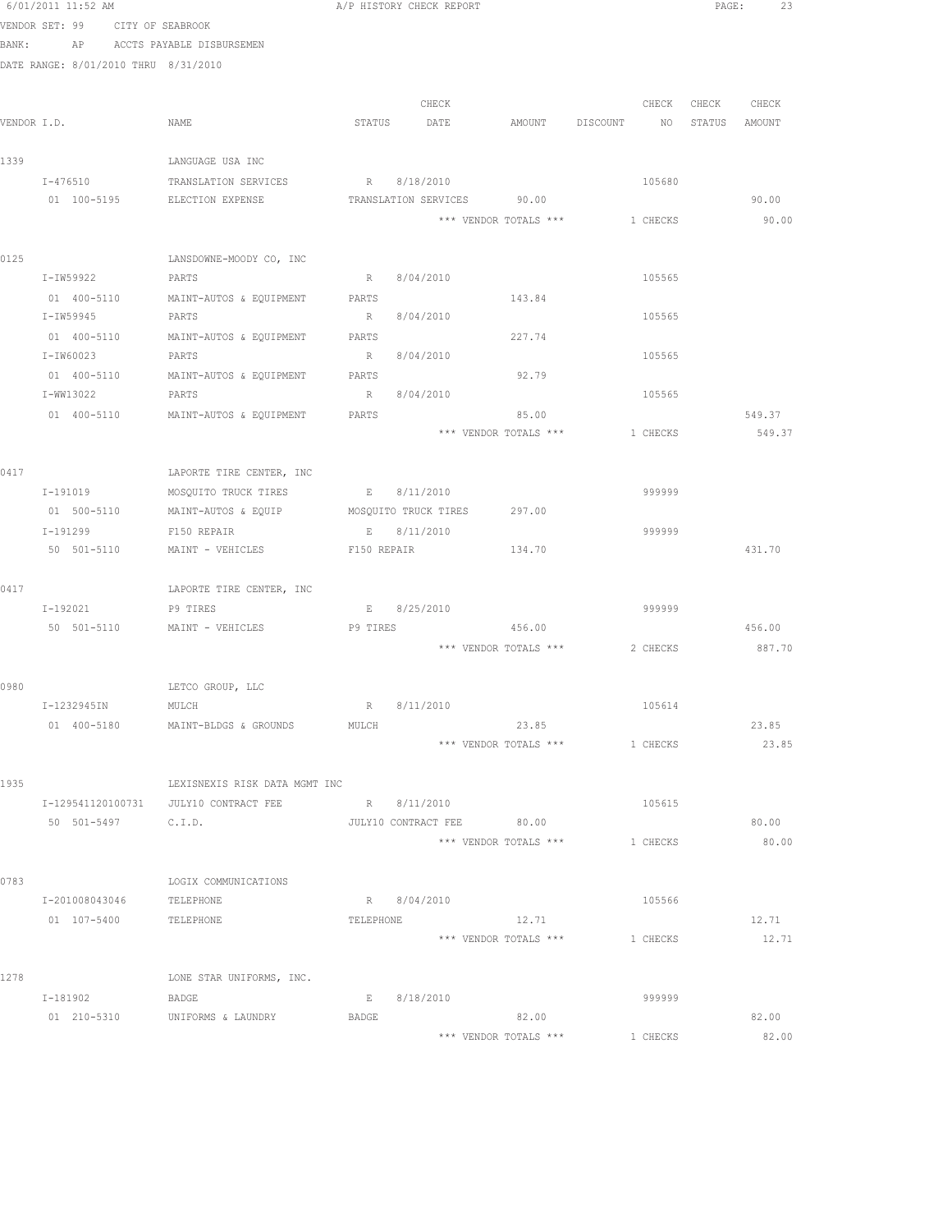|      | 6/01/2011 11:52 AM                   |                                                   | A/P HISTORY CHECK REPORT                  |                                |                 |          |                  | PAGE:<br>23 |
|------|--------------------------------------|---------------------------------------------------|-------------------------------------------|--------------------------------|-----------------|----------|------------------|-------------|
|      | VENDOR SET: 99<br>CITY OF SEABROOK   |                                                   |                                           |                                |                 |          |                  |             |
|      | BANK: AP                             | ACCTS PAYABLE DISBURSEMEN                         |                                           |                                |                 |          |                  |             |
|      | DATE RANGE: 8/01/2010 THRU 8/31/2010 |                                                   |                                           |                                |                 |          |                  |             |
|      |                                      |                                                   |                                           |                                |                 |          |                  |             |
|      |                                      |                                                   |                                           | CHECK                          |                 |          | CHECK CHECK      | CHECK       |
|      | VENDOR I.D.                          | NAME                                              | STATUS<br>DATE                            |                                | AMOUNT DISCOUNT |          | NO STATUS AMOUNT |             |
|      |                                      |                                                   |                                           |                                |                 |          |                  |             |
| 1339 |                                      | LANGUAGE USA INC                                  |                                           |                                |                 |          |                  |             |
|      | I-476510<br>01 100-5195              | TRANSLATION SERVICES<br>ELECTION EXPENSE          | R 8/18/2010<br>TRANSLATION SERVICES 90.00 |                                |                 | 105680   |                  | 90.00       |
|      |                                      |                                                   |                                           | *** VENDOR TOTALS ***          |                 | 1 CHECKS |                  | 90.00       |
|      |                                      |                                                   |                                           |                                |                 |          |                  |             |
| 0125 |                                      | LANSDOWNE-MOODY CO, INC                           |                                           |                                |                 |          |                  |             |
|      | I-IW59922                            | PARTS                                             | 8/04/2010<br>$R_{\perp}$                  |                                |                 | 105565   |                  |             |
|      | 01 400-5110                          | MAINT-AUTOS & EQUIPMENT                           | PARTS                                     |                                | 143.84          |          |                  |             |
|      | I-IW59945                            | PARTS                                             | 8/04/2010<br>$R_{\perp}$                  |                                |                 | 105565   |                  |             |
|      | 01 400-5110                          | MAINT-AUTOS & EQUIPMENT                           | PARTS                                     |                                | 227.74          |          |                  |             |
|      | I-IW60023                            | PARTS                                             | R                                         | 8/04/2010                      |                 | 105565   |                  |             |
|      | 01 400-5110                          | MAINT-AUTOS & EQUIPMENT                           | PARTS                                     |                                | 92.79           |          |                  |             |
|      | I-WW13022                            | PARTS                                             | R                                         | 8/04/2010                      |                 | 105565   |                  |             |
|      | 01 400-5110                          | MAINT-AUTOS & EQUIPMENT                           | PARTS                                     |                                | 85.00           |          |                  | 549.37      |
|      |                                      |                                                   |                                           | *** VENDOR TOTALS ***          |                 | 1 CHECKS |                  | 549.37      |
|      |                                      |                                                   |                                           |                                |                 |          |                  |             |
| 0417 |                                      | LAPORTE TIRE CENTER, INC                          |                                           |                                |                 |          |                  |             |
|      | I-191019                             | MOSQUITO TRUCK TIRES                              | E 8/11/2010                               |                                |                 | 999999   |                  |             |
|      | 01 500-5110                          | MAINT-AUTOS & EQUIP                               | MOSQUITO TRUCK TIRES                      |                                | 297.00          |          |                  |             |
|      | I-191299                             | F150 REPAIR                                       | E 8/11/2010                               |                                |                 | 999999   |                  |             |
|      | 50 501-5110                          | MAINT - VEHICLES                                  | F150 REPAIR                               |                                | 134.70          |          |                  | 431.70      |
|      |                                      |                                                   |                                           |                                |                 |          |                  |             |
| 0417 |                                      | LAPORTE TIRE CENTER, INC                          |                                           |                                |                 |          |                  |             |
|      | I-192021                             | P9 TIRES<br>50 501-5110 MAINT - VEHICLES P9 TIRES | E 8/25/2010                               | 456.00                         |                 | 999999   |                  | 456.00      |
|      |                                      |                                                   |                                           | *** VENDOR TOTALS *** 2 CHECKS |                 |          |                  | 887.70      |
|      |                                      |                                                   |                                           |                                |                 |          |                  |             |
| 0980 |                                      | LETCO GROUP, LLC                                  |                                           |                                |                 |          |                  |             |
|      | I-1232945IN                          | MULCH                                             | 8/11/2010<br>R                            |                                |                 | 105614   |                  |             |
|      | 01 400-5180                          | MAINT-BLDGS & GROUNDS                             | MULCH                                     |                                | 23.85           |          |                  | 23.85       |
|      |                                      |                                                   |                                           | *** VENDOR TOTALS ***          |                 | 1 CHECKS |                  | 23.85       |
|      |                                      |                                                   |                                           |                                |                 |          |                  |             |
| 1935 |                                      | LEXISNEXIS RISK DATA MGMT INC                     |                                           |                                |                 |          |                  |             |
|      |                                      | I-129541120100731 JULY10 CONTRACT FEE             | R 8/11/2010                               |                                |                 | 105615   |                  |             |
|      | 50 501-5497 C.I.D.                   |                                                   | JULY10 CONTRACT FEE 80.00                 |                                |                 |          |                  | 80.00       |
|      |                                      |                                                   |                                           | *** VENDOR TOTALS ***          |                 | 1 CHECKS |                  | 80.00       |
|      |                                      |                                                   |                                           |                                |                 |          |                  |             |
| 0783 |                                      | LOGIX COMMUNICATIONS                              |                                           |                                |                 |          |                  |             |
|      | I-201008043046                       | TELEPHONE                                         | R 8/04/2010                               |                                |                 | 105566   |                  |             |
|      | 01 107-5400                          | TELEPHONE                                         | TELEPHONE                                 |                                | 12.71           |          |                  | 12.71       |
|      |                                      |                                                   |                                           | *** VENDOR TOTALS ***          |                 | 1 CHECKS |                  | 12.71       |
|      |                                      |                                                   |                                           |                                |                 |          |                  |             |
| 1278 |                                      | LONE STAR UNIFORMS, INC.                          |                                           |                                |                 |          |                  |             |
|      | I-181902                             | BADGE                                             | 8/18/2010<br>E                            |                                |                 | 999999   |                  |             |
|      | 01 210-5310                          | UNIFORMS & LAUNDRY                                | BADGE                                     |                                | 82.00           |          |                  | 82.00       |
|      |                                      |                                                   |                                           | *** VENDOR TOTALS ***          |                 | 1 CHECKS |                  | 82.00       |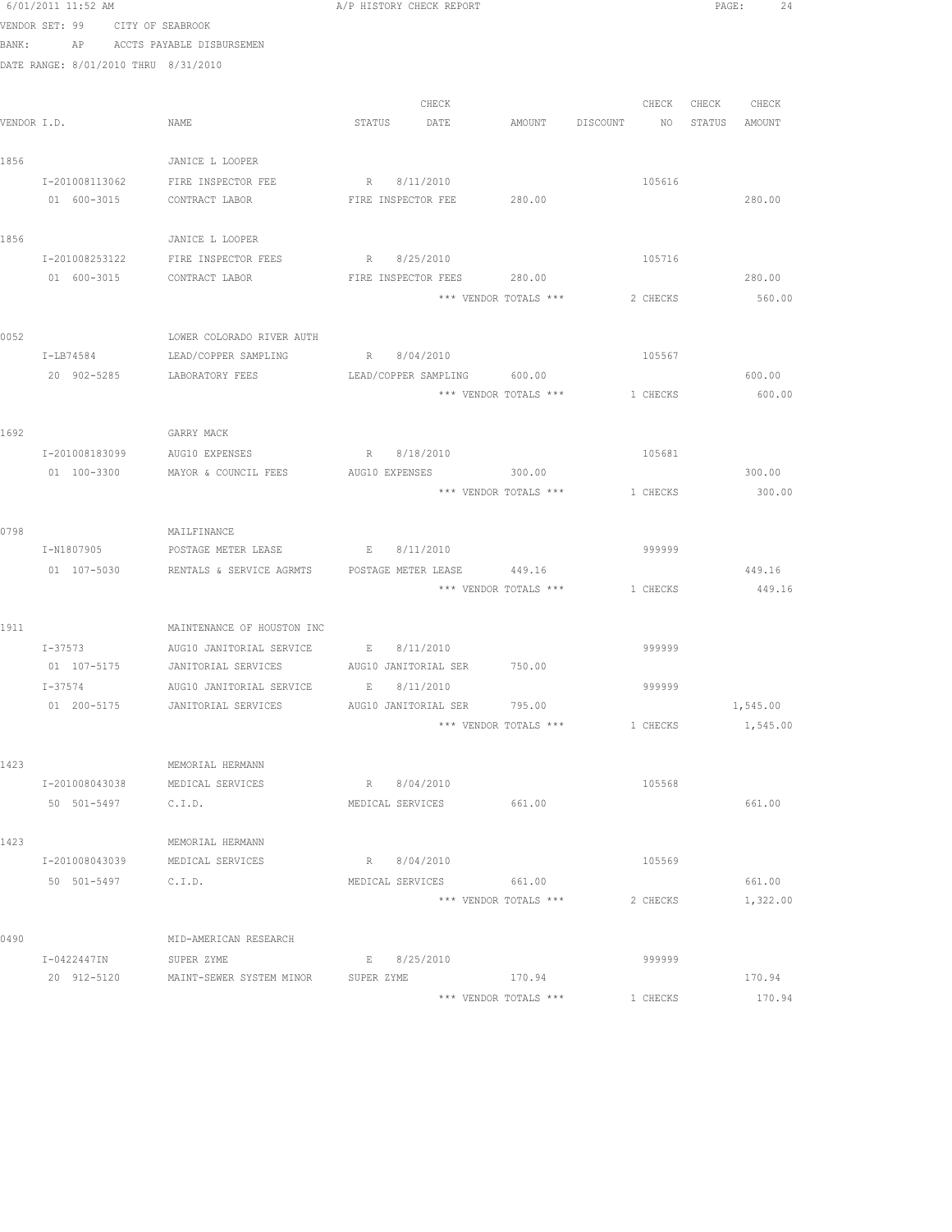|      | 6/01/2011 11:52 AM                   |                                               | A/P HISTORY CHECK REPORT    |                                |                 |               | PAGE:<br>24 |
|------|--------------------------------------|-----------------------------------------------|-----------------------------|--------------------------------|-----------------|---------------|-------------|
|      | VENDOR SET: 99<br>CITY OF SEABROOK   |                                               |                             |                                |                 |               |             |
|      | BANK:                                | AP ACCTS PAYABLE DISBURSEMEN                  |                             |                                |                 |               |             |
|      | DATE RANGE: 8/01/2010 THRU 8/31/2010 |                                               |                             |                                |                 |               |             |
|      |                                      |                                               |                             |                                |                 |               |             |
|      |                                      |                                               | CHECK                       |                                | CHECK           | CHECK CHECK   |             |
|      | VENDOR I.D.                          | NAME                                          | STATUS DATE                 | AMOUNT DISCOUNT                | NO <sub>1</sub> | STATUS AMOUNT |             |
|      |                                      |                                               |                             |                                |                 |               |             |
| 1856 |                                      | JANICE L LOOPER                               |                             |                                |                 |               |             |
|      |                                      | I-201008113062 FIRE INSPECTOR FEE             | R 8/11/2010                 |                                | 105616          |               |             |
|      | 01 600-3015                          | CONTRACT LABOR                                | FIRE INSPECTOR FEE 280.00   |                                |                 |               | 280.00      |
| 1856 |                                      | JANICE L LOOPER                               |                             |                                |                 |               |             |
|      | I-201008253122                       | FIRE INSPECTOR FEES                           | R 8/25/2010                 |                                | 105716          |               |             |
|      | 01 600-3015                          | CONTRACT LABOR                                | FIRE INSPECTOR FEES         | 280.00                         |                 |               | 280.00      |
|      |                                      |                                               |                             | *** VENDOR TOTALS ***          | 2 CHECKS        |               | 560.00      |
| 0052 |                                      | LOWER COLORADO RIVER AUTH                     |                             |                                |                 |               |             |
|      | I-LB74584                            | LEAD/COPPER SAMPLING                          | R 8/04/2010                 |                                | 105567          |               |             |
|      |                                      | 20 902-5285 LABORATORY FEES                   | LEAD/COPPER SAMPLING 600.00 |                                |                 |               | 600.00      |
|      |                                      |                                               |                             | *** VENDOR TOTALS *** 1 CHECKS |                 |               | 600.00      |
|      |                                      |                                               |                             |                                |                 |               |             |
| 1692 |                                      | GARRY MACK                                    |                             |                                |                 |               |             |
|      | I-201008183099                       | AUG10 EXPENSES                                | R 8/18/2010                 |                                | 105681          |               |             |
|      | 01 100-3300                          | MAYOR & COUNCIL FEES                          | AUG10 EXPENSES              | 300.00                         |                 |               | 300.00      |
|      |                                      |                                               |                             | *** VENDOR TOTALS ***          | 1 CHECKS        |               | 300.00      |
| 0798 |                                      | MAILFINANCE                                   |                             |                                |                 |               |             |
|      | I-N1807905                           | POSTAGE METER LEASE                           | E 8/11/2010                 |                                | 999999          |               |             |
|      | 01 107-5030                          | RENTALS & SERVICE AGRMTS  POSTAGE METER LEASE |                             | 449.16                         |                 |               | 449.16      |
|      |                                      |                                               |                             | *** VENDOR TOTALS *** 1 CHECKS |                 |               | 449.16      |
| 1911 |                                      | MAINTENANCE OF HOUSTON INC                    |                             |                                |                 |               |             |
|      |                                      | I-37573 AUG10 JANITORIAL SERVICE              | E 8/11/2010                 |                                | 999999          |               |             |
|      |                                      | 01 107-5175 JANITORIAL SERVICES               | AUG10 JANITORIAL SER 750.00 |                                |                 |               |             |
|      | $I - 37574$                          | AUG10 JANITORIAL SERVICE                      | E 8/11/2010                 |                                | 999999          |               |             |
|      | 01 200-5175                          | JANITORIAL SERVICES                           | AUG10 JANITORIAL SER        | 795.00                         |                 |               | 1,545.00    |
|      |                                      |                                               |                             | *** VENDOR TOTALS ***          | 1 CHECKS        |               | 1,545.00    |
|      |                                      |                                               |                             |                                |                 |               |             |
| 1423 | I-201008043038                       | MEMORIAL HERMANN<br>MEDICAL SERVICES          | R 8/04/2010                 |                                | 105568          |               |             |
|      | 50 501-5497                          | C.I.D.                                        | MEDICAL SERVICES            | 661.00                         |                 |               | 661.00      |
|      |                                      |                                               |                             |                                |                 |               |             |
| 1423 |                                      | MEMORIAL HERMANN                              |                             |                                |                 |               |             |
|      | I-201008043039                       | MEDICAL SERVICES                              | R 8/04/2010                 |                                | 105569          |               |             |
|      | 50 501-5497                          | C.I.D.                                        | MEDICAL SERVICES            | 661.00                         |                 |               | 661.00      |
|      |                                      |                                               |                             | *** VENDOR TOTALS ***          | 2 CHECKS        |               | 1,322.00    |
| 0490 |                                      | MID-AMERICAN RESEARCH                         |                             |                                |                 |               |             |
|      | I-0422447IN                          | SUPER ZYME                                    | 8/25/2010<br>Е              |                                | 999999          |               |             |
|      | 20 912-5120                          | MAINT-SEWER SYSTEM MINOR                      | SUPER ZYME                  | 170.94                         |                 |               | 170.94      |
|      |                                      |                                               |                             | *** VENDOR TOTALS ***          | 1 CHECKS        |               | 170.94      |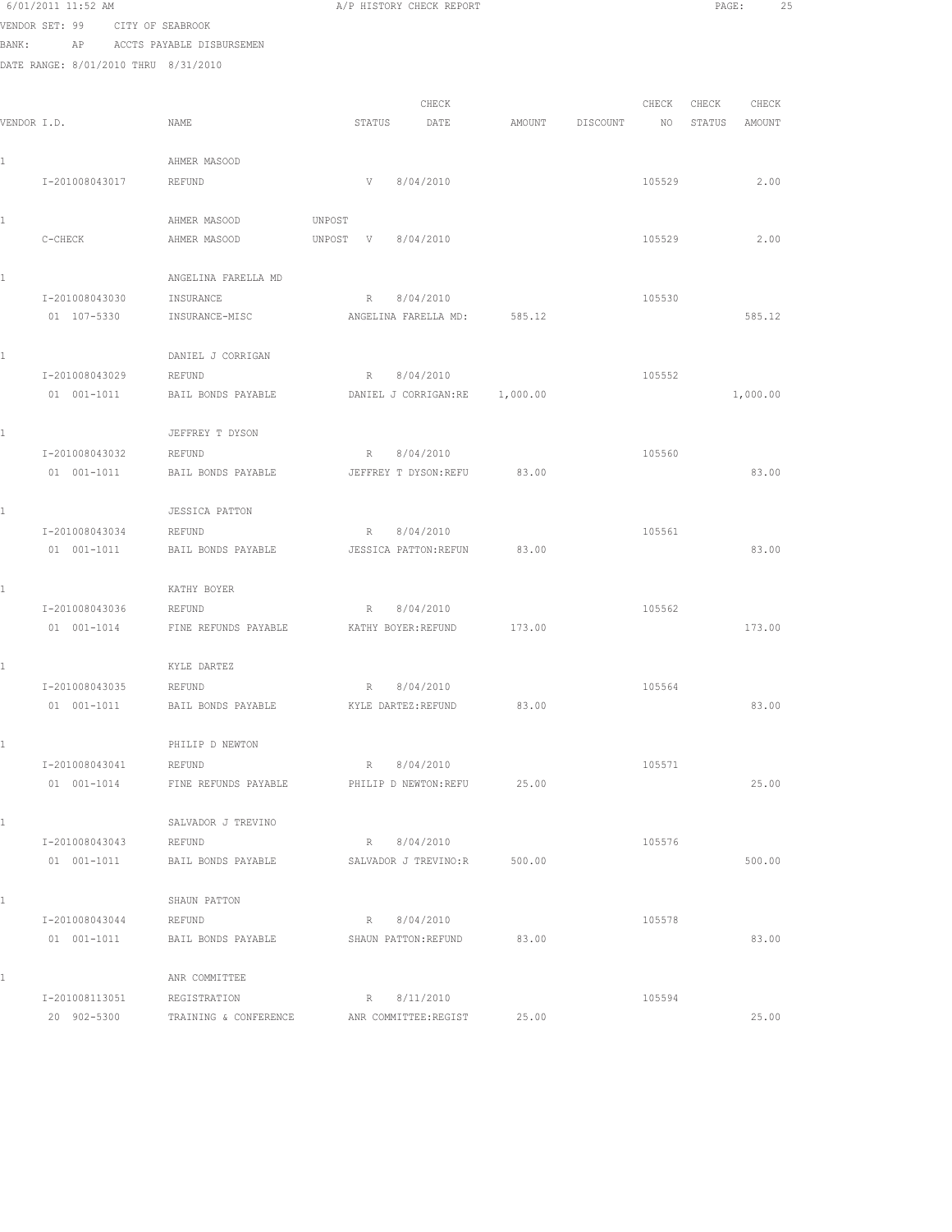|       | 6/01/2011 11:52 AM                   |                                       | A/P HISTORY CHECK REPORT             |          |          |        | PAGE:  |          | 25 |
|-------|--------------------------------------|---------------------------------------|--------------------------------------|----------|----------|--------|--------|----------|----|
|       | VENDOR SET: 99                       | CITY OF SEABROOK                      |                                      |          |          |        |        |          |    |
| BANK: | AP                                   | ACCTS PAYABLE DISBURSEMEN             |                                      |          |          |        |        |          |    |
|       | DATE RANGE: 8/01/2010 THRU 8/31/2010 |                                       |                                      |          |          |        |        |          |    |
|       |                                      |                                       |                                      |          |          |        |        |          |    |
|       |                                      |                                       | CHECK                                |          |          | CHECK  | CHECK  | CHECK    |    |
|       | VENDOR I.D.                          | NAME                                  | STATUS<br>DATE                       | AMOUNT   | DISCOUNT | NO     | STATUS | AMOUNT   |    |
|       |                                      |                                       |                                      |          |          |        |        |          |    |
|       |                                      | AHMER MASOOD                          |                                      |          |          |        |        |          |    |
|       | I-201008043017                       | REFUND                                | V<br>8/04/2010                       |          |          | 105529 |        | 2.00     |    |
|       |                                      |                                       |                                      |          |          |        |        |          |    |
|       |                                      | AHMER MASOOD                          | UNPOST                               |          |          |        |        |          |    |
|       | C-CHECK                              | AHMER MASOOD                          | 8/04/2010<br>UNPOST<br>V             |          |          | 105529 |        | 2.00     |    |
|       |                                      |                                       |                                      |          |          |        |        |          |    |
|       |                                      | ANGELINA FARELLA MD                   |                                      |          |          |        |        |          |    |
|       | I-201008043030                       | INSURANCE                             | 8/04/2010<br>R                       |          |          | 105530 |        |          |    |
|       | 01 107-5330                          | INSURANCE-MISC                        | ANGELINA FARELLA MD:                 | 585.12   |          |        |        | 585.12   |    |
|       |                                      |                                       |                                      |          |          |        |        |          |    |
|       |                                      | DANIEL J CORRIGAN                     |                                      |          |          |        |        |          |    |
|       | I-201008043029                       | REFUND                                | 8/04/2010<br>R                       |          |          | 105552 |        |          |    |
|       | 01 001-1011                          | BAIL BONDS PAYABLE                    | DANIEL J CORRIGAN:RE                 | 1,000.00 |          |        |        | 1,000.00 |    |
|       |                                      |                                       |                                      |          |          |        |        |          |    |
|       |                                      | JEFFREY T DYSON                       |                                      |          |          |        |        |          |    |
|       | I-201008043032                       | REFUND                                | 8/04/2010<br>R                       |          |          | 105560 |        |          |    |
|       | 01 001-1011                          | BAIL BONDS PAYABLE                    | JEFFREY T DYSON: REFU                | 83.00    |          |        |        | 83.00    |    |
|       |                                      |                                       |                                      |          |          |        |        |          |    |
|       |                                      | <b>JESSICA PATTON</b>                 |                                      |          |          |        |        |          |    |
|       | I-201008043034                       | REFUND                                | R<br>8/04/2010                       |          |          | 105561 |        |          |    |
|       | 01 001-1011                          | BAIL BONDS PAYABLE                    | JESSICA PATTON: REFUN                | 83.00    |          |        |        | 83.00    |    |
|       |                                      |                                       |                                      |          |          |        |        |          |    |
|       |                                      | KATHY BOYER                           |                                      |          |          |        |        |          |    |
|       | I-201008043036                       | REFUND                                | 8/04/2010<br>R                       |          |          | 105562 |        |          |    |
|       | 01 001-1014                          | FINE REFUNDS PAYABLE                  | KATHY BOYER: REFUND                  | 173.00   |          |        |        | 173.00   |    |
|       |                                      |                                       |                                      |          |          |        |        |          |    |
|       |                                      | KYLE DARTEZ                           |                                      |          |          |        |        |          |    |
|       | I-201008043035                       | REFUND                                | 8/04/2010<br>R                       |          |          | 105564 |        |          |    |
|       | 01 001-1011                          | BAIL BONDS PAYABLE                    | KYLE DARTEZ: REFUND                  | 83.00    |          |        |        | 83.00    |    |
|       |                                      |                                       |                                      |          |          |        |        |          |    |
|       |                                      | PHILIP D NEWTON                       |                                      |          |          |        |        |          |    |
|       | I-201008043041                       | REFUND                                | R 8/04/2010                          |          |          | 105571 |        |          |    |
|       | 01 001-1014                          | FINE REFUNDS PAYABLE                  | PHILIP D NEWTON:REFU                 | 25.00    |          |        |        | 25.00    |    |
|       |                                      |                                       |                                      |          |          |        |        |          |    |
|       |                                      | SALVADOR J TREVINO                    |                                      |          |          |        |        |          |    |
|       | I-201008043043                       | REFUND                                | R 8/04/2010                          |          |          | 105576 |        |          |    |
|       | 01 001-1011                          | BAIL BONDS PAYABLE                    | SALVADOR J TREVINO:R                 | 500.00   |          |        |        | 500.00   |    |
|       |                                      |                                       |                                      |          |          |        |        |          |    |
|       |                                      | SHAUN PATTON                          |                                      |          |          |        |        |          |    |
|       | I-201008043044                       | REFUND                                | R 8/04/2010                          |          |          | 105578 |        |          |    |
|       | 01 001-1011                          | BAIL BONDS PAYABLE                    | SHAUN PATTON: REFUND                 | 83.00    |          |        |        | 83.00    |    |
|       |                                      |                                       |                                      |          |          |        |        |          |    |
|       |                                      | ANR COMMITTEE                         |                                      |          |          |        |        |          |    |
|       |                                      |                                       |                                      |          |          | 105594 |        |          |    |
|       | I-201008113051<br>20 902-5300        | REGISTRATION<br>TRAINING & CONFERENCE | R 8/11/2010<br>ANR COMMITTEE: REGIST | 25.00    |          |        |        | 25.00    |    |
|       |                                      |                                       |                                      |          |          |        |        |          |    |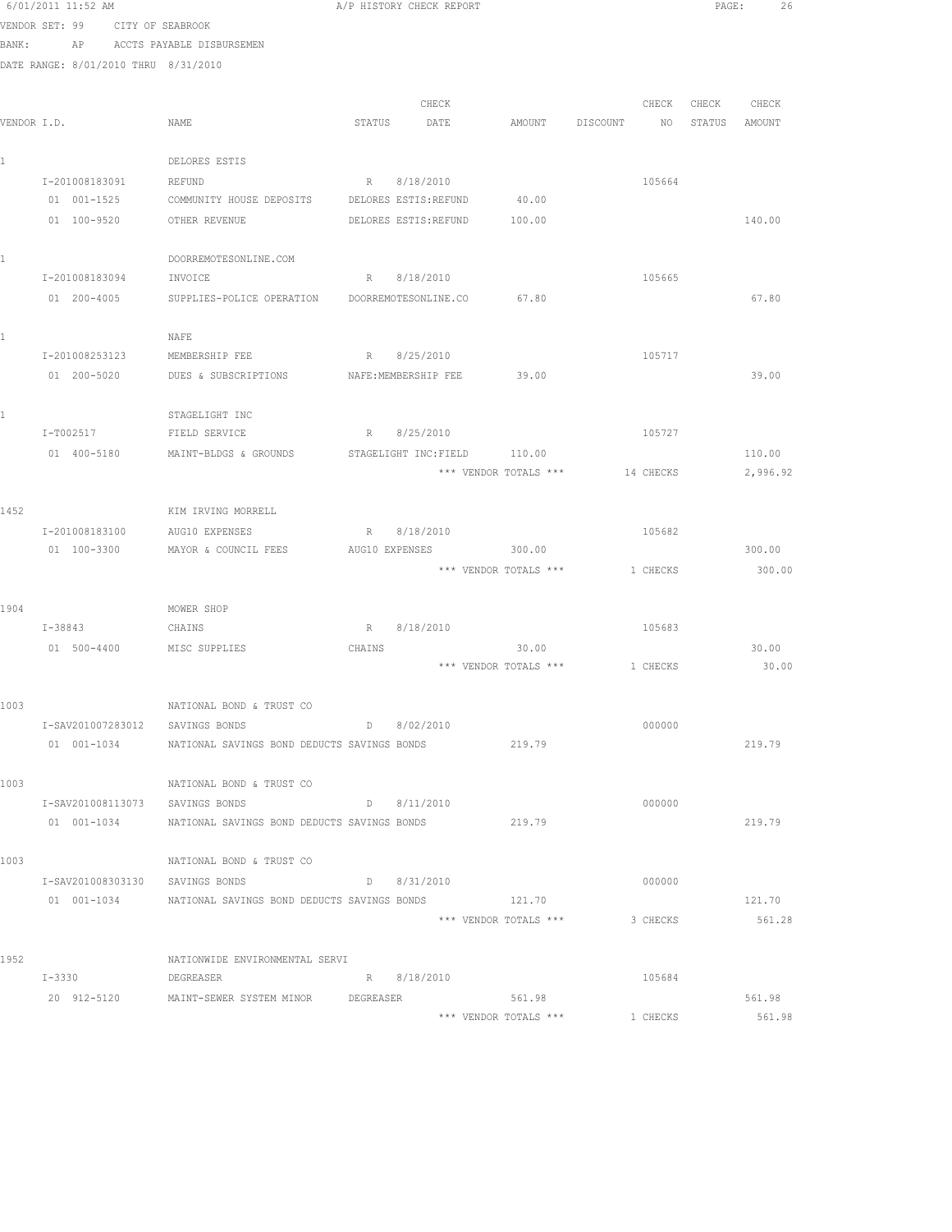|             | 6/01/2011 11:52 AM                   |                                                         |        | A/P HISTORY CHECK REPORT |                                |          |           | PAGE:         | 26       |  |
|-------------|--------------------------------------|---------------------------------------------------------|--------|--------------------------|--------------------------------|----------|-----------|---------------|----------|--|
|             | VENDOR SET: 99<br>CITY OF SEABROOK   |                                                         |        |                          |                                |          |           |               |          |  |
| BANK:       | AP                                   | ACCTS PAYABLE DISBURSEMEN                               |        |                          |                                |          |           |               |          |  |
|             | DATE RANGE: 8/01/2010 THRU 8/31/2010 |                                                         |        |                          |                                |          |           |               |          |  |
|             |                                      |                                                         |        |                          |                                |          |           |               |          |  |
|             |                                      |                                                         |        | CHECK                    |                                |          | CHECK     | CHECK         | CHECK    |  |
| VENDOR I.D. |                                      | NAME                                                    | STATUS | DATE                     | AMOUNT                         | DISCOUNT | NO        | STATUS AMOUNT |          |  |
|             |                                      |                                                         |        |                          |                                |          |           |               |          |  |
| 1           |                                      | DELORES ESTIS                                           |        |                          |                                |          |           |               |          |  |
|             | I-201008183091                       | <b>REFUND</b>                                           |        | R 8/18/2010              |                                |          | 105664    |               |          |  |
|             | 01 001-1525                          | COMMUNITY HOUSE DEPOSITS DELORES ESTIS:REFUND           |        |                          | 40.00                          |          |           |               |          |  |
|             | 01 100-9520                          | OTHER REVENUE                                           |        | DELORES ESTIS: REFUND    | 100.00                         |          |           |               | 140.00   |  |
|             |                                      |                                                         |        |                          |                                |          |           |               |          |  |
| 1           |                                      | DOORREMOTESONLINE.COM                                   |        |                          |                                |          |           |               |          |  |
|             | I-201008183094                       | INVOICE                                                 |        | R 8/18/2010              |                                |          | 105665    |               |          |  |
|             | 01 200-4005                          | SUPPLIES-POLICE OPERATION DOORREMOTESONLINE.CO 67.80    |        |                          |                                |          |           |               | 67.80    |  |
|             |                                      |                                                         |        |                          |                                |          |           |               |          |  |
| 1           |                                      | NAFE                                                    |        |                          |                                |          |           |               |          |  |
|             | I-201008253123                       | MEMBERSHIP FEE                                          |        | R 8/25/2010              |                                |          | 105717    |               |          |  |
|             | 01 200-5020                          | DUES & SUBSCRIPTIONS NAFE:MEMBERSHIP FEE                |        |                          | 39.00                          |          |           |               | 39.00    |  |
|             |                                      |                                                         |        |                          |                                |          |           |               |          |  |
| 1           |                                      | STAGELIGHT INC                                          |        |                          |                                |          |           |               |          |  |
|             | I-T002517                            | FIELD SERVICE                                           |        | R 8/25/2010              |                                |          | 105727    |               |          |  |
|             | 01 400-5180                          | MAINT-BLDGS & GROUNDS                                   |        | STAGELIGHT INC:FIELD     | 110.00                         |          |           |               | 110.00   |  |
|             |                                      |                                                         |        |                          | *** VENDOR TOTALS ***          |          | 14 CHECKS |               | 2,996.92 |  |
|             |                                      |                                                         |        |                          |                                |          |           |               |          |  |
| 1452        |                                      | KIM IRVING MORRELL                                      |        |                          |                                |          |           |               |          |  |
|             | I-201008183100                       | AUG10 EXPENSES                                          |        | R 8/18/2010              |                                |          | 105682    |               |          |  |
|             | $01 100 - 3300$                      | MAYOR & COUNCIL FEES                                    |        | AUG10 EXPENSES           | 300.00                         |          |           |               | 300.00   |  |
|             |                                      |                                                         |        |                          | *** VENDOR TOTALS ***          |          | 1 CHECKS  |               | 300.00   |  |
|             |                                      |                                                         |        |                          |                                |          |           |               |          |  |
| 1904        |                                      | MOWER SHOP                                              |        |                          |                                |          |           |               |          |  |
|             | $I - 38843$                          | CHAINS                                                  |        | R 8/18/2010              |                                |          | 105683    |               |          |  |
|             |                                      | 01 500-4400 MISC SUPPLIES                               | CHAINS |                          | 30.00                          |          |           |               | 30.00    |  |
|             |                                      |                                                         |        |                          | *** VENDOR TOTALS *** 1 CHECKS |          |           |               | 30.00    |  |
| 1003        |                                      | NATIONAL BOND & TRUST CO                                |        |                          |                                |          |           |               |          |  |
|             | I-SAV201007283012                    | SAVINGS BONDS                                           | D      | 8/02/2010                |                                |          | 000000    |               |          |  |
|             | 01 001-1034                          | NATIONAL SAVINGS BOND DEDUCTS SAVINGS BONDS             |        |                          | 219.79                         |          |           |               | 219.79   |  |
|             |                                      |                                                         |        |                          |                                |          |           |               |          |  |
| 1003        |                                      | NATIONAL BOND & TRUST CO                                |        |                          |                                |          |           |               |          |  |
|             | I-SAV201008113073                    | SAVINGS BONDS                                           |        | $D = 8/11/2010$          |                                |          | 000000    |               |          |  |
|             |                                      | 01 001-1034 NATIONAL SAVINGS BOND DEDUCTS SAVINGS BONDS |        |                          | 219.79                         |          |           |               | 219.79   |  |
|             |                                      |                                                         |        |                          |                                |          |           |               |          |  |
| 1003        |                                      | NATIONAL BOND & TRUST CO                                |        |                          |                                |          |           |               |          |  |
|             | I-SAV201008303130 SAVINGS BONDS      |                                                         |        | D 8/31/2010              |                                |          | 000000    |               |          |  |
|             |                                      | 01 001-1034 NATIONAL SAVINGS BOND DEDUCTS SAVINGS BONDS |        |                          | 121.70                         |          |           |               | 121.70   |  |
|             |                                      |                                                         |        |                          | *** VENDOR TOTALS ***          |          | 3 CHECKS  |               | 561.28   |  |
|             |                                      |                                                         |        |                          |                                |          |           |               |          |  |
| 1952        |                                      | NATIONWIDE ENVIRONMENTAL SERVI                          |        |                          |                                |          |           |               |          |  |
|             | $I - 3330$                           | DEGREASER                                               |        | R 8/18/2010              |                                |          | 105684    |               |          |  |
|             |                                      | 20 912-5120 MAINT-SEWER SYSTEM MINOR DEGREASER          |        |                          | 561.98                         |          |           |               | 561.98   |  |
|             |                                      |                                                         |        |                          | *** VENDOR TOTALS ***          |          | 1 CHECKS  |               | 561.98   |  |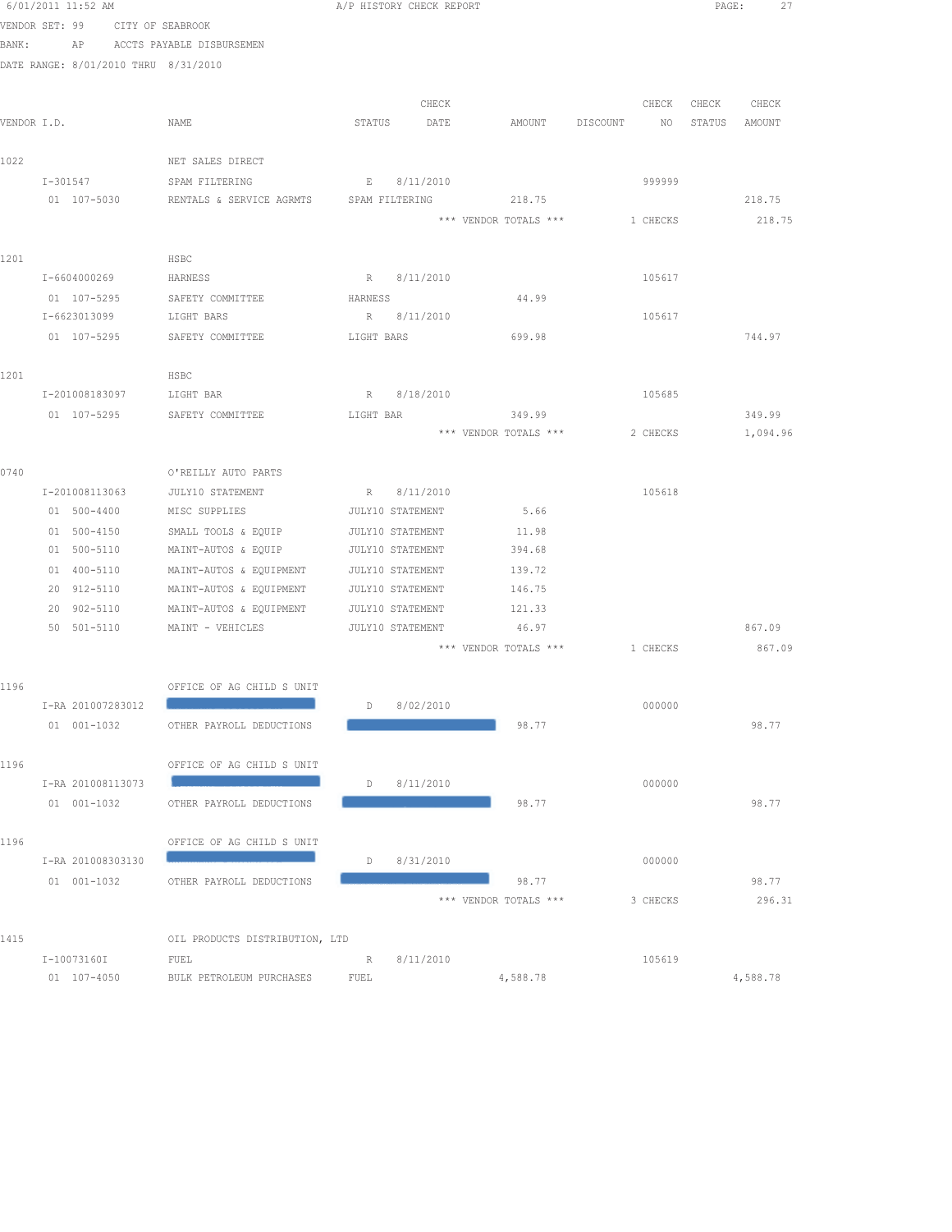|      | 6/01/2011 11:52 AM                   |                                                                     |                  | A/P HISTORY CHECK REPORT |                                       |          |                  | PAGE:<br>27 |
|------|--------------------------------------|---------------------------------------------------------------------|------------------|--------------------------|---------------------------------------|----------|------------------|-------------|
|      | VENDOR SET: 99 CITY OF SEABROOK      |                                                                     |                  |                          |                                       |          |                  |             |
|      | BANK: AP ACCTS PAYABLE DISBURSEMEN   |                                                                     |                  |                          |                                       |          |                  |             |
|      | DATE RANGE: 8/01/2010 THRU 8/31/2010 |                                                                     |                  |                          |                                       |          |                  |             |
|      |                                      |                                                                     |                  |                          |                                       |          |                  |             |
|      |                                      |                                                                     |                  | CHECK                    |                                       | CHECK    | CHECK CHECK      |             |
|      | VENDOR I.D.                          | NAME                                                                |                  | STATUS DATE              | AMOUNT DISCOUNT                       |          | NO STATUS AMOUNT |             |
|      |                                      |                                                                     |                  |                          |                                       |          |                  |             |
| 1022 |                                      | NET SALES DIRECT                                                    |                  |                          |                                       |          |                  |             |
|      | I-301547 SPAM FILTERING              |                                                                     |                  | E 8/11/2010              |                                       | 999999   |                  |             |
|      |                                      | 01 107-5030 RENTALS & SERVICE AGRMTS SPAM FILTERING 218.75          |                  |                          |                                       |          |                  | 218.75      |
|      |                                      |                                                                     |                  |                          | *** VENDOR TOTALS ***                 | 1 CHECKS |                  | 218.75      |
|      |                                      |                                                                     |                  |                          |                                       |          |                  |             |
| 1201 |                                      | HSBC                                                                |                  |                          |                                       |          |                  |             |
|      | I-6604000269                         | HARNESS                                                             |                  | R 8/11/2010              |                                       | 105617   |                  |             |
|      | 01 107-5295                          | SAFETY COMMITTEE                                                    | HARNESS          |                          | 44.99                                 |          |                  |             |
|      | I-6623013099                         | LIGHT BARS                                                          |                  | R 8/11/2010              |                                       | 105617   |                  |             |
|      |                                      | 01 107-5295 SAFETY COMMITTEE                                        | LIGHT BARS       |                          | 699.98                                |          |                  | 744.97      |
| 1201 |                                      | HSBC                                                                |                  |                          |                                       |          |                  |             |
|      |                                      | I-201008183097 LIGHT BAR                                            |                  | R 8/18/2010              |                                       | 105685   |                  |             |
|      |                                      | 01 107-5295 SAFETY COMMITTEE                                        |                  |                          | LIGHT BAR 349.99                      |          |                  | 349.99      |
|      |                                      |                                                                     |                  |                          | *** VENDOR TOTALS ***                 | 2 CHECKS |                  | 1,094.96    |
|      |                                      |                                                                     |                  |                          |                                       |          |                  |             |
| 0740 |                                      | O'REILLY AUTO PARTS                                                 |                  |                          |                                       |          |                  |             |
|      | I-201008113063                       | JULY10 STATEMENT                                                    |                  | R 8/11/2010              |                                       | 105618   |                  |             |
|      | 01 500-4400                          | MISC SUPPLIES                                                       |                  | JULY10 STATEMENT         | 5.66                                  |          |                  |             |
|      | 01 500-4150                          | SMALL TOOLS & EQUIP                                                 |                  | JULY10 STATEMENT         | 11.98                                 |          |                  |             |
|      | 01 500-5110                          | MAINT-AUTOS & EQUIP                                                 |                  | JULY10 STATEMENT         | 394.68                                |          |                  |             |
|      | 01 400-5110                          | MAINT-AUTOS & EQUIPMENT                                             |                  | JULY10 STATEMENT         | 139.72                                |          |                  |             |
|      | 20 912-5110                          | MAINT-AUTOS & EQUIPMENT                                             | JULY10 STATEMENT |                          | 146.75                                |          |                  |             |
|      | 20 902-5110                          | MAINT-AUTOS & EQUIPMENT                                             |                  | JULY10 STATEMENT         | 121.33                                |          |                  |             |
|      | 50 501-5110                          | MAINT - VEHICLES                 JULY10 STATEMENT             46.97 |                  |                          |                                       |          |                  | 867.09      |
|      |                                      |                                                                     |                  |                          | *** VENDOR TOTALS *** 1 CHECKS 867.09 |          |                  |             |
|      |                                      |                                                                     |                  |                          |                                       |          |                  |             |
| 1196 |                                      | OFFICE OF AG CHILD S UNIT                                           |                  |                          |                                       |          |                  |             |
|      | I-RA 201007283012                    |                                                                     | D                | 8/02/2010                |                                       | 000000   |                  |             |
|      | 01 001-1032                          | OTHER PAYROLL DEDUCTIONS                                            |                  |                          | 98.77                                 |          |                  | 98.77       |
|      |                                      |                                                                     |                  |                          |                                       |          |                  |             |
| 1196 |                                      | OFFICE OF AG CHILD S UNIT                                           |                  |                          |                                       |          |                  |             |
|      | I-RA 201008113073                    |                                                                     | D                | 8/11/2010                |                                       | 000000   |                  |             |
|      | 01 001-1032                          | OTHER PAYROLL DEDUCTIONS                                            |                  |                          | 98.77                                 |          |                  | 98.77       |
|      |                                      |                                                                     |                  |                          |                                       |          |                  |             |
| 1196 |                                      | OFFICE OF AG CHILD S UNIT                                           |                  |                          |                                       |          |                  |             |
|      | I-RA 201008303130                    |                                                                     | D                | 8/31/2010                |                                       | 000000   |                  |             |
|      | 01 001-1032                          | OTHER PAYROLL DEDUCTIONS                                            |                  |                          | 98.77                                 |          |                  | 98.77       |
|      |                                      |                                                                     |                  |                          | *** VENDOR TOTALS ***                 | 3 CHECKS |                  | 296.31      |
|      |                                      |                                                                     |                  |                          |                                       |          |                  |             |
| 1415 |                                      | OIL PRODUCTS DISTRIBUTION, LTD                                      |                  |                          |                                       |          |                  |             |
|      | I-10073160I<br>01 107-4050           | FUEL<br>BULK PETROLEUM PURCHASES                                    | R<br>FUEL        | 8/11/2010                | 4,588.78                              | 105619   |                  | 4,588.78    |
|      |                                      |                                                                     |                  |                          |                                       |          |                  |             |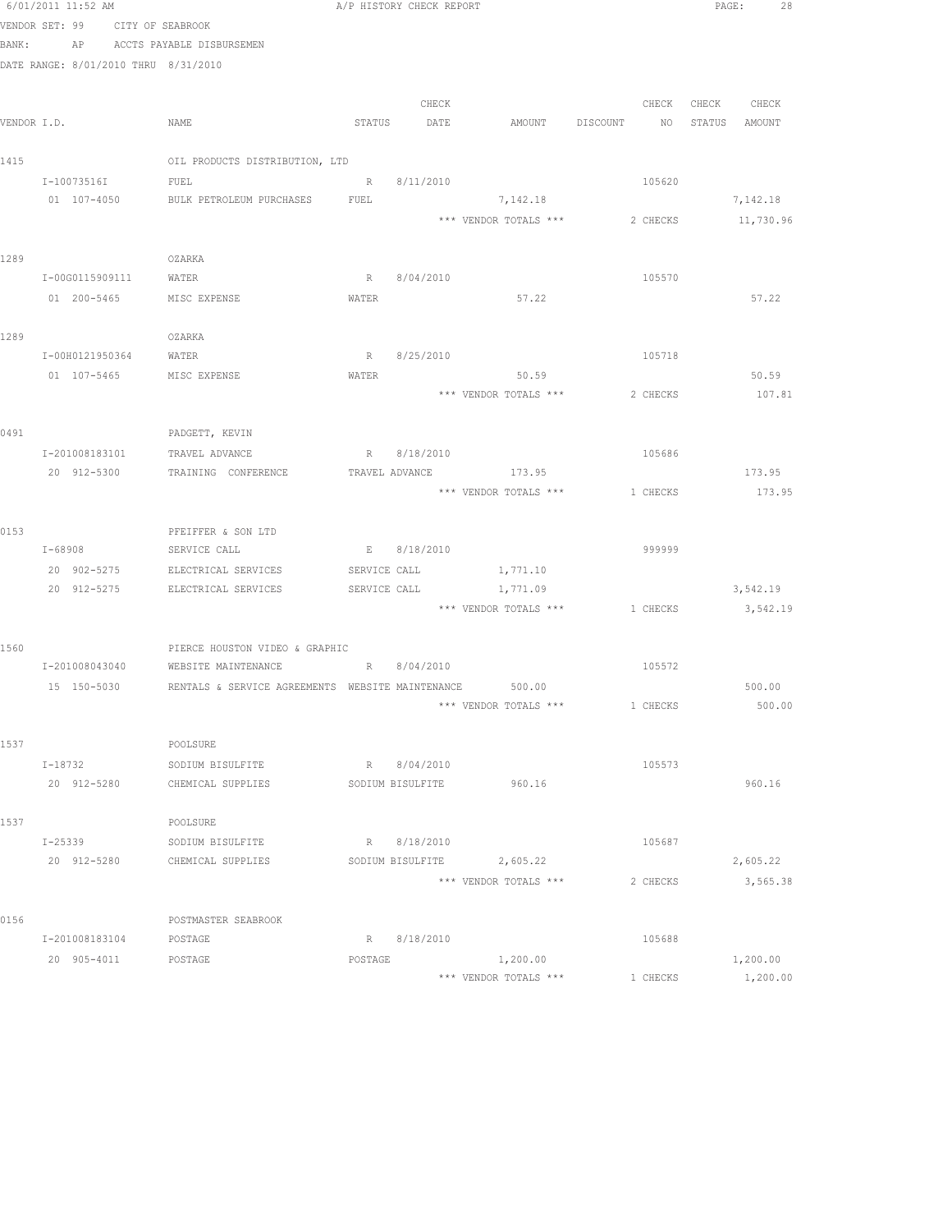|       | 6/01/2011 11:52 AM                   |                                                                     |         | A/P HISTORY CHECK REPORT |                           |                                |               | PAGE: 28  |
|-------|--------------------------------------|---------------------------------------------------------------------|---------|--------------------------|---------------------------|--------------------------------|---------------|-----------|
|       | VENDOR SET: 99 CITY OF SEABROOK      |                                                                     |         |                          |                           |                                |               |           |
| BANK: |                                      | AP ACCTS PAYABLE DISBURSEMEN                                        |         |                          |                           |                                |               |           |
|       | DATE RANGE: 8/01/2010 THRU 8/31/2010 |                                                                     |         |                          |                           |                                |               |           |
|       |                                      |                                                                     |         |                          |                           |                                |               |           |
|       |                                      |                                                                     |         | CHECK                    |                           | CHECK                          | CHECK         | CHECK     |
|       | VENDOR I.D.                          | NAME                                                                |         | STATUS DATE              | AMOUNT DISCOUNT           | NO <sub>1</sub>                | STATUS AMOUNT |           |
|       |                                      |                                                                     |         |                          |                           |                                |               |           |
| 1415  |                                      | OIL PRODUCTS DISTRIBUTION, LTD                                      |         |                          |                           |                                |               |           |
|       | I-10073516I                          | FUEL                                                                |         | R 8/11/2010              |                           | 105620                         |               |           |
|       | 01 107-4050                          | BULK PETROLEUM PURCHASES FUEL                                       |         |                          | 7,142.18                  |                                |               | 7,142.18  |
|       |                                      |                                                                     |         |                          | *** VENDOR TOTALS ***     | 2 CHECKS                       |               | 11,730.96 |
|       |                                      |                                                                     |         |                          |                           |                                |               |           |
| 1289  | I-00G0115909111 WATER                | OZARKA                                                              |         | R 8/04/2010              |                           | 105570                         |               |           |
|       | 01 200-5465 MISC EXPENSE             |                                                                     | WATER   |                          | 57.22                     |                                |               | 57.22     |
|       |                                      |                                                                     |         |                          |                           |                                |               |           |
| 1289  |                                      | OZARKA                                                              |         |                          |                           |                                |               |           |
|       | I-00H0121950364                      | WATER                                                               |         | R 8/25/2010              |                           | 105718                         |               |           |
|       | 01 107-5465                          | MISC EXPENSE                                                        | WATER   |                          | 50.59                     |                                |               | 50.59     |
|       |                                      |                                                                     |         |                          | *** VENDOR TOTALS ***     | 2 CHECKS                       |               | 107.81    |
|       |                                      |                                                                     |         |                          |                           |                                |               |           |
| 0491  |                                      | PADGETT, KEVIN                                                      |         |                          |                           |                                |               |           |
|       | I-201008183101                       | TRAVEL ADVANCE                                                      |         | R 8/18/2010              |                           | 105686                         |               |           |
|       | 20 912-5300                          | TRAINING CONFERENCE                                                 |         | TRAVEL ADVANCE           | 173.95                    |                                |               | 173.95    |
|       |                                      |                                                                     |         |                          | *** VENDOR TOTALS ***     | 1 CHECKS                       |               | 173.95    |
|       |                                      |                                                                     |         |                          |                           |                                |               |           |
| 0153  |                                      | PFEIFFER & SON LTD                                                  |         |                          |                           |                                |               |           |
|       | $I - 68908$                          | SERVICE CALL                                                        |         | E 8/18/2010              |                           | 999999                         |               |           |
|       |                                      | 20 902-5275 ELECTRICAL SERVICES                                     |         |                          | SERVICE CALL 1,771.10     |                                |               |           |
|       | 20 912-5275                          | ELECTRICAL SERVICES                                                 |         | SERVICE CALL             | 1,771.09                  |                                |               | 3,542.19  |
|       |                                      |                                                                     |         |                          |                           | *** VENDOR TOTALS *** 1 CHECKS |               | 3,542.19  |
|       |                                      |                                                                     |         |                          |                           |                                |               |           |
| 1560  |                                      | PIERCE HOUSTON VIDEO & GRAPHIC                                      |         |                          |                           |                                |               |           |
|       | I-201008043040                       | WEBSITE MAINTENANCE                                                 |         | R 8/04/2010              |                           | 105572                         |               |           |
|       |                                      | 15 150-5030 RENTALS & SERVICE AGREEMENTS WEBSITE MAINTENANCE 500.00 |         |                          |                           |                                |               | 500.00    |
|       |                                      |                                                                     |         |                          | *** VENDOR TOTALS ***     | 1 CHECKS                       |               | 500.00    |
| 1537  |                                      | POOLSURE                                                            |         |                          |                           |                                |               |           |
|       | I-18732                              |                                                                     |         | R 8/04/2010              |                           | 105573                         |               |           |
|       | 20 912-5280                          | SODIUM BISULFITE<br>CHEMICAL SUPPLIES                               |         | SODIUM BISULFITE         | 960.16                    |                                |               | 960.16    |
|       |                                      |                                                                     |         |                          |                           |                                |               |           |
| 1537  |                                      | POOLSURE                                                            |         |                          |                           |                                |               |           |
|       | I-25339                              | SODIUM BISULFITE                                                    |         | R 8/18/2010              |                           | 105687                         |               |           |
|       | 20 912-5280                          | CHEMICAL SUPPLIES                                                   |         |                          | SODIUM BISULFITE 2,605.22 |                                |               | 2,605.22  |
|       |                                      |                                                                     |         |                          | *** VENDOR TOTALS ***     | 2 CHECKS                       |               | 3,565.38  |
|       |                                      |                                                                     |         |                          |                           |                                |               |           |
| 0156  |                                      | POSTMASTER SEABROOK                                                 |         |                          |                           |                                |               |           |
|       | I-201008183104                       | POSTAGE                                                             |         | R 8/18/2010              |                           | 105688                         |               |           |
|       | 20 905-4011 POSTAGE                  |                                                                     | POSTAGE |                          | 1,200.00                  |                                |               | 1,200.00  |
|       |                                      |                                                                     |         |                          | *** VENDOR TOTALS ***     | 1 CHECKS                       |               | 1,200.00  |
|       |                                      |                                                                     |         |                          |                           |                                |               |           |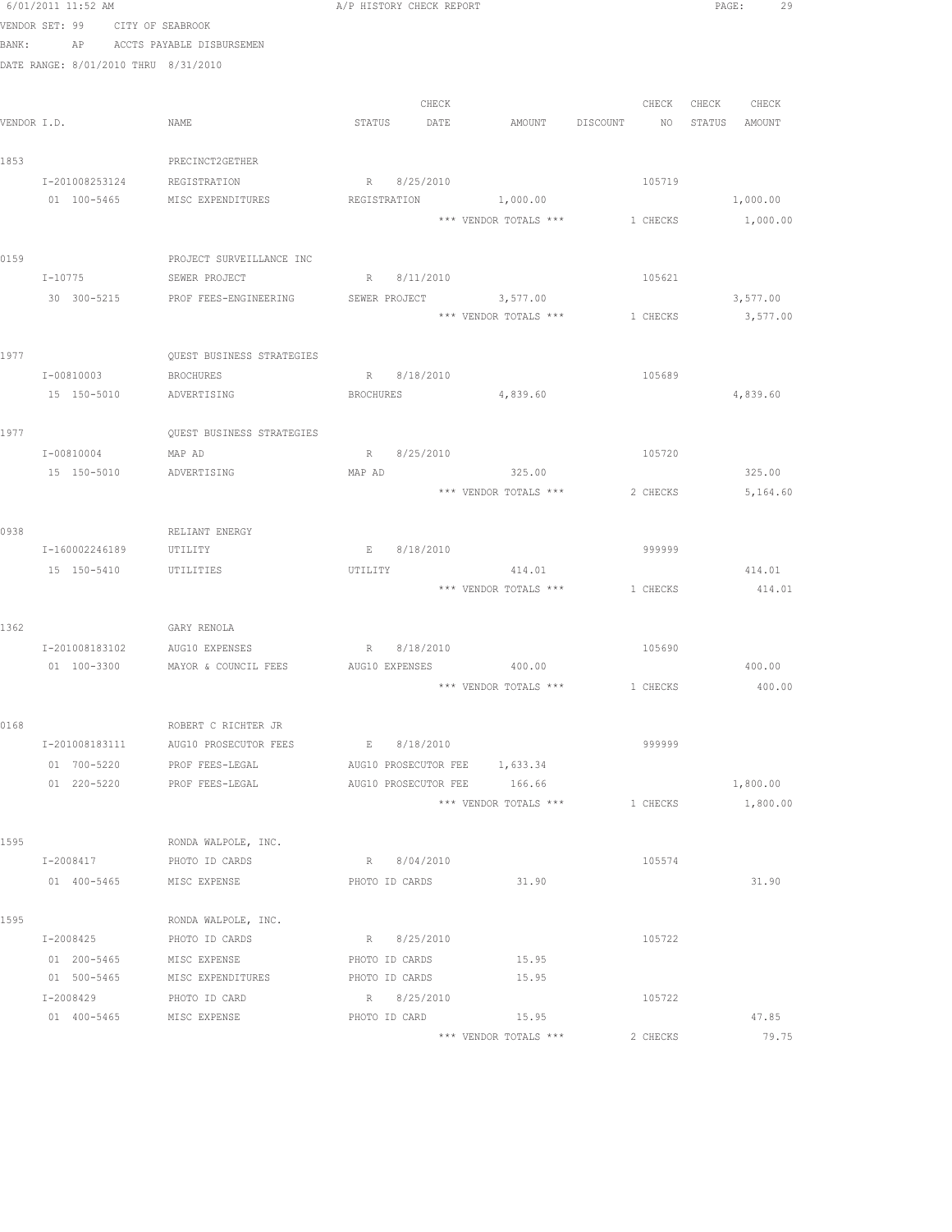|      | 6/01/2011 11:52 AM                   |                                                        | A/P HISTORY CHECK REPORT |                                         |                             | PAGE:<br>29    |
|------|--------------------------------------|--------------------------------------------------------|--------------------------|-----------------------------------------|-----------------------------|----------------|
|      | VENDOR SET: 99                       | CITY OF SEABROOK                                       |                          |                                         |                             |                |
|      | BANK:<br>AP                          | ACCTS PAYABLE DISBURSEMEN                              |                          |                                         |                             |                |
|      | DATE RANGE: 8/01/2010 THRU 8/31/2010 |                                                        |                          |                                         |                             |                |
|      |                                      |                                                        |                          |                                         |                             |                |
|      |                                      |                                                        |                          | CHECK                                   | CHECK                       | CHECK<br>CHECK |
|      | VENDOR I.D.                          | NAME                                                   | STATUS<br>DATE           | <b>AMOUNT</b>                           | DISCOUNT<br>NO <sub>1</sub> | STATUS AMOUNT  |
| 1853 |                                      | PRECINCT2GETHER                                        |                          |                                         |                             |                |
|      | I-201008253124                       | REGISTRATION                                           | R 8/25/2010              |                                         | 105719                      |                |
|      | 01 100-5465                          | MISC EXPENDITURES                                      |                          | REGISTRATION 1,000.00                   |                             | 1,000.00       |
|      |                                      |                                                        |                          | *** VENDOR TOTALS ***                   | 1 CHECKS                    | 1,000.00       |
|      |                                      |                                                        |                          |                                         |                             |                |
| 0159 |                                      | PROJECT SURVEILLANCE INC                               |                          |                                         |                             |                |
|      | $I - 10775$                          | SEWER PROJECT                                          | R 8/11/2010              |                                         | 105621                      |                |
|      |                                      | 30 300-5215 PROF FEES-ENGINEERING                      |                          | SEWER PROJECT 3,577.00                  |                             | 3,577.00       |
|      |                                      |                                                        |                          | *** VENDOR TOTALS *** 1 CHECKS          |                             | 3,577.00       |
|      |                                      |                                                        |                          |                                         |                             |                |
| 1977 |                                      | QUEST BUSINESS STRATEGIES                              |                          |                                         |                             |                |
|      | I-00810003                           | <b>BROCHURES</b>                                       | R 8/18/2010              |                                         | 105689                      |                |
|      | 15 150-5010                          | ADVERTISING                                            | BROCHURES                | 4,839.60                                |                             | 4,839.60       |
|      |                                      |                                                        |                          |                                         |                             |                |
| 1977 |                                      | QUEST BUSINESS STRATEGIES                              |                          |                                         |                             |                |
|      | I-00810004                           | MAP AD                                                 | R 8/25/2010              |                                         | 105720                      |                |
|      | 15 150-5010                          | ADVERTISING                                            | MAP AD                   | 325.00<br>*** VENDOR TOTALS ***         |                             | 325.00         |
|      |                                      |                                                        |                          |                                         | 2 CHECKS                    | 5,164.60       |
| 0938 |                                      | RELIANT ENERGY                                         |                          |                                         |                             |                |
|      | I-160002246189                       | UTILITY                                                | E 8/18/2010              |                                         | 999999                      |                |
|      | 15 150-5410                          | UTILITIES                                              | UTILITY                  | 414.01                                  |                             | 414.01         |
|      |                                      |                                                        |                          | *** VENDOR TOTALS *** 1 CHECKS          |                             | 414.01         |
|      |                                      |                                                        |                          |                                         |                             |                |
| 1362 |                                      | GARY RENOLA                                            |                          |                                         |                             |                |
|      | I-201008183102 AUG10 EXPENSES        |                                                        | R 8/18/2010              |                                         | 105690                      |                |
|      |                                      | 01 100-3300 MAYOR & COUNCIL FEES AUG10 EXPENSES 400.00 |                          |                                         |                             | 400.00         |
|      |                                      |                                                        |                          | *** VENDOR TOTALS *** $1$ CHECKS 400.00 |                             |                |
|      |                                      |                                                        |                          |                                         |                             |                |
| 0168 |                                      | ROBERT C RICHTER JR                                    |                          |                                         |                             |                |
|      | I-201008183111                       | AUG10 PROSECUTOR FEES                                  | E 8/18/2010              |                                         | 999999                      |                |
|      | 01 700-5220                          | PROF FEES-LEGAL                                        |                          | AUG10 PROSECUTOR FEE 1,633.34           |                             |                |
|      | 01 220-5220                          | PROF FEES-LEGAL                                        | AUG10 PROSECUTOR FEE     | 166.66                                  |                             | 1,800.00       |
|      |                                      |                                                        |                          | *** VENDOR TOTALS ***                   | 1 CHECKS                    | 1,800.00       |
| 1595 |                                      | RONDA WALPOLE, INC.                                    |                          |                                         |                             |                |
|      | I-2008417                            | PHOTO ID CARDS                                         | R 8/04/2010              |                                         | 105574                      |                |
|      | 01 400-5465                          | MISC EXPENSE                                           | PHOTO ID CARDS           | 31.90                                   |                             | 31.90          |
|      |                                      |                                                        |                          |                                         |                             |                |
| 1595 |                                      | RONDA WALPOLE, INC.                                    |                          |                                         |                             |                |
|      | I-2008425                            | PHOTO ID CARDS                                         | R 8/25/2010              |                                         | 105722                      |                |
|      | 01 200-5465                          | MISC EXPENSE                                           | PHOTO ID CARDS           | 15.95                                   |                             |                |
|      | 01 500-5465                          | MISC EXPENDITURES                                      | PHOTO ID CARDS           | 15.95                                   |                             |                |
|      | I-2008429                            | PHOTO ID CARD                                          | R 8/25/2010              |                                         | 105722                      |                |
|      | 01  400-5465  MISC EXPENSE           |                                                        | PHOTO ID CARD            | 15.95                                   |                             | 47.85          |
|      |                                      |                                                        |                          | *** VENDOR TOTALS ***                   | 2 CHECKS                    | 79.75          |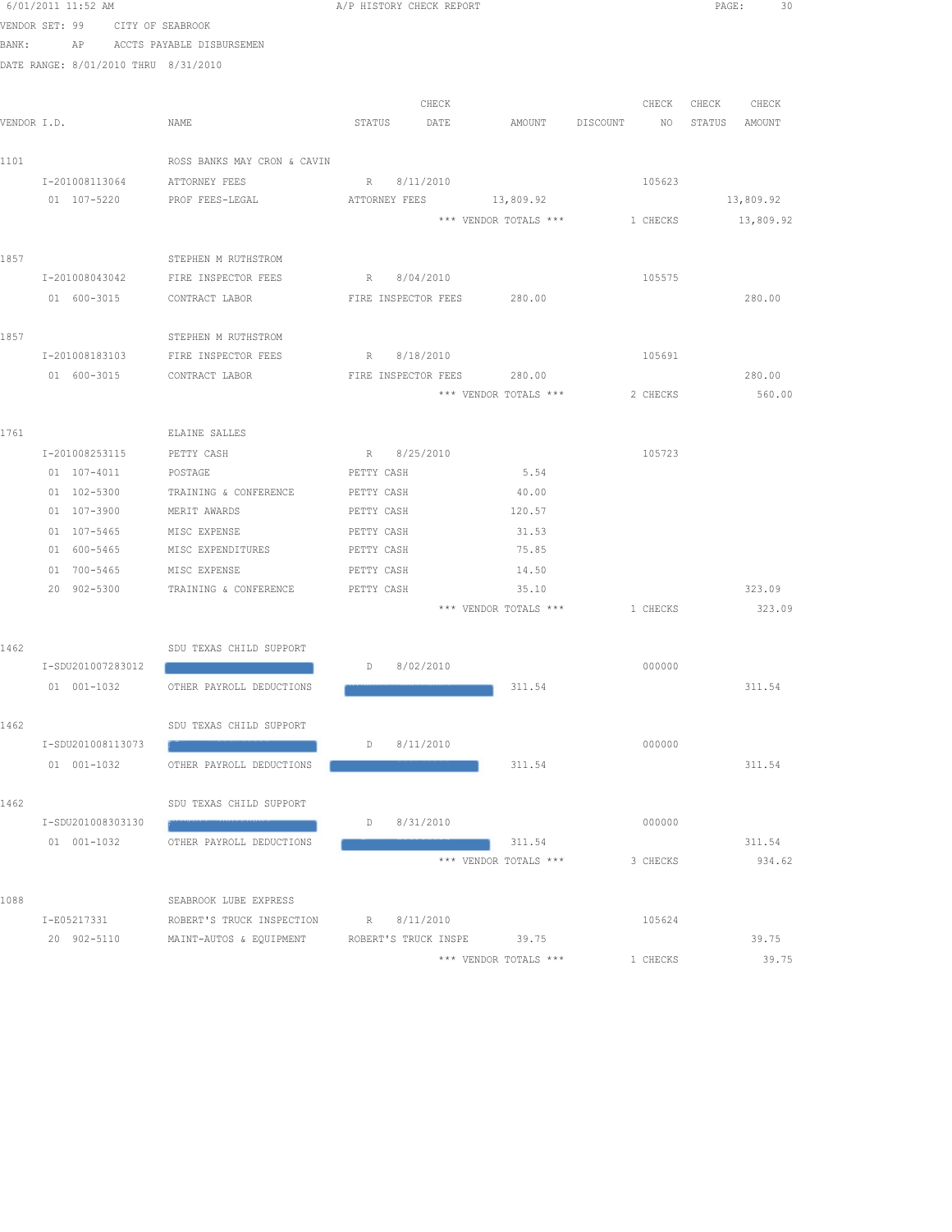|      | 6/01/2011 11:52 AM                   |                                                       |                   | A/P HISTORY CHECK REPORT   |                                |          | PAGE:<br>30   |
|------|--------------------------------------|-------------------------------------------------------|-------------------|----------------------------|--------------------------------|----------|---------------|
|      | VENDOR SET: 99 CITY OF SEABROOK      |                                                       |                   |                            |                                |          |               |
|      | BANK:                                | AP ACCTS PAYABLE DISBURSEMEN                          |                   |                            |                                |          |               |
|      | DATE RANGE: 8/01/2010 THRU 8/31/2010 |                                                       |                   |                            |                                |          |               |
|      |                                      |                                                       |                   |                            |                                |          |               |
|      |                                      |                                                       |                   | CHECK                      |                                | CHECK    | CHECK CHECK   |
|      | VENDOR I.D.                          | NAME                                                  | STATUS            | DATE                       | AMOUNT DISCOUNT                | NQ       | STATUS AMOUNT |
|      |                                      |                                                       |                   |                            |                                |          |               |
| 1101 |                                      | ROSS BANKS MAY CRON & CAVIN                           |                   |                            |                                |          |               |
|      | I-201008113064 ATTORNEY FEES         |                                                       |                   | R 8/11/2010                |                                | 105623   |               |
|      | 01 107-5220                          | PROF FEES-LEGAL                                       |                   |                            | ATTORNEY FEES 13,809.92        |          | 13,809.92     |
|      |                                      |                                                       |                   |                            | *** VENDOR TOTALS ***          | 1 CHECKS | 13,809.92     |
|      |                                      |                                                       |                   |                            |                                |          |               |
| 1857 |                                      | STEPHEN M RUTHSTROM                                   |                   |                            |                                |          |               |
|      | I-201008043042                       | FIRE INSPECTOR FEES                                   |                   | R 8/04/2010                |                                | 105575   |               |
|      | 01 600-3015                          | CONTRACT LABOR                                        |                   | FIRE INSPECTOR FEES 280.00 |                                |          | 280.00        |
|      |                                      |                                                       |                   |                            |                                |          |               |
| 1857 |                                      | STEPHEN M RUTHSTROM                                   |                   |                            |                                |          |               |
|      |                                      | I-201008183103 FIRE INSPECTOR FEES                    |                   | R 8/18/2010                |                                | 105691   |               |
|      |                                      | 01 600-3015 CONTRACT LABOR FIRE INSPECTOR FEES 280.00 |                   |                            |                                |          | 280.00        |
|      |                                      |                                                       |                   |                            | *** VENDOR TOTALS ***          | 2 CHECKS | 560.00        |
|      |                                      |                                                       |                   |                            |                                |          |               |
| 1761 |                                      | ELAINE SALLES                                         |                   |                            |                                |          |               |
|      | I-201008253115                       | PETTY CASH                                            | R 8/25/2010       |                            |                                | 105723   |               |
|      | 01 107-4011                          | POSTAGE                                               | PETTY CASH        |                            | 5.54                           |          |               |
|      | 01 102-5300                          | TRAINING & CONFERENCE                                 | PETTY CASH        |                            | 40.00                          |          |               |
|      | $01 107 - 3900$                      | MERIT AWARDS                                          | PETTY CASH        |                            | 120.57                         |          |               |
|      | 01 107-5465                          | MISC EXPENSE                                          | PETTY CASH        |                            | 31.53                          |          |               |
|      | 01 600-5465                          | MISC EXPENDITURES                                     | PETTY CASH        |                            | 75.85                          |          |               |
|      | 01 700-5465                          | MISC EXPENSE                                          | PETTY CASH        |                            | 14.50                          |          |               |
|      | 20 902-5300                          | TRAINING & CONFERENCE                                 | PETTY CASH        |                            | 35.10                          |          | 323.09        |
|      |                                      |                                                       |                   |                            | *** VENDOR TOTALS *** 1 CHECKS |          | 323.09        |
|      |                                      |                                                       |                   |                            |                                |          |               |
| 1462 |                                      | SDU TEXAS CHILD SUPPORT                               | D 8/02/2010       |                            |                                |          |               |
|      | I-SDU201007283012                    |                                                       |                   |                            |                                | 000000   |               |
|      |                                      | 01 001-1032 OTHER PAYROLL DEDUCTIONS                  |                   |                            | 311.54                         |          | 311.54        |
| 1462 |                                      |                                                       |                   |                            |                                |          |               |
|      | I-SDU201008113073                    | SDU TEXAS CHILD SUPPORT                               | D                 | 8/11/2010                  |                                | 000000   |               |
|      | 01 001-1032                          | OTHER PAYROLL DEDUCTIONS                              |                   |                            | 311.54                         |          | 311.54        |
|      |                                      |                                                       |                   |                            |                                |          |               |
| 1462 |                                      | SDU TEXAS CHILD SUPPORT                               |                   |                            |                                |          |               |
|      | I-SDU201008303130                    |                                                       | $D \qquad \qquad$ | 8/31/2010                  |                                | 000000   |               |
|      | 01 001-1032                          | OTHER PAYROLL DEDUCTIONS                              |                   |                            | 311.54                         |          | 311.54        |
|      |                                      |                                                       |                   |                            | *** VENDOR TOTALS ***          | 3 CHECKS | 934.62        |
|      |                                      |                                                       |                   |                            |                                |          |               |
| 1088 |                                      | SEABROOK LUBE EXPRESS                                 |                   |                            |                                |          |               |
|      | I-E05217331                          | ROBERT'S TRUCK INSPECTION                             | R                 | 8/11/2010                  |                                | 105624   |               |
|      | 20 902-5110                          | MAINT-AUTOS & EQUIPMENT                               |                   | ROBERT'S TRUCK INSPE       | 39.75                          |          | 39.75         |
|      |                                      |                                                       |                   |                            | *** VENDOR TOTALS ***          | 1 CHECKS | 39.75         |
|      |                                      |                                                       |                   |                            |                                |          |               |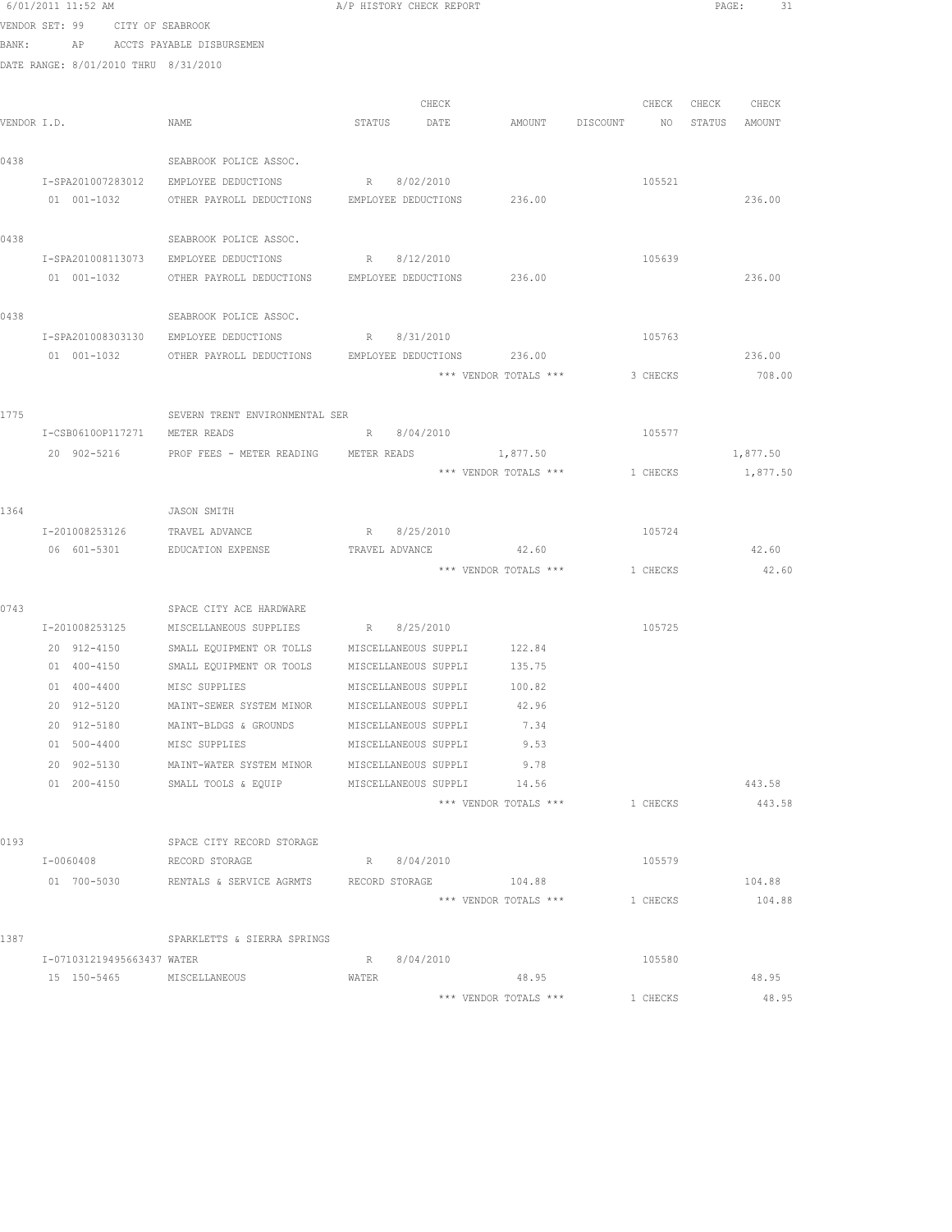| 6/01/2011 11:52 AM |                                                                          |                                                                                                                                                                                                                                                                                                                                                                                                                                                                    |                                                                                                                                            |                                                                                                                                                                                                                                                                                                                                                                                                                                                                                                                                                                                                                                                                        |                                                                                                                     | PAGE:<br>-31                                                                                                                                                                                 |
|--------------------|--------------------------------------------------------------------------|--------------------------------------------------------------------------------------------------------------------------------------------------------------------------------------------------------------------------------------------------------------------------------------------------------------------------------------------------------------------------------------------------------------------------------------------------------------------|--------------------------------------------------------------------------------------------------------------------------------------------|------------------------------------------------------------------------------------------------------------------------------------------------------------------------------------------------------------------------------------------------------------------------------------------------------------------------------------------------------------------------------------------------------------------------------------------------------------------------------------------------------------------------------------------------------------------------------------------------------------------------------------------------------------------------|---------------------------------------------------------------------------------------------------------------------|----------------------------------------------------------------------------------------------------------------------------------------------------------------------------------------------|
|                    |                                                                          |                                                                                                                                                                                                                                                                                                                                                                                                                                                                    |                                                                                                                                            |                                                                                                                                                                                                                                                                                                                                                                                                                                                                                                                                                                                                                                                                        |                                                                                                                     |                                                                                                                                                                                              |
| BANK:              |                                                                          |                                                                                                                                                                                                                                                                                                                                                                                                                                                                    |                                                                                                                                            |                                                                                                                                                                                                                                                                                                                                                                                                                                                                                                                                                                                                                                                                        |                                                                                                                     |                                                                                                                                                                                              |
|                    |                                                                          |                                                                                                                                                                                                                                                                                                                                                                                                                                                                    |                                                                                                                                            |                                                                                                                                                                                                                                                                                                                                                                                                                                                                                                                                                                                                                                                                        |                                                                                                                     |                                                                                                                                                                                              |
|                    |                                                                          |                                                                                                                                                                                                                                                                                                                                                                                                                                                                    |                                                                                                                                            |                                                                                                                                                                                                                                                                                                                                                                                                                                                                                                                                                                                                                                                                        |                                                                                                                     |                                                                                                                                                                                              |
|                    |                                                                          | CHECK                                                                                                                                                                                                                                                                                                                                                                                                                                                              |                                                                                                                                            |                                                                                                                                                                                                                                                                                                                                                                                                                                                                                                                                                                                                                                                                        |                                                                                                                     | CHECK CHECK                                                                                                                                                                                  |
| VENDOR I.D.        | NAME                                                                     | DATE                                                                                                                                                                                                                                                                                                                                                                                                                                                               |                                                                                                                                            |                                                                                                                                                                                                                                                                                                                                                                                                                                                                                                                                                                                                                                                                        |                                                                                                                     | STATUS AMOUNT                                                                                                                                                                                |
|                    |                                                                          |                                                                                                                                                                                                                                                                                                                                                                                                                                                                    |                                                                                                                                            |                                                                                                                                                                                                                                                                                                                                                                                                                                                                                                                                                                                                                                                                        |                                                                                                                     |                                                                                                                                                                                              |
|                    |                                                                          |                                                                                                                                                                                                                                                                                                                                                                                                                                                                    |                                                                                                                                            |                                                                                                                                                                                                                                                                                                                                                                                                                                                                                                                                                                                                                                                                        |                                                                                                                     |                                                                                                                                                                                              |
|                    |                                                                          |                                                                                                                                                                                                                                                                                                                                                                                                                                                                    |                                                                                                                                            |                                                                                                                                                                                                                                                                                                                                                                                                                                                                                                                                                                                                                                                                        |                                                                                                                     | 236.00                                                                                                                                                                                       |
|                    |                                                                          |                                                                                                                                                                                                                                                                                                                                                                                                                                                                    |                                                                                                                                            |                                                                                                                                                                                                                                                                                                                                                                                                                                                                                                                                                                                                                                                                        |                                                                                                                     |                                                                                                                                                                                              |
|                    | SEABROOK POLICE ASSOC.                                                   |                                                                                                                                                                                                                                                                                                                                                                                                                                                                    |                                                                                                                                            |                                                                                                                                                                                                                                                                                                                                                                                                                                                                                                                                                                                                                                                                        |                                                                                                                     |                                                                                                                                                                                              |
| I-SPA201008113073  | EMPLOYEE DEDUCTIONS                                                      | R 8/12/2010                                                                                                                                                                                                                                                                                                                                                                                                                                                        |                                                                                                                                            |                                                                                                                                                                                                                                                                                                                                                                                                                                                                                                                                                                                                                                                                        |                                                                                                                     |                                                                                                                                                                                              |
| 01 001-1032        |                                                                          |                                                                                                                                                                                                                                                                                                                                                                                                                                                                    |                                                                                                                                            |                                                                                                                                                                                                                                                                                                                                                                                                                                                                                                                                                                                                                                                                        |                                                                                                                     | 236.00                                                                                                                                                                                       |
|                    |                                                                          |                                                                                                                                                                                                                                                                                                                                                                                                                                                                    |                                                                                                                                            |                                                                                                                                                                                                                                                                                                                                                                                                                                                                                                                                                                                                                                                                        |                                                                                                                     |                                                                                                                                                                                              |
|                    | SEABROOK POLICE ASSOC.                                                   |                                                                                                                                                                                                                                                                                                                                                                                                                                                                    |                                                                                                                                            |                                                                                                                                                                                                                                                                                                                                                                                                                                                                                                                                                                                                                                                                        |                                                                                                                     |                                                                                                                                                                                              |
| I-SPA201008303130  |                                                                          |                                                                                                                                                                                                                                                                                                                                                                                                                                                                    |                                                                                                                                            |                                                                                                                                                                                                                                                                                                                                                                                                                                                                                                                                                                                                                                                                        |                                                                                                                     |                                                                                                                                                                                              |
|                    |                                                                          |                                                                                                                                                                                                                                                                                                                                                                                                                                                                    |                                                                                                                                            |                                                                                                                                                                                                                                                                                                                                                                                                                                                                                                                                                                                                                                                                        |                                                                                                                     | 236.00                                                                                                                                                                                       |
|                    |                                                                          |                                                                                                                                                                                                                                                                                                                                                                                                                                                                    |                                                                                                                                            |                                                                                                                                                                                                                                                                                                                                                                                                                                                                                                                                                                                                                                                                        |                                                                                                                     | 708.00                                                                                                                                                                                       |
|                    |                                                                          |                                                                                                                                                                                                                                                                                                                                                                                                                                                                    |                                                                                                                                            |                                                                                                                                                                                                                                                                                                                                                                                                                                                                                                                                                                                                                                                                        |                                                                                                                     |                                                                                                                                                                                              |
|                    |                                                                          |                                                                                                                                                                                                                                                                                                                                                                                                                                                                    |                                                                                                                                            |                                                                                                                                                                                                                                                                                                                                                                                                                                                                                                                                                                                                                                                                        |                                                                                                                     |                                                                                                                                                                                              |
|                    |                                                                          |                                                                                                                                                                                                                                                                                                                                                                                                                                                                    |                                                                                                                                            |                                                                                                                                                                                                                                                                                                                                                                                                                                                                                                                                                                                                                                                                        |                                                                                                                     |                                                                                                                                                                                              |
|                    |                                                                          |                                                                                                                                                                                                                                                                                                                                                                                                                                                                    |                                                                                                                                            |                                                                                                                                                                                                                                                                                                                                                                                                                                                                                                                                                                                                                                                                        |                                                                                                                     | 1,877.50                                                                                                                                                                                     |
|                    |                                                                          |                                                                                                                                                                                                                                                                                                                                                                                                                                                                    |                                                                                                                                            |                                                                                                                                                                                                                                                                                                                                                                                                                                                                                                                                                                                                                                                                        |                                                                                                                     | 1,877.50                                                                                                                                                                                     |
|                    |                                                                          |                                                                                                                                                                                                                                                                                                                                                                                                                                                                    |                                                                                                                                            |                                                                                                                                                                                                                                                                                                                                                                                                                                                                                                                                                                                                                                                                        |                                                                                                                     |                                                                                                                                                                                              |
|                    |                                                                          |                                                                                                                                                                                                                                                                                                                                                                                                                                                                    |                                                                                                                                            |                                                                                                                                                                                                                                                                                                                                                                                                                                                                                                                                                                                                                                                                        |                                                                                                                     |                                                                                                                                                                                              |
|                    |                                                                          |                                                                                                                                                                                                                                                                                                                                                                                                                                                                    |                                                                                                                                            |                                                                                                                                                                                                                                                                                                                                                                                                                                                                                                                                                                                                                                                                        |                                                                                                                     | 42.60                                                                                                                                                                                        |
|                    |                                                                          |                                                                                                                                                                                                                                                                                                                                                                                                                                                                    |                                                                                                                                            |                                                                                                                                                                                                                                                                                                                                                                                                                                                                                                                                                                                                                                                                        |                                                                                                                     | 42.60                                                                                                                                                                                        |
|                    |                                                                          |                                                                                                                                                                                                                                                                                                                                                                                                                                                                    |                                                                                                                                            |                                                                                                                                                                                                                                                                                                                                                                                                                                                                                                                                                                                                                                                                        |                                                                                                                     |                                                                                                                                                                                              |
|                    | SPACE CITY ACE HARDWARE                                                  |                                                                                                                                                                                                                                                                                                                                                                                                                                                                    |                                                                                                                                            |                                                                                                                                                                                                                                                                                                                                                                                                                                                                                                                                                                                                                                                                        |                                                                                                                     |                                                                                                                                                                                              |
|                    |                                                                          |                                                                                                                                                                                                                                                                                                                                                                                                                                                                    |                                                                                                                                            |                                                                                                                                                                                                                                                                                                                                                                                                                                                                                                                                                                                                                                                                        |                                                                                                                     |                                                                                                                                                                                              |
| 20 912-4150        | SMALL EQUIPMENT OR TOLLS                                                 |                                                                                                                                                                                                                                                                                                                                                                                                                                                                    |                                                                                                                                            |                                                                                                                                                                                                                                                                                                                                                                                                                                                                                                                                                                                                                                                                        |                                                                                                                     |                                                                                                                                                                                              |
|                    |                                                                          |                                                                                                                                                                                                                                                                                                                                                                                                                                                                    |                                                                                                                                            |                                                                                                                                                                                                                                                                                                                                                                                                                                                                                                                                                                                                                                                                        |                                                                                                                     |                                                                                                                                                                                              |
| 01 400-4400        | MISC SUPPLIES                                                            |                                                                                                                                                                                                                                                                                                                                                                                                                                                                    | 100.82                                                                                                                                     |                                                                                                                                                                                                                                                                                                                                                                                                                                                                                                                                                                                                                                                                        |                                                                                                                     |                                                                                                                                                                                              |
| 20 912-5120        | MAINT-SEWER SYSTEM MINOR                                                 |                                                                                                                                                                                                                                                                                                                                                                                                                                                                    | 42.96                                                                                                                                      |                                                                                                                                                                                                                                                                                                                                                                                                                                                                                                                                                                                                                                                                        |                                                                                                                     |                                                                                                                                                                                              |
| 20 912-5180        | MAINT-BLDGS & GROUNDS                                                    |                                                                                                                                                                                                                                                                                                                                                                                                                                                                    | 7.34                                                                                                                                       |                                                                                                                                                                                                                                                                                                                                                                                                                                                                                                                                                                                                                                                                        |                                                                                                                     |                                                                                                                                                                                              |
| 01 500-4400        | MISC SUPPLIES                                                            |                                                                                                                                                                                                                                                                                                                                                                                                                                                                    | 9.53                                                                                                                                       |                                                                                                                                                                                                                                                                                                                                                                                                                                                                                                                                                                                                                                                                        |                                                                                                                     |                                                                                                                                                                                              |
| 20 902-5130        |                                                                          |                                                                                                                                                                                                                                                                                                                                                                                                                                                                    | 9.78                                                                                                                                       |                                                                                                                                                                                                                                                                                                                                                                                                                                                                                                                                                                                                                                                                        |                                                                                                                     |                                                                                                                                                                                              |
|                    |                                                                          |                                                                                                                                                                                                                                                                                                                                                                                                                                                                    | 14.56                                                                                                                                      |                                                                                                                                                                                                                                                                                                                                                                                                                                                                                                                                                                                                                                                                        |                                                                                                                     | 443.58                                                                                                                                                                                       |
|                    |                                                                          |                                                                                                                                                                                                                                                                                                                                                                                                                                                                    |                                                                                                                                            |                                                                                                                                                                                                                                                                                                                                                                                                                                                                                                                                                                                                                                                                        |                                                                                                                     | 443.58                                                                                                                                                                                       |
|                    |                                                                          |                                                                                                                                                                                                                                                                                                                                                                                                                                                                    |                                                                                                                                            |                                                                                                                                                                                                                                                                                                                                                                                                                                                                                                                                                                                                                                                                        |                                                                                                                     |                                                                                                                                                                                              |
|                    |                                                                          |                                                                                                                                                                                                                                                                                                                                                                                                                                                                    |                                                                                                                                            |                                                                                                                                                                                                                                                                                                                                                                                                                                                                                                                                                                                                                                                                        |                                                                                                                     |                                                                                                                                                                                              |
|                    |                                                                          |                                                                                                                                                                                                                                                                                                                                                                                                                                                                    |                                                                                                                                            |                                                                                                                                                                                                                                                                                                                                                                                                                                                                                                                                                                                                                                                                        |                                                                                                                     | 104.88                                                                                                                                                                                       |
|                    |                                                                          |                                                                                                                                                                                                                                                                                                                                                                                                                                                                    |                                                                                                                                            |                                                                                                                                                                                                                                                                                                                                                                                                                                                                                                                                                                                                                                                                        |                                                                                                                     | 104.88                                                                                                                                                                                       |
|                    |                                                                          |                                                                                                                                                                                                                                                                                                                                                                                                                                                                    |                                                                                                                                            |                                                                                                                                                                                                                                                                                                                                                                                                                                                                                                                                                                                                                                                                        |                                                                                                                     |                                                                                                                                                                                              |
|                    | SPARKLETTS & SIERRA SPRINGS                                              |                                                                                                                                                                                                                                                                                                                                                                                                                                                                    |                                                                                                                                            |                                                                                                                                                                                                                                                                                                                                                                                                                                                                                                                                                                                                                                                                        |                                                                                                                     |                                                                                                                                                                                              |
|                    |                                                                          | R<br>8/04/2010                                                                                                                                                                                                                                                                                                                                                                                                                                                     |                                                                                                                                            |                                                                                                                                                                                                                                                                                                                                                                                                                                                                                                                                                                                                                                                                        |                                                                                                                     |                                                                                                                                                                                              |
|                    |                                                                          | WATER                                                                                                                                                                                                                                                                                                                                                                                                                                                              | 48.95                                                                                                                                      |                                                                                                                                                                                                                                                                                                                                                                                                                                                                                                                                                                                                                                                                        |                                                                                                                     | 48.95                                                                                                                                                                                        |
|                    |                                                                          |                                                                                                                                                                                                                                                                                                                                                                                                                                                                    |                                                                                                                                            |                                                                                                                                                                                                                                                                                                                                                                                                                                                                                                                                                                                                                                                                        |                                                                                                                     | 48.95                                                                                                                                                                                        |
|                    | 01 001-1032<br>I-201008253126<br>06 601-5301<br>01 200-4150<br>I-0060408 | VENDOR SET: 99 CITY OF SEABROOK<br>AP ACCTS PAYABLE DISBURSEMEN<br>DATE RANGE: 8/01/2010 THRU 8/31/2010<br>SEABROOK POLICE ASSOC.<br>I-SPA201007283012<br>EMPLOYEE DEDUCTIONS<br>I-CSB06100P117271 METER READS<br>JASON SMITH<br>TRAVEL ADVANCE<br>EDUCATION EXPENSE<br>I-201008253125<br>01 400-4150<br>MAINT-WATER SYSTEM MINOR<br>SMALL TOOLS & EQUIP<br>SPACE CITY RECORD STORAGE<br>RECORD STORAGE<br>I-071031219495663437 WATER<br>15 150-5465 MISCELLANEOUS | STATUS<br>R 8/02/2010<br>SEVERN TRENT ENVIRONMENTAL SER<br>R 8/04/2010<br>R 8/25/2010<br>MISCELLANEOUS SUPPLIES R 8/25/2010<br>R 8/04/2010 | A/P HISTORY CHECK REPORT<br>OTHER PAYROLL DEDUCTIONS EMPLOYEE DEDUCTIONS 236.00<br>OTHER PAYROLL DEDUCTIONS EMPLOYEE DEDUCTIONS 236.00<br>EMPLOYEE DEDUCTIONS R 8/31/2010<br>01 001-1032 OTHER PAYROLL DEDUCTIONS EMPLOYEE DEDUCTIONS 236.00<br>20 902-5216 PROF FEES - METER READING METER READS<br>1,877.50<br>TRAVEL ADVANCE<br>42.60<br>MISCELLANEOUS SUPPLI 122.84<br>SMALL EQUIPMENT OR TOOLS MISCELLANEOUS SUPPLI 135.75<br>MISCELLANEOUS SUPPLI<br>MISCELLANEOUS SUPPLI<br>MISCELLANEOUS SUPPLI<br>MISCELLANEOUS SUPPLI<br>MISCELLANEOUS SUPPLI<br>MISCELLANEOUS SUPPLI<br>*** VENDOR TOTALS ***<br>01 700-5030 RENTALS & SERVICE AGRMTS RECORD STORAGE 104.88 | AMOUNT DISCOUNT<br>*** VENDOR TOTALS ***<br>*** VENDOR TOTALS ***<br>*** VENDOR TOTALS ***<br>*** VENDOR TOTALS *** | CHECK<br>NO 11<br>105521<br>105639<br>105763<br>3 CHECKS<br>105577<br>1 CHECKS<br>105724<br>*** VENDOR TOTALS *** 1 CHECKS<br>105725<br>1 CHECKS<br>105579<br>1 CHECKS<br>105580<br>1 CHECKS |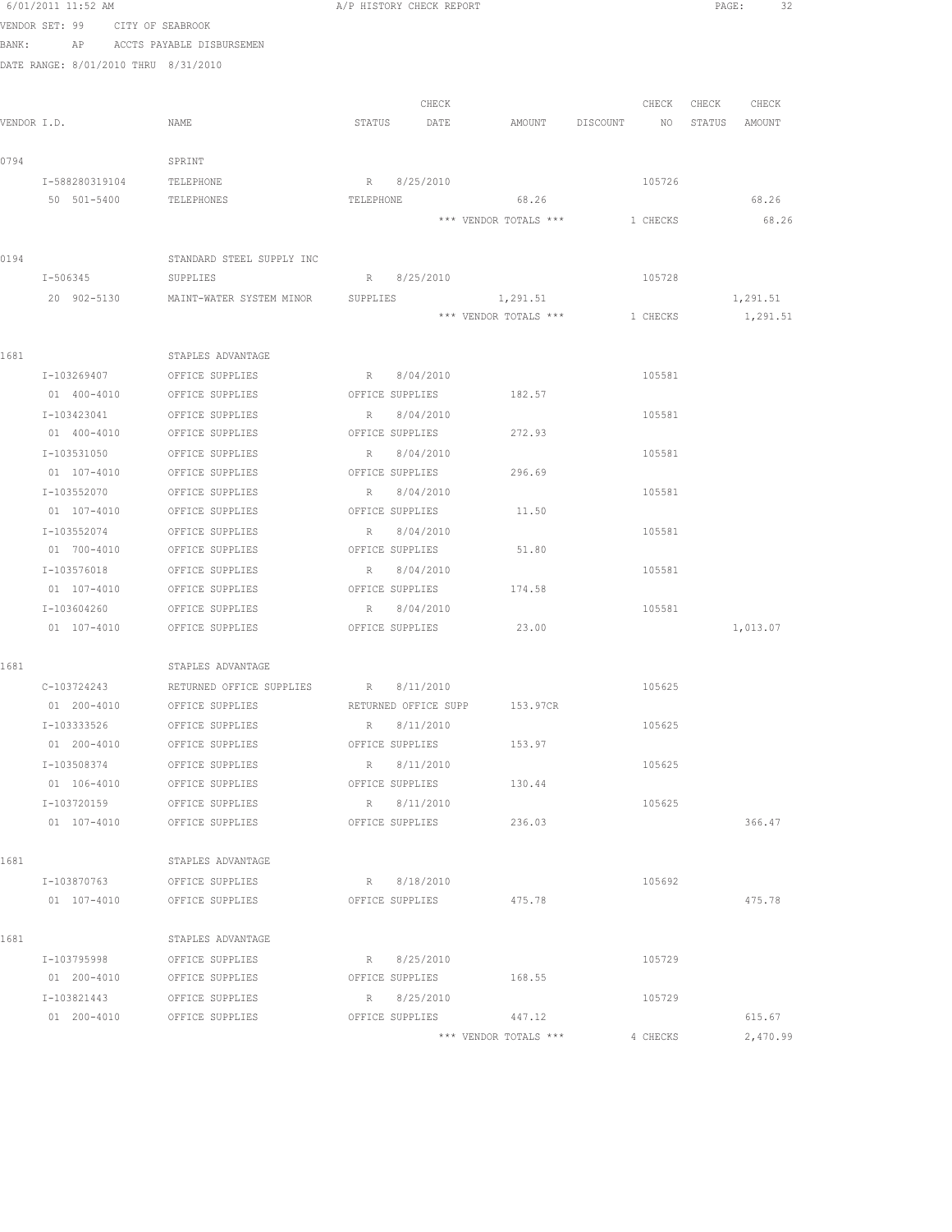|       | 6/01/2011 11:52 AM                   |                                                  | A/P HISTORY CHECK REPORT         | 32<br>$\texttt{PAGE}$ :          |
|-------|--------------------------------------|--------------------------------------------------|----------------------------------|----------------------------------|
|       | VENDOR SET: 99 CITY OF SEABROOK      |                                                  |                                  |                                  |
| BANK: |                                      | AP ACCTS PAYABLE DISBURSEMEN                     |                                  |                                  |
|       | DATE RANGE: 8/01/2010 THRU 8/31/2010 |                                                  |                                  |                                  |
|       |                                      |                                                  |                                  |                                  |
|       |                                      |                                                  | CHECK                            | CHECK<br>CHECK<br>CHECK          |
|       | VENDOR I.D.                          | NAME                                             | STATUS DATE<br>AMOUNT DISCOUNT   | NO <sub>1</sub><br>STATUS AMOUNT |
|       |                                      |                                                  |                                  |                                  |
| 0794  |                                      | SPRINT                                           |                                  |                                  |
|       | I-588280319104 TELEPHONE             |                                                  | R 8/25/2010                      | 105726                           |
|       | 50 501-5400                          | TELEPHONES                                       | 68.26<br>TELEPHONE               | 68.26                            |
|       |                                      |                                                  | *** VENDOR TOTALS ***            | 68.26<br>1 CHECKS                |
| 0194  |                                      | STANDARD STEEL SUPPLY INC                        |                                  |                                  |
|       | I-506345                             | SUPPLIES                                         | R 8/25/2010                      | 105728                           |
|       | 20 902-5130                          | MAINT-WATER SYSTEM MINOR SUPPLIES                | 1,291.51                         | 1,291.51                         |
|       |                                      |                                                  | *** VENDOR TOTALS *** 1 CHECKS   | 1,291.51                         |
|       |                                      |                                                  |                                  |                                  |
| 1681  |                                      | STAPLES ADVANTAGE                                |                                  |                                  |
|       | I-103269407                          | OFFICE SUPPLIES                                  | R 8/04/2010                      | 105581                           |
|       | 01 400-4010                          | OFFICE SUPPLIES                                  | OFFICE SUPPLIES 182.57           |                                  |
|       | I-103423041                          | OFFICE SUPPLIES                                  | R 8/04/2010                      | 105581                           |
|       | 01 400-4010                          | OFFICE SUPPLIES                                  | OFFICE SUPPLIES<br>272.93        |                                  |
|       | I-103531050                          | OFFICE SUPPLIES                                  | R 8/04/2010                      | 105581                           |
|       | 01 107-4010                          | OFFICE SUPPLIES                                  | OFFICE SUPPLIES<br>296.69        |                                  |
|       | I-103552070                          | OFFICE SUPPLIES                                  | R 8/04/2010                      | 105581                           |
|       | 01 107-4010                          | OFFICE SUPPLIES                                  | OFFICE SUPPLIES<br>11.50         |                                  |
|       | I-103552074                          | OFFICE SUPPLIES                                  | R<br>8/04/2010                   | 105581                           |
|       | 01 700-4010                          | OFFICE SUPPLIES                                  | OFFICE SUPPLIES<br>51.80         |                                  |
|       | I-103576018                          | OFFICE SUPPLIES                                  | R<br>8/04/2010                   | 105581                           |
|       | 01 107-4010                          | OFFICE SUPPLIES                                  | OFFICE SUPPLIES<br>174.58        |                                  |
|       | I-103604260                          | OFFICE SUPPLIES                                  | 8/04/2010<br>R                   | 105581                           |
|       | $01 107 - 4010$                      | OFFICE SUPPLIES                                  | OFFICE SUPPLIES 23.00            | 1,013.07                         |
| 1681  |                                      | STAPLES ADVANTAGE                                |                                  |                                  |
|       |                                      | C-103724243 RETURNED OFFICE SUPPLIES R 8/11/2010 |                                  | 105625                           |
|       | 01 200-4010                          | OFFICE SUPPLIES                                  | RETURNED OFFICE SUPP<br>153.97CR |                                  |
|       | I-103333526                          | OFFICE SUPPLIES                                  | R 8/11/2010                      | 105625                           |
|       | 01 200-4010                          | OFFICE SUPPLIES                                  | 153.97<br>OFFICE SUPPLIES        |                                  |
|       | I-103508374                          | OFFICE SUPPLIES                                  | R 8/11/2010                      | 105625                           |
|       | 01 106-4010                          | OFFICE SUPPLIES                                  | OFFICE SUPPLIES<br>130.44        |                                  |
|       | I-103720159                          | OFFICE SUPPLIES                                  | R<br>8/11/2010                   | 105625                           |
|       | 01 107-4010                          | OFFICE SUPPLIES                                  | OFFICE SUPPLIES<br>236.03        | 366.47                           |
|       |                                      |                                                  |                                  |                                  |
| 1681  |                                      | STAPLES ADVANTAGE                                |                                  |                                  |
|       | I-103870763                          | OFFICE SUPPLIES                                  | R 8/18/2010                      | 105692                           |
|       | 01 107-4010                          | OFFICE SUPPLIES                                  | 475.78<br>OFFICE SUPPLIES        | 475.78                           |
|       |                                      |                                                  |                                  |                                  |
| 1681  |                                      | STAPLES ADVANTAGE                                |                                  |                                  |
|       | I-103795998                          | OFFICE SUPPLIES                                  | R 8/25/2010                      | 105729                           |
|       | 01 200-4010                          | OFFICE SUPPLIES                                  | OFFICE SUPPLIES<br>168.55        |                                  |
|       | I-103821443                          | OFFICE SUPPLIES                                  | R 8/25/2010                      | 105729                           |
|       | 01 200-4010                          | OFFICE SUPPLIES                                  | OFFICE SUPPLIES<br>447.12        | 615.67                           |
|       |                                      |                                                  | *** VENDOR TOTALS ***            | 4 CHECKS<br>2,470.99             |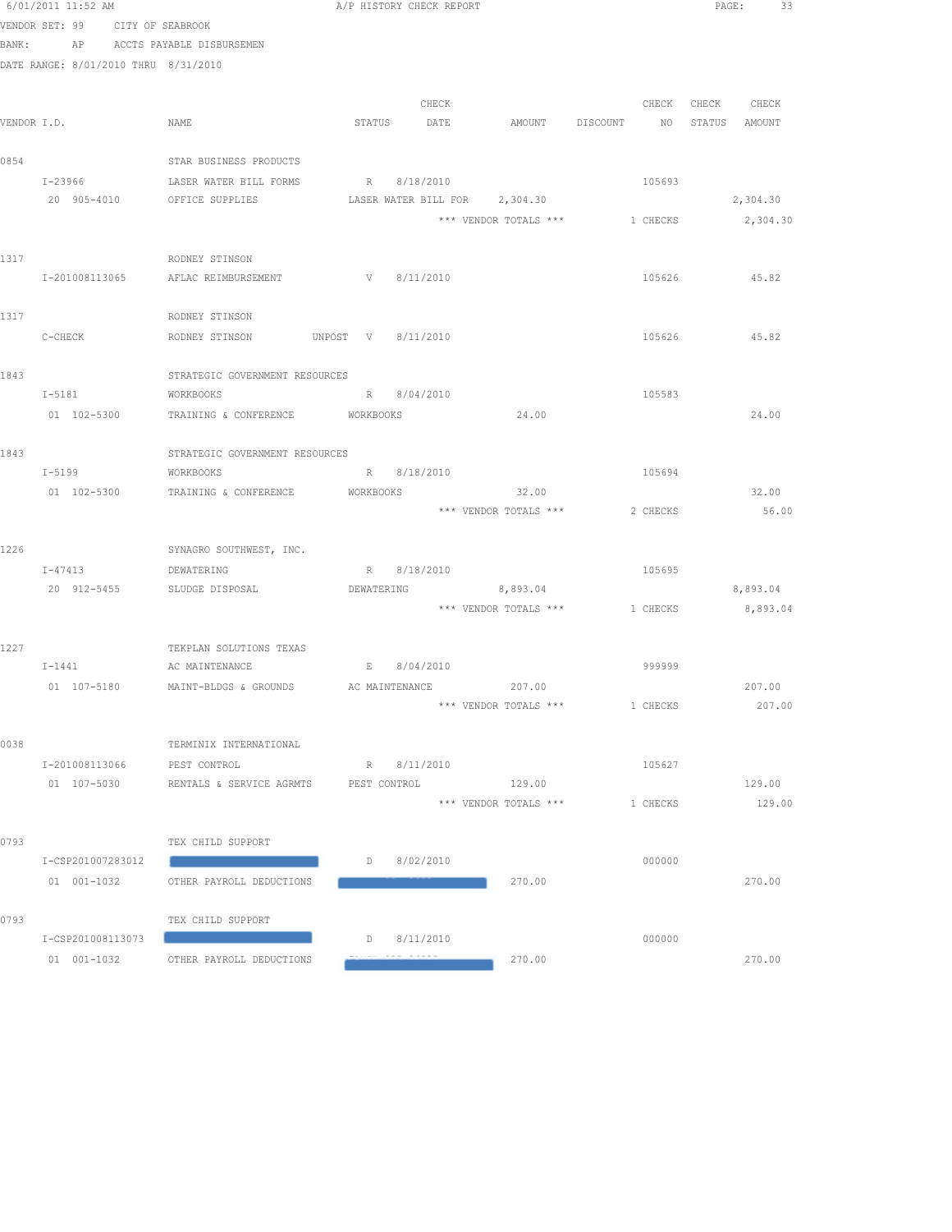|             | 6/01/2011 11:52 AM                   |                                             | A/P HISTORY CHECK REPORT          |             |                                         |          | PAGE:<br>33   |
|-------------|--------------------------------------|---------------------------------------------|-----------------------------------|-------------|-----------------------------------------|----------|---------------|
|             | VENDOR SET: 99 CITY OF SEABROOK      |                                             |                                   |             |                                         |          |               |
| BANK:       |                                      | AP ACCTS PAYABLE DISBURSEMEN                |                                   |             |                                         |          |               |
|             | DATE RANGE: 8/01/2010 THRU 8/31/2010 |                                             |                                   |             |                                         |          |               |
|             |                                      |                                             |                                   |             |                                         |          |               |
|             |                                      |                                             |                                   | CHECK       |                                         | CHECK    | CHECK CHECK   |
| VENDOR I.D. |                                      | NAME                                        | STATUS                            | DATE        | AMOUNT DISCOUNT                         | $N$ O    | STATUS AMOUNT |
|             |                                      |                                             |                                   |             |                                         |          |               |
| 0854        |                                      | STAR BUSINESS PRODUCTS                      |                                   |             |                                         |          |               |
|             | I-23966                              | LASER WATER BILL FORMS                      | R 8/18/2010                       |             |                                         | 105693   |               |
|             | 20 905-4010                          | OFFICE SUPPLIES                             |                                   |             | LASER WATER BILL FOR 2,304.30           |          | 2,304.30      |
|             |                                      |                                             |                                   |             | *** VENDOR TOTALS ***                   | 1 CHECKS | 2,304.30      |
| 1317        |                                      | RODNEY STINSON                              |                                   |             |                                         |          |               |
|             | I-201008113065                       | AFLAC REIMBURSEMENT                         | V 8/11/2010                       |             |                                         | 105626   | 45.82         |
|             |                                      |                                             |                                   |             |                                         |          |               |
| 1317        |                                      | RODNEY STINSON                              |                                   |             |                                         |          |               |
|             | $C-CHECK$                            | RODNEY STINSON UNPOST V 8/11/2010           |                                   |             |                                         | 105626   | 45.82         |
|             |                                      |                                             |                                   |             |                                         |          |               |
| 1843        |                                      | STRATEGIC GOVERNMENT RESOURCES              |                                   |             |                                         |          |               |
|             | I-5181 WORKBOOKS                     |                                             | R 8/04/2010                       |             |                                         | 105583   |               |
|             | 01 102-5300                          | TRAINING & CONFERENCE WORKBOOKS             |                                   |             | 24.00                                   |          | 24.00         |
|             |                                      |                                             |                                   |             |                                         |          |               |
| 1843        |                                      | STRATEGIC GOVERNMENT RESOURCES              |                                   |             |                                         |          |               |
|             | $I-5199$                             | WORKBOOKS                                   |                                   | R 8/18/2010 |                                         | 105694   |               |
|             | $01 102 - 5300$                      | TRAINING & CONFERENCE WORKBOOKS             |                                   |             | 32.00                                   |          | 32.00         |
|             |                                      |                                             |                                   |             | *** VENDOR TOTALS ***                   | 2 CHECKS | 56.00         |
|             |                                      |                                             |                                   |             |                                         |          |               |
| 1226        |                                      | SYNAGRO SOUTHWEST, INC.                     |                                   |             |                                         |          |               |
|             | $I - 47413$                          | DEWATERING                                  | R 8/18/2010                       |             |                                         | 105695   |               |
|             |                                      | 20 912-5455 SLUDGE DISPOSAL                 | DEWATERING                        |             | 8,893.04                                |          | 8,893.04      |
|             |                                      |                                             |                                   |             | *** VENDOR TOTALS *** 1 CHECKS 8,893.04 |          |               |
| 1227        |                                      | TEKPLAN SOLUTIONS TEXAS                     |                                   |             |                                         |          |               |
|             | $I - 1441$                           | AC MAINTENANCE                              | E 8/04/2010                       |             |                                         | 999999   |               |
|             | 01 107-5180                          | MAINT-BLDGS & GROUNDS AC MAINTENANCE 207.00 |                                   |             |                                         |          | 207.00        |
|             |                                      |                                             |                                   |             | *** VENDOR TOTALS ***                   | 1 CHECKS | 207.00        |
|             |                                      |                                             |                                   |             |                                         |          |               |
| 0038        |                                      | TERMINIX INTERNATIONAL                      |                                   |             |                                         |          |               |
|             | I-201008113066                       | PEST CONTROL                                | R 8/11/2010                       |             |                                         | 105627   |               |
|             | 01 107-5030                          | RENTALS & SERVICE AGRMTS                    | PEST CONTROL                      |             | 129.00                                  |          | 129.00        |
|             |                                      |                                             |                                   |             | *** VENDOR TOTALS ***                   | 1 CHECKS | 129.00        |
|             |                                      |                                             |                                   |             |                                         |          |               |
| 0793        |                                      | TEX CHILD SUPPORT                           |                                   |             |                                         |          |               |
|             | I-CSP201007283012                    |                                             | $D$ 8/02/2010                     |             |                                         | 000000   |               |
|             | 01 001-1032                          | OTHER PAYROLL DEDUCTIONS                    |                                   |             | 270.00                                  |          | 270.00        |
|             |                                      |                                             |                                   |             |                                         |          |               |
| 0793        |                                      | TEX CHILD SUPPORT                           |                                   |             |                                         |          |               |
|             | I-CSP201008113073                    |                                             | $D$ 8/11/2010<br>------ --- ----- |             |                                         | 000000   |               |
|             | 01 001-1032                          | OTHER PAYROLL DEDUCTIONS                    |                                   |             | 270.00                                  |          | 270.00        |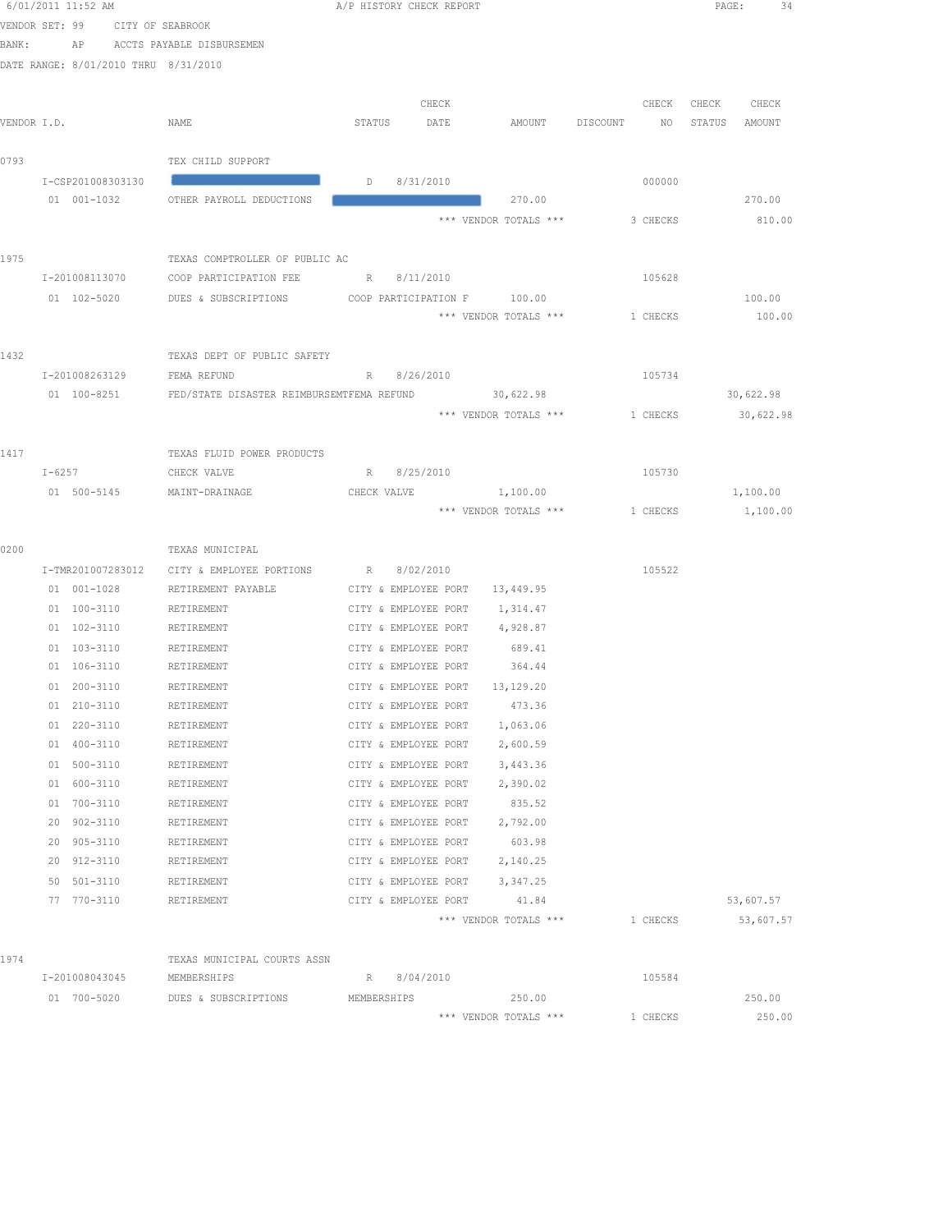6/01/2011 11:52 AM A/P HISTORY CHECK REPORT PAGE: 34 VENDOR SET: 99 CITY OF SEABROOK BANK: AP ACCTS PAYABLE DISBURSEMEN DATE RANGE: 8/01/2010 THRU 8/31/2010 CHECK CHECK CHECK CHECK VENDOR I.D. NAME STATUS DATE AMOUNT DISCOUNT NO STATUS AMOUNT 0793 TEX CHILD SUPPORT I-CSP201008303130 CAUSE #97-31/2010 D 8/31/2010 000000 000000 01 001-1032 OTHER PAYROLL DEDUCTIONS **CAUSE #970.00** 270.00 270.00 270.00 270.00 \*\*\* VENDOR TOTALS \*\*\* 3 CHECKS 810.00 1975 TEXAS COMPTROLLER OF PUBLIC AC I-201008113070 COOP PARTICIPATION FEE R 8/11/2010 105628 01 102-5020 DUES & SUBSCRIPTIONS COOP PARTICIPATION F 100.00 100.00 100.00 \*\*\* VENDOR TOTALS \*\*\* 1 CHECKS 100.00 1432 TEXAS DEPT OF PUBLIC SAFETY I-201008263129 FEMA REFUND R 8/26/2010 105734 01 100-8251 FED/STATE DISASTER REIMBURSEMTFEMA REFUND 30,622.98 30,622.98 \*\*\* VENDOR TOTALS \*\*\* 1 CHECKS 30,622.98 1417 TEXAS FLUID POWER PRODUCTS I-6257 CHECK VALVE R 8/25/2010 R 8/25/2010 105730 01 500-5145 MAINT-DRAINAGE CHECK VALVE 1,100.00 1,100.00 \*\*\* VENDOR TOTALS \*\*\* 1 CHECKS 1,100.00 0200 TEXAS MUNICIPAL I-TMR201007283012 CITY & EMPLOYEE PORTIONS R 8/02/2010 105522 01 001-1028 RETIREMENT PAYABLE CITY & EMPLOYEE PORT 13,449.95 01 100-3110 RETIREMENT CITY & EMPLOYEE PORT 1,314.47 01 102-3110 RETIREMENT CITY & EMPLOYEE PORT 4,928.87 01 103-3110 RETIREMENT CITY & EMPLOYEE PORT 689.41 01 106-3110 RETIREMENT CITY & EMPLOYEE PORT 364.44 01 200-3110 RETIREMENT CITY & EMPLOYEE PORT 13,129.20 01 210-3110 RETIREMENT CITY & EMPLOYEE PORT 473.36 01 220-3110 RETIREMENT CITY & EMPLOYEE PORT 1,063.06 01 400-3110 RETIREMENT CITY & EMPLOYEE PORT 2,600.59 01 500-3110 RETIREMENT CITY & EMPLOYEE PORT 3,443.36 01 600-3110 RETIREMENT CITY & EMPLOYEE PORT 2,390.02 01 700-3110 RETIREMENT CITY & EMPLOYEE PORT 835.52 20 902-3110 RETIREMENT CITY & EMPLOYEE PORT 2,792.00 20 905-3110 RETIREMENT CITY & EMPLOYEE PORT 603.98 20 912-3110 RETIREMENT CITY & EMPLOYEE PORT 2,140.25 50 501-3110 RETIREMENT CITY & EMPLOYEE PORT 3,347.25 77 770-3110 RETIREMENT CITY & EMPLOYEE PORT 41.84 53,607.57 \*\*\* VENDOR TOTALS \*\*\* 1 CHECKS 53,607.57 1974 TEXAS MUNICIPAL COURTS ASSN I-201008043045 MEMBERSHIPS R 8/04/2010 105584 01 700-5020 DUES & SUBSCRIPTIONS MEMBERSHIPS 250.00 250.00 \*\*\* VENDOR TOTALS \*\*\* 1 CHECKS 250.00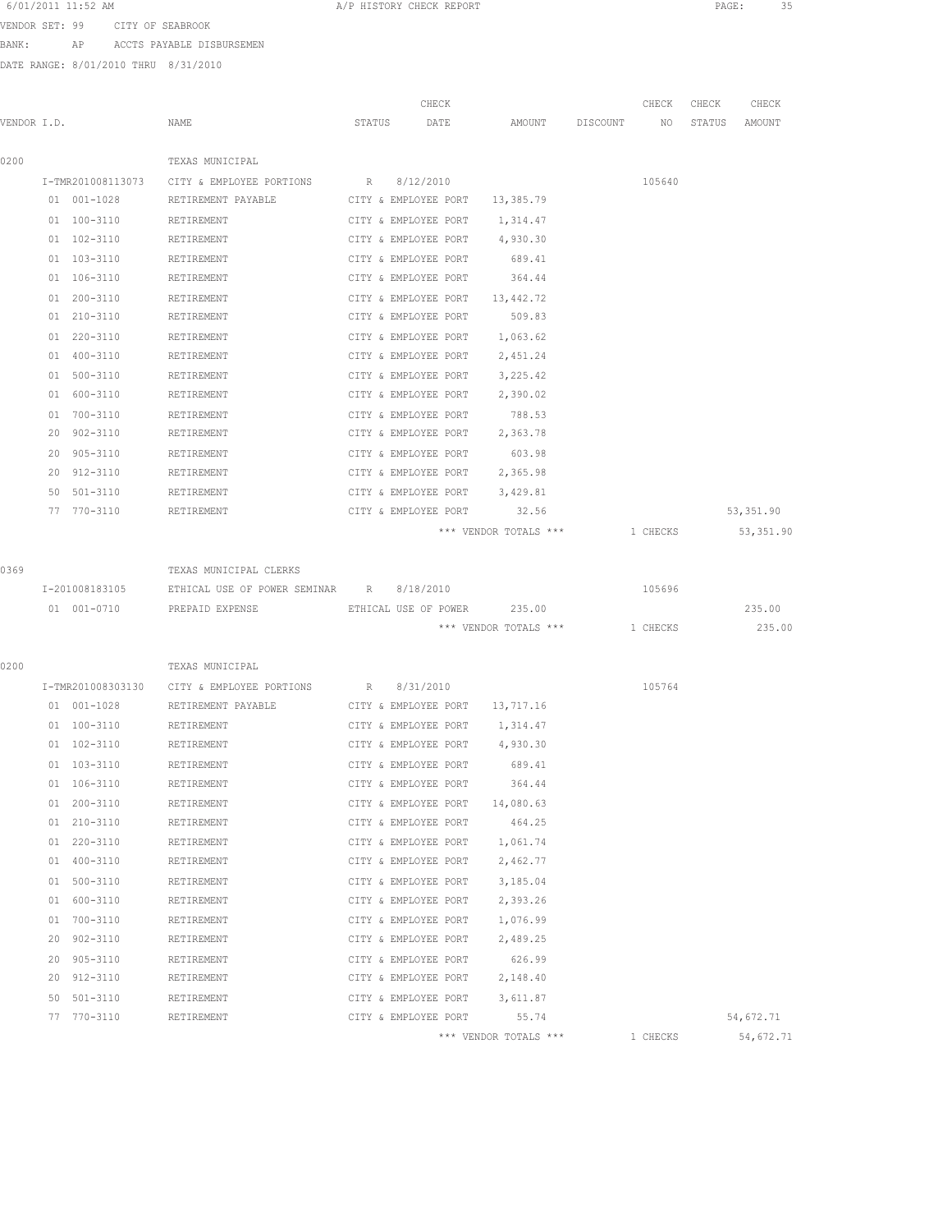6/01/2011 11:52 AM **A**/P HISTORY CHECK REPORT **PAGE:** 35 VENDOR SET: 99 CITY OF SEABROOK

BANK: AP ACCTS PAYABLE DISBURSEMEN

|             |                   |                                                         | CHECK                |                                |          | CHECK    | CHECK  | CHECK      |
|-------------|-------------------|---------------------------------------------------------|----------------------|--------------------------------|----------|----------|--------|------------|
| VENDOR I.D. |                   | NAME                                                    | STATUS<br>DATE       | AMOUNT                         | DISCOUNT | NO       | STATUS | AMOUNT     |
| 0200        |                   | TEXAS MUNICIPAL                                         |                      |                                |          |          |        |            |
|             | I-TMR201008113073 | CITY & EMPLOYEE PORTIONS R 8/12/2010                    |                      |                                |          | 105640   |        |            |
|             | 01 001-1028       | RETIREMENT PAYABLE                                      | CITY & EMPLOYEE PORT | 13,385.79                      |          |          |        |            |
|             | 01 100-3110       | RETIREMENT                                              | CITY & EMPLOYEE PORT | 1,314.47                       |          |          |        |            |
|             | 01 102-3110       | RETIREMENT                                              | CITY & EMPLOYEE PORT | 4,930.30                       |          |          |        |            |
|             | 01 103-3110       | RETIREMENT                                              | CITY & EMPLOYEE PORT | 689.41                         |          |          |        |            |
|             | 01 106-3110       | RETIREMENT                                              | CITY & EMPLOYEE PORT | 364.44                         |          |          |        |            |
|             | 01 200-3110       | RETIREMENT                                              | CITY & EMPLOYEE PORT | 13,442.72                      |          |          |        |            |
|             | 01 210-3110       | RETIREMENT                                              | CITY & EMPLOYEE PORT | 509.83                         |          |          |        |            |
|             | 01 220-3110       | RETIREMENT                                              | CITY & EMPLOYEE PORT | 1,063.62                       |          |          |        |            |
|             | 01 400-3110       | RETIREMENT                                              | CITY & EMPLOYEE PORT | 2,451.24                       |          |          |        |            |
|             | 01 500-3110       | RETIREMENT                                              | CITY & EMPLOYEE PORT | 3,225.42                       |          |          |        |            |
|             | 01 600-3110       | RETIREMENT                                              | CITY & EMPLOYEE PORT | 2,390.02                       |          |          |        |            |
|             | 01 700-3110       | RETIREMENT                                              | CITY & EMPLOYEE PORT | 788.53                         |          |          |        |            |
|             | 20 902-3110       | RETIREMENT                                              | CITY & EMPLOYEE PORT | 2,363.78                       |          |          |        |            |
|             | 905-3110<br>20    | RETIREMENT                                              | CITY & EMPLOYEE PORT | 603.98                         |          |          |        |            |
|             | 20 912-3110       | RETIREMENT                                              | CITY & EMPLOYEE PORT | 2,365.98                       |          |          |        |            |
|             | 50 501-3110       | RETIREMENT                                              | CITY & EMPLOYEE PORT | 3,429.81                       |          |          |        |            |
|             | 77 770-3110       | RETIREMENT                                              | CITY & EMPLOYEE PORT | 32.56                          |          |          |        | 53, 351.90 |
|             |                   |                                                         |                      | *** VENDOR TOTALS ***          |          | 1 CHECKS |        | 53,351.90  |
|             |                   |                                                         |                      |                                |          |          |        |            |
| 0369        |                   | TEXAS MUNICIPAL CLERKS                                  |                      |                                |          |          |        |            |
|             | I-201008183105    | ETHICAL USE OF POWER SEMINAR R 8/18/2010                |                      |                                |          | 105696   |        |            |
|             |                   | 01 001-0710 PREPAID EXPENSE ETHICAL USE OF POWER 235.00 |                      |                                |          |          |        | 235.00     |
|             |                   |                                                         |                      | *** VENDOR TOTALS *** 1 CHECKS |          |          |        | 235.00     |
|             |                   |                                                         |                      |                                |          |          |        |            |
| 0200        |                   | TEXAS MUNICIPAL                                         |                      |                                |          |          |        |            |
|             | I-TMR201008303130 | CITY & EMPLOYEE PORTIONS                                | 8/31/2010<br>R       |                                |          | 105764   |        |            |
|             | 01 001-1028       | RETIREMENT PAYABLE                                      | CITY & EMPLOYEE PORT | 13,717.16                      |          |          |        |            |
|             | $01 100 - 3110$   | RETIREMENT                                              | CITY & EMPLOYEE PORT | 1,314.47                       |          |          |        |            |
|             | 01 102-3110       | RETIREMENT                                              | CITY & EMPLOYEE PORT | 4,930.30                       |          |          |        |            |
|             | 01 103-3110       | RETIREMENT                                              | CITY & EMPLOYEE PORT | 689.41                         |          |          |        |            |
|             | 01 106-3110       | RETIREMENT                                              | CITY & EMPLOYEE PORT | 364.44                         |          |          |        |            |
|             | 01 200-3110       | RETIREMENT                                              | CITY & EMPLOYEE PORT | 14,080.63                      |          |          |        |            |
|             | 01 210-3110       | RETIREMENT                                              | CITY & EMPLOYEE PORT | 464.25                         |          |          |        |            |
|             | 01 220-3110       | RETIREMENT                                              | CITY & EMPLOYEE PORT | 1,061.74                       |          |          |        |            |
|             | 01 400-3110       | RETIREMENT                                              | CITY & EMPLOYEE PORT | 2,462.77                       |          |          |        |            |
|             | 01 500-3110       | RETIREMENT                                              | CITY & EMPLOYEE PORT | 3,185.04                       |          |          |        |            |
|             | 01 600-3110       | RETIREMENT                                              | CITY & EMPLOYEE PORT | 2,393.26                       |          |          |        |            |
|             | 700-3110<br>01    | RETIREMENT                                              | CITY & EMPLOYEE PORT | 1,076.99                       |          |          |        |            |
|             | 902-3110<br>20    | RETIREMENT                                              | CITY & EMPLOYEE PORT | 2,489.25                       |          |          |        |            |
|             | 20 905-3110       | RETIREMENT                                              | CITY & EMPLOYEE PORT | 626.99                         |          |          |        |            |
|             | 20 912-3110       | RETIREMENT                                              | CITY & EMPLOYEE PORT | 2,148.40                       |          |          |        |            |
|             | 50 501-3110       | RETIREMENT                                              | CITY & EMPLOYEE PORT | 3,611.87                       |          |          |        |            |
|             | 77 770-3110       | RETIREMENT                                              | CITY & EMPLOYEE PORT | 55.74                          |          |          |        | 54,672.71  |
|             |                   |                                                         |                      | *** VENDOR TOTALS ***          |          | 1 CHECKS |        | 54,672.71  |
|             |                   |                                                         |                      |                                |          |          |        |            |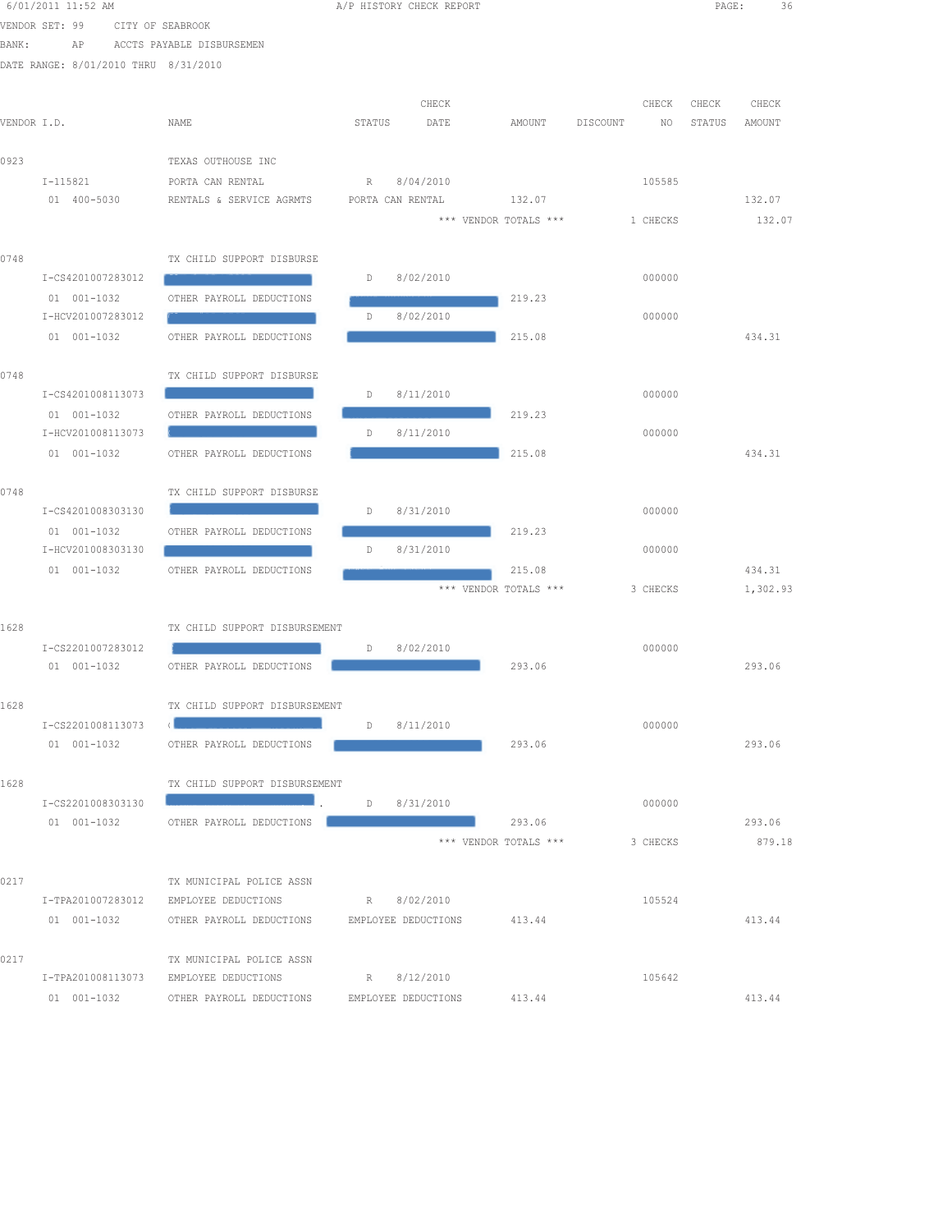|             | 6/01/2011 11:52 AM                   |                                                                               |             | A/P HISTORY CHECK REPORT |                       |                | PAGE:  | 36       |
|-------------|--------------------------------------|-------------------------------------------------------------------------------|-------------|--------------------------|-----------------------|----------------|--------|----------|
|             | VENDOR SET: 99                       | CITY OF SEABROOK                                                              |             |                          |                       |                |        |          |
| BANK:       | ΑP                                   | ACCTS PAYABLE DISBURSEMEN                                                     |             |                          |                       |                |        |          |
|             | DATE RANGE: 8/01/2010 THRU 8/31/2010 |                                                                               |             |                          |                       |                |        |          |
|             |                                      |                                                                               |             | CHECK                    |                       | CHECK          | CHECK  | CHECK    |
| VENDOR I.D. |                                      | NAME                                                                          | STATUS      | DATE                     | AMOUNT                | DISCOUNT<br>NO | STATUS | AMOUNT   |
|             |                                      |                                                                               |             |                          |                       |                |        |          |
| 0923        |                                      | TEXAS OUTHOUSE INC                                                            |             |                          |                       |                |        |          |
|             | I-115821                             | PORTA CAN RENTAL                                                              | R           | 8/04/2010                |                       | 105585         |        |          |
|             | 01 400-5030                          | RENTALS & SERVICE AGRMTS                                                      |             | PORTA CAN RENTAL         | 132.07                |                |        | 132.07   |
|             |                                      |                                                                               |             |                          | *** VENDOR TOTALS *** | 1 CHECKS       |        | 132.07   |
| 0748        |                                      | TX CHILD SUPPORT DISBURSE                                                     |             |                          |                       |                |        |          |
|             | I-CS4201007283012                    |                                                                               | D           | 8/02/2010                |                       | 000000         |        |          |
|             | 01 001-1032                          | OTHER PAYROLL DEDUCTIONS                                                      |             |                          | 219.23                |                |        |          |
|             | I-HCV201007283012                    |                                                                               | D           | 8/02/2010                |                       | 000000         |        |          |
|             | 01 001-1032                          | OTHER PAYROLL DEDUCTIONS                                                      |             |                          | 215.08                |                |        | 434.31   |
|             |                                      |                                                                               |             |                          |                       |                |        |          |
| 0748        |                                      | TX CHILD SUPPORT DISBURSE                                                     |             |                          |                       |                |        |          |
|             | I-CS4201008113073                    |                                                                               | D           | 8/11/2010                |                       | 000000         |        |          |
|             | 01 001-1032                          | OTHER PAYROLL DEDUCTIONS                                                      |             |                          | 219.23                |                |        |          |
|             | I-HCV201008113073                    |                                                                               | D           | 8/11/2010                |                       | 000000         |        |          |
|             | 01 001-1032                          | OTHER PAYROLL DEDUCTIONS                                                      |             |                          | 215.08                |                |        | 434.31   |
| 0748        |                                      | TX CHILD SUPPORT DISBURSE                                                     |             |                          |                       |                |        |          |
|             | I-CS4201008303130                    |                                                                               | D           | 8/31/2010                |                       | 000000         |        |          |
|             | 01 001-1032                          | OTHER PAYROLL DEDUCTIONS                                                      |             |                          | 219.23                |                |        |          |
|             | I-HCV201008303130                    |                                                                               | D           | 8/31/2010                |                       | 000000         |        |          |
|             | 01 001-1032                          | OTHER PAYROLL DEDUCTIONS                                                      |             |                          | 215.08                |                |        | 434.31   |
|             |                                      |                                                                               |             |                          | *** VENDOR TOTALS *** | 3 CHECKS       |        | 1,302.93 |
| 1628        |                                      | TX CHILD SUPPORT DISBURSEMENT                                                 |             |                          |                       |                |        |          |
|             | I-CS2201007283012                    |                                                                               | D           | 8/02/2010                |                       | 000000         |        |          |
|             | 01 001-1032                          | OTHER PAYROLL DEDUCTIONS                                                      |             |                          | 293.06                |                |        | 293.06   |
|             |                                      |                                                                               |             |                          |                       |                |        |          |
| 1628        |                                      | TX CHILD SUPPORT DISBURSEMENT                                                 |             |                          |                       |                |        |          |
|             | I-CS2201008113073                    |                                                                               | D 8/11/2010 |                          |                       | 000000         |        |          |
|             |                                      | 01 001-1032 OTHER PAYROLL DEDUCTIONS                                          |             |                          | 293.06                |                |        | 293.06   |
|             |                                      |                                                                               |             |                          |                       |                |        |          |
| 1628        |                                      | TX CHILD SUPPORT DISBURSEMENT<br>$D = 8/31/2010$                              |             |                          |                       |                |        |          |
|             | I-CS2201008303130                    | 01 001-1032 OTHER PAYROLL DEDUCTIONS                                          |             |                          | 293.06                | 000000         |        | 293.06   |
|             |                                      |                                                                               |             |                          | *** VENDOR TOTALS *** | 3 CHECKS       |        | 879.18   |
|             |                                      |                                                                               |             |                          |                       |                |        |          |
| 0217        |                                      | TX MUNICIPAL POLICE ASSN                                                      |             |                          |                       |                |        |          |
|             |                                      | I-TPA201007283012 EMPLOYEE DEDUCTIONS R 8/02/2010                             |             |                          |                       | 105524         |        |          |
|             |                                      | 01 001-1032 OTHER PAYROLL DEDUCTIONS EMPLOYEE DEDUCTIONS 413.44               |             |                          |                       |                |        | 413.44   |
|             |                                      |                                                                               |             |                          |                       |                |        |          |
| 0217        |                                      | TX MUNICIPAL POLICE ASSN<br>I-TPA201008113073 EMPLOYEE DEDUCTIONS R 8/12/2010 |             |                          |                       | 105642         |        |          |
|             |                                      | 01 001-1032 OTHER PAYROLL DEDUCTIONS EMPLOYEE DEDUCTIONS 413.44               |             |                          |                       |                |        | 413.44   |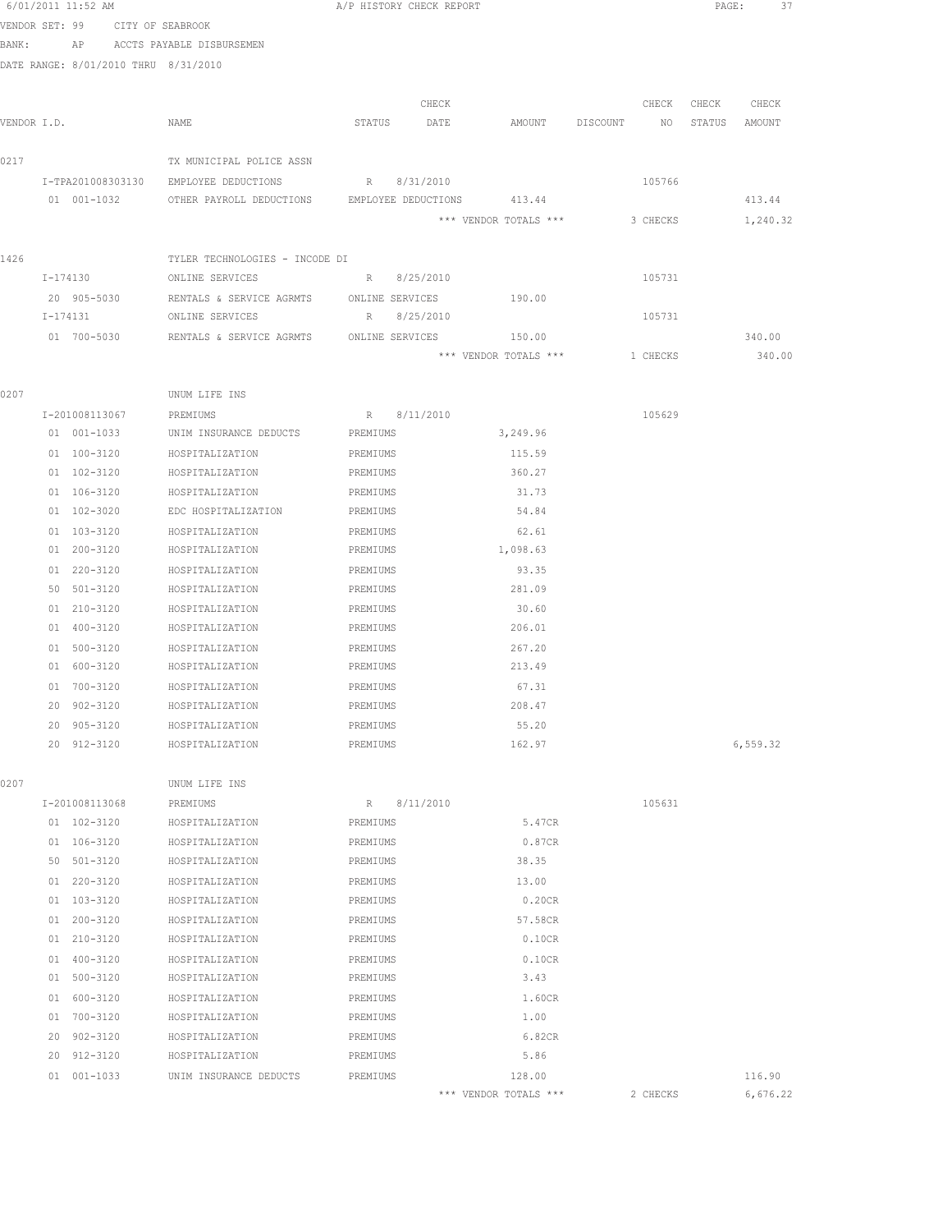|             |    | 6/01/2011 11:52 AM                   |                                                      | A/P HISTORY CHECK REPORT |           |                       |          |          | PAGE:            | 37       |  |
|-------------|----|--------------------------------------|------------------------------------------------------|--------------------------|-----------|-----------------------|----------|----------|------------------|----------|--|
|             |    | VENDOR SET: 99 CITY OF SEABROOK      |                                                      |                          |           |                       |          |          |                  |          |  |
| BANK:       |    |                                      | AP ACCTS PAYABLE DISBURSEMEN                         |                          |           |                       |          |          |                  |          |  |
|             |    | DATE RANGE: 8/01/2010 THRU 8/31/2010 |                                                      |                          |           |                       |          |          |                  |          |  |
|             |    |                                      |                                                      |                          |           |                       |          |          |                  |          |  |
|             |    |                                      |                                                      |                          | CHECK     |                       |          | CHECK    | CHECK            | CHECK    |  |
| VENDOR I.D. |    |                                      | NAME                                                 | STATUS                   | DATE      | AMOUNT                | DISCOUNT |          | NO STATUS AMOUNT |          |  |
|             |    |                                      |                                                      |                          |           |                       |          |          |                  |          |  |
| 0217        |    |                                      | TX MUNICIPAL POLICE ASSN                             |                          |           |                       |          |          |                  |          |  |
|             |    |                                      | I-TPA201008303130 EMPLOYEE DEDUCTIONS                | R 8/31/2010              |           |                       |          | 105766   |                  |          |  |
|             |    | 01 001-1032                          | OTHER PAYROLL DEDUCTIONS EMPLOYEE DEDUCTIONS 413.44  |                          |           |                       |          |          |                  | 413.44   |  |
|             |    |                                      |                                                      |                          |           | *** VENDOR TOTALS *** |          | 3 CHECKS |                  | 1,240.32 |  |
| 1426        |    |                                      | TYLER TECHNOLOGIES - INCODE DI                       |                          |           |                       |          |          |                  |          |  |
|             |    | I-174130                             | ONLINE SERVICES                                      | R 8/25/2010              |           |                       |          | 105731   |                  |          |  |
|             |    | 20 905-5030                          | RENTALS & SERVICE AGRMTS ONLINE SERVICES             |                          |           | 190.00                |          |          |                  |          |  |
|             |    | I-174131                             | ONLINE SERVICES                                      | R 8/25/2010              |           |                       |          | 105731   |                  |          |  |
|             |    |                                      | 01 700-5030 RENTALS & SERVICE AGRMTS ONLINE SERVICES |                          |           | 150.00                |          |          |                  | 340.00   |  |
|             |    |                                      |                                                      |                          |           | *** VENDOR TOTALS *** |          | 1 CHECKS |                  | 340.00   |  |
|             |    |                                      |                                                      |                          |           |                       |          |          |                  |          |  |
| 0207        |    |                                      | UNUM LIFE INS                                        |                          |           |                       |          |          |                  |          |  |
|             |    | I-201008113067                       | PREMIUMS                                             | R 8/11/2010              |           |                       |          | 105629   |                  |          |  |
|             |    | 01 001-1033                          | UNIM INSURANCE DEDUCTS PREMIUMS                      |                          |           | 3,249.96              |          |          |                  |          |  |
|             |    | 01 100-3120                          | HOSPITALIZATION                                      | PREMIUMS                 |           | 115.59                |          |          |                  |          |  |
|             |    | 01 102-3120                          | HOSPITALIZATION                                      | PREMIUMS                 |           | 360.27                |          |          |                  |          |  |
|             |    | 01 106-3120                          | HOSPITALIZATION                                      | PREMIUMS                 |           | 31.73                 |          |          |                  |          |  |
|             |    | 01 102-3020                          | EDC HOSPITALIZATION                                  | PREMIUMS                 |           | 54.84                 |          |          |                  |          |  |
|             |    | 01 103-3120                          | HOSPITALIZATION                                      | PREMIUMS                 |           | 62.61                 |          |          |                  |          |  |
|             |    | 01 200-3120                          | HOSPITALIZATION                                      | PREMIUMS                 |           | 1,098.63              |          |          |                  |          |  |
|             |    | 01 220-3120                          | HOSPITALIZATION                                      | PREMIUMS                 |           | 93.35                 |          |          |                  |          |  |
|             |    | 50 501-3120                          | HOSPITALIZATION                                      | PREMIUMS                 |           | 281.09                |          |          |                  |          |  |
|             |    | 01 210-3120                          | HOSPITALIZATION                                      | PREMIUMS                 |           | 30.60                 |          |          |                  |          |  |
|             |    | 01 400-3120                          | HOSPITALIZATION                                      | PREMIUMS                 |           | 206.01                |          |          |                  |          |  |
|             |    | 01 500-3120                          | HOSPITALIZATION                                      | PREMIUMS                 |           | 267.20                |          |          |                  |          |  |
|             |    | 01 600-3120                          | HOSPITALIZATION                                      | PREMIUMS                 |           | 213.49                |          |          |                  |          |  |
|             |    | 01 700-3120                          | HOSPITALIZATION                                      | PREMIUMS                 |           | 67.31                 |          |          |                  |          |  |
|             |    | 20 902-3120                          | HOSPITALIZATION                                      | PREMIUMS                 |           | 208.47                |          |          |                  |          |  |
|             |    | 20 905-3120                          | HOSPITALIZATION<br>HOSPITALIZATION                   | PREMIUMS                 |           | 55.20<br>162.97       |          |          |                  | 6,559.32 |  |
|             |    | 20 912-3120                          |                                                      | PREMIUMS                 |           |                       |          |          |                  |          |  |
| 0207        |    |                                      | UNUM LIFE INS                                        |                          |           |                       |          |          |                  |          |  |
|             |    | I-201008113068                       | PREMIUMS                                             | R                        | 8/11/2010 |                       |          | 105631   |                  |          |  |
|             |    | 01 102-3120                          | HOSPITALIZATION                                      | PREMIUMS                 |           | 5.47CR                |          |          |                  |          |  |
|             |    | 01 106-3120                          | HOSPITALIZATION                                      | PREMIUMS                 |           | 0.87CR                |          |          |                  |          |  |
|             |    | 50 501-3120                          | HOSPITALIZATION                                      | PREMIUMS                 |           | 38.35                 |          |          |                  |          |  |
|             |    | 01 220-3120                          | HOSPITALIZATION                                      | PREMIUMS                 |           | 13.00                 |          |          |                  |          |  |
|             |    | 01 103-3120                          | HOSPITALIZATION                                      | PREMIUMS                 |           | 0.20CR                |          |          |                  |          |  |
|             |    | 01 200-3120                          | HOSPITALIZATION                                      | PREMIUMS                 |           | 57.58CR               |          |          |                  |          |  |
|             |    | 01 210-3120                          | HOSPITALIZATION                                      | PREMIUMS                 |           | 0.10CR                |          |          |                  |          |  |
|             |    | 01 400-3120                          | HOSPITALIZATION                                      | PREMIUMS                 |           | 0.10CR                |          |          |                  |          |  |
|             |    | 01 500-3120                          | HOSPITALIZATION                                      | PREMIUMS                 |           | 3.43                  |          |          |                  |          |  |
|             |    | 01 600-3120                          | HOSPITALIZATION                                      | PREMIUMS                 |           | 1.60CR                |          |          |                  |          |  |
|             |    | 01 700-3120                          | HOSPITALIZATION                                      | PREMIUMS                 |           | 1.00                  |          |          |                  |          |  |
|             | 20 | 902-3120                             | HOSPITALIZATION                                      | PREMIUMS                 |           | 6.82CR                |          |          |                  |          |  |
|             |    | 20 912-3120                          | HOSPITALIZATION                                      | PREMIUMS                 |           | 5.86                  |          |          |                  |          |  |
|             |    | 01 001-1033                          | UNIM INSURANCE DEDUCTS                               | PREMIUMS                 |           | 128.00                |          |          |                  | 116.90   |  |
|             |    |                                      |                                                      |                          |           | *** VENDOR TOTALS *** |          | 2 CHECKS |                  | 6,676.22 |  |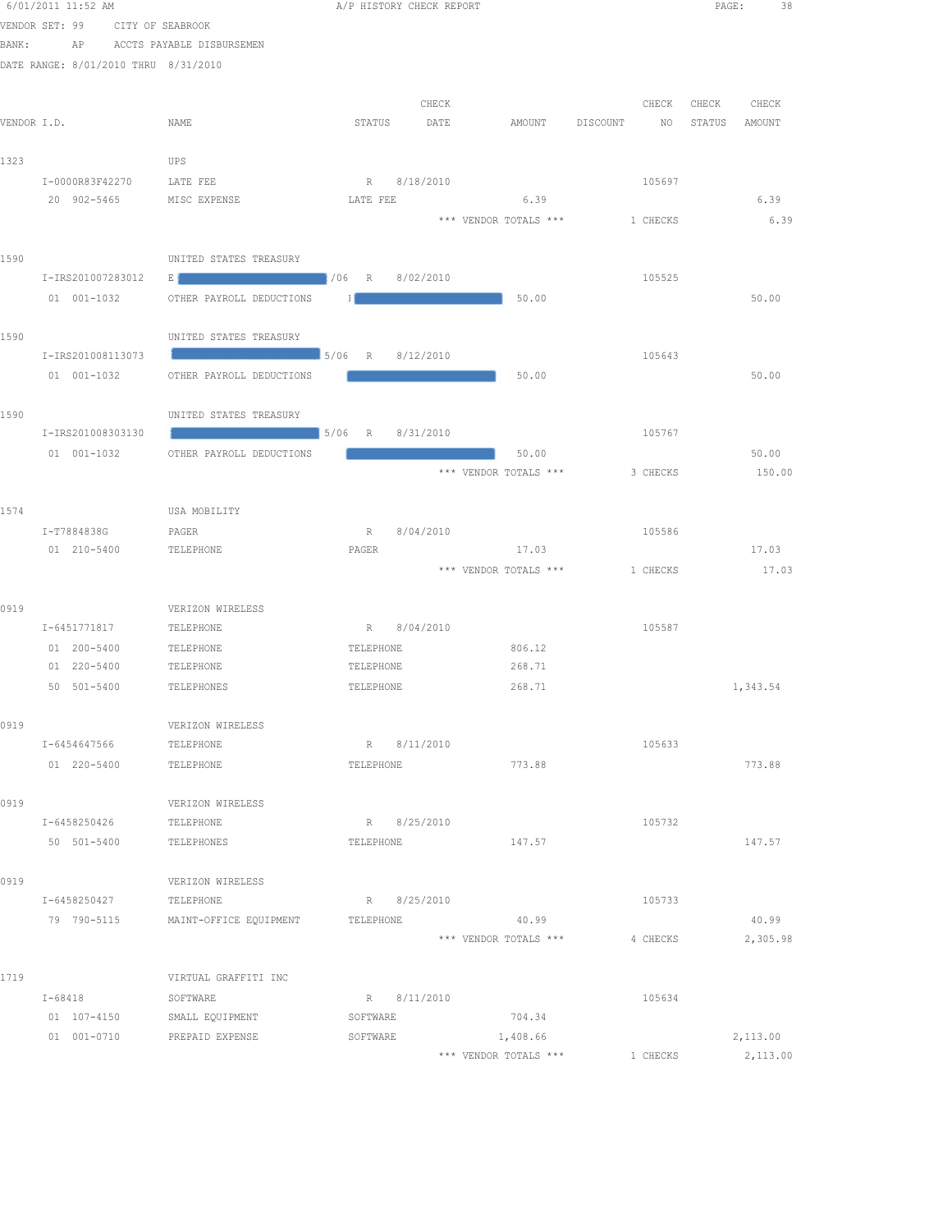|       | 6/01/2011 11:52 AM                         |                                                                    | A/P HISTORY CHECK REPORT       |             |                       |                                | PAGE: 38             |
|-------|--------------------------------------------|--------------------------------------------------------------------|--------------------------------|-------------|-----------------------|--------------------------------|----------------------|
|       | VENDOR SET: 99                             | CITY OF SEABROOK                                                   |                                |             |                       |                                |                      |
| BANK: |                                            | AP ACCTS PAYABLE DISBURSEMEN                                       |                                |             |                       |                                |                      |
|       | DATE RANGE: 8/01/2010 THRU 8/31/2010       |                                                                    |                                |             |                       |                                |                      |
|       |                                            |                                                                    |                                |             |                       |                                |                      |
|       |                                            |                                                                    |                                | CHECK       |                       |                                | CHECK CHECK<br>CHECK |
|       | VENDOR I.D.                                | NAME                                                               | STATUS                         | DATE        | AMOUNT                | DISCOUNT<br>NO                 | STATUS<br>AMOUNT     |
|       |                                            |                                                                    |                                |             |                       |                                |                      |
| 1323  |                                            | UPS                                                                |                                |             |                       |                                |                      |
|       | I-0000R83F42270                            | LATE FEE                                                           | R 8/18/2010                    |             |                       | 105697                         |                      |
|       | 20 902-5465                                | MISC EXPENSE                                                       | LATE FEE                       |             | 6.39                  |                                | 6.39                 |
|       |                                            |                                                                    |                                |             |                       | *** VENDOR TOTALS *** 1 CHECKS | 6.39                 |
| 1590  |                                            | UNITED STATES TREASURY                                             |                                |             |                       |                                |                      |
|       | I-IRS201007283012                          | <u> 1986 - Johann Stoff, amerikansk politik (</u> † 1966 - R<br>ЕJ |                                | 8/02/2010   |                       | 105525                         |                      |
|       | 01 001-1032                                | OTHER PAYROLL DEDUCTIONS                                           | -11                            |             | 50.00                 |                                | 50.00                |
|       |                                            |                                                                    |                                |             |                       |                                |                      |
| 1590  |                                            | UNITED STATES TREASURY                                             |                                |             |                       |                                |                      |
|       | I-IRS201008113073                          |                                                                    |                                | 8/12/2010   |                       | 105643                         |                      |
|       | 01 001-1032                                | OTHER PAYROLL DEDUCTIONS                                           |                                |             | 50.00                 |                                | 50.00                |
|       |                                            |                                                                    |                                |             |                       |                                |                      |
| 1590  |                                            | UNITED STATES TREASURY                                             |                                |             |                       |                                |                      |
|       | I-IRS201008303130                          |                                                                    | $\frac{1}{2}$ 5/06 R 8/31/2010 |             |                       | 105767                         |                      |
|       | 01 001-1032                                | OTHER PAYROLL DEDUCTIONS                                           |                                |             | 50.00                 |                                | 50.00                |
|       |                                            |                                                                    |                                |             |                       | *** VENDOR TOTALS *** 3 CHECKS | 150.00               |
|       |                                            |                                                                    |                                |             |                       |                                |                      |
| 1574  |                                            | USA MOBILITY                                                       |                                |             |                       |                                |                      |
|       | I-T7884838G                                | PAGER                                                              | R 8/04/2010                    |             |                       | 105586                         |                      |
|       | 01 210-5400                                | TELEPHONE                                                          | PAGER                          |             | 17.03                 |                                | 17.03                |
|       |                                            |                                                                    |                                |             | *** VENDOR TOTALS *** | 1 CHECKS                       | 17.03                |
|       |                                            |                                                                    |                                |             |                       |                                |                      |
| 0919  |                                            | VERIZON WIRELESS                                                   |                                |             |                       |                                |                      |
|       | I-6451771817                               | TELEPHONE                                                          | R 8/04/2010                    |             |                       | 105587                         |                      |
|       | 01 200-5400<br>01 220-5400                 | TELEPHONE<br>TELEPHONE                                             | TELEPHONE<br>TELEPHONE         |             | 806.12<br>268.71      |                                |                      |
|       | 50 501-5400                                | TELEPHONES                                                         | TELEPHONE                      |             | 268.71                |                                | 1,343.54             |
|       |                                            |                                                                    |                                |             |                       |                                |                      |
| 0919  |                                            | VERIZON WIRELESS                                                   |                                |             |                       |                                |                      |
|       | I-6454647566                               | TELEPHONE                                                          |                                | R 8/11/2010 |                       | 105633                         |                      |
|       | 01 220-5400                                | TELEPHONE                                                          | TELEPHONE                      |             | 773.88                |                                | 773.88               |
|       |                                            |                                                                    |                                |             |                       |                                |                      |
| 0919  |                                            | VERIZON WIRELESS                                                   |                                |             |                       |                                |                      |
|       | I-6458250426                               | TELEPHONE                                                          |                                | R 8/25/2010 |                       | 105732                         |                      |
|       | 50 501-5400                                | TELEPHONES                                                         | TELEPHONE                      |             | 147.57                |                                | 147.57               |
|       |                                            |                                                                    |                                |             |                       |                                |                      |
| 0919  |                                            | VERIZON WIRELESS                                                   |                                |             |                       |                                |                      |
|       | I-6458250427                               | TELEPHONE                                                          | R 8/25/2010                    |             |                       | 105733                         |                      |
|       | 79 790-5115                                | MAINT-OFFICE EQUIPMENT                                             | TELEPHONE                      |             | 40.99                 |                                | 40.99                |
|       |                                            |                                                                    |                                |             | *** VENDOR TOTALS *** | 4 CHECKS                       | 2,305.98             |
|       |                                            |                                                                    |                                |             |                       |                                |                      |
| 1719  |                                            | VIRTUAL GRAFFITI INC                                               |                                |             |                       |                                |                      |
|       | $I - 68418$                                | SOFTWARE                                                           | SOFTWARE                       | R 8/11/2010 | 704.34                | 105634                         |                      |
|       | 01 107-4150 SMALL EQUIPMENT<br>01 001-0710 | PREPAID EXPENSE                                                    | SOFTWARE                       |             | 1,408.66              |                                | 2,113.00             |
|       |                                            |                                                                    |                                |             | *** VENDOR TOTALS *** | 1 CHECKS                       | 2,113.00             |
|       |                                            |                                                                    |                                |             |                       |                                |                      |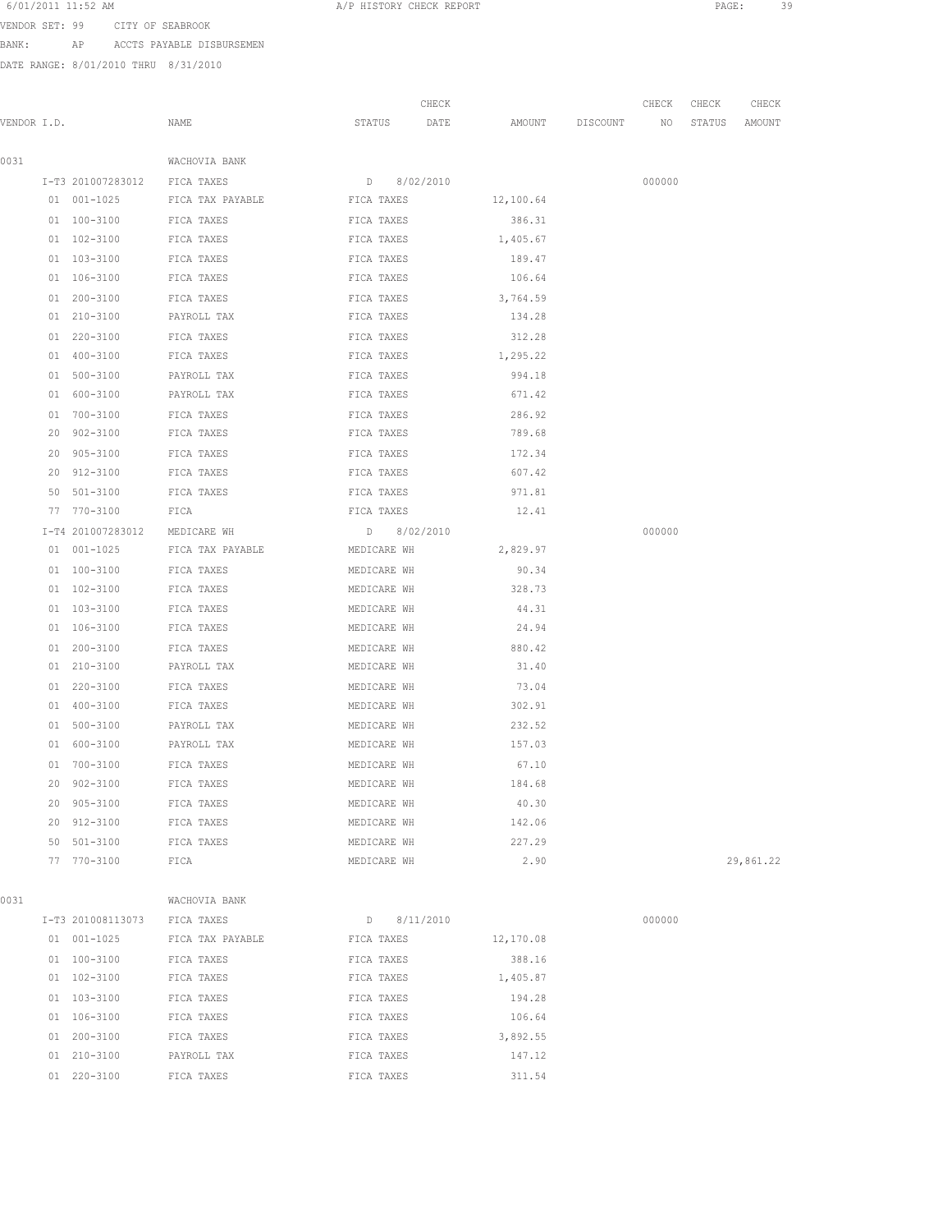VENDOR SET: 99 CITY OF SEABROOK

BANK: AP ACCTS PAYABLE DISBURSEMEN

|             |    |                              |                              |               | CHECK |           |                 | CHECK           | CHECK  | CHECK     |
|-------------|----|------------------------------|------------------------------|---------------|-------|-----------|-----------------|-----------------|--------|-----------|
| VENDOR I.D. |    |                              | NAME                         | STATUS        | DATE  |           | AMOUNT DISCOUNT | NO <sub>1</sub> | STATUS | AMOUNT    |
| 0031        |    |                              | WACHOVIA BANK                |               |       |           |                 |                 |        |           |
|             |    | I-T3 201007283012 FICA TAXES |                              | D 8/02/2010   |       |           |                 | 000000          |        |           |
|             |    | 01 001-1025                  | FICA TAX PAYABLE             | FICA TAXES    |       | 12,100.64 |                 |                 |        |           |
|             |    | 01 100-3100                  | FICA TAXES                   | FICA TAXES    |       | 386.31    |                 |                 |        |           |
|             |    | 01 102-3100                  | FICA TAXES                   | FICA TAXES    |       | 1,405.67  |                 |                 |        |           |
|             |    | 01 103-3100                  | FICA TAXES                   | FICA TAXES    |       | 189.47    |                 |                 |        |           |
|             |    | 01 106-3100                  | FICA TAXES                   | FICA TAXES    |       | 106.64    |                 |                 |        |           |
|             |    | 01 200-3100                  | FICA TAXES                   | FICA TAXES    |       | 3,764.59  |                 |                 |        |           |
|             |    | 01 210-3100                  | PAYROLL TAX                  | FICA TAXES    |       | 134.28    |                 |                 |        |           |
|             |    | 01 220-3100                  | FICA TAXES                   | FICA TAXES    |       | 312.28    |                 |                 |        |           |
|             |    | 01 400-3100                  | FICA TAXES                   | FICA TAXES    |       | 1,295.22  |                 |                 |        |           |
|             |    | 01 500-3100                  | PAYROLL TAX                  | FICA TAXES    |       | 994.18    |                 |                 |        |           |
|             |    | 01 600-3100                  | PAYROLL TAX                  | FICA TAXES    |       | 671.42    |                 |                 |        |           |
|             |    | 01 700-3100                  | FICA TAXES                   | FICA TAXES    |       | 286.92    |                 |                 |        |           |
|             |    | 20 902-3100                  | FICA TAXES                   | FICA TAXES    |       | 789.68    |                 |                 |        |           |
|             | 20 | 905-3100                     | FICA TAXES                   | FICA TAXES    |       | 172.34    |                 |                 |        |           |
|             | 20 | 912-3100                     | FICA TAXES                   | FICA TAXES    |       | 607.42    |                 |                 |        |           |
|             |    | 50 501-3100                  | FICA TAXES                   | FICA TAXES    |       | 971.81    |                 |                 |        |           |
|             |    | 77 770-3100                  | FICA                         | FICA TAXES    |       | 12.41     |                 |                 |        |           |
|             |    | I-T4 201007283012            | MEDICARE WH                  | D 8/02/2010   |       |           |                 | 000000          |        |           |
|             |    | 01 001-1025                  | FICA TAX PAYABLE MEDICARE WH |               |       | 2,829.97  |                 |                 |        |           |
|             |    | 01 100-3100                  | FICA TAXES                   | MEDICARE WH   |       | 90.34     |                 |                 |        |           |
|             |    | 01 102-3100                  | FICA TAXES                   | MEDICARE WH   |       | 328.73    |                 |                 |        |           |
|             |    | 01 103-3100                  | FICA TAXES                   | MEDICARE WH   |       | 44.31     |                 |                 |        |           |
|             |    | 01 106-3100                  | FICA TAXES                   | MEDICARE WH   |       | 24.94     |                 |                 |        |           |
|             |    | 01 200-3100                  | FICA TAXES                   | MEDICARE WH   |       | 880.42    |                 |                 |        |           |
|             |    | 01 210-3100                  | PAYROLL TAX                  | MEDICARE WH   |       | 31.40     |                 |                 |        |           |
|             |    | 01 220-3100                  | FICA TAXES                   | MEDICARE WH   |       | 73.04     |                 |                 |        |           |
|             |    | 01 400-3100                  | FICA TAXES                   | MEDICARE WH   |       | 302.91    |                 |                 |        |           |
|             |    | 01 500-3100                  | PAYROLL TAX                  | MEDICARE WH   |       | 232.52    |                 |                 |        |           |
|             |    | 01 600-3100                  | PAYROLL TAX                  | MEDICARE WH   |       | 157.03    |                 |                 |        |           |
|             |    | 01 700-3100                  | FICA TAXES                   | MEDICARE WH   |       | 67.10     |                 |                 |        |           |
|             |    | 20 902-3100                  | FICA TAXES                   | MEDICARE WH   |       | 184.68    |                 |                 |        |           |
|             |    | 20 905-3100                  | FICA TAXES                   | MEDICARE WH   |       | 40.30     |                 |                 |        |           |
|             |    | 20 912-3100                  | FICA TAXES                   | MEDICARE WH   |       | 142.06    |                 |                 |        |           |
|             |    | 50 501-3100                  | FICA TAXES                   | MEDICARE WH   |       | 227.29    |                 |                 |        |           |
|             |    | 77 770-3100                  | FICA                         | MEDICARE WH   |       | 2.90      |                 |                 |        | 29,861.22 |
| 0031        |    |                              | WACHOVIA BANK                |               |       |           |                 |                 |        |           |
|             |    | I-T3 201008113073            | FICA TAXES                   | $D$ 8/11/2010 |       |           |                 | 000000          |        |           |
|             |    | 01 001-1025                  | FICA TAX PAYABLE             | FICA TAXES    |       | 12,170.08 |                 |                 |        |           |
|             |    | 01 100-3100                  | FICA TAXES                   | FICA TAXES    |       | 388.16    |                 |                 |        |           |
|             |    | 01 102-3100                  | FICA TAXES                   | FICA TAXES    |       | 1,405.87  |                 |                 |        |           |
|             |    | 01 103-3100                  | FICA TAXES                   | FICA TAXES    |       | 194.28    |                 |                 |        |           |
|             |    | 01 106-3100                  | FICA TAXES                   | FICA TAXES    |       | 106.64    |                 |                 |        |           |
|             |    | 01 200-3100                  | FICA TAXES                   | FICA TAXES    |       | 3,892.55  |                 |                 |        |           |
|             |    | 01 210-3100                  | PAYROLL TAX                  | FICA TAXES    |       | 147.12    |                 |                 |        |           |
|             |    | 01 220-3100                  | FICA TAXES                   | FICA TAXES    |       | 311.54    |                 |                 |        |           |
|             |    |                              |                              |               |       |           |                 |                 |        |           |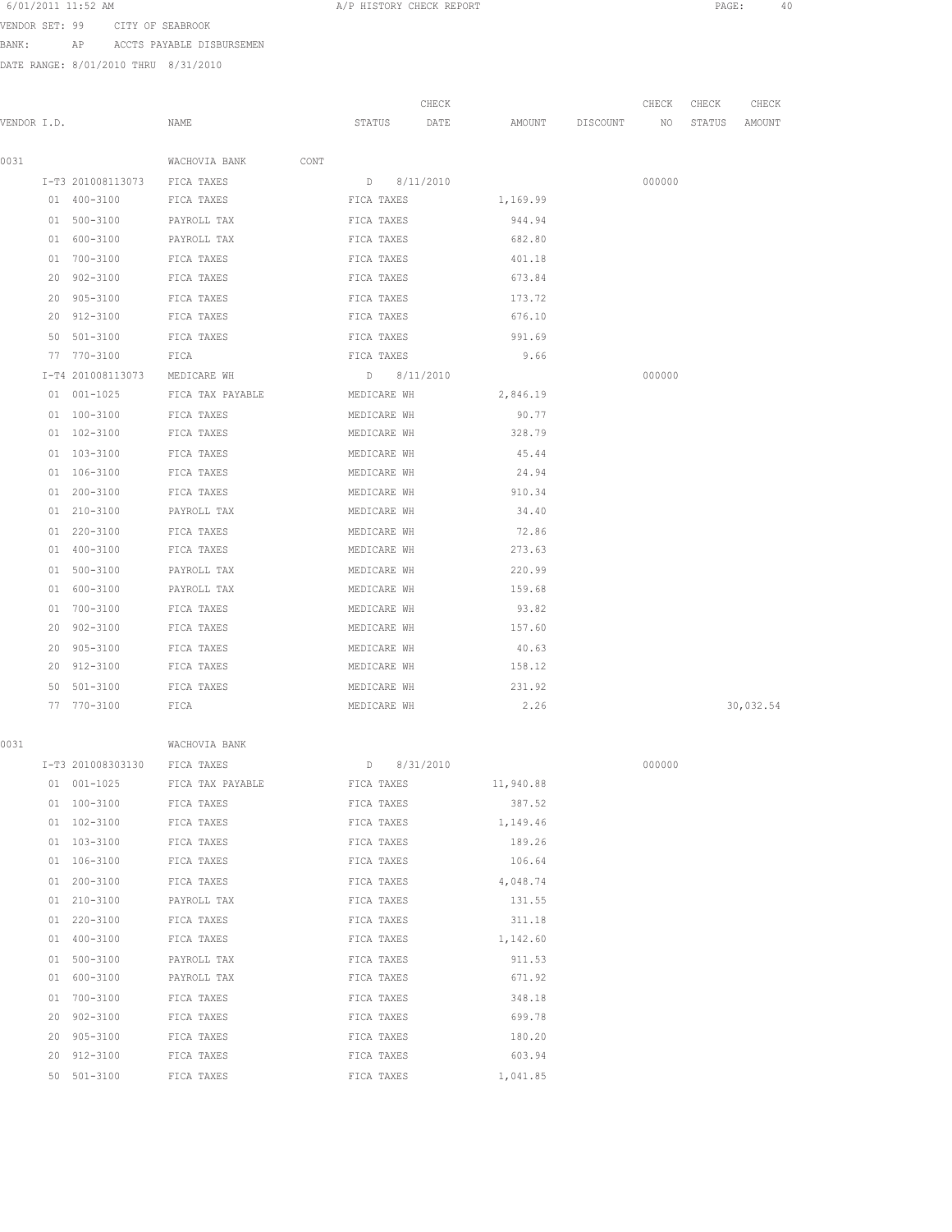6/01/2011 11:52 AM A/P HISTORY CHECK REPORT PAGE: 40 VENDOR SET: 99 CITY OF SEABROOK

BANK: AP ACCTS PAYABLE DISBURSEMEN

DATE RANGE: 8/01/2010 THRU 8/31/2010

|             |                    |                       |                 | CHECK |           |          | CHECK  | CHECK  | CHECK     |
|-------------|--------------------|-----------------------|-----------------|-------|-----------|----------|--------|--------|-----------|
| VENDOR I.D. |                    | NAME                  | STATUS          | DATE  | AMOUNT    | DISCOUNT | NO     | STATUS | AMOUNT    |
| 0031        |                    | WACHOVIA BANK<br>CONT |                 |       |           |          |        |        |           |
|             | I-T3 201008113073  | FICA TAXES            | $D = 8/11/2010$ |       |           |          | 000000 |        |           |
|             | 01 400-3100        | FICA TAXES            | FICA TAXES      |       | 1,169.99  |          |        |        |           |
|             | 01 500-3100        | PAYROLL TAX           | FICA TAXES      |       | 944.94    |          |        |        |           |
|             | 01 600-3100        | PAYROLL TAX           | FICA TAXES      |       | 682.80    |          |        |        |           |
|             | 01 700-3100        | FICA TAXES            | FICA TAXES      |       | 401.18    |          |        |        |           |
|             | 20 902-3100        | FICA TAXES            | FICA TAXES      |       | 673.84    |          |        |        |           |
|             | 20 905-3100        | FICA TAXES            | FICA TAXES      |       | 173.72    |          |        |        |           |
|             | 20 912-3100        | FICA TAXES            | FICA TAXES      |       | 676.10    |          |        |        |           |
|             | 50 501-3100        | FICA TAXES            | FICA TAXES      |       | 991.69    |          |        |        |           |
|             | 77 770-3100        | FICA                  | FICA TAXES      |       | 9.66      |          |        |        |           |
|             | I-T4 201008113073  | MEDICARE WH           | D 8/11/2010     |       |           |          | 000000 |        |           |
|             | 01 001-1025        | FICA TAX PAYABLE      | MEDICARE WH     |       | 2,846.19  |          |        |        |           |
|             | 01 100-3100        | FICA TAXES            | MEDICARE WH     |       | 90.77     |          |        |        |           |
|             | 01 102-3100        | FICA TAXES            | MEDICARE WH     |       | 328.79    |          |        |        |           |
|             | 01 103-3100        | FICA TAXES            | MEDICARE WH     |       | 45.44     |          |        |        |           |
|             | 01 106-3100        | FICA TAXES            | MEDICARE WH     |       | 24.94     |          |        |        |           |
|             | 01 200-3100        | FICA TAXES            | MEDICARE WH     |       | 910.34    |          |        |        |           |
|             | 01 210-3100        | PAYROLL TAX           | MEDICARE WH     |       | 34.40     |          |        |        |           |
|             | 01 220-3100        | FICA TAXES            | MEDICARE WH     |       | 72.86     |          |        |        |           |
|             | 01 400-3100        | FICA TAXES            | MEDICARE WH     |       | 273.63    |          |        |        |           |
|             | 01 500-3100        | PAYROLL TAX           | MEDICARE WH     |       | 220.99    |          |        |        |           |
|             | 01 600-3100        | PAYROLL TAX           | MEDICARE WH     |       | 159.68    |          |        |        |           |
|             | 01 700-3100        | FICA TAXES            | MEDICARE WH     |       | 93.82     |          |        |        |           |
|             | 20 902-3100        | FICA TAXES            | MEDICARE WH     |       | 157.60    |          |        |        |           |
|             | 20 905-3100        | FICA TAXES            | MEDICARE WH     |       | 40.63     |          |        |        |           |
|             | 20 912-3100        | FICA TAXES            | MEDICARE WH     |       | 158.12    |          |        |        |           |
|             | 50 501-3100        | FICA TAXES            | MEDICARE WH     |       | 231.92    |          |        |        |           |
|             | 77 770-3100        | FICA                  | MEDICARE WH     |       | 2.26      |          |        |        | 30,032.54 |
| 0031        |                    | WACHOVIA BANK         |                 |       |           |          |        |        |           |
|             | I-T3 201008303130  | FICA TAXES            | 8/31/2010<br>D  |       |           |          | 000000 |        |           |
|             | $01 001 - 1025$    | FICA TAX PAYABLE      | FICA TAXES      |       | 11,940.88 |          |        |        |           |
|             | 01 100-3100        | FICA TAXES            | FICA TAXES      |       | 387.52    |          |        |        |           |
|             | 01 102-3100        | FICA TAXES            | FICA TAXES      |       | 1,149.46  |          |        |        |           |
|             | 01 103-3100        | FICA TAXES            | FICA TAXES      |       | 189.26    |          |        |        |           |
|             | 01 106-3100        | FICA TAXES            | FICA TAXES      |       | 106.64    |          |        |        |           |
|             | $200 - 3100$<br>01 | FICA TAXES            | FICA TAXES      |       | 4,048.74  |          |        |        |           |
|             | 210-3100<br>01     | PAYROLL TAX           | FICA TAXES      |       | 131.55    |          |        |        |           |
|             | 01 220-3100        | FICA TAXES            | FICA TAXES      |       | 311.18    |          |        |        |           |
|             | $01 400 - 3100$    | FICA TAXES            | FICA TAXES      |       | 1.142.60  |          |        |        |           |

 500-3100 PAYROLL TAX FICA TAXES 911.53 600-3100 PAYROLL TAX FICA TAXES 671.92 700-3100 FICA TAXES FICA TAXES 348.18 902-3100 FICA TAXES FICA TAXES 699.78 905-3100 FICA TAXES FICA TAXES 180.20 912-3100 FICA TAXES FICA TAXES 603.94 501-3100 FICA TAXES FICA TAXES 1,041.85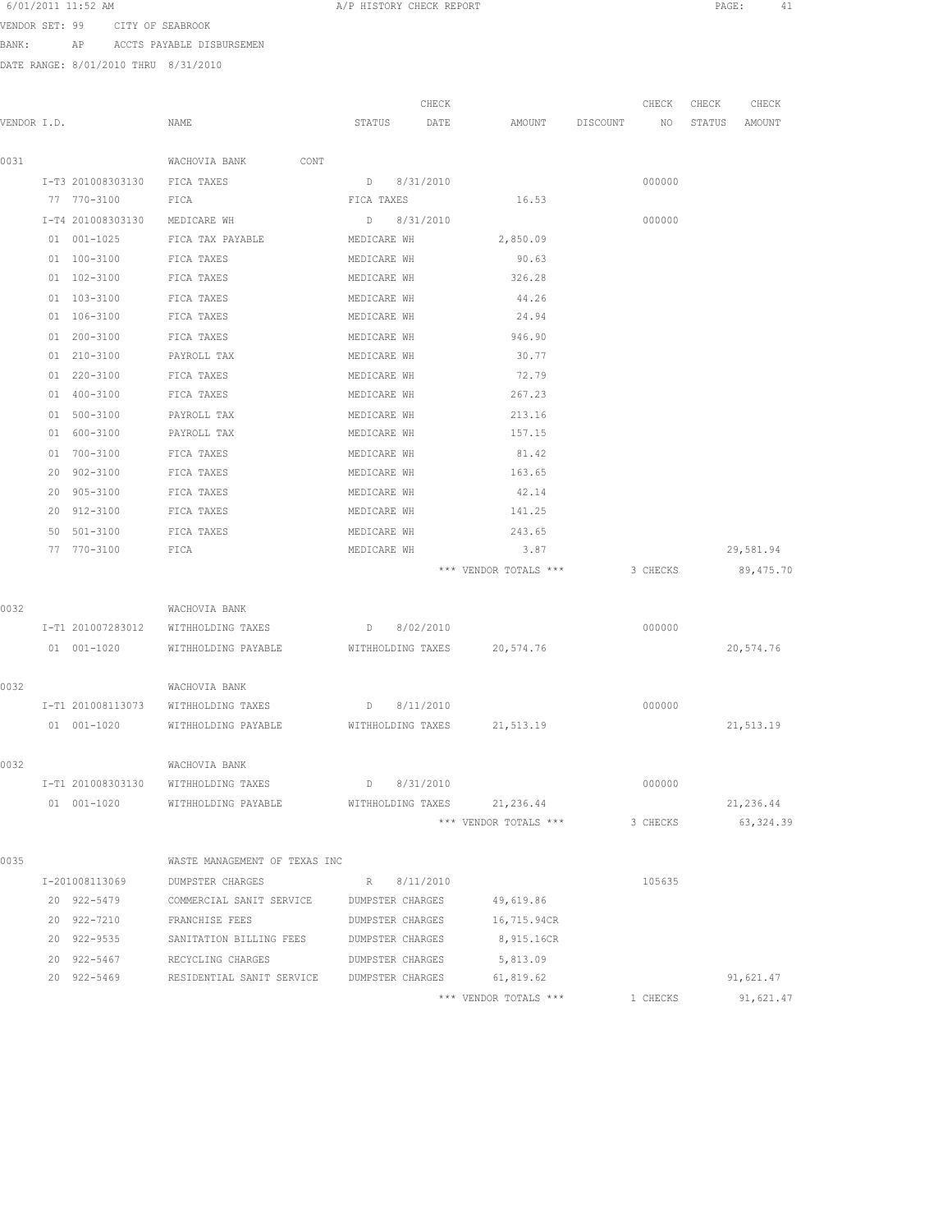|  | 6/01/2011 11:52 AM |  |  |  |  |  |  |  |  |  |  |  |
|--|--------------------|--|--|--|--|--|--|--|--|--|--|--|
|--|--------------------|--|--|--|--|--|--|--|--|--|--|--|

A/P HISTORY CHECK REPORT PAGE: 41

VENDOR SET: 99 CITY OF SEABROOK BANK: AP ACCTS PAYABLE DISBURSEMEN

|             |    |                   |                               |             | CHECK                   |                             |          | CHECK    | CHECK  | CHECK      |
|-------------|----|-------------------|-------------------------------|-------------|-------------------------|-----------------------------|----------|----------|--------|------------|
| VENDOR I.D. |    |                   | NAME                          | STATUS      | DATE                    | AMOUNT                      | DISCOUNT | NO       | STATUS | AMOUNT     |
| 0031        |    |                   | CONT<br>WACHOVIA BANK         |             |                         |                             |          |          |        |            |
|             |    | I-T3 201008303130 | FICA TAXES                    | D           | 8/31/2010               |                             |          | 000000   |        |            |
|             |    | 77 770-3100       | FICA                          | FICA TAXES  |                         | 16.53                       |          |          |        |            |
|             |    | I-T4 201008303130 | MEDICARE WH                   | D           | 8/31/2010               |                             |          | 000000   |        |            |
|             |    | 01 001-1025       | FICA TAX PAYABLE              | MEDICARE WH |                         | 2,850.09                    |          |          |        |            |
|             |    | 01 100-3100       | FICA TAXES                    | MEDICARE WH |                         | 90.63                       |          |          |        |            |
|             |    | 01 102-3100       | FICA TAXES                    | MEDICARE WH |                         | 326.28                      |          |          |        |            |
|             |    | 01 103-3100       | FICA TAXES                    | MEDICARE WH |                         | 44.26                       |          |          |        |            |
|             |    | 01 106-3100       | FICA TAXES                    | MEDICARE WH |                         | 24.94                       |          |          |        |            |
|             |    | 01 200-3100       | FICA TAXES                    | MEDICARE WH |                         | 946.90                      |          |          |        |            |
|             |    | 01 210-3100       | PAYROLL TAX                   | MEDICARE WH |                         | 30.77                       |          |          |        |            |
|             |    | 01 220-3100       | FICA TAXES                    | MEDICARE WH |                         | 72.79                       |          |          |        |            |
|             |    | 01 400-3100       | FICA TAXES                    | MEDICARE WH |                         | 267.23                      |          |          |        |            |
|             | 01 | 500-3100          | PAYROLL TAX                   | MEDICARE WH |                         | 213.16                      |          |          |        |            |
|             | 01 | 600-3100          | PAYROLL TAX                   | MEDICARE WH |                         | 157.15                      |          |          |        |            |
|             |    | 01 700-3100       | FICA TAXES                    | MEDICARE WH |                         | 81.42                       |          |          |        |            |
|             |    | 20 902-3100       | FICA TAXES                    | MEDICARE WH |                         | 163.65                      |          |          |        |            |
|             |    | 20 905-3100       | FICA TAXES                    | MEDICARE WH |                         | 42.14                       |          |          |        |            |
|             |    | 20 912-3100       | FICA TAXES                    | MEDICARE WH |                         | 141.25                      |          |          |        |            |
|             | 50 | 501-3100          | FICA TAXES                    | MEDICARE WH |                         | 243.65                      |          |          |        |            |
|             |    | 77 770-3100       | FICA                          | MEDICARE WH |                         | 3.87                        |          |          |        | 29,581.94  |
|             |    |                   |                               |             |                         | *** VENDOR TOTALS ***       |          | 3 CHECKS |        | 89,475.70  |
| 0032        |    |                   | WACHOVIA BANK                 |             |                         |                             |          |          |        |            |
|             |    | I-T1 201007283012 | WITHHOLDING TAXES             | D           | 8/02/2010               |                             |          | 000000   |        |            |
|             |    | 01 001-1020       | WITHHOLDING PAYABLE           |             | WITHHOLDING TAXES       | 20,574.76                   |          |          |        | 20,574.76  |
| 0032        |    |                   | WACHOVIA BANK                 |             |                         |                             |          |          |        |            |
|             |    | I-T1 201008113073 | WITHHOLDING TAXES             | D           | 8/11/2010               |                             |          | 000000   |        |            |
|             |    | $01 001 - 1020$   | WITHHOLDING PAYABLE           |             | WITHHOLDING TAXES       | 21,513.19                   |          |          |        | 21,513.19  |
| 0032        |    |                   | WACHOVIA BANK                 |             |                         |                             |          |          |        |            |
|             |    | I-T1 201008303130 | WITHHOLDING TAXES             |             | $D$ 8/31/2010           |                             |          | 000000   |        |            |
|             |    | 01 001-1020       | WITHHOLDING PAYABLE           |             |                         | WITHHOLDING TAXES 21,236.44 |          |          |        | 21,236.44  |
|             |    |                   |                               |             |                         | *** VENDOR TOTALS ***       |          | 3 CHECKS |        | 63, 324.39 |
| 0035        |    |                   | WASTE MANAGEMENT OF TEXAS INC |             |                         |                             |          |          |        |            |
|             |    | I-201008113069    | DUMPSTER CHARGES              | R           | 8/11/2010               |                             |          | 105635   |        |            |
|             |    | 20 922-5479       | COMMERCIAL SANIT SERVICE      |             | DUMPSTER CHARGES        | 49,619.86                   |          |          |        |            |
|             |    | 20 922-7210       | FRANCHISE FEES                |             | DUMPSTER CHARGES        | 16,715.94CR                 |          |          |        |            |
|             |    | 20 922-9535       | SANITATION BILLING FEES       |             | DUMPSTER CHARGES        | 8,915.16CR                  |          |          |        |            |
|             |    | 20 922-5467       | RECYCLING CHARGES             |             | DUMPSTER CHARGES        | 5,813.09                    |          |          |        |            |
|             |    | 20 922-5469       | RESIDENTIAL SANIT SERVICE     |             | <b>DUMPSTER CHARGES</b> | 61,819.62                   |          |          |        | 91,621.47  |
|             |    |                   |                               |             |                         | *** VENDOR TOTALS ***       |          | 1 CHECKS |        | 91,621.47  |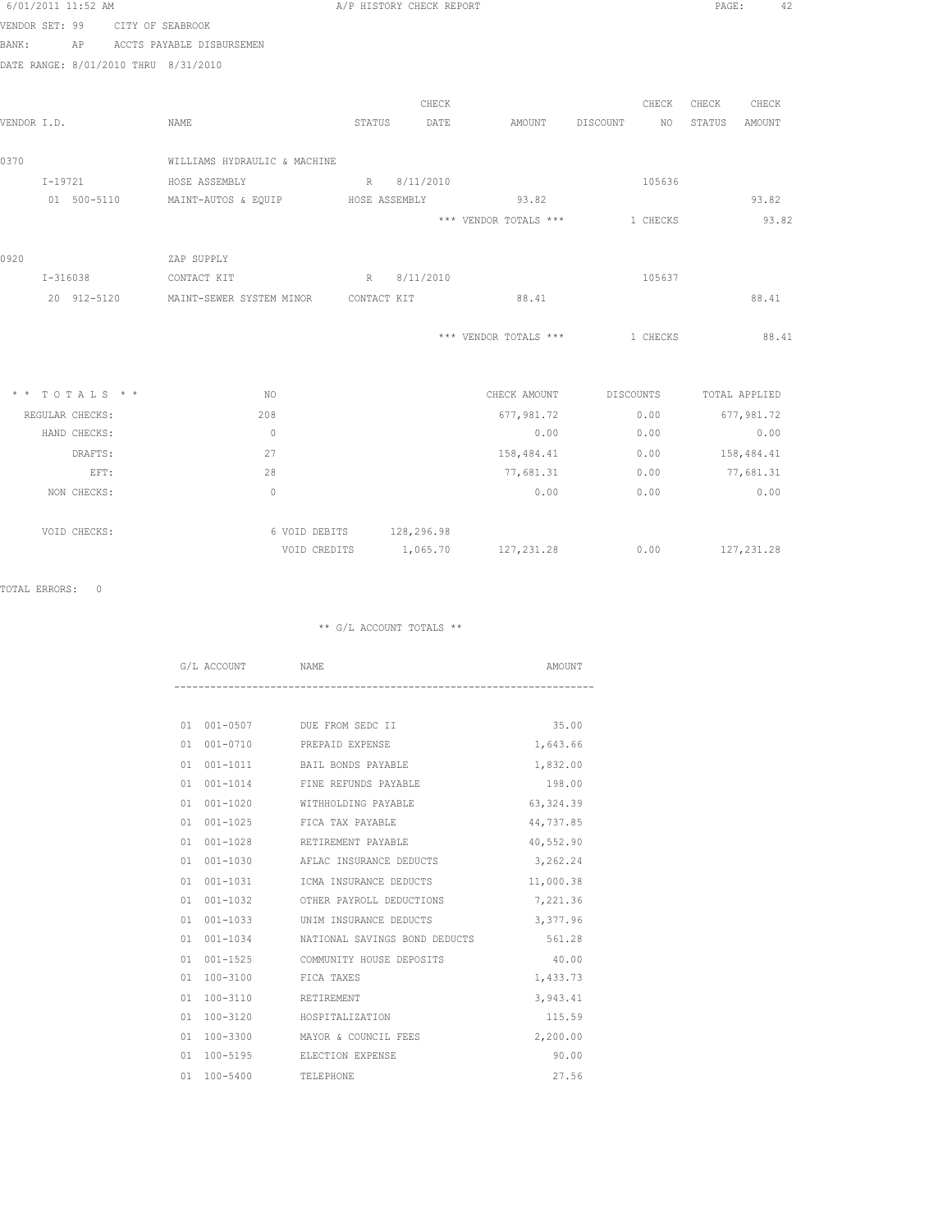|                | 6/01/2011 11:52 AM |                                      |                          | A/P HISTORY CHECK REPORT |                       |                        | PAGE:         | 42            |
|----------------|--------------------|--------------------------------------|--------------------------|--------------------------|-----------------------|------------------------|---------------|---------------|
| VENDOR SET: 99 |                    | CITY OF SEABROOK                     |                          |                          |                       |                        |               |               |
| BANK:          | AP                 | ACCTS PAYABLE DISBURSEMEN            |                          |                          |                       |                        |               |               |
|                |                    | DATE RANGE: 8/01/2010 THRU 8/31/2010 |                          |                          |                       |                        |               |               |
|                |                    |                                      |                          |                          |                       |                        |               |               |
|                |                    |                                      |                          | CHECK                    |                       | CHECK                  | CHECK         | CHECK         |
| VENDOR I.D.    |                    | NAME                                 | STATUS                   | DATE                     | AMOUNT                | DISCOUNT<br>NO         | STATUS        | <b>AMOUNT</b> |
| 0370           |                    | WILLIAMS HYDRAULIC & MACHINE         |                          |                          |                       |                        |               |               |
|                | $I - 19721$        | HOSE ASSEMBLY                        |                          | R 8/11/2010              |                       | 105636                 |               |               |
|                | 01 500-5110        | MAINT-AUTOS & EQUIP HOSE ASSEMBLY    |                          |                          | 93.82                 |                        |               | 93.82         |
|                |                    |                                      |                          |                          | *** VENDOR TOTALS *** | 1 CHECKS               |               | 93.82         |
|                |                    |                                      |                          |                          |                       |                        |               |               |
| 0920           |                    | ZAP SUPPLY                           |                          |                          |                       |                        |               |               |
|                | I-316038           | CONTACT KIT                          |                          | R 8/11/2010              |                       | 105637                 |               |               |
|                | 20 912-5120        | MAINT-SEWER SYSTEM MINOR CONTACT KIT |                          |                          | 88.41                 |                        |               | 88.41         |
|                |                    |                                      |                          |                          |                       |                        |               |               |
|                |                    |                                      |                          |                          | *** VENDOR TOTALS *** | 1 CHECKS               |               | 88.41         |
|                |                    |                                      |                          |                          |                       |                        |               |               |
|                | * * TOTALS * *     | NO.                                  |                          |                          |                       | CHECK AMOUNT DISCOUNTS | TOTAL APPLIED |               |
|                | REGULAR CHECKS:    | 208                                  |                          |                          | 677,981.72            | 0.00                   | 677,981.72    |               |
|                | HAND CHECKS:       | $\Omega$                             |                          |                          | 0.00                  | 0.00                   |               | 0.00          |
|                | DRAFTS:            | 27                                   |                          |                          | 158,484.41            | 0.00                   | 158,484.41    |               |
|                | EFT:               | 28                                   |                          |                          | 77,681.31             | 0.00                   | 77,681.31     |               |
|                | NON CHECKS:        | $\mathbf{0}$                         |                          |                          | 0.00                  | 0.00                   |               | 0.00          |
|                | VOID CHECKS:       |                                      | 6 VOID DEBITS 128,296.98 |                          |                       |                        |               |               |
|                |                    |                                      | VOID CREDITS             | 1,065.70                 | 127, 231. 28          | 0.00                   | 127, 231.28   |               |

TOTAL ERRORS: 0

|    | G/L ACCOUNT NAME |                                   | AMOUNT     |
|----|------------------|-----------------------------------|------------|
|    |                  |                                   |            |
| 01 |                  | 001-0507 DUE FROM SEDC II         | 35.00      |
| 01 |                  | 001-0710 PREPAID EXPENSE          | 1,643.66   |
| 01 |                  | 001-1011 BAIL BONDS PAYABLE       | 1,832.00   |
| 01 |                  | 001-1014 FINE REFUNDS PAYABLE     | 198.00     |
| 01 |                  | 001-1020 WITHHOLDING PAYABLE      | 63, 324.39 |
| 01 |                  | 001-1025 FICA TAX PAYABLE         | 44,737.85  |
| 01 |                  | 001-1028 RETIREMENT PAYABLE       | 40,552.90  |
| 01 | 001-1030         | AFLAC INSURANCE DEDUCTS           | 3,262.24   |
| 01 |                  | 001-1031   ICMA INSURANCE DEDUCTS | 11,000.38  |
| 01 |                  | 001-1032 OTHER PAYROLL DEDUCTIONS | 7,221.36   |
| 01 |                  | 001-1033 UNIM INSURANCE DEDUCTS   | 3,377.96   |
| 01 | $001 - 1034$     | NATIONAL SAVINGS BOND DEDUCTS     | 561.28     |
| 01 |                  | 001-1525 COMMUNITY HOUSE DEPOSITS | 40.00      |
| 01 | 100-3100         | FICA TAXES                        | 1,433.73   |
| 01 | 100-3110         | RETIREMENT                        | 3,943.41   |
| 01 | 100-3120         | HOSPITALIZATION                   | 115.59     |
| 01 | 100-3300         | MAYOR & COUNCIL FEES              | 2,200.00   |
| 01 | 100-5195         | ELECTION EXPENSE                  | 90.00      |
| 01 | $100 - 5400$     | TELEPHONE                         | 27.56      |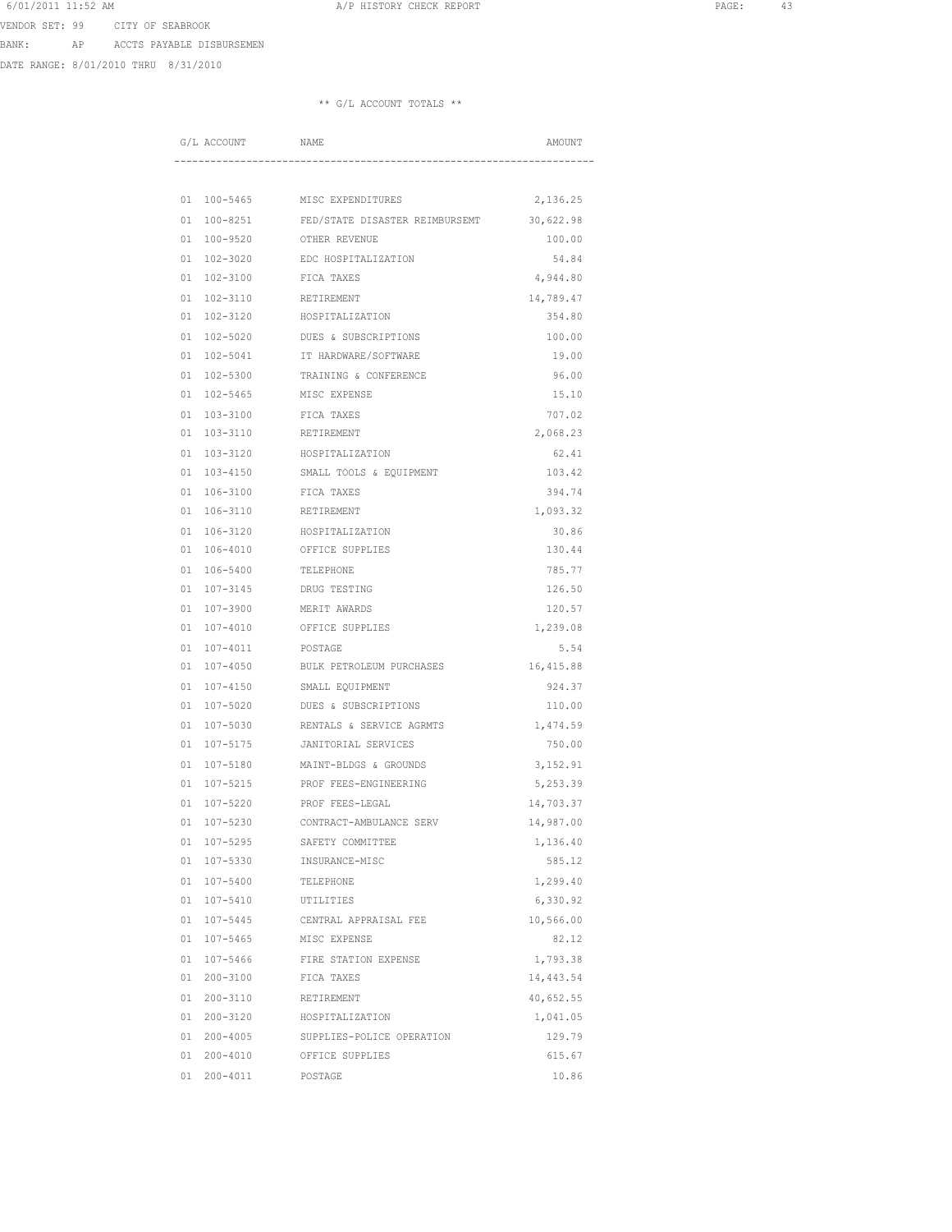6/01/2011 11:52 AM **A**/P HISTORY CHECK REPORT **PAGE:** 43 VENDOR SET: 99 CITY OF SEABROOK

BANK: AP ACCTS PAYABLE DISBURSEMEN

DATE RANGE: 8/01/2010 THRU 8/31/2010

|          | G/L ACCOUNT          | <b>NAME</b>                         | AMOUNT             |
|----------|----------------------|-------------------------------------|--------------------|
|          |                      |                                     |                    |
|          |                      |                                     |                    |
| 01       | 100-5465             | MISC EXPENDITURES                   | 2,136.25           |
| 01       | $100 - 8251$         | FED/STATE DISASTER REIMBURSEMT      | 30,622.98          |
| 01       | 100-9520             | OTHER REVENUE                       | 100.00             |
| 01       | 102-3020             | EDC HOSPITALIZATION                 | 54.84              |
| 01       | $102 - 3100$         | FICA TAXES                          | 4,944.80           |
| 01       | 102-3110             | RETIREMENT                          | 14,789.47          |
| 01       | 102-3120             | HOSPITALIZATION                     | 354.80             |
| 01       | $102 - 5020$         | DUES & SUBSCRIPTIONS                | 100.00             |
| 01       | $102 - 5041$         | IT HARDWARE/SOFTWARE                | 19.00              |
| 01       | 102-5300             | TRAINING & CONFERENCE               | 96.00              |
| 01       | 102-5465             | MISC EXPENSE                        | 15.10              |
| 01       | 103-3100             | FICA TAXES                          | 707.02             |
| 01       | 103-3110             | RETIREMENT                          | 2,068.23           |
| 01       | 103-3120             | HOSPITALIZATION                     | 62.41<br>103.42    |
| 01       | 103-4150             | SMALL TOOLS & EQUIPMENT             |                    |
| 01<br>01 | 106-3100             | FICA TAXES                          | 394.74<br>1,093.32 |
|          | 106-3110             | RETIREMENT                          |                    |
| 01<br>01 | 106-3120<br>106-4010 | HOSPITALIZATION<br>OFFICE SUPPLIES  | 30.86<br>130.44    |
|          | 106-5400             | <b>TELEPHONE</b>                    |                    |
| 01<br>01 | 107-3145             | DRUG TESTING                        | 785.77<br>126.50   |
| 01       |                      | MERIT AWARDS                        | 120.57             |
| 01       | 107-3900<br>107-4010 | OFFICE SUPPLIES                     | 1,239.08           |
| 01       | 107-4011             |                                     | 5.54               |
| 01       | $107 - 4050$         | POSTAGE<br>BULK PETROLEUM PURCHASES | 16, 415.88         |
| 01       | $107 - 4150$         | SMALL EQUIPMENT                     | 924.37             |
| 01       | 107-5020             | DUES & SUBSCRIPTIONS                | 110.00             |
| 01       | 107-5030             | RENTALS & SERVICE AGRMTS            | 1,474.59           |
| 01       | 107-5175             | JANITORIAL SERVICES                 | 750.00             |
| 01       | 107-5180             | MAINT-BLDGS & GROUNDS               | 3,152.91           |
| 01       | 107-5215             | PROF FEES-ENGINEERING               | 5,253.39           |
| 01       | $107 - 5220$         | PROF FEES-LEGAL                     | 14,703.37          |
| 01       | 107-5230             | CONTRACT-AMBULANCE SERV             | 14,987.00          |
| 01       | $107 - 5295$         | SAFETY COMMITTEE                    | 1,136.40           |
| 01       | 107-5330             | INSURANCE-MISC                      | 585.12             |
| 01       | 107-5400             | TELEPHONE                           | 1,299.40           |
| 01       | 107-5410             | UTILITIES                           | 6,330.92           |
|          | 01 107-5445          | CENTRAL APPRAISAL FEE               | 10,566.00          |
| 01       | 107-5465             | MISC EXPENSE                        | 82.12              |
| 01       | 107-5466             | FIRE STATION EXPENSE                | 1,793.38           |
| 01       | 200-3100             | FICA TAXES                          | 14,443.54          |
| 01       | 200-3110             | RETIREMENT                          | 40,652.55          |
|          | 01 200-3120          | HOSPITALIZATION                     | 1,041.05           |
|          | 01 200-4005          | SUPPLIES-POLICE OPERATION           | 129.79             |
|          | 01 200-4010          | OFFICE SUPPLIES                     | 615.67             |
|          | 01 200-4011          | POSTAGE                             | 10.86              |
|          |                      |                                     |                    |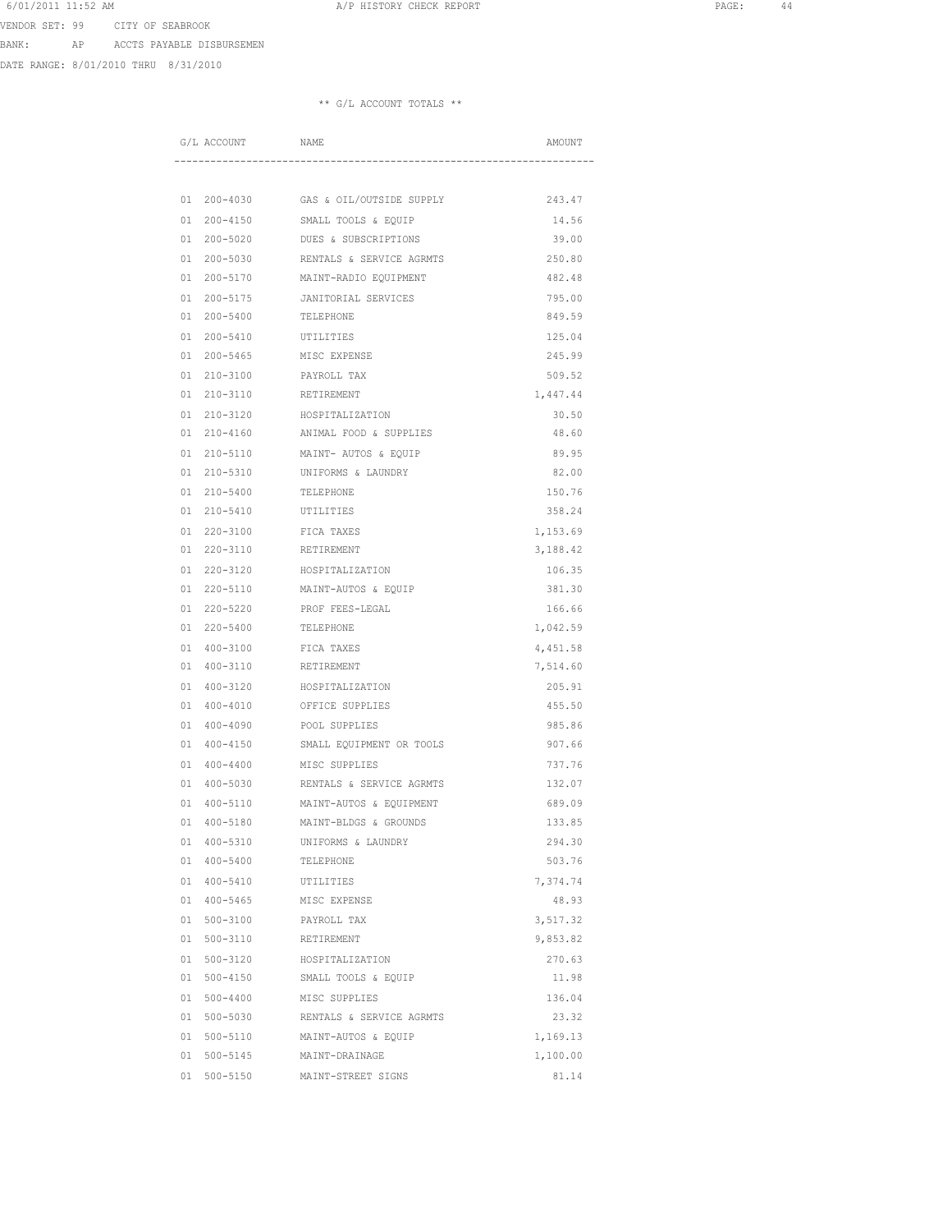6/01/2011 11:52 AM **A**/P HISTORY CHECK REPORT **PAGE:** 44 VENDOR SET: 99 CITY OF SEABROOK

BANK: AP ACCTS PAYABLE DISBURSEMEN

DATE RANGE: 8/01/2010 THRU 8/31/2010

|          | G/L ACCOUNT          | NAME                                       | AMOUNT             |
|----------|----------------------|--------------------------------------------|--------------------|
|          |                      |                                            |                    |
|          |                      |                                            |                    |
| 01       | 200-4030             | GAS & OIL/OUTSIDE SUPPLY                   | 243.47             |
| 01       | $200 - 4150$         | SMALL TOOLS & EQUIP                        | 14.56              |
| 01       | $200 - 5020$         | DUES & SUBSCRIPTIONS                       | 39.00              |
| 01       | $200 - 5030$         | RENTALS & SERVICE AGRMTS                   | 250.80             |
| 01       | 200-5170             | MAINT-RADIO EQUIPMENT                      | 482.48             |
| 01       | $200 - 5175$         | JANITORIAL SERVICES                        | 795.00             |
| 01       | $200 - 5400$         | TELEPHONE                                  | 849.59             |
| 01       | $200 - 5410$         | UTILITIES<br>MISC EXPENSE                  | 125.04             |
| 01       | $200 - 5465$         |                                            | 245.99             |
| 01<br>01 | 210-3100<br>210-3110 | PAYROLL TAX<br>RETIREMENT                  | 509.52<br>1,447.44 |
|          |                      |                                            | 30.50              |
| 01<br>01 | 210-3120<br>210-4160 | HOSPITALIZATION<br>ANIMAL FOOD & SUPPLIES  | 48.60              |
|          |                      |                                            |                    |
| 01<br>01 | 210-5110<br>210-5310 | MAINT- AUTOS & EQUIP<br>UNIFORMS & LAUNDRY | 89.95<br>82.00     |
| 01       | $210 - 5400$         |                                            | 150.76             |
| 01       | 210-5410             | TELEPHONE<br>UTILITIES                     | 358.24             |
| 01       | $220 - 3100$         | FICA TAXES                                 | 1,153.69           |
| 01       | 220-3110             | RETIREMENT                                 | 3,188.42           |
| 01       | 220-3120             | HOSPITALIZATION                            | 106.35             |
| 01       | 220-5110             | MAINT-AUTOS & EQUIP                        | 381.30             |
| 01       | 220-5220             | PROF FEES-LEGAL                            | 166.66             |
| 01       | $220 - 5400$         | TELEPHONE                                  | 1,042.59           |
| 01       | $400 - 3100$         | FICA TAXES                                 | 4,451.58           |
| 01       | $400 - 3110$         | RETIREMENT                                 | 7,514.60           |
| 01       | $400 - 3120$         | HOSPITALIZATION                            | 205.91             |
| 01       | $400 - 4010$         | OFFICE SUPPLIES                            | 455.50             |
| 01       | $400 - 4090$         | POOL SUPPLIES                              | 985.86             |
| 01       | $400 - 4150$         | SMALL EQUIPMENT OR TOOLS                   | 907.66             |
| 01       | $400 - 4400$         | MISC SUPPLIES                              | 737.76             |
| 01       | 400-5030             | RENTALS & SERVICE AGRMTS                   | 132.07             |
| 01       | 400-5110             | MAINT-AUTOS & EOUIPMENT                    | 689.09             |
| 01       | $400 - 5180$         | MAINT-BLDGS & GROUNDS                      | 133.85             |
| 01       | 400-5310             | UNIFORMS & LAUNDRY                         | 294.30             |
|          | 01 400-5400          | TELEPHONE                                  | 503.76             |
|          | 01 400-5410          | UTILITIES                                  | 7,374.74           |
|          | 01 400-5465          | MISC EXPENSE                               | 48.93              |
| 01       | $500 - 3100$         | PAYROLL TAX                                | 3,517.32           |
| 01       | $500 - 3110$         | RETIREMENT                                 | 9,853.82           |
| 01       | $500 - 3120$         | HOSPITALIZATION                            | 270.63             |
| 01       | $500 - 4150$         | SMALL TOOLS & EQUIP                        | 11.98              |
| 01       | 500-4400             | MISC SUPPLIES                              | 136.04             |
| 01       | 500-5030             | RENTALS & SERVICE AGRMTS                   | 23.32              |
|          | 01 500-5110          | MAINT-AUTOS & EQUIP                        | 1,169.13           |
| 01       | 500-5145             | MAINT-DRAINAGE                             | 1,100.00           |
| 01       | $500 - 5150$         | MAINT-STREET SIGNS                         | 81.14              |
|          |                      |                                            |                    |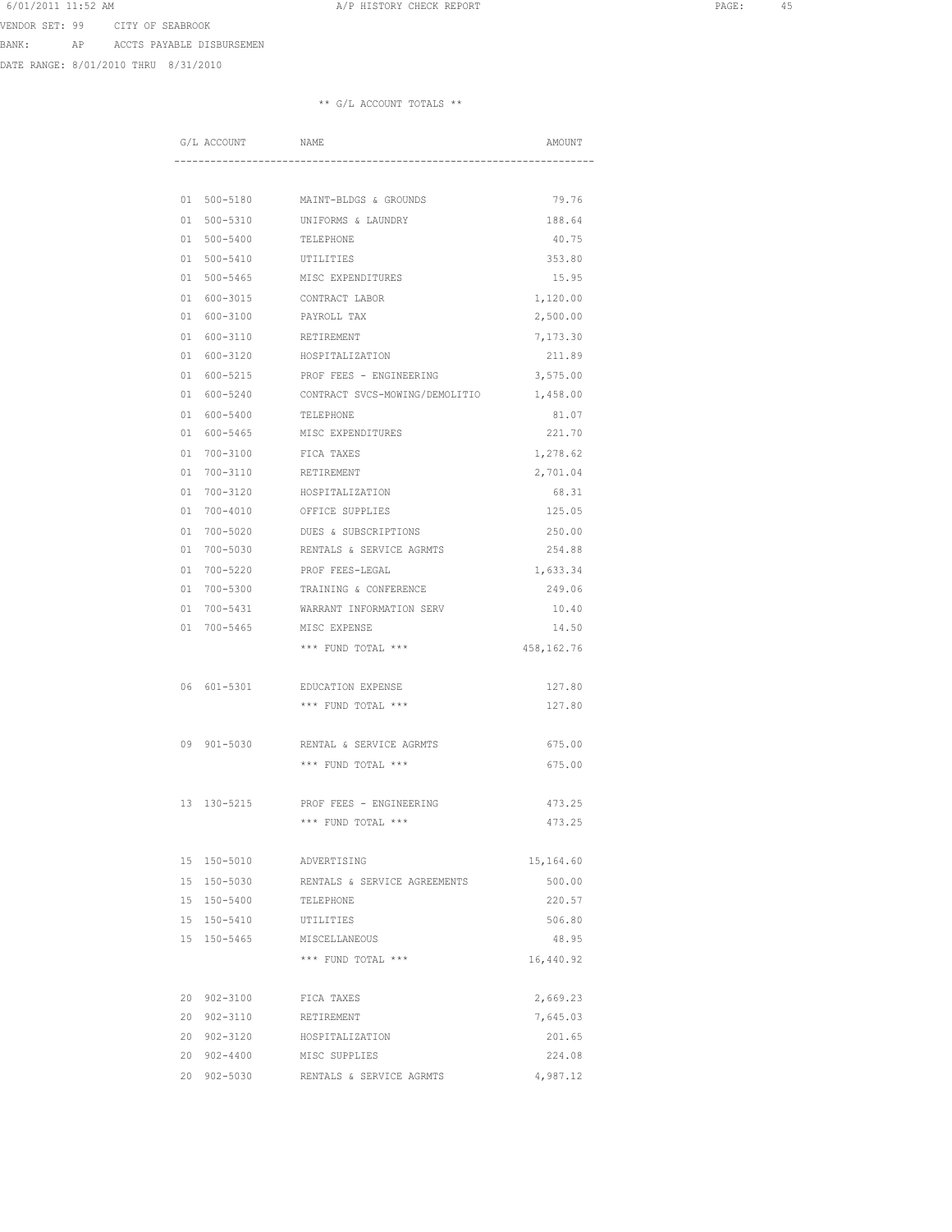VENDOR SET: 99 CITY OF SEABROOK

BANK: AP ACCTS PAYABLE DISBURSEMEN

DATE RANGE: 8/01/2010 THRU 8/31/2010

|          | G/L ACCOUNT          | NAME                                                      | AMOUNT             |
|----------|----------------------|-----------------------------------------------------------|--------------------|
|          |                      |                                                           |                    |
|          |                      |                                                           |                    |
|          |                      | 01 500-5180 MAINT-BLDGS & GROUNDS                         | 79.76              |
| 01       | $500 - 5310$         | UNIFORMS & LAUNDRY                                        | 188.64             |
| 01       | $500 - 5400$         | TELEPHONE                                                 | 40.75              |
| 01       | $500 - 5410$         | UTILITIES                                                 | 353.80             |
| 01       | $500 - 5465$         | MISC EXPENDITURES                                         | 15.95              |
| 01       | 600-3015             | CONTRACT LABOR                                            | 1,120.00           |
| 01       | 600-3100             | PAYROLL TAX                                               | 2,500.00           |
|          | $01 600 - 3110$      | RETIREMENT                                                | 7,173.30           |
|          | 01 600-3120          | HOSPITALIZATION                                           | 211.89             |
|          | 01 600-5215          | PROF FEES - ENGINEERING                                   | 3,575.00           |
| 01       | 600-5240             | CONTRACT SVCS-MOWING/DEMOLITIO                            | 1,458.00           |
| 01       | 600-5400             | TELEPHONE                                                 | 81.07              |
| 01       | 600-5465             | MISC EXPENDITURES                                         | 221.70             |
| 01       | $700 - 3100$         | FICA TAXES                                                | 1,278.62           |
| 01       | 700-3110             | RETIREMENT                                                | 2,701.04           |
| 01<br>01 | 700-3120<br>700-4010 | HOSPITALIZATION<br>OFFICE SUPPLIES                        | 68.31<br>125.05    |
|          |                      |                                                           |                    |
| 01<br>01 | 700-5020             | DUES & SUBSCRIPTIONS<br>700-5030 RENTALS & SERVICE AGRMTS | 250.00<br>254.88   |
|          | 700-5220             | PROF FEES-LEGAL                                           |                    |
| 01<br>01 | 700-5300             | TRAINING & CONFERENCE                                     | 1,633.34<br>249.06 |
|          | 700-5431             | WARRANT INFORMATION SERV                                  |                    |
| 01<br>01 | 700-5465             | MISC EXPENSE                                              | 10.40<br>14.50     |
|          |                      | *** FUND TOTAL ***                                        |                    |
|          |                      |                                                           | 458,162.76         |
|          | 06 601-5301          | EDUCATION EXPENSE                                         | 127.80             |
|          |                      | *** FUND TOTAL ***                                        | 127.80             |
|          |                      |                                                           |                    |
|          | 09 901-5030          | RENTAL & SERVICE AGRMTS                                   | 675.00             |
|          |                      | *** FUND TOTAL ***                                        | 675.00             |
|          |                      |                                                           |                    |
| 13       | 130-5215             | PROF FEES - ENGINEERING                                   | 473.25             |
|          |                      | *** FUND TOTAL ***                                        | 473.25             |
|          |                      |                                                           |                    |
|          | 15 150-5010          | ADVERTISING                                               | 15,164.60          |
| 15       | 150-5030             | RENTALS & SERVICE AGREEMENTS                              | 500.00             |
|          | 15 150-5400          | TELEPHONE                                                 | 220.57             |
|          | 15 150-5410          | UTILITIES                                                 | 506.80             |
|          | 15 150-5465          | MISCELLANEOUS                                             | 48.95              |
|          |                      | *** FUND TOTAL ***                                        | 16,440.92          |
|          | 20 902-3100          | FICA TAXES                                                | 2,669.23           |
| 20       | 902-3110             | RETIREMENT                                                | 7,645.03           |
|          | 20 902-3120          | HOSPITALIZATION                                           | 201.65             |
|          | 20 902-4400          | MISC SUPPLIES                                             | 224.08             |
|          | 20 902-5030          | RENTALS & SERVICE AGRMTS                                  | 4,987.12           |
|          |                      |                                                           |                    |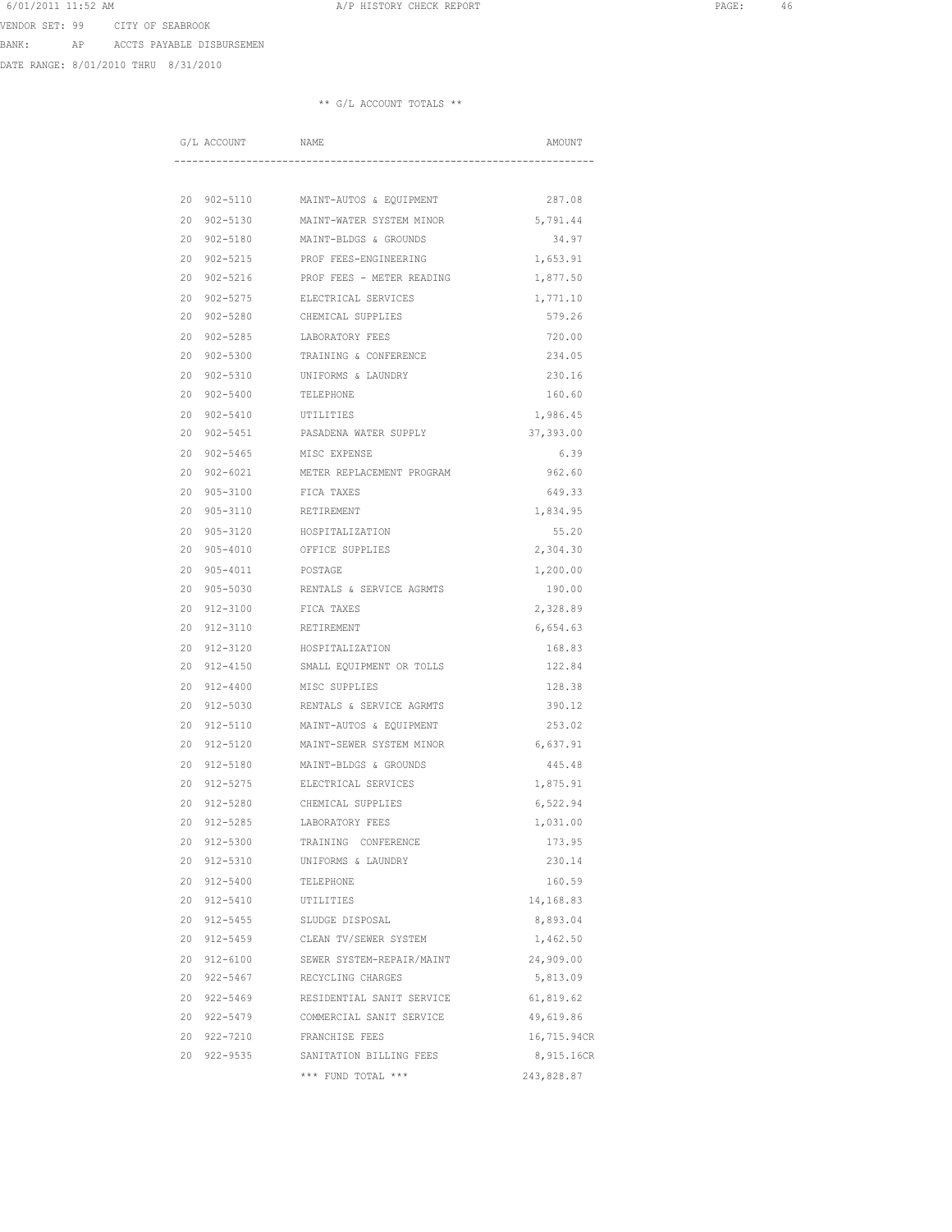VENDOR SET: 99 CITY OF SEABROOK

BANK: AP ACCTS PAYABLE DISBURSEMEN

DATE RANGE: 8/01/2010 THRU 8/31/2010

|    | G/L ACCOUNT  | NAME                      | AMOUNT      |
|----|--------------|---------------------------|-------------|
|    |              |                           |             |
| 20 | 902-5110     | MAINT-AUTOS & EQUIPMENT   | 287.08      |
| 20 | $902 - 5130$ | MAINT-WATER SYSTEM MINOR  | 5,791.44    |
| 20 | $902 - 5180$ | MAINT-BLDGS & GROUNDS     | 34.97       |
| 20 | $902 - 5215$ | PROF FEES-ENGINEERING     | 1,653.91    |
| 20 | $902 - 5216$ | PROF FEES - METER READING | 1,877.50    |
| 20 | $902 - 5275$ | ELECTRICAL SERVICES       | 1,771.10    |
| 20 | $902 - 5280$ | CHEMICAL SUPPLIES         | 579.26      |
| 20 | $902 - 5285$ | LABORATORY FEES           | 720.00      |
| 20 | $902 - 5300$ | TRAINING & CONFERENCE     | 234.05      |
| 20 | $902 - 5310$ | UNIFORMS & LAUNDRY        | 230.16      |
| 20 | $902 - 5400$ | TELEPHONE                 | 160.60      |
| 20 | $902 - 5410$ | UTILITIES                 | 1,986.45    |
| 20 | $902 - 5451$ | PASADENA WATER SUPPLY     | 37,393.00   |
| 20 | $902 - 5465$ | MISC EXPENSE              | 6.39        |
| 20 | $902 - 6021$ | METER REPLACEMENT PROGRAM | 962.60      |
| 20 | $905 - 3100$ | FICA TAXES                | 649.33      |
| 20 | $905 - 3110$ | RETIREMENT                | 1,834.95    |
| 20 | $905 - 3120$ | HOSPITALIZATION           | 55.20       |
| 20 | $905 - 4010$ | OFFICE SUPPLIES           | 2,304.30    |
| 20 | $905 - 4011$ | POSTAGE                   | 1,200.00    |
| 20 | $905 - 5030$ | RENTALS & SERVICE AGRMTS  | 190.00      |
| 20 | $912 - 3100$ | FICA TAXES                | 2,328.89    |
| 20 | $912 - 3110$ | RETIREMENT                | 6,654.63    |
| 20 | 912-3120     | HOSPITALIZATION           | 168.83      |
| 20 | 912-4150     | SMALL EQUIPMENT OR TOLLS  | 122.84      |
| 20 | $912 - 4400$ | MISC SUPPLIES             | 128.38      |
| 20 | 912-5030     | RENTALS & SERVICE AGRMTS  | 390.12      |
| 20 | $912 - 5110$ | MAINT-AUTOS & EQUIPMENT   | 253.02      |
| 20 | $912 - 5120$ | MAINT-SEWER SYSTEM MINOR  | 6,637.91    |
| 20 | $912 - 5180$ | MAINT-BLDGS & GROUNDS     | 445.48      |
| 20 | $912 - 5275$ | ELECTRICAL SERVICES       | 1,875.91    |
| 20 | $912 - 5280$ | CHEMICAL SUPPLIES         | 6,522.94    |
| 20 | $912 - 5285$ | LABORATORY FEES           | 1,031.00    |
| 20 | 912-5300     | TRAINING CONFERENCE       | 173.95      |
| 20 | 912-5310     | UNIFORMS & LAUNDRY        | 230.14      |
| 20 | 912-5400     | TELEPHONE                 | 160.59      |
| 20 | 912-5410     | UTILITIES                 | 14,168.83   |
| 20 | 912-5455     | SLUDGE DISPOSAL           | 8,893.04    |
| 20 | 912-5459     | CLEAN TV/SEWER SYSTEM     | 1,462.50    |
| 20 | $912 - 6100$ | SEWER SYSTEM-REPAIR/MAINT | 24,909.00   |
| 20 | 922-5467     | RECYCLING CHARGES         | 5,813.09    |
|    | 20 922-5469  | RESIDENTIAL SANIT SERVICE | 61,819.62   |
|    | 20 922-5479  | COMMERCIAL SANIT SERVICE  | 49,619.86   |
|    | 20 922-7210  | FRANCHISE FEES            | 16,715.94CR |
|    | 20 922-9535  | SANITATION BILLING FEES   | 8,915.16CR  |
|    |              | *** FUND TOTAL ***        | 243,828.87  |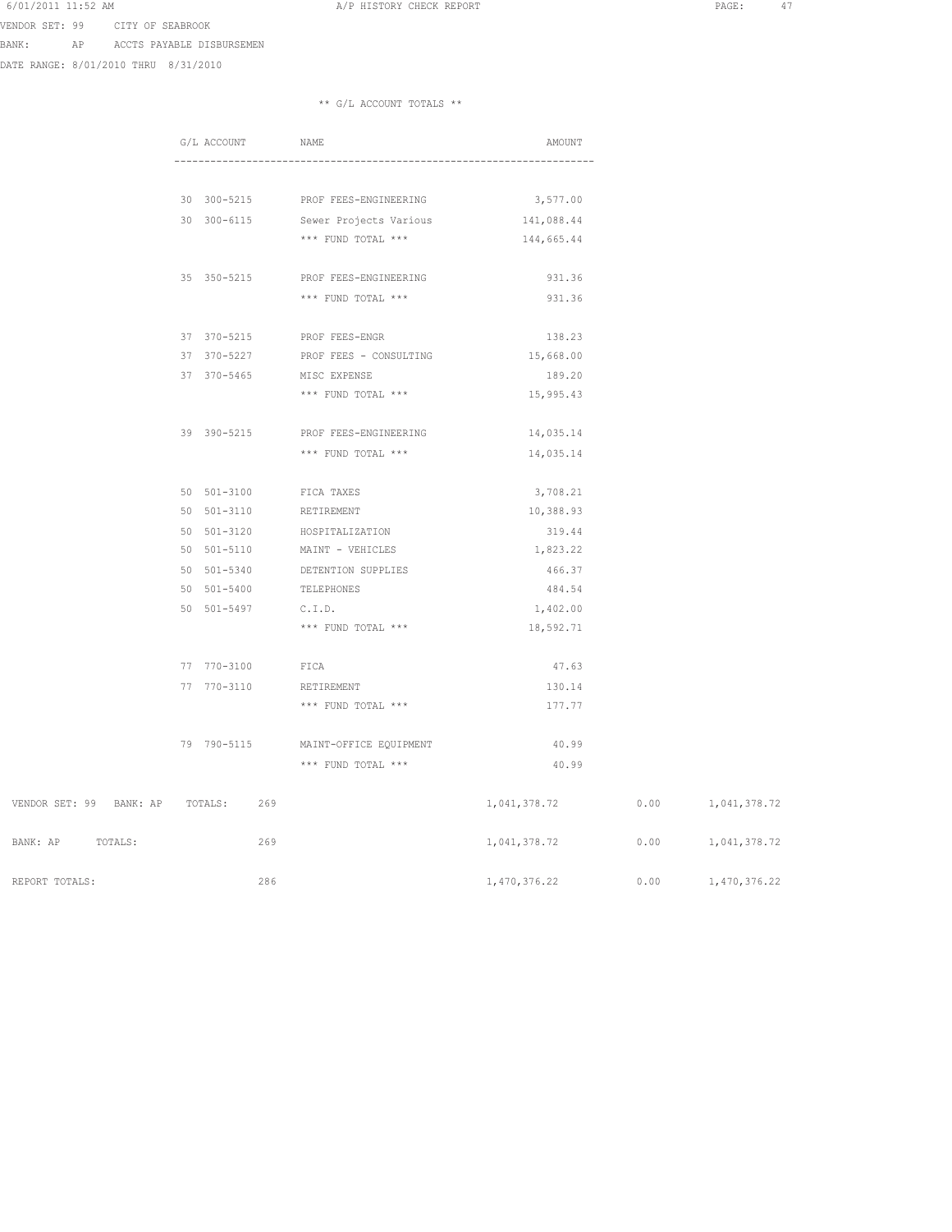VENDOR SET: 99 CITY OF SEABROOK

BANK: AP ACCTS PAYABLE DISBURSEMEN

DATE RANGE: 8/01/2010 THRU 8/31/2010

|                                     | G/L ACCOUNT | NAME                               |              | AMOUNT                   |
|-------------------------------------|-------------|------------------------------------|--------------|--------------------------|
|                                     |             |                                    |              |                          |
|                                     |             | 30 300-5215 PROF FEES-ENGINEERING  | 3,577.00     |                          |
|                                     |             | 30 300-6115 Sewer Projects Various | 141,088.44   |                          |
|                                     |             | *** FUND TOTAL ***                 | 144,665.44   |                          |
|                                     |             | 35 350-5215 PROF FEES-ENGINEERING  | 931.36       |                          |
|                                     |             | *** FUND TOTAL ***                 | 931.36       |                          |
|                                     |             | 37 370-5215 PROF FEES-ENGR         | 138.23       |                          |
|                                     |             | 37 370-5227 PROF FEES - CONSULTING | 15,668.00    |                          |
|                                     | 37 370-5465 | MISC EXPENSE                       | 189.20       |                          |
|                                     |             | *** FUND TOTAL ***                 | 15,995.43    |                          |
|                                     | 39 390-5215 | PROF FEES-ENGINEERING              | 14,035.14    |                          |
|                                     |             | *** FUND TOTAL ***                 | 14,035.14    |                          |
|                                     | 50 501-3100 | FICA TAXES                         | 3,708.21     |                          |
|                                     | 50 501-3110 | RETIREMENT                         | 10,388.93    |                          |
|                                     | 50 501-3120 | HOSPITALIZATION                    | 319.44       |                          |
|                                     |             | 50 501-5110 MAINT - VEHICLES       | 1,823.22     |                          |
|                                     | 50 501-5340 | DETENTION SUPPLIES                 | 466.37       |                          |
|                                     | 50 501-5400 | TELEPHONES                         | 484.54       |                          |
|                                     | 50 501-5497 | C.I.D.                             | 1,402.00     |                          |
|                                     |             | *** FUND TOTAL ***                 | 18,592.71    |                          |
|                                     | 77 770-3100 | FICA                               | 47.63        |                          |
|                                     | 77 770-3110 | RETIREMENT                         |              | 130.14                   |
|                                     |             | *** FUND TOTAL ***                 |              | 177.77                   |
|                                     | 79 790-5115 | MAINT-OFFICE EQUIPMENT             |              | 40.99                    |
|                                     |             | *** FUND TOTAL ***                 |              | 40.99                    |
| VENDOR SET: 99 BANK: AP TOTALS: 269 |             |                                    | 1,041,378.72 | $0.00$ 1, 041, 378.72    |
| BANK: AP<br>TOTALS:                 |             | 269                                | 1,041,378.72 | 0.00<br>1,041,378.72     |
| REPORT TOTALS.                      |             | 286                                | 1.470.376.22 | $0.00 -$<br>1.470.376.22 |